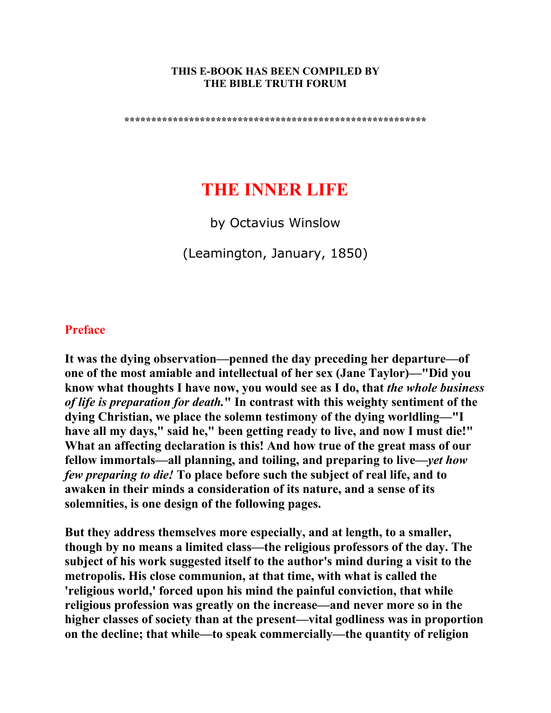#### **THIS E-BOOK HAS BEEN COMPILED BY THE BIBLE TRUTH FORUM**

**\*\*\*\*\*\*\*\*\*\*\*\*\*\*\*\*\*\*\*\*\*\*\*\*\*\*\*\*\*\*\*\*\*\*\*\*\*\*\*\*\*\*\*\*\*\*\*\*\*\*\*\*\*\*\*\*** 

# **THE INNER LIFE**

by Octavius Winslow

(Leamington, January, 1850)

#### **Preface**

**It was the dying observation—penned the day preceding her departure—of one of the most amiable and intellectual of her sex (Jane Taylor)—"Did you know what thoughts I have now, you would see as I do, that** *the whole business of life is preparation for death.***" In contrast with this weighty sentiment of the dying Christian, we place the solemn testimony of the dying worldling—"I have all my days," said he," been getting ready to live, and now I must die!" What an affecting declaration is this! And how true of the great mass of our fellow immortals—all planning, and toiling, and preparing to live—***yet how few preparing to die!* **To place before such the subject of real life, and to awaken in their minds a consideration of its nature, and a sense of its solemnities, is one design of the following pages.** 

**But they address themselves more especially, and at length, to a smaller, though by no means a limited class—the religious professors of the day. The subject of his work suggested itself to the author's mind during a visit to the metropolis. His close communion, at that time, with what is called the 'religious world,' forced upon his mind the painful conviction, that while religious profession was greatly on the increase—and never more so in the higher classes of society than at the present—vital godliness was in proportion on the decline; that while—to speak commercially—the quantity of religion**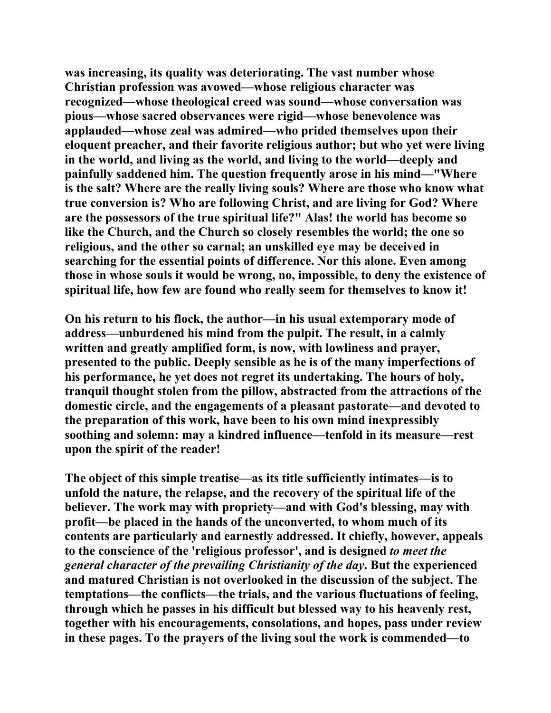**was increasing, its quality was deteriorating. The vast number whose Christian profession was avowed—whose religious character was recognized—whose theological creed was sound—whose conversation was pious—whose sacred observances were rigid—whose benevolence was applauded—whose zeal was admired—who prided themselves upon their eloquent preacher, and their favorite religious author; but who yet were living in the world, and living as the world, and living to the world—deeply and painfully saddened him. The question frequently arose in his mind—"Where is the salt? Where are the really living souls? Where are those who know what true conversion is? Who are following Christ, and are living for God? Where are the possessors of the true spiritual life?" Alas! the world has become so like the Church, and the Church so closely resembles the world; the one so religious, and the other so carnal; an unskilled eye may be deceived in searching for the essential points of difference. Nor this alone. Even among those in whose souls it would be wrong, no, impossible, to deny the existence of spiritual life, how few are found who really seem for themselves to know it!** 

**On his return to his flock, the author—in his usual extemporary mode of address—unburdened his mind from the pulpit. The result, in a calmly written and greatly amplified form, is now, with lowliness and prayer, presented to the public. Deeply sensible as he is of the many imperfections of his performance, he yet does not regret its undertaking. The hours of holy, tranquil thought stolen from the pillow, abstracted from the attractions of the domestic circle, and the engagements of a pleasant pastorate—and devoted to the preparation of this work, have been to his own mind inexpressibly soothing and solemn: may a kindred influence—tenfold in its measure—rest upon the spirit of the reader!** 

**The object of this simple treatise—as its title sufficiently intimates—is to unfold the nature, the relapse, and the recovery of the spiritual life of the believer. The work may with propriety—and with God's blessing, may with profit—be placed in the hands of the unconverted, to whom much of its contents are particularly and earnestly addressed. It chiefly, however, appeals to the conscience of the 'religious professor', and is designed** *to meet the general character of the prevailing Christianity of the day***. But the experienced and matured Christian is not overlooked in the discussion of the subject. The temptations—the conflicts—the trials, and the various fluctuations of feeling, through which he passes in his difficult but blessed way to his heavenly rest, together with his encouragements, consolations, and hopes, pass under review in these pages. To the prayers of the living soul the work is commended—to**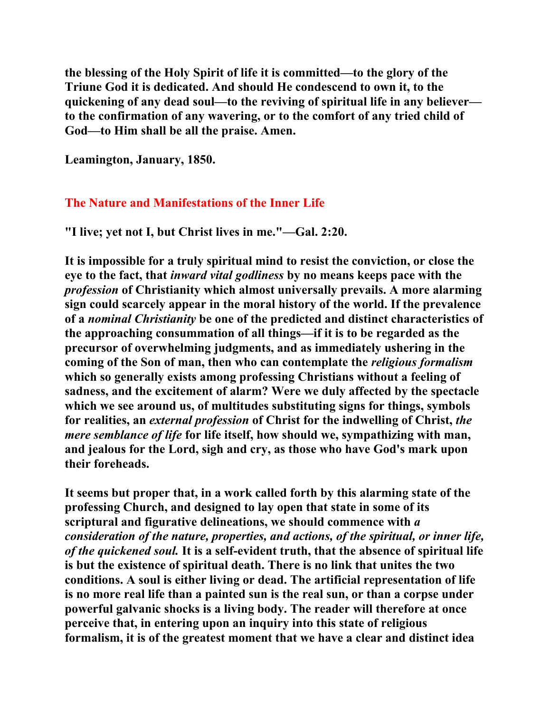**the blessing of the Holy Spirit of life it is committed—to the glory of the Triune God it is dedicated. And should He condescend to own it, to the quickening of any dead soul—to the reviving of spiritual life in any believer to the confirmation of any wavering, or to the comfort of any tried child of God—to Him shall be all the praise. Amen.** 

**Leamington, January, 1850.** 

## **The Nature and Manifestations of the Inner Life**

**"I live; yet not I, but Christ lives in me."—Gal. 2:20.** 

**It is impossible for a truly spiritual mind to resist the conviction, or close the eye to the fact, that** *inward vital godliness* **by no means keeps pace with the**  *profession* **of Christianity which almost universally prevails. A more alarming sign could scarcely appear in the moral history of the world. If the prevalence of a** *nominal Christianity* **be one of the predicted and distinct characteristics of the approaching consummation of all things—if it is to be regarded as the precursor of overwhelming judgments, and as immediately ushering in the coming of the Son of man, then who can contemplate the** *religious formalism* **which so generally exists among professing Christians without a feeling of sadness, and the excitement of alarm? Were we duly affected by the spectacle which we see around us, of multitudes substituting signs for things, symbols for realities, an** *external profession* **of Christ for the indwelling of Christ,** *the mere semblance of life* **for life itself, how should we, sympathizing with man, and jealous for the Lord, sigh and cry, as those who have God's mark upon their foreheads.** 

**It seems but proper that, in a work called forth by this alarming state of the professing Church, and designed to lay open that state in some of its scriptural and figurative delineations, we should commence with** *a consideration of the nature, properties, and actions, of the spiritual, or inner life, of the quickened soul.* **It is a self-evident truth, that the absence of spiritual life is but the existence of spiritual death. There is no link that unites the two conditions. A soul is either living or dead. The artificial representation of life is no more real life than a painted sun is the real sun, or than a corpse under powerful galvanic shocks is a living body. The reader will therefore at once perceive that, in entering upon an inquiry into this state of religious formalism, it is of the greatest moment that we have a clear and distinct idea**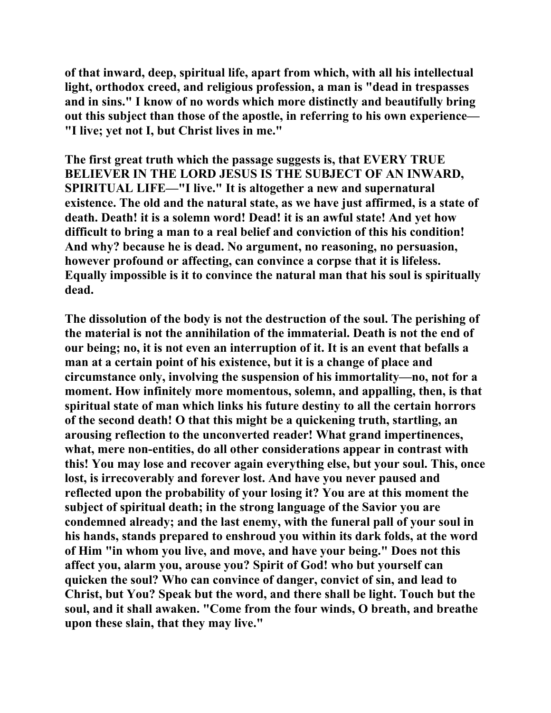**of that inward, deep, spiritual life, apart from which, with all his intellectual light, orthodox creed, and religious profession, a man is "dead in trespasses and in sins." I know of no words which more distinctly and beautifully bring out this subject than those of the apostle, in referring to his own experience— "I live; yet not I, but Christ lives in me."** 

**The first great truth which the passage suggests is, that EVERY TRUE BELIEVER IN THE LORD JESUS IS THE SUBJECT OF AN INWARD, SPIRITUAL LIFE—"I live." It is altogether a new and supernatural existence. The old and the natural state, as we have just affirmed, is a state of death. Death! it is a solemn word! Dead! it is an awful state! And yet how difficult to bring a man to a real belief and conviction of this his condition! And why? because he is dead. No argument, no reasoning, no persuasion, however profound or affecting, can convince a corpse that it is lifeless. Equally impossible is it to convince the natural man that his soul is spiritually dead.** 

**The dissolution of the body is not the destruction of the soul. The perishing of the material is not the annihilation of the immaterial. Death is not the end of our being; no, it is not even an interruption of it. It is an event that befalls a man at a certain point of his existence, but it is a change of place and circumstance only, involving the suspension of his immortality—no, not for a moment. How infinitely more momentous, solemn, and appalling, then, is that spiritual state of man which links his future destiny to all the certain horrors of the second death! O that this might be a quickening truth, startling, an arousing reflection to the unconverted reader! What grand impertinences, what, mere non-entities, do all other considerations appear in contrast with this! You may lose and recover again everything else, but your soul. This, once lost, is irrecoverably and forever lost. And have you never paused and reflected upon the probability of your losing it? You are at this moment the subject of spiritual death; in the strong language of the Savior you are condemned already; and the last enemy, with the funeral pall of your soul in his hands, stands prepared to enshroud you within its dark folds, at the word of Him "in whom you live, and move, and have your being." Does not this affect you, alarm you, arouse you? Spirit of God! who but yourself can quicken the soul? Who can convince of danger, convict of sin, and lead to Christ, but You? Speak but the word, and there shall be light. Touch but the soul, and it shall awaken. "Come from the four winds, O breath, and breathe upon these slain, that they may live."**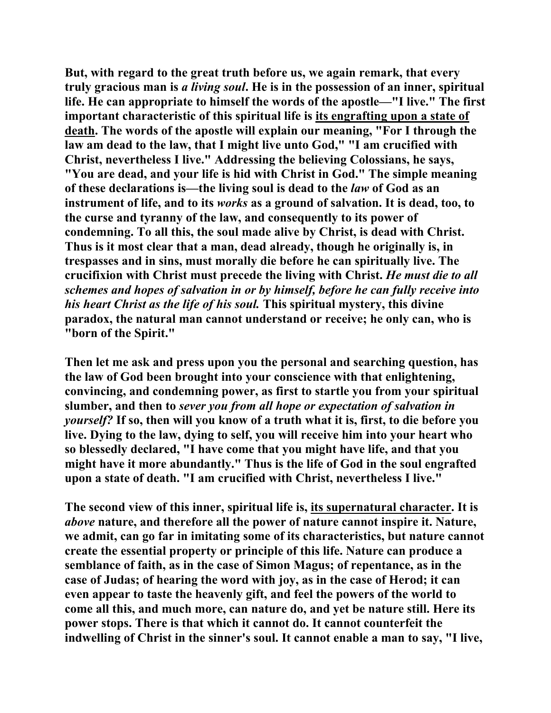**But, with regard to the great truth before us, we again remark, that every truly gracious man is** *a living soul***. He is in the possession of an inner, spiritual life. He can appropriate to himself the words of the apostle—"I live." The first important characteristic of this spiritual life is its engrafting upon a state of death. The words of the apostle will explain our meaning, "For I through the law am dead to the law, that I might live unto God," "I am crucified with Christ, nevertheless I live." Addressing the believing Colossians, he says, "You are dead, and your life is hid with Christ in God." The simple meaning of these declarations is—the living soul is dead to the** *law* **of God as an instrument of life, and to its** *works* **as a ground of salvation. It is dead, too, to the curse and tyranny of the law, and consequently to its power of condemning. To all this, the soul made alive by Christ, is dead with Christ. Thus is it most clear that a man, dead already, though he originally is, in trespasses and in sins, must morally die before he can spiritually live. The crucifixion with Christ must precede the living with Christ.** *He must die to all schemes and hopes of salvation in or by himself, before he can fully receive into his heart Christ as the life of his soul.* **This spiritual mystery, this divine paradox, the natural man cannot understand or receive; he only can, who is "born of the Spirit."** 

**Then let me ask and press upon you the personal and searching question, has the law of God been brought into your conscience with that enlightening, convincing, and condemning power, as first to startle you from your spiritual slumber, and then to** *sever you from all hope or expectation of salvation in yourself?* **If so, then will you know of a truth what it is, first, to die before you live. Dying to the law, dying to self, you will receive him into your heart who so blessedly declared, "I have come that you might have life, and that you might have it more abundantly." Thus is the life of God in the soul engrafted upon a state of death. "I am crucified with Christ, nevertheless I live."** 

**The second view of this inner, spiritual life is, its supernatural character. It is**  *above* **nature, and therefore all the power of nature cannot inspire it. Nature, we admit, can go far in imitating some of its characteristics, but nature cannot create the essential property or principle of this life. Nature can produce a semblance of faith, as in the case of Simon Magus; of repentance, as in the case of Judas; of hearing the word with joy, as in the case of Herod; it can even appear to taste the heavenly gift, and feel the powers of the world to come all this, and much more, can nature do, and yet be nature still. Here its power stops. There is that which it cannot do. It cannot counterfeit the indwelling of Christ in the sinner's soul. It cannot enable a man to say, "I live,**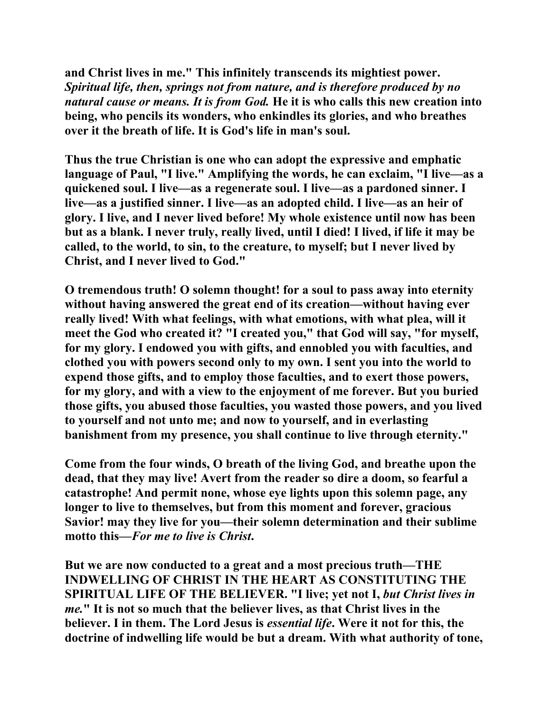**and Christ lives in me." This infinitely transcends its mightiest power.**  *Spiritual life, then, springs not from nature, and is therefore produced by no natural cause or means. It is from God.* **He it is who calls this new creation into being, who pencils its wonders, who enkindles its glories, and who breathes over it the breath of life. It is God's life in man's soul.** 

**Thus the true Christian is one who can adopt the expressive and emphatic language of Paul, "I live." Amplifying the words, he can exclaim, "I live—as a quickened soul. I live—as a regenerate soul. I live—as a pardoned sinner. I live—as a justified sinner. I live—as an adopted child. I live—as an heir of glory. I live, and I never lived before! My whole existence until now has been but as a blank. I never truly, really lived, until I died! I lived, if life it may be called, to the world, to sin, to the creature, to myself; but I never lived by Christ, and I never lived to God."** 

**O tremendous truth! O solemn thought! for a soul to pass away into eternity without having answered the great end of its creation—without having ever really lived! With what feelings, with what emotions, with what plea, will it meet the God who created it? "I created you," that God will say, "for myself, for my glory. I endowed you with gifts, and ennobled you with faculties, and clothed you with powers second only to my own. I sent you into the world to expend those gifts, and to employ those faculties, and to exert those powers, for my glory, and with a view to the enjoyment of me forever. But you buried those gifts, you abused those faculties, you wasted those powers, and you lived to yourself and not unto me; and now to yourself, and in everlasting banishment from my presence, you shall continue to live through eternity."** 

**Come from the four winds, O breath of the living God, and breathe upon the dead, that they may live! Avert from the reader so dire a doom, so fearful a catastrophe! And permit none, whose eye lights upon this solemn page, any longer to live to themselves, but from this moment and forever, gracious Savior! may they live for you—their solemn determination and their sublime**  motto this—*For me to live is Christ*,

**But we are now conducted to a great and a most precious truth—THE INDWELLING OF CHRIST IN THE HEART AS CONSTITUTING THE SPIRITUAL LIFE OF THE BELIEVER. "I live; yet not I,** *but Christ lives in me.***" It is not so much that the believer lives, as that Christ lives in the believer. I in them. The Lord Jesus is** *essential life***. Were it not for this, the doctrine of indwelling life would be but a dream. With what authority of tone,**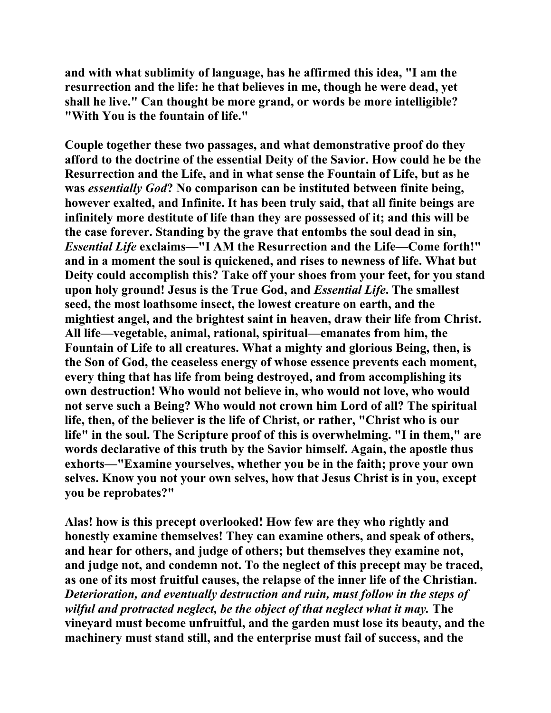**and with what sublimity of language, has he affirmed this idea, "I am the resurrection and the life: he that believes in me, though he were dead, yet shall he live." Can thought be more grand, or words be more intelligible? "With You is the fountain of life."** 

**Couple together these two passages, and what demonstrative proof do they afford to the doctrine of the essential Deity of the Savior. How could he be the Resurrection and the Life, and in what sense the Fountain of Life, but as he was** *essentially God***? No comparison can be instituted between finite being, however exalted, and Infinite. It has been truly said, that all finite beings are infinitely more destitute of life than they are possessed of it; and this will be the case forever. Standing by the grave that entombs the soul dead in sin,**  *Essential Life* **exclaims—"I AM the Resurrection and the Life—Come forth!" and in a moment the soul is quickened, and rises to newness of life. What but Deity could accomplish this? Take off your shoes from your feet, for you stand upon holy ground! Jesus is the True God, and** *Essential Life***. The smallest seed, the most loathsome insect, the lowest creature on earth, and the mightiest angel, and the brightest saint in heaven, draw their life from Christ. All life—vegetable, animal, rational, spiritual—emanates from him, the Fountain of Life to all creatures. What a mighty and glorious Being, then, is the Son of God, the ceaseless energy of whose essence prevents each moment, every thing that has life from being destroyed, and from accomplishing its own destruction! Who would not believe in, who would not love, who would not serve such a Being? Who would not crown him Lord of all? The spiritual life, then, of the believer is the life of Christ, or rather, "Christ who is our life" in the soul. The Scripture proof of this is overwhelming. "I in them," are words declarative of this truth by the Savior himself. Again, the apostle thus exhorts—"Examine yourselves, whether you be in the faith; prove your own selves. Know you not your own selves, how that Jesus Christ is in you, except you be reprobates?"** 

**Alas! how is this precept overlooked! How few are they who rightly and honestly examine themselves! They can examine others, and speak of others, and hear for others, and judge of others; but themselves they examine not, and judge not, and condemn not. To the neglect of this precept may be traced, as one of its most fruitful causes, the relapse of the inner life of the Christian.**  *Deterioration, and eventually destruction and ruin, must follow in the steps of wilful and protracted neglect, be the object of that neglect what it may.* **The vineyard must become unfruitful, and the garden must lose its beauty, and the machinery must stand still, and the enterprise must fail of success, and the**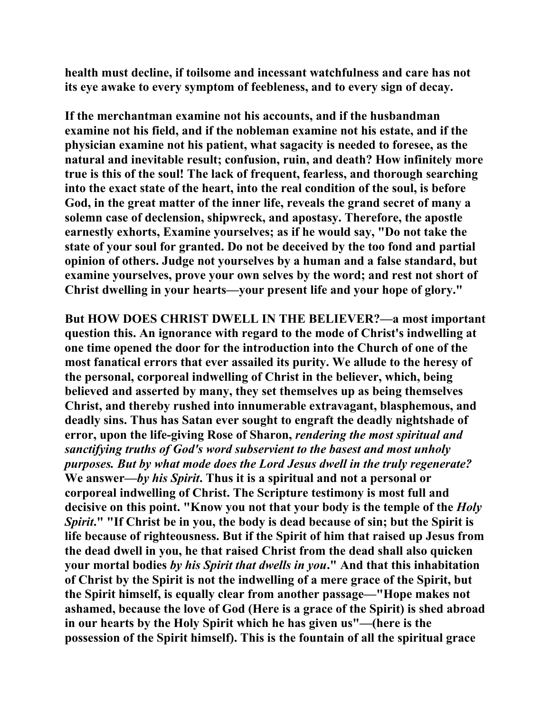**health must decline, if toilsome and incessant watchfulness and care has not its eye awake to every symptom of feebleness, and to every sign of decay.** 

**If the merchantman examine not his accounts, and if the husbandman examine not his field, and if the nobleman examine not his estate, and if the physician examine not his patient, what sagacity is needed to foresee, as the natural and inevitable result; confusion, ruin, and death? How infinitely more true is this of the soul! The lack of frequent, fearless, and thorough searching into the exact state of the heart, into the real condition of the soul, is before God, in the great matter of the inner life, reveals the grand secret of many a solemn case of declension, shipwreck, and apostasy. Therefore, the apostle earnestly exhorts, Examine yourselves; as if he would say, "Do not take the state of your soul for granted. Do not be deceived by the too fond and partial opinion of others. Judge not yourselves by a human and a false standard, but examine yourselves, prove your own selves by the word; and rest not short of Christ dwelling in your hearts—your present life and your hope of glory."** 

**But HOW DOES CHRIST DWELL IN THE BELIEVER?—a most important question this. An ignorance with regard to the mode of Christ's indwelling at one time opened the door for the introduction into the Church of one of the most fanatical errors that ever assailed its purity. We allude to the heresy of the personal, corporeal indwelling of Christ in the believer, which, being believed and asserted by many, they set themselves up as being themselves Christ, and thereby rushed into innumerable extravagant, blasphemous, and deadly sins. Thus has Satan ever sought to engraft the deadly nightshade of error, upon the life-giving Rose of Sharon,** *rendering the most spiritual and sanctifying truths of God's word subservient to the basest and most unholy purposes. But by what mode does the Lord Jesus dwell in the truly regenerate?* **We answer—***by his Spirit***. Thus it is a spiritual and not a personal or corporeal indwelling of Christ. The Scripture testimony is most full and decisive on this point. "Know you not that your body is the temple of the** *Holy Spirit***." "If Christ be in you, the body is dead because of sin; but the Spirit is life because of righteousness. But if the Spirit of him that raised up Jesus from the dead dwell in you, he that raised Christ from the dead shall also quicken your mortal bodies** *by his Spirit that dwells in you***." And that this inhabitation of Christ by the Spirit is not the indwelling of a mere grace of the Spirit, but the Spirit himself, is equally clear from another passage—"Hope makes not ashamed, because the love of God (Here is a grace of the Spirit) is shed abroad in our hearts by the Holy Spirit which he has given us"—(here is the possession of the Spirit himself). This is the fountain of all the spiritual grace**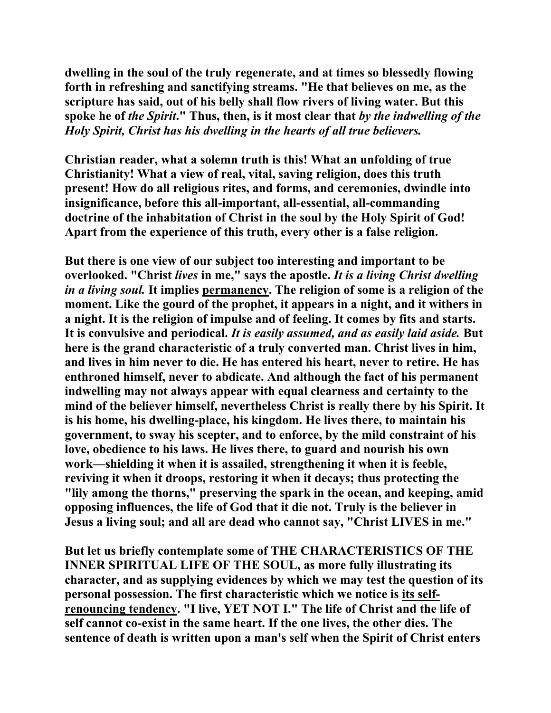**dwelling in the soul of the truly regenerate, and at times so blessedly flowing forth in refreshing and sanctifying streams. "He that believes on me, as the scripture has said, out of his belly shall flow rivers of living water. But this spoke he of** *the Spirit***." Thus, then, is it most clear that** *by the indwelling of the Holy Spirit, Christ has his dwelling in the hearts of all true believers.*

**Christian reader, what a solemn truth is this! What an unfolding of true Christianity! What a view of real, vital, saving religion, does this truth present! How do all religious rites, and forms, and ceremonies, dwindle into insignificance, before this all-important, all-essential, all-commanding doctrine of the inhabitation of Christ in the soul by the Holy Spirit of God! Apart from the experience of this truth, every other is a false religion.** 

**But there is one view of our subject too interesting and important to be overlooked. "Christ** *lives* **in me," says the apostle.** *It is a living Christ dwelling in a living soul.* **It implies permanency. The religion of some is a religion of the moment. Like the gourd of the prophet, it appears in a night, and it withers in a night. It is the religion of impulse and of feeling. It comes by fits and starts. It is convulsive and periodical.** *It is easily assumed, and as easily laid aside.* **But here is the grand characteristic of a truly converted man. Christ lives in him, and lives in him never to die. He has entered his heart, never to retire. He has enthroned himself, never to abdicate. And although the fact of his permanent indwelling may not always appear with equal clearness and certainty to the mind of the believer himself, nevertheless Christ is really there by his Spirit. It is his home, his dwelling-place, his kingdom. He lives there, to maintain his government, to sway his scepter, and to enforce, by the mild constraint of his love, obedience to his laws. He lives there, to guard and nourish his own work—shielding it when it is assailed, strengthening it when it is feeble, reviving it when it droops, restoring it when it decays; thus protecting the "lily among the thorns," preserving the spark in the ocean, and keeping, amid opposing influences, the life of God that it die not. Truly is the believer in Jesus a living soul; and all are dead who cannot say, "Christ LIVES in me."** 

**But let us briefly contemplate some of THE CHARACTERISTICS OF THE INNER SPIRITUAL LIFE OF THE SOUL, as more fully illustrating its character, and as supplying evidences by which we may test the question of its personal possession. The first characteristic which we notice is its selfrenouncing tendency. "I live, YET NOT I." The life of Christ and the life of self cannot co-exist in the same heart. If the one lives, the other dies. The sentence of death is written upon a man's self when the Spirit of Christ enters**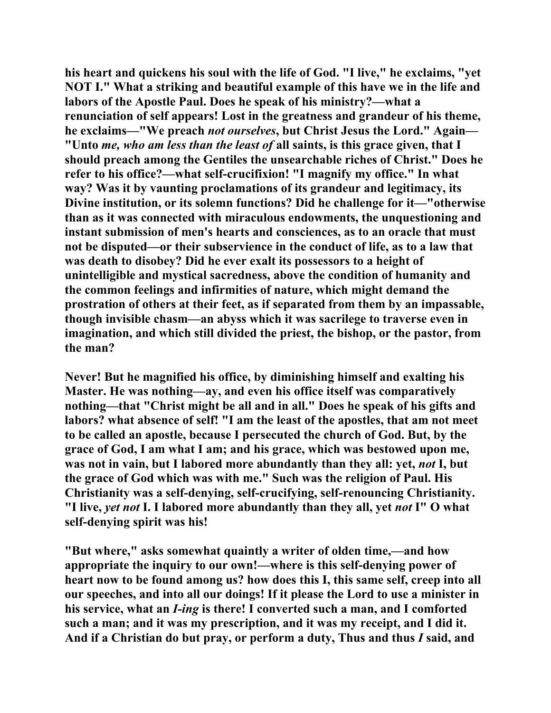**his heart and quickens his soul with the life of God. "I live," he exclaims, "yet NOT I." What a striking and beautiful example of this have we in the life and labors of the Apostle Paul. Does he speak of his ministry?—what a renunciation of self appears! Lost in the greatness and grandeur of his theme, he exclaims—"We preach** *not ourselves***, but Christ Jesus the Lord." Again— "Unto** *me, who am less than the least of* **all saints, is this grace given, that I should preach among the Gentiles the unsearchable riches of Christ." Does he refer to his office?—what self-crucifixion! "I magnify my office." In what way? Was it by vaunting proclamations of its grandeur and legitimacy, its Divine institution, or its solemn functions? Did he challenge for it—"otherwise than as it was connected with miraculous endowments, the unquestioning and instant submission of men's hearts and consciences, as to an oracle that must not be disputed—or their subservience in the conduct of life, as to a law that was death to disobey? Did he ever exalt its possessors to a height of unintelligible and mystical sacredness, above the condition of humanity and the common feelings and infirmities of nature, which might demand the prostration of others at their feet, as if separated from them by an impassable, though invisible chasm—an abyss which it was sacrilege to traverse even in imagination, and which still divided the priest, the bishop, or the pastor, from the man?** 

**Never! But he magnified his office, by diminishing himself and exalting his Master. He was nothing—ay, and even his office itself was comparatively nothing—that "Christ might be all and in all." Does he speak of his gifts and labors? what absence of self! "I am the least of the apostles, that am not meet to be called an apostle, because I persecuted the church of God. But, by the grace of God, I am what I am; and his grace, which was bestowed upon me, was not in vain, but I labored more abundantly than they all: yet,** *not* **I, but the grace of God which was with me." Such was the religion of Paul. His Christianity was a self-denying, self-crucifying, self-renouncing Christianity. "I live,** *yet not* **I. I labored more abundantly than they all, yet** *not* **I" O what self-denying spirit was his!** 

**"But where," asks somewhat quaintly a writer of olden time,—and how appropriate the inquiry to our own!—where is this self-denying power of heart now to be found among us? how does this I, this same self, creep into all our speeches, and into all our doings! If it please the Lord to use a minister in his service, what an** *I-ing* **is there! I converted such a man, and I comforted such a man; and it was my prescription, and it was my receipt, and I did it. And if a Christian do but pray, or perform a duty, Thus and thus** *I* **said, and**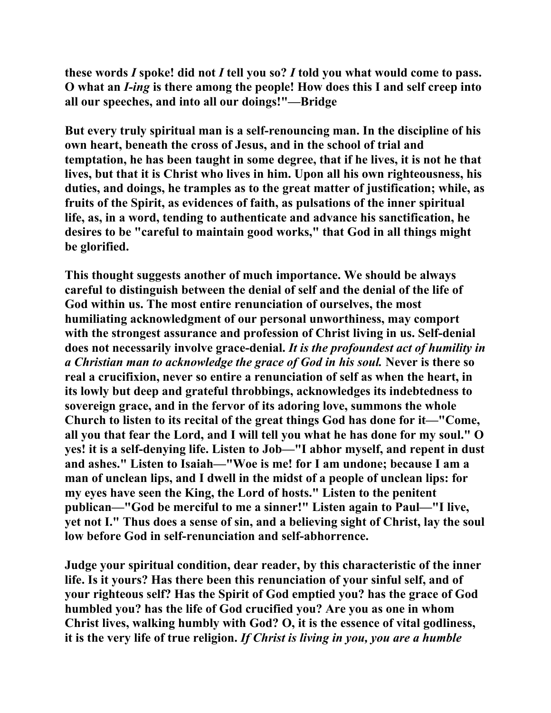**these words** *I* **spoke! did not** *I* **tell you so?** *I* **told you what would come to pass. O what an** *I-ing* **is there among the people! How does this I and self creep into all our speeches, and into all our doings!"—Bridge** 

**But every truly spiritual man is a self-renouncing man. In the discipline of his own heart, beneath the cross of Jesus, and in the school of trial and temptation, he has been taught in some degree, that if he lives, it is not he that lives, but that it is Christ who lives in him. Upon all his own righteousness, his duties, and doings, he tramples as to the great matter of justification; while, as fruits of the Spirit, as evidences of faith, as pulsations of the inner spiritual life, as, in a word, tending to authenticate and advance his sanctification, he desires to be "careful to maintain good works," that God in all things might be glorified.** 

**This thought suggests another of much importance. We should be always careful to distinguish between the denial of self and the denial of the life of God within us. The most entire renunciation of ourselves, the most humiliating acknowledgment of our personal unworthiness, may comport with the strongest assurance and profession of Christ living in us. Self-denial does not necessarily involve grace-denial.** *It is the profoundest act of humility in a Christian man to acknowledge the grace of God in his soul.* **Never is there so real a crucifixion, never so entire a renunciation of self as when the heart, in its lowly but deep and grateful throbbings, acknowledges its indebtedness to sovereign grace, and in the fervor of its adoring love, summons the whole Church to listen to its recital of the great things God has done for it—"Come, all you that fear the Lord, and I will tell you what he has done for my soul." O yes! it is a self-denying life. Listen to Job—"I abhor myself, and repent in dust and ashes." Listen to Isaiah—"Woe is me! for I am undone; because I am a man of unclean lips, and I dwell in the midst of a people of unclean lips: for my eyes have seen the King, the Lord of hosts." Listen to the penitent publican—"God be merciful to me a sinner!" Listen again to Paul—"I live, yet not I." Thus does a sense of sin, and a believing sight of Christ, lay the soul low before God in self-renunciation and self-abhorrence.** 

**Judge your spiritual condition, dear reader, by this characteristic of the inner life. Is it yours? Has there been this renunciation of your sinful self, and of your righteous self? Has the Spirit of God emptied you? has the grace of God humbled you? has the life of God crucified you? Are you as one in whom Christ lives, walking humbly with God? O, it is the essence of vital godliness, it is the very life of true religion.** *If Christ is living in you, you are a humble*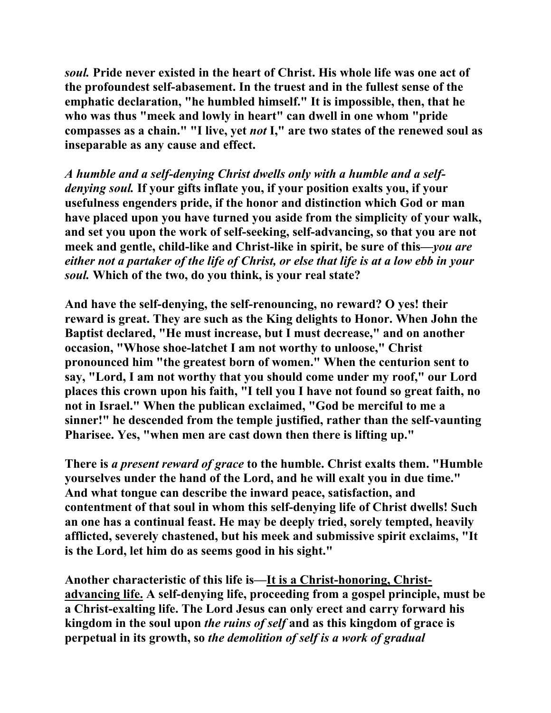*soul.* **Pride never existed in the heart of Christ. His whole life was one act of the profoundest self-abasement. In the truest and in the fullest sense of the emphatic declaration, "he humbled himself." It is impossible, then, that he who was thus "meek and lowly in heart" can dwell in one whom "pride compasses as a chain." "I live, yet** *not* **I," are two states of the renewed soul as inseparable as any cause and effect.**

*A humble and a self-denying Christ dwells only with a humble and a selfdenying soul.* **If your gifts inflate you, if your position exalts you, if your usefulness engenders pride, if the honor and distinction which God or man have placed upon you have turned you aside from the simplicity of your walk, and set you upon the work of self-seeking, self-advancing, so that you are not meek and gentle, child-like and Christ-like in spirit, be sure of this—***you are either not a partaker of the life of Christ, or else that life is at a low ebb in your soul.* **Which of the two, do you think, is your real state?** 

**And have the self-denying, the self-renouncing, no reward? O yes! their reward is great. They are such as the King delights to Honor. When John the Baptist declared, "He must increase, but I must decrease," and on another occasion, "Whose shoe-latchet I am not worthy to unloose," Christ pronounced him "the greatest born of women." When the centurion sent to say, "Lord, I am not worthy that you should come under my roof," our Lord places this crown upon his faith, "I tell you I have not found so great faith, no not in Israel." When the publican exclaimed, "God be merciful to me a sinner!" he descended from the temple justified, rather than the self-vaunting Pharisee. Yes, "when men are cast down then there is lifting up."** 

**There is** *a present reward of grace* **to the humble. Christ exalts them. "Humble yourselves under the hand of the Lord, and he will exalt you in due time." And what tongue can describe the inward peace, satisfaction, and contentment of that soul in whom this self-denying life of Christ dwells! Such an one has a continual feast. He may be deeply tried, sorely tempted, heavily afflicted, severely chastened, but his meek and submissive spirit exclaims, "It is the Lord, let him do as seems good in his sight."** 

**Another characteristic of this life is—It is a Christ-honoring, Christadvancing life. A self-denying life, proceeding from a gospel principle, must be a Christ-exalting life. The Lord Jesus can only erect and carry forward his kingdom in the soul upon** *the ruins of self* **and as this kingdom of grace is perpetual in its growth, so** *the demolition of self is a work of gradual*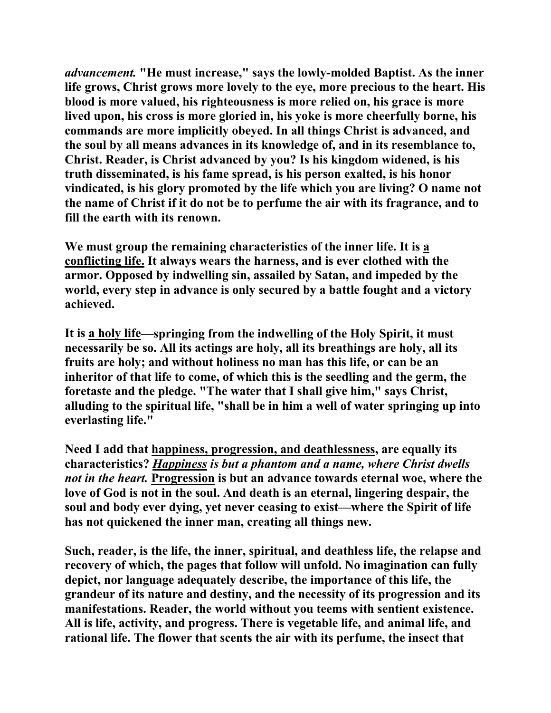*advancement.* **"He must increase," says the lowly-molded Baptist. As the inner life grows, Christ grows more lovely to the eye, more precious to the heart. His blood is more valued, his righteousness is more relied on, his grace is more lived upon, his cross is more gloried in, his yoke is more cheerfully borne, his commands are more implicitly obeyed. In all things Christ is advanced, and the soul by all means advances in its knowledge of, and in its resemblance to, Christ. Reader, is Christ advanced by you? Is his kingdom widened, is his truth disseminated, is his fame spread, is his person exalted, is his honor vindicated, is his glory promoted by the life which you are living? O name not the name of Christ if it do not be to perfume the air with its fragrance, and to fill the earth with its renown.** 

**We must group the remaining characteristics of the inner life. It is a conflicting life. It always wears the harness, and is ever clothed with the armor. Opposed by indwelling sin, assailed by Satan, and impeded by the world, every step in advance is only secured by a battle fought and a victory achieved.** 

**It is a holy life—springing from the indwelling of the Holy Spirit, it must necessarily be so. All its actings are holy, all its breathings are holy, all its fruits are holy; and without holiness no man has this life, or can be an inheritor of that life to come, of which this is the seedling and the germ, the foretaste and the pledge. "The water that I shall give him," says Christ, alluding to the spiritual life, "shall be in him a well of water springing up into everlasting life."** 

**Need I add that happiness, progression, and deathlessness, are equally its characteristics?** *Happiness is but a phantom and a name, where Christ dwells not in the heart.* **Progression is but an advance towards eternal woe, where the love of God is not in the soul. And death is an eternal, lingering despair, the soul and body ever dying, yet never ceasing to exist—where the Spirit of life has not quickened the inner man, creating all things new.** 

**Such, reader, is the life, the inner, spiritual, and deathless life, the relapse and recovery of which, the pages that follow will unfold. No imagination can fully depict, nor language adequately describe, the importance of this life, the grandeur of its nature and destiny, and the necessity of its progression and its manifestations. Reader, the world without you teems with sentient existence. All is life, activity, and progress. There is vegetable life, and animal life, and rational life. The flower that scents the air with its perfume, the insect that**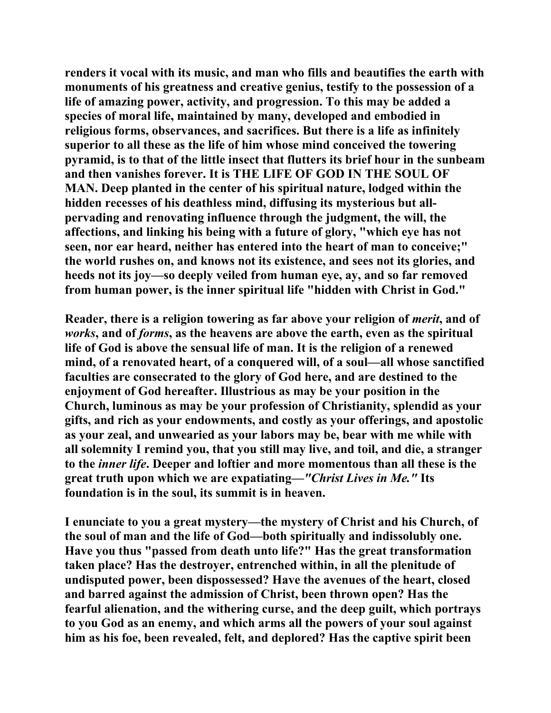**renders it vocal with its music, and man who fills and beautifies the earth with monuments of his greatness and creative genius, testify to the possession of a life of amazing power, activity, and progression. To this may be added a species of moral life, maintained by many, developed and embodied in religious forms, observances, and sacrifices. But there is a life as infinitely superior to all these as the life of him whose mind conceived the towering pyramid, is to that of the little insect that flutters its brief hour in the sunbeam and then vanishes forever. It is THE LIFE OF GOD IN THE SOUL OF MAN. Deep planted in the center of his spiritual nature, lodged within the hidden recesses of his deathless mind, diffusing its mysterious but allpervading and renovating influence through the judgment, the will, the affections, and linking his being with a future of glory, "which eye has not seen, nor ear heard, neither has entered into the heart of man to conceive;" the world rushes on, and knows not its existence, and sees not its glories, and heeds not its joy—so deeply veiled from human eye, ay, and so far removed from human power, is the inner spiritual life "hidden with Christ in God."** 

**Reader, there is a religion towering as far above your religion of** *merit***, and of**  *works***, and of** *forms***, as the heavens are above the earth, even as the spiritual life of God is above the sensual life of man. It is the religion of a renewed mind, of a renovated heart, of a conquered will, of a soul—all whose sanctified faculties are consecrated to the glory of God here, and are destined to the enjoyment of God hereafter. Illustrious as may be your position in the Church, luminous as may be your profession of Christianity, splendid as your gifts, and rich as your endowments, and costly as your offerings, and apostolic as your zeal, and unwearied as your labors may be, bear with me while with all solemnity I remind you, that you still may live, and toil, and die, a stranger to the** *inner life***. Deeper and loftier and more momentous than all these is the great truth upon which we are expatiating—***"Christ Lives in Me."* **Its foundation is in the soul, its summit is in heaven.** 

**I enunciate to you a great mystery—the mystery of Christ and his Church, of the soul of man and the life of God—both spiritually and indissolubly one. Have you thus "passed from death unto life?" Has the great transformation taken place? Has the destroyer, entrenched within, in all the plenitude of undisputed power, been dispossessed? Have the avenues of the heart, closed and barred against the admission of Christ, been thrown open? Has the fearful alienation, and the withering curse, and the deep guilt, which portrays to you God as an enemy, and which arms all the powers of your soul against him as his foe, been revealed, felt, and deplored? Has the captive spirit been**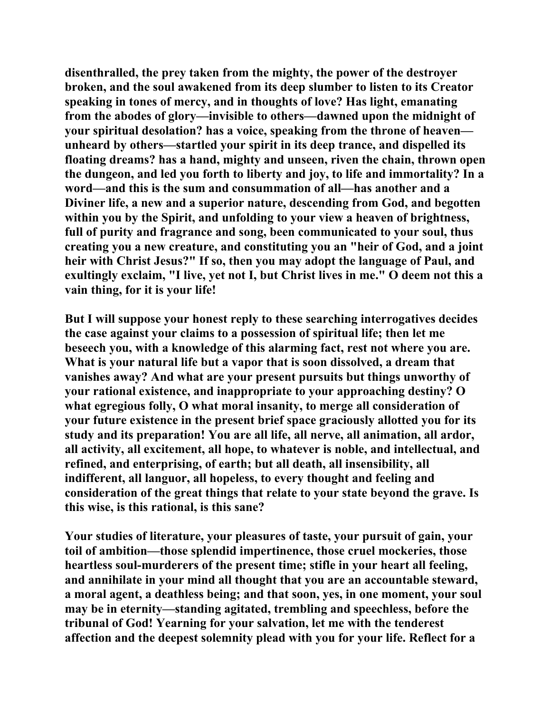**disenthralled, the prey taken from the mighty, the power of the destroyer broken, and the soul awakened from its deep slumber to listen to its Creator speaking in tones of mercy, and in thoughts of love? Has light, emanating from the abodes of glory—invisible to others—dawned upon the midnight of your spiritual desolation? has a voice, speaking from the throne of heaven unheard by others—startled your spirit in its deep trance, and dispelled its floating dreams? has a hand, mighty and unseen, riven the chain, thrown open the dungeon, and led you forth to liberty and joy, to life and immortality? In a word—and this is the sum and consummation of all—has another and a Diviner life, a new and a superior nature, descending from God, and begotten within you by the Spirit, and unfolding to your view a heaven of brightness, full of purity and fragrance and song, been communicated to your soul, thus creating you a new creature, and constituting you an "heir of God, and a joint heir with Christ Jesus?" If so, then you may adopt the language of Paul, and exultingly exclaim, "I live, yet not I, but Christ lives in me." O deem not this a vain thing, for it is your life!** 

**But I will suppose your honest reply to these searching interrogatives decides the case against your claims to a possession of spiritual life; then let me beseech you, with a knowledge of this alarming fact, rest not where you are. What is your natural life but a vapor that is soon dissolved, a dream that vanishes away? And what are your present pursuits but things unworthy of your rational existence, and inappropriate to your approaching destiny? O what egregious folly, O what moral insanity, to merge all consideration of your future existence in the present brief space graciously allotted you for its study and its preparation! You are all life, all nerve, all animation, all ardor, all activity, all excitement, all hope, to whatever is noble, and intellectual, and refined, and enterprising, of earth; but all death, all insensibility, all indifferent, all languor, all hopeless, to every thought and feeling and consideration of the great things that relate to your state beyond the grave. Is this wise, is this rational, is this sane?** 

**Your studies of literature, your pleasures of taste, your pursuit of gain, your toil of ambition—those splendid impertinence, those cruel mockeries, those heartless soul-murderers of the present time; stifle in your heart all feeling, and annihilate in your mind all thought that you are an accountable steward, a moral agent, a deathless being; and that soon, yes, in one moment, your soul may be in eternity—standing agitated, trembling and speechless, before the tribunal of God! Yearning for your salvation, let me with the tenderest affection and the deepest solemnity plead with you for your life. Reflect for a**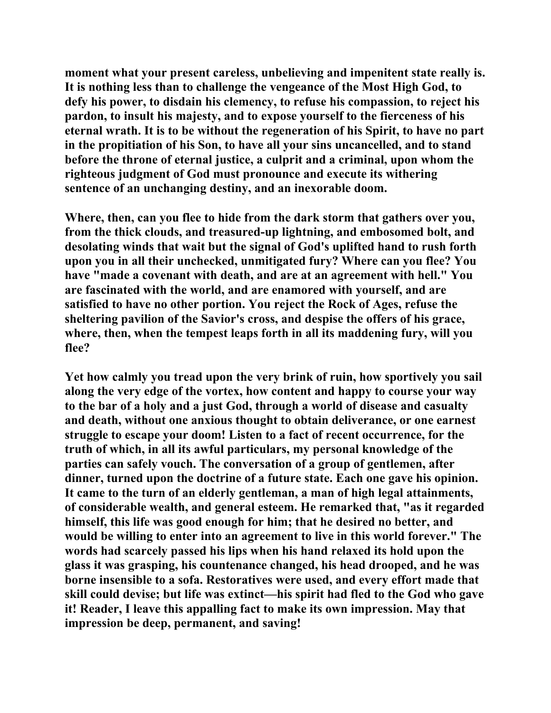**moment what your present careless, unbelieving and impenitent state really is. It is nothing less than to challenge the vengeance of the Most High God, to defy his power, to disdain his clemency, to refuse his compassion, to reject his pardon, to insult his majesty, and to expose yourself to the fierceness of his eternal wrath. It is to be without the regeneration of his Spirit, to have no part in the propitiation of his Son, to have all your sins uncancelled, and to stand before the throne of eternal justice, a culprit and a criminal, upon whom the righteous judgment of God must pronounce and execute its withering sentence of an unchanging destiny, and an inexorable doom.** 

**Where, then, can you flee to hide from the dark storm that gathers over you, from the thick clouds, and treasured-up lightning, and embosomed bolt, and desolating winds that wait but the signal of God's uplifted hand to rush forth upon you in all their unchecked, unmitigated fury? Where can you flee? You have "made a covenant with death, and are at an agreement with hell." You are fascinated with the world, and are enamored with yourself, and are satisfied to have no other portion. You reject the Rock of Ages, refuse the sheltering pavilion of the Savior's cross, and despise the offers of his grace, where, then, when the tempest leaps forth in all its maddening fury, will you flee?** 

**Yet how calmly you tread upon the very brink of ruin, how sportively you sail along the very edge of the vortex, how content and happy to course your way to the bar of a holy and a just God, through a world of disease and casualty and death, without one anxious thought to obtain deliverance, or one earnest struggle to escape your doom! Listen to a fact of recent occurrence, for the truth of which, in all its awful particulars, my personal knowledge of the parties can safely vouch. The conversation of a group of gentlemen, after dinner, turned upon the doctrine of a future state. Each one gave his opinion. It came to the turn of an elderly gentleman, a man of high legal attainments, of considerable wealth, and general esteem. He remarked that, "as it regarded himself, this life was good enough for him; that he desired no better, and would be willing to enter into an agreement to live in this world forever." The words had scarcely passed his lips when his hand relaxed its hold upon the glass it was grasping, his countenance changed, his head drooped, and he was borne insensible to a sofa. Restoratives were used, and every effort made that skill could devise; but life was extinct—his spirit had fled to the God who gave it! Reader, I leave this appalling fact to make its own impression. May that impression be deep, permanent, and saving!**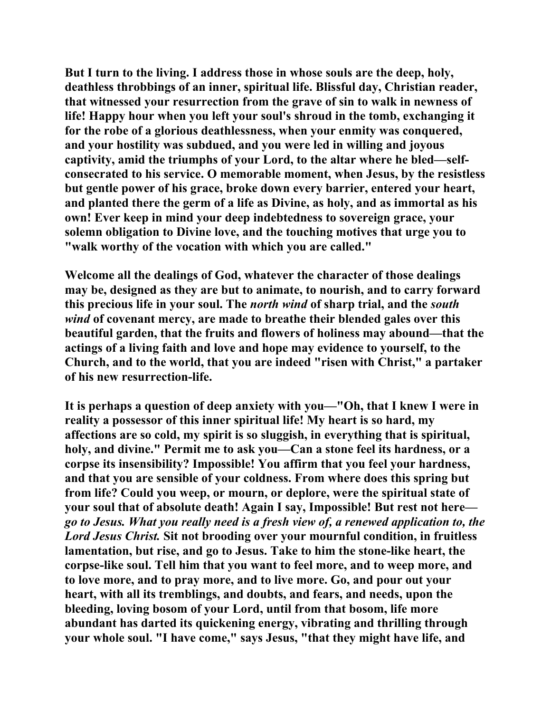**But I turn to the living. I address those in whose souls are the deep, holy, deathless throbbings of an inner, spiritual life. Blissful day, Christian reader, that witnessed your resurrection from the grave of sin to walk in newness of life! Happy hour when you left your soul's shroud in the tomb, exchanging it for the robe of a glorious deathlessness, when your enmity was conquered, and your hostility was subdued, and you were led in willing and joyous captivity, amid the triumphs of your Lord, to the altar where he bled—selfconsecrated to his service. O memorable moment, when Jesus, by the resistless but gentle power of his grace, broke down every barrier, entered your heart, and planted there the germ of a life as Divine, as holy, and as immortal as his own! Ever keep in mind your deep indebtedness to sovereign grace, your solemn obligation to Divine love, and the touching motives that urge you to "walk worthy of the vocation with which you are called."** 

**Welcome all the dealings of God, whatever the character of those dealings may be, designed as they are but to animate, to nourish, and to carry forward this precious life in your soul. The** *north wind* **of sharp trial, and the** *south wind* **of covenant mercy, are made to breathe their blended gales over this beautiful garden, that the fruits and flowers of holiness may abound—that the actings of a living faith and love and hope may evidence to yourself, to the Church, and to the world, that you are indeed "risen with Christ," a partaker of his new resurrection-life.** 

**It is perhaps a question of deep anxiety with you—"Oh, that I knew I were in reality a possessor of this inner spiritual life! My heart is so hard, my affections are so cold, my spirit is so sluggish, in everything that is spiritual, holy, and divine." Permit me to ask you—Can a stone feel its hardness, or a corpse its insensibility? Impossible! You affirm that you feel your hardness, and that you are sensible of your coldness. From where does this spring but from life? Could you weep, or mourn, or deplore, were the spiritual state of your soul that of absolute death! Again I say, Impossible! But rest not here** *go to Jesus. What you really need is a fresh view of, a renewed application to, the Lord Jesus Christ.* **Sit not brooding over your mournful condition, in fruitless lamentation, but rise, and go to Jesus. Take to him the stone-like heart, the corpse-like soul. Tell him that you want to feel more, and to weep more, and to love more, and to pray more, and to live more. Go, and pour out your heart, with all its tremblings, and doubts, and fears, and needs, upon the bleeding, loving bosom of your Lord, until from that bosom, life more abundant has darted its quickening energy, vibrating and thrilling through your whole soul. "I have come," says Jesus, "that they might have life, and**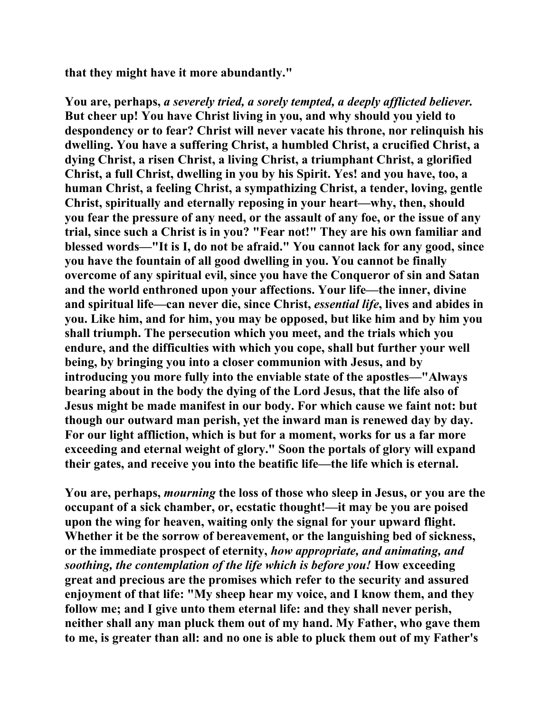**that they might have it more abundantly."** 

**You are, perhaps,** *a severely tried, a sorely tempted, a deeply afflicted believer.*  **But cheer up! You have Christ living in you, and why should you yield to despondency or to fear? Christ will never vacate his throne, nor relinquish his dwelling. You have a suffering Christ, a humbled Christ, a crucified Christ, a dying Christ, a risen Christ, a living Christ, a triumphant Christ, a glorified Christ, a full Christ, dwelling in you by his Spirit. Yes! and you have, too, a human Christ, a feeling Christ, a sympathizing Christ, a tender, loving, gentle Christ, spiritually and eternally reposing in your heart—why, then, should you fear the pressure of any need, or the assault of any foe, or the issue of any trial, since such a Christ is in you? "Fear not!" They are his own familiar and blessed words—"It is I, do not be afraid." You cannot lack for any good, since you have the fountain of all good dwelling in you. You cannot be finally overcome of any spiritual evil, since you have the Conqueror of sin and Satan and the world enthroned upon your affections. Your life—the inner, divine and spiritual life—can never die, since Christ,** *essential life***, lives and abides in you. Like him, and for him, you may be opposed, but like him and by him you shall triumph. The persecution which you meet, and the trials which you endure, and the difficulties with which you cope, shall but further your well being, by bringing you into a closer communion with Jesus, and by introducing you more fully into the enviable state of the apostles—"Always bearing about in the body the dying of the Lord Jesus, that the life also of Jesus might be made manifest in our body. For which cause we faint not: but though our outward man perish, yet the inward man is renewed day by day. For our light affliction, which is but for a moment, works for us a far more exceeding and eternal weight of glory." Soon the portals of glory will expand their gates, and receive you into the beatific life—the life which is eternal.** 

**You are, perhaps,** *mourning* **the loss of those who sleep in Jesus, or you are the occupant of a sick chamber, or, ecstatic thought!—it may be you are poised upon the wing for heaven, waiting only the signal for your upward flight. Whether it be the sorrow of bereavement, or the languishing bed of sickness, or the immediate prospect of eternity,** *how appropriate, and animating, and soothing, the contemplation of the life which is before you!* **How exceeding great and precious are the promises which refer to the security and assured enjoyment of that life: "My sheep hear my voice, and I know them, and they follow me; and I give unto them eternal life: and they shall never perish, neither shall any man pluck them out of my hand. My Father, who gave them to me, is greater than all: and no one is able to pluck them out of my Father's**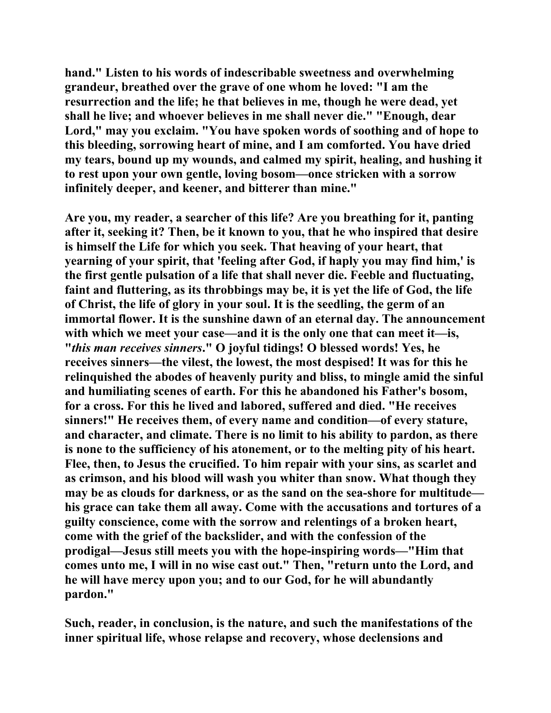**hand." Listen to his words of indescribable sweetness and overwhelming grandeur, breathed over the grave of one whom he loved: "I am the resurrection and the life; he that believes in me, though he were dead, yet shall he live; and whoever believes in me shall never die." "Enough, dear Lord," may you exclaim. "You have spoken words of soothing and of hope to this bleeding, sorrowing heart of mine, and I am comforted. You have dried my tears, bound up my wounds, and calmed my spirit, healing, and hushing it to rest upon your own gentle, loving bosom—once stricken with a sorrow infinitely deeper, and keener, and bitterer than mine."** 

**Are you, my reader, a searcher of this life? Are you breathing for it, panting after it, seeking it? Then, be it known to you, that he who inspired that desire is himself the Life for which you seek. That heaving of your heart, that yearning of your spirit, that 'feeling after God, if haply you may find him,' is the first gentle pulsation of a life that shall never die. Feeble and fluctuating, faint and fluttering, as its throbbings may be, it is yet the life of God, the life of Christ, the life of glory in your soul. It is the seedling, the germ of an immortal flower. It is the sunshine dawn of an eternal day. The announcement with which we meet your case—and it is the only one that can meet it—is, "***this man receives sinners***." O joyful tidings! O blessed words! Yes, he receives sinners—the vilest, the lowest, the most despised! It was for this he relinquished the abodes of heavenly purity and bliss, to mingle amid the sinful and humiliating scenes of earth. For this he abandoned his Father's bosom, for a cross. For this he lived and labored, suffered and died. "He receives sinners!" He receives them, of every name and condition—of every stature, and character, and climate. There is no limit to his ability to pardon, as there is none to the sufficiency of his atonement, or to the melting pity of his heart. Flee, then, to Jesus the crucified. To him repair with your sins, as scarlet and as crimson, and his blood will wash you whiter than snow. What though they may be as clouds for darkness, or as the sand on the sea-shore for multitude his grace can take them all away. Come with the accusations and tortures of a guilty conscience, come with the sorrow and relentings of a broken heart, come with the grief of the backslider, and with the confession of the prodigal—Jesus still meets you with the hope-inspiring words—"Him that comes unto me, I will in no wise cast out." Then, "return unto the Lord, and he will have mercy upon you; and to our God, for he will abundantly pardon."** 

**Such, reader, in conclusion, is the nature, and such the manifestations of the inner spiritual life, whose relapse and recovery, whose declensions and**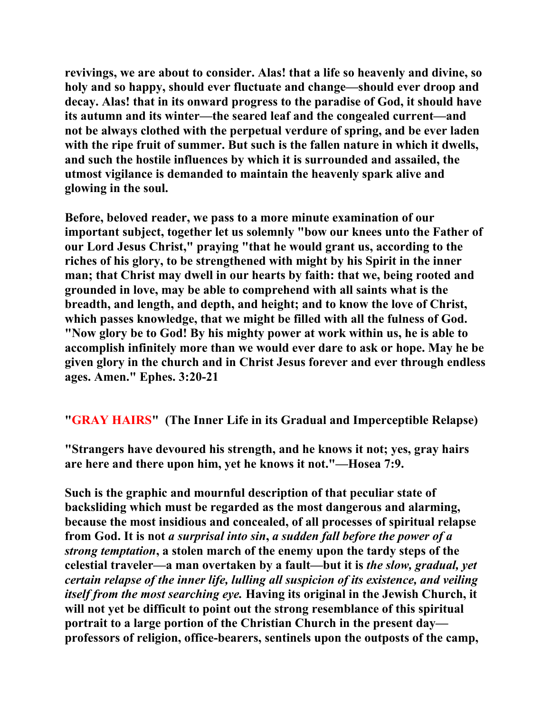**revivings, we are about to consider. Alas! that a life so heavenly and divine, so holy and so happy, should ever fluctuate and change—should ever droop and decay. Alas! that in its onward progress to the paradise of God, it should have its autumn and its winter—the seared leaf and the congealed current—and not be always clothed with the perpetual verdure of spring, and be ever laden with the ripe fruit of summer. But such is the fallen nature in which it dwells, and such the hostile influences by which it is surrounded and assailed, the utmost vigilance is demanded to maintain the heavenly spark alive and glowing in the soul.** 

**Before, beloved reader, we pass to a more minute examination of our important subject, together let us solemnly "bow our knees unto the Father of our Lord Jesus Christ," praying "that he would grant us, according to the riches of his glory, to be strengthened with might by his Spirit in the inner man; that Christ may dwell in our hearts by faith: that we, being rooted and grounded in love, may be able to comprehend with all saints what is the breadth, and length, and depth, and height; and to know the love of Christ, which passes knowledge, that we might be filled with all the fulness of God. "Now glory be to God! By his mighty power at work within us, he is able to accomplish infinitely more than we would ever dare to ask or hope. May he be given glory in the church and in Christ Jesus forever and ever through endless ages. Amen." Ephes. 3:20-21** 

**"GRAY HAIRS" (The Inner Life in its Gradual and Imperceptible Relapse)** 

**"Strangers have devoured his strength, and he knows it not; yes, gray hairs are here and there upon him, yet he knows it not."—Hosea 7:9.** 

**Such is the graphic and mournful description of that peculiar state of backsliding which must be regarded as the most dangerous and alarming, because the most insidious and concealed, of all processes of spiritual relapse from God. It is not** *a surprisal into sin***,** *a sudden fall before the power of a strong temptation***, a stolen march of the enemy upon the tardy steps of the celestial traveler—a man overtaken by a fault—but it is** *the slow, gradual, yet certain relapse of the inner life, lulling all suspicion of its existence, and veiling itself from the most searching eye.* **Having its original in the Jewish Church, it will not yet be difficult to point out the strong resemblance of this spiritual portrait to a large portion of the Christian Church in the present day professors of religion, office-bearers, sentinels upon the outposts of the camp,**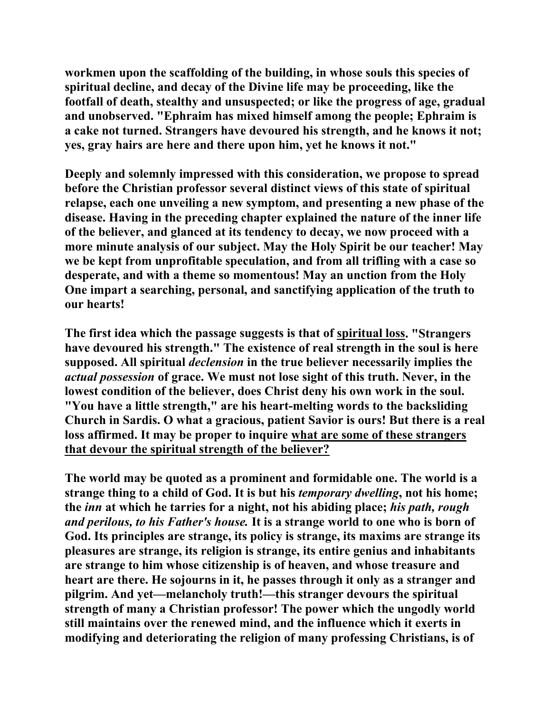**workmen upon the scaffolding of the building, in whose souls this species of spiritual decline, and decay of the Divine life may be proceeding, like the footfall of death, stealthy and unsuspected; or like the progress of age, gradual and unobserved. "Ephraim has mixed himself among the people; Ephraim is a cake not turned. Strangers have devoured his strength, and he knows it not; yes, gray hairs are here and there upon him, yet he knows it not."** 

**Deeply and solemnly impressed with this consideration, we propose to spread before the Christian professor several distinct views of this state of spiritual relapse, each one unveiling a new symptom, and presenting a new phase of the disease. Having in the preceding chapter explained the nature of the inner life of the believer, and glanced at its tendency to decay, we now proceed with a more minute analysis of our subject. May the Holy Spirit be our teacher! May we be kept from unprofitable speculation, and from all trifling with a case so desperate, and with a theme so momentous! May an unction from the Holy One impart a searching, personal, and sanctifying application of the truth to our hearts!** 

**The first idea which the passage suggests is that of spiritual loss. "Strangers have devoured his strength." The existence of real strength in the soul is here supposed. All spiritual** *declension* **in the true believer necessarily implies the**  *actual possession* **of grace. We must not lose sight of this truth. Never, in the lowest condition of the believer, does Christ deny his own work in the soul. "You have a little strength," are his heart-melting words to the backsliding Church in Sardis. O what a gracious, patient Savior is ours! But there is a real loss affirmed. It may be proper to inquire what are some of these strangers that devour the spiritual strength of the believer?** 

**The world may be quoted as a prominent and formidable one. The world is a strange thing to a child of God. It is but his** *temporary dwelling***, not his home; the** *inn* **at which he tarries for a night, not his abiding place;** *his path, rough and perilous, to his Father's house.* **It is a strange world to one who is born of God. Its principles are strange, its policy is strange, its maxims are strange its pleasures are strange, its religion is strange, its entire genius and inhabitants are strange to him whose citizenship is of heaven, and whose treasure and heart are there. He sojourns in it, he passes through it only as a stranger and pilgrim. And yet—melancholy truth!—this stranger devours the spiritual strength of many a Christian professor! The power which the ungodly world still maintains over the renewed mind, and the influence which it exerts in modifying and deteriorating the religion of many professing Christians, is of**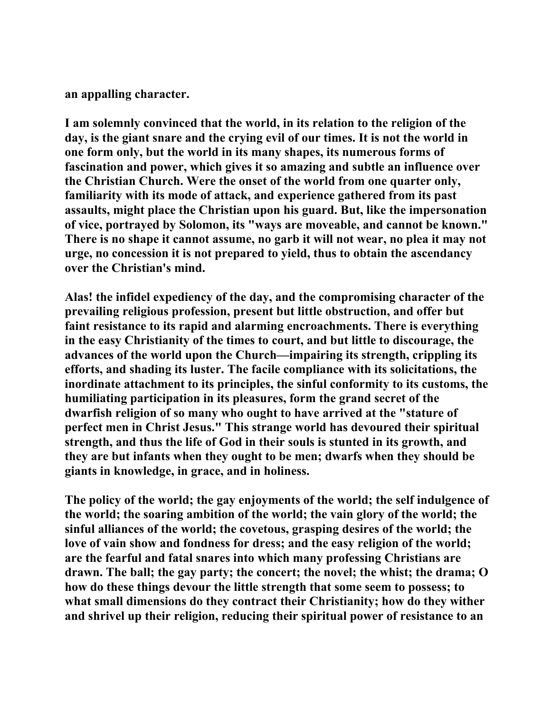**an appalling character.** 

**I am solemnly convinced that the world, in its relation to the religion of the day, is the giant snare and the crying evil of our times. It is not the world in one form only, but the world in its many shapes, its numerous forms of fascination and power, which gives it so amazing and subtle an influence over the Christian Church. Were the onset of the world from one quarter only, familiarity with its mode of attack, and experience gathered from its past assaults, might place the Christian upon his guard. But, like the impersonation of vice, portrayed by Solomon, its "ways are moveable, and cannot be known." There is no shape it cannot assume, no garb it will not wear, no plea it may not urge, no concession it is not prepared to yield, thus to obtain the ascendancy over the Christian's mind.** 

**Alas! the infidel expediency of the day, and the compromising character of the prevailing religious profession, present but little obstruction, and offer but faint resistance to its rapid and alarming encroachments. There is everything in the easy Christianity of the times to court, and but little to discourage, the advances of the world upon the Church—impairing its strength, crippling its efforts, and shading its luster. The facile compliance with its solicitations, the inordinate attachment to its principles, the sinful conformity to its customs, the humiliating participation in its pleasures, form the grand secret of the dwarfish religion of so many who ought to have arrived at the "stature of perfect men in Christ Jesus." This strange world has devoured their spiritual strength, and thus the life of God in their souls is stunted in its growth, and they are but infants when they ought to be men; dwarfs when they should be giants in knowledge, in grace, and in holiness.** 

**The policy of the world; the gay enjoyments of the world; the self indulgence of the world; the soaring ambition of the world; the vain glory of the world; the sinful alliances of the world; the covetous, grasping desires of the world; the love of vain show and fondness for dress; and the easy religion of the world; are the fearful and fatal snares into which many professing Christians are drawn. The ball; the gay party; the concert; the novel; the whist; the drama; O how do these things devour the little strength that some seem to possess; to what small dimensions do they contract their Christianity; how do they wither and shrivel up their religion, reducing their spiritual power of resistance to an**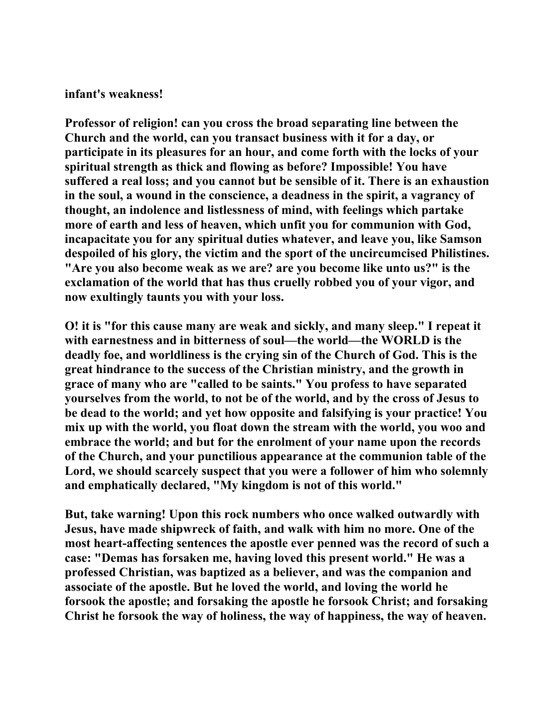#### **infant's weakness!**

**Professor of religion! can you cross the broad separating line between the Church and the world, can you transact business with it for a day, or participate in its pleasures for an hour, and come forth with the locks of your spiritual strength as thick and flowing as before? Impossible! You have suffered a real loss; and you cannot but be sensible of it. There is an exhaustion in the soul, a wound in the conscience, a deadness in the spirit, a vagrancy of thought, an indolence and listlessness of mind, with feelings which partake more of earth and less of heaven, which unfit you for communion with God, incapacitate you for any spiritual duties whatever, and leave you, like Samson despoiled of his glory, the victim and the sport of the uncircumcised Philistines. "Are you also become weak as we are? are you become like unto us?" is the exclamation of the world that has thus cruelly robbed you of your vigor, and now exultingly taunts you with your loss.** 

**O! it is "for this cause many are weak and sickly, and many sleep." I repeat it with earnestness and in bitterness of soul—the world—the WORLD is the deadly foe, and worldliness is the crying sin of the Church of God. This is the great hindrance to the success of the Christian ministry, and the growth in grace of many who are "called to be saints." You profess to have separated yourselves from the world, to not be of the world, and by the cross of Jesus to be dead to the world; and yet how opposite and falsifying is your practice! You mix up with the world, you float down the stream with the world, you woo and embrace the world; and but for the enrolment of your name upon the records of the Church, and your punctilious appearance at the communion table of the Lord, we should scarcely suspect that you were a follower of him who solemnly and emphatically declared, "My kingdom is not of this world."** 

**But, take warning! Upon this rock numbers who once walked outwardly with Jesus, have made shipwreck of faith, and walk with him no more. One of the most heart-affecting sentences the apostle ever penned was the record of such a case: "Demas has forsaken me, having loved this present world." He was a professed Christian, was baptized as a believer, and was the companion and associate of the apostle. But he loved the world, and loving the world he forsook the apostle; and forsaking the apostle he forsook Christ; and forsaking Christ he forsook the way of holiness, the way of happiness, the way of heaven.**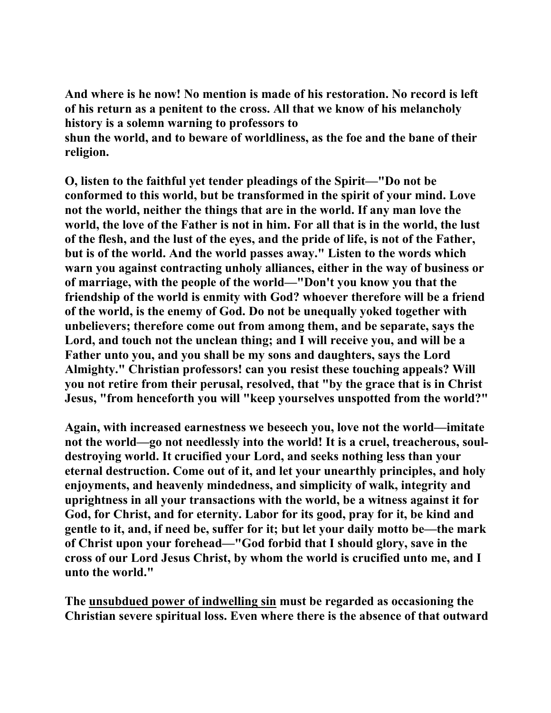**And where is he now! No mention is made of his restoration. No record is left of his return as a penitent to the cross. All that we know of his melancholy history is a solemn warning to professors to** 

**shun the world, and to beware of worldliness, as the foe and the bane of their religion.** 

**O, listen to the faithful yet tender pleadings of the Spirit—"Do not be conformed to this world, but be transformed in the spirit of your mind. Love not the world, neither the things that are in the world. If any man love the world, the love of the Father is not in him. For all that is in the world, the lust of the flesh, and the lust of the eyes, and the pride of life, is not of the Father, but is of the world. And the world passes away." Listen to the words which warn you against contracting unholy alliances, either in the way of business or of marriage, with the people of the world—"Don't you know you that the friendship of the world is enmity with God? whoever therefore will be a friend of the world, is the enemy of God. Do not be unequally yoked together with unbelievers; therefore come out from among them, and be separate, says the Lord, and touch not the unclean thing; and I will receive you, and will be a Father unto you, and you shall be my sons and daughters, says the Lord Almighty." Christian professors! can you resist these touching appeals? Will you not retire from their perusal, resolved, that "by the grace that is in Christ Jesus, "from henceforth you will "keep yourselves unspotted from the world?"** 

**Again, with increased earnestness we beseech you, love not the world—imitate not the world—go not needlessly into the world! It is a cruel, treacherous, souldestroying world. It crucified your Lord, and seeks nothing less than your eternal destruction. Come out of it, and let your unearthly principles, and holy enjoyments, and heavenly mindedness, and simplicity of walk, integrity and uprightness in all your transactions with the world, be a witness against it for God, for Christ, and for eternity. Labor for its good, pray for it, be kind and gentle to it, and, if need be, suffer for it; but let your daily motto be—the mark of Christ upon your forehead—"God forbid that I should glory, save in the cross of our Lord Jesus Christ, by whom the world is crucified unto me, and I unto the world."** 

**The unsubdued power of indwelling sin must be regarded as occasioning the Christian severe spiritual loss. Even where there is the absence of that outward**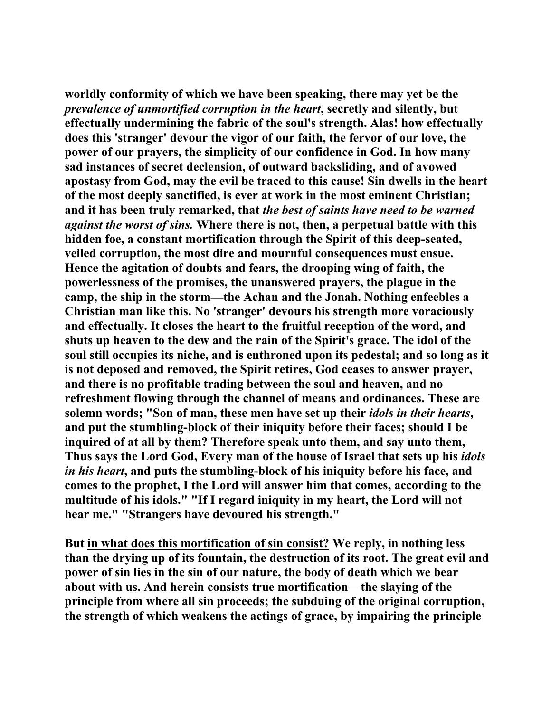**worldly conformity of which we have been speaking, there may yet be the**  *prevalence of unmortified corruption in the heart***, secretly and silently, but effectually undermining the fabric of the soul's strength. Alas! how effectually does this 'stranger' devour the vigor of our faith, the fervor of our love, the power of our prayers, the simplicity of our confidence in God. In how many sad instances of secret declension, of outward backsliding, and of avowed apostasy from God, may the evil be traced to this cause! Sin dwells in the heart of the most deeply sanctified, is ever at work in the most eminent Christian; and it has been truly remarked, that** *the best of saints have need to be warned against the worst of sins.* **Where there is not, then, a perpetual battle with this hidden foe, a constant mortification through the Spirit of this deep-seated, veiled corruption, the most dire and mournful consequences must ensue. Hence the agitation of doubts and fears, the drooping wing of faith, the powerlessness of the promises, the unanswered prayers, the plague in the camp, the ship in the storm—the Achan and the Jonah. Nothing enfeebles a Christian man like this. No 'stranger' devours his strength more voraciously and effectually. It closes the heart to the fruitful reception of the word, and shuts up heaven to the dew and the rain of the Spirit's grace. The idol of the soul still occupies its niche, and is enthroned upon its pedestal; and so long as it is not deposed and removed, the Spirit retires, God ceases to answer prayer, and there is no profitable trading between the soul and heaven, and no refreshment flowing through the channel of means and ordinances. These are solemn words; "Son of man, these men have set up their** *idols in their hearts***, and put the stumbling-block of their iniquity before their faces; should I be inquired of at all by them? Therefore speak unto them, and say unto them, Thus says the Lord God, Every man of the house of Israel that sets up his** *idols in his heart***, and puts the stumbling-block of his iniquity before his face, and comes to the prophet, I the Lord will answer him that comes, according to the multitude of his idols." "If I regard iniquity in my heart, the Lord will not hear me." "Strangers have devoured his strength."** 

**But in what does this mortification of sin consist? We reply, in nothing less than the drying up of its fountain, the destruction of its root. The great evil and power of sin lies in the sin of our nature, the body of death which we bear about with us. And herein consists true mortification—the slaying of the principle from where all sin proceeds; the subduing of the original corruption, the strength of which weakens the actings of grace, by impairing the principle**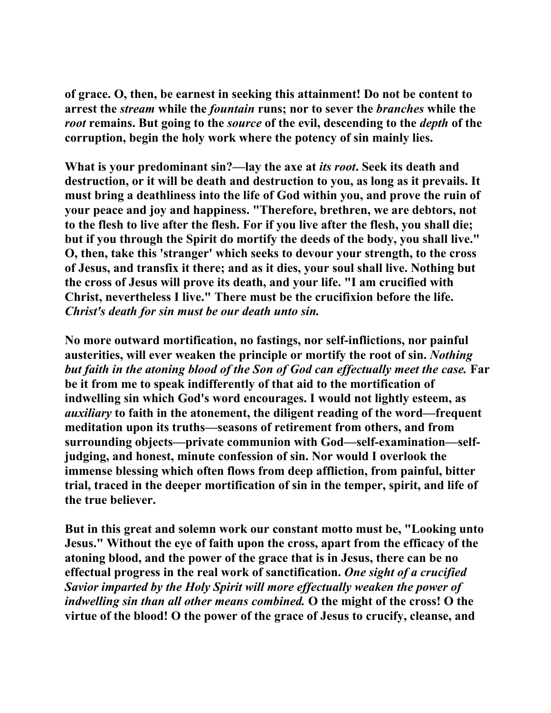**of grace. O, then, be earnest in seeking this attainment! Do not be content to arrest the** *stream* **while the** *fountain* **runs; nor to sever the** *branches* **while the**  *root* **remains. But going to the** *source* **of the evil, descending to the** *depth* **of the corruption, begin the holy work where the potency of sin mainly lies.** 

**What is your predominant sin?—lay the axe at** *its root***. Seek its death and destruction, or it will be death and destruction to you, as long as it prevails. It must bring a deathliness into the life of God within you, and prove the ruin of your peace and joy and happiness. "Therefore, brethren, we are debtors, not to the flesh to live after the flesh. For if you live after the flesh, you shall die; but if you through the Spirit do mortify the deeds of the body, you shall live." O, then, take this 'stranger' which seeks to devour your strength, to the cross of Jesus, and transfix it there; and as it dies, your soul shall live. Nothing but the cross of Jesus will prove its death, and your life. "I am crucified with Christ, nevertheless I live." There must be the crucifixion before the life.**  *Christ's death for sin must be our death unto sin.* 

**No more outward mortification, no fastings, nor self-inflictions, nor painful austerities, will ever weaken the principle or mortify the root of sin.** *Nothing but faith in the atoning blood of the Son of God can effectually meet the case.* **Far be it from me to speak indifferently of that aid to the mortification of indwelling sin which God's word encourages. I would not lightly esteem, as**  *auxiliary* **to faith in the atonement, the diligent reading of the word—frequent meditation upon its truths—seasons of retirement from others, and from surrounding objects—private communion with God—self-examination—selfjudging, and honest, minute confession of sin. Nor would I overlook the immense blessing which often flows from deep affliction, from painful, bitter trial, traced in the deeper mortification of sin in the temper, spirit, and life of the true believer.** 

**But in this great and solemn work our constant motto must be, "Looking unto Jesus." Without the eye of faith upon the cross, apart from the efficacy of the atoning blood, and the power of the grace that is in Jesus, there can be no effectual progress in the real work of sanctification.** *One sight of a crucified Savior imparted by the Holy Spirit will more effectually weaken the power of indwelling sin than all other means combined.* **O the might of the cross! O the virtue of the blood! O the power of the grace of Jesus to crucify, cleanse, and**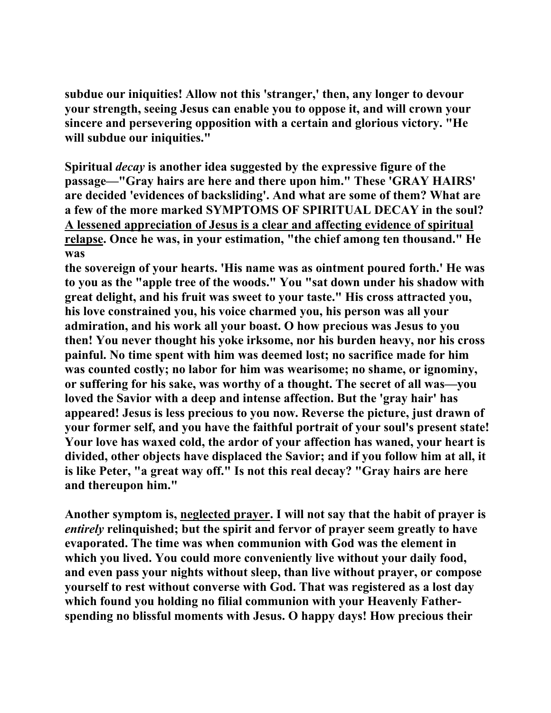**subdue our iniquities! Allow not this 'stranger,' then, any longer to devour your strength, seeing Jesus can enable you to oppose it, and will crown your sincere and persevering opposition with a certain and glorious victory. "He will subdue our iniquities."** 

**Spiritual** *decay* **is another idea suggested by the expressive figure of the passage—"Gray hairs are here and there upon him." These 'GRAY HAIRS' are decided 'evidences of backsliding'. And what are some of them? What are a few of the more marked SYMPTOMS OF SPIRITUAL DECAY in the soul? A lessened appreciation of Jesus is a clear and affecting evidence of spiritual relapse. Once he was, in your estimation, "the chief among ten thousand." He was** 

**the sovereign of your hearts. 'His name was as ointment poured forth.' He was to you as the "apple tree of the woods." You "sat down under his shadow with great delight, and his fruit was sweet to your taste." His cross attracted you, his love constrained you, his voice charmed you, his person was all your admiration, and his work all your boast. O how precious was Jesus to you then! You never thought his yoke irksome, nor his burden heavy, nor his cross painful. No time spent with him was deemed lost; no sacrifice made for him was counted costly; no labor for him was wearisome; no shame, or ignominy, or suffering for his sake, was worthy of a thought. The secret of all was—you loved the Savior with a deep and intense affection. But the 'gray hair' has appeared! Jesus is less precious to you now. Reverse the picture, just drawn of your former self, and you have the faithful portrait of your soul's present state! Your love has waxed cold, the ardor of your affection has waned, your heart is divided, other objects have displaced the Savior; and if you follow him at all, it is like Peter, "a great way off." Is not this real decay? "Gray hairs are here and thereupon him."** 

**Another symptom is, neglected prayer. I will not say that the habit of prayer is**  *entirely* **relinquished; but the spirit and fervor of prayer seem greatly to have evaporated. The time was when communion with God was the element in which you lived. You could more conveniently live without your daily food, and even pass your nights without sleep, than live without prayer, or compose yourself to rest without converse with God. That was registered as a lost day which found you holding no filial communion with your Heavenly Fatherspending no blissful moments with Jesus. O happy days! How precious their**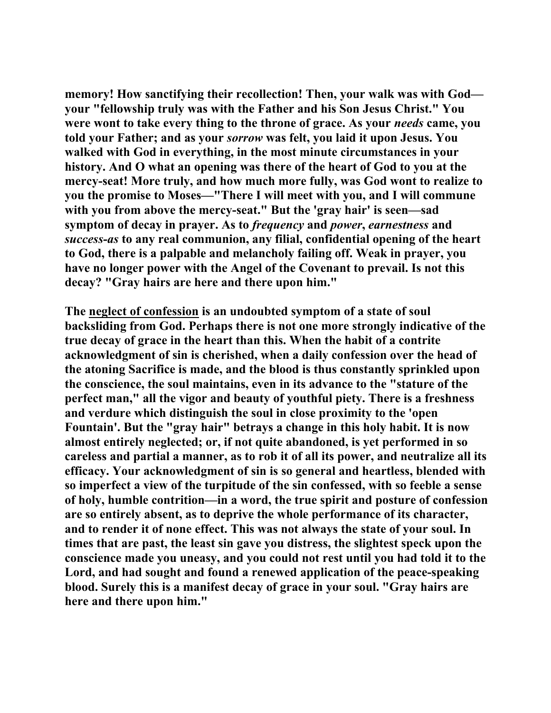**memory! How sanctifying their recollection! Then, your walk was with God your "fellowship truly was with the Father and his Son Jesus Christ." You were wont to take every thing to the throne of grace. As your** *needs* **came, you told your Father; and as your** *sorrow* **was felt, you laid it upon Jesus. You walked with God in everything, in the most minute circumstances in your history. And O what an opening was there of the heart of God to you at the mercy-seat! More truly, and how much more fully, was God wont to realize to you the promise to Moses—"There I will meet with you, and I will commune with you from above the mercy-seat." But the 'gray hair' is seen—sad symptom of decay in prayer. As to** *frequency* **and** *power***,** *earnestness* **and**  *success-as* **to any real communion, any filial, confidential opening of the heart to God, there is a palpable and melancholy failing off. Weak in prayer, you have no longer power with the Angel of the Covenant to prevail. Is not this decay? "Gray hairs are here and there upon him."** 

**The neglect of confession is an undoubted symptom of a state of soul backsliding from God. Perhaps there is not one more strongly indicative of the true decay of grace in the heart than this. When the habit of a contrite acknowledgment of sin is cherished, when a daily confession over the head of the atoning Sacrifice is made, and the blood is thus constantly sprinkled upon the conscience, the soul maintains, even in its advance to the "stature of the perfect man," all the vigor and beauty of youthful piety. There is a freshness and verdure which distinguish the soul in close proximity to the 'open Fountain'. But the "gray hair" betrays a change in this holy habit. It is now almost entirely neglected; or, if not quite abandoned, is yet performed in so careless and partial a manner, as to rob it of all its power, and neutralize all its efficacy. Your acknowledgment of sin is so general and heartless, blended with so imperfect a view of the turpitude of the sin confessed, with so feeble a sense of holy, humble contrition—in a word, the true spirit and posture of confession are so entirely absent, as to deprive the whole performance of its character, and to render it of none effect. This was not always the state of your soul. In times that are past, the least sin gave you distress, the slightest speck upon the conscience made you uneasy, and you could not rest until you had told it to the Lord, and had sought and found a renewed application of the peace-speaking blood. Surely this is a manifest decay of grace in your soul. "Gray hairs are here and there upon him."**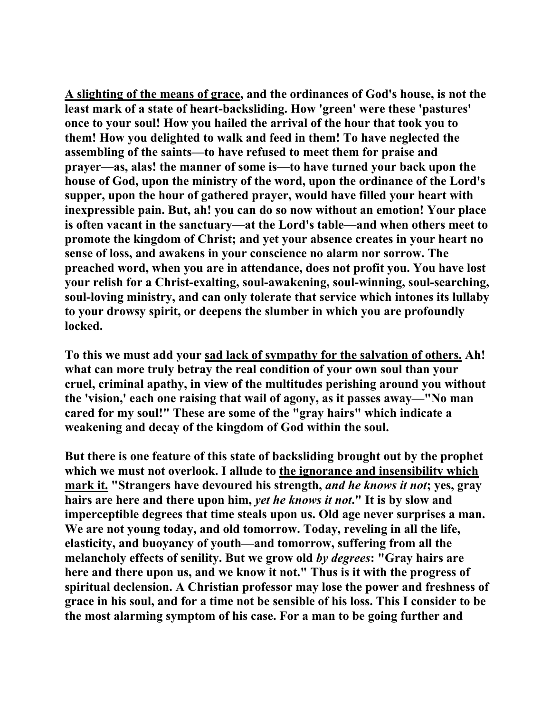**A slighting of the means of grace, and the ordinances of God's house, is not the least mark of a state of heart-backsliding. How 'green' were these 'pastures' once to your soul! How you hailed the arrival of the hour that took you to them! How you delighted to walk and feed in them! To have neglected the assembling of the saints—to have refused to meet them for praise and prayer—as, alas! the manner of some is—to have turned your back upon the house of God, upon the ministry of the word, upon the ordinance of the Lord's supper, upon the hour of gathered prayer, would have filled your heart with inexpressible pain. But, ah! you can do so now without an emotion! Your place is often vacant in the sanctuary—at the Lord's table—and when others meet to promote the kingdom of Christ; and yet your absence creates in your heart no sense of loss, and awakens in your conscience no alarm nor sorrow. The preached word, when you are in attendance, does not profit you. You have lost your relish for a Christ-exalting, soul-awakening, soul-winning, soul-searching, soul-loving ministry, and can only tolerate that service which intones its lullaby to your drowsy spirit, or deepens the slumber in which you are profoundly locked.** 

**To this we must add your sad lack of sympathy for the salvation of others. Ah! what can more truly betray the real condition of your own soul than your cruel, criminal apathy, in view of the multitudes perishing around you without the 'vision,' each one raising that wail of agony, as it passes away—"No man cared for my soul!" These are some of the "gray hairs" which indicate a weakening and decay of the kingdom of God within the soul.** 

**But there is one feature of this state of backsliding brought out by the prophet which we must not overlook. I allude to the ignorance and insensibility which mark it. "Strangers have devoured his strength,** *and he knows it not***; yes, gray hairs are here and there upon him,** *yet he knows it not***." It is by slow and imperceptible degrees that time steals upon us. Old age never surprises a man. We are not young today, and old tomorrow. Today, reveling in all the life, elasticity, and buoyancy of youth—and tomorrow, suffering from all the melancholy effects of senility. But we grow old** *by degrees***: "Gray hairs are here and there upon us, and we know it not." Thus is it with the progress of spiritual declension. A Christian professor may lose the power and freshness of grace in his soul, and for a time not be sensible of his loss. This I consider to be the most alarming symptom of his case. For a man to be going further and**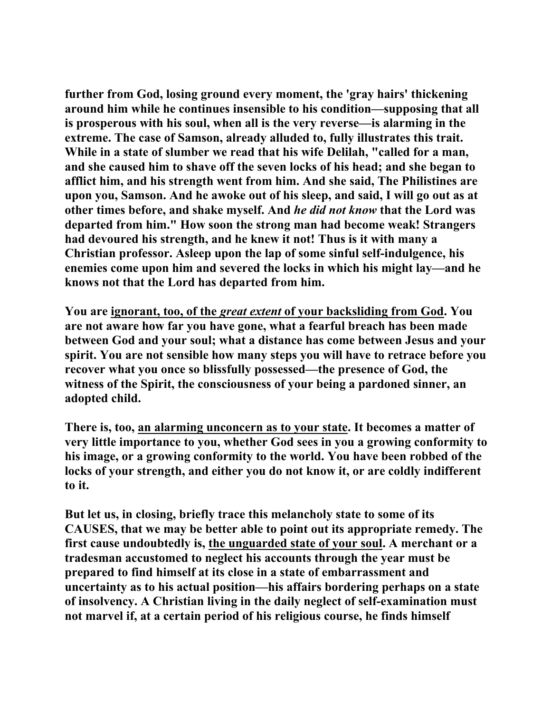**further from God, losing ground every moment, the 'gray hairs' thickening around him while he continues insensible to his condition—supposing that all is prosperous with his soul, when all is the very reverse—is alarming in the extreme. The case of Samson, already alluded to, fully illustrates this trait. While in a state of slumber we read that his wife Delilah, "called for a man, and she caused him to shave off the seven locks of his head; and she began to afflict him, and his strength went from him. And she said, The Philistines are upon you, Samson. And he awoke out of his sleep, and said, I will go out as at other times before, and shake myself. And** *he did not know* **that the Lord was departed from him." How soon the strong man had become weak! Strangers had devoured his strength, and he knew it not! Thus is it with many a Christian professor. Asleep upon the lap of some sinful self-indulgence, his enemies come upon him and severed the locks in which his might lay—and he knows not that the Lord has departed from him.** 

**You are ignorant, too, of the** *great extent* **of your backsliding from God. You are not aware how far you have gone, what a fearful breach has been made between God and your soul; what a distance has come between Jesus and your spirit. You are not sensible how many steps you will have to retrace before you recover what you once so blissfully possessed—the presence of God, the witness of the Spirit, the consciousness of your being a pardoned sinner, an adopted child.** 

**There is, too, an alarming unconcern as to your state. It becomes a matter of very little importance to you, whether God sees in you a growing conformity to his image, or a growing conformity to the world. You have been robbed of the locks of your strength, and either you do not know it, or are coldly indifferent to it.** 

**But let us, in closing, briefly trace this melancholy state to some of its CAUSES, that we may be better able to point out its appropriate remedy. The first cause undoubtedly is, the unguarded state of your soul. A merchant or a tradesman accustomed to neglect his accounts through the year must be prepared to find himself at its close in a state of embarrassment and uncertainty as to his actual position—his affairs bordering perhaps on a state of insolvency. A Christian living in the daily neglect of self-examination must not marvel if, at a certain period of his religious course, he finds himself**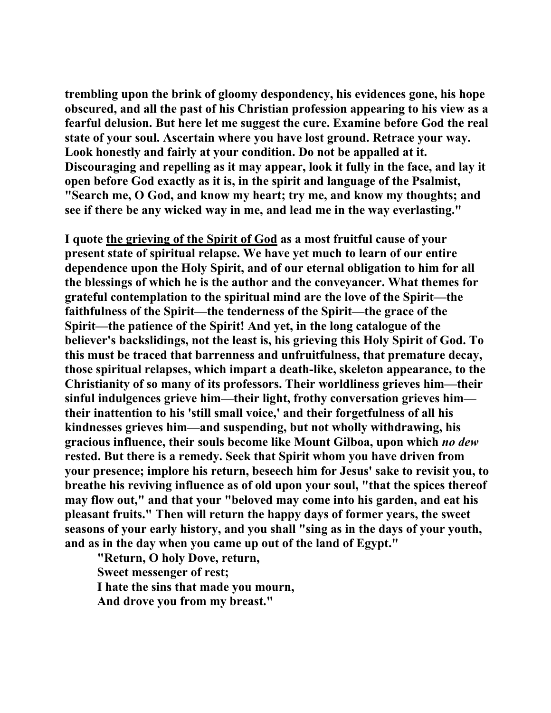**trembling upon the brink of gloomy despondency, his evidences gone, his hope obscured, and all the past of his Christian profession appearing to his view as a fearful delusion. But here let me suggest the cure. Examine before God the real state of your soul. Ascertain where you have lost ground. Retrace your way. Look honestly and fairly at your condition. Do not be appalled at it. Discouraging and repelling as it may appear, look it fully in the face, and lay it open before God exactly as it is, in the spirit and language of the Psalmist, "Search me, O God, and know my heart; try me, and know my thoughts; and see if there be any wicked way in me, and lead me in the way everlasting."** 

**I quote the grieving of the Spirit of God as a most fruitful cause of your present state of spiritual relapse. We have yet much to learn of our entire dependence upon the Holy Spirit, and of our eternal obligation to him for all the blessings of which he is the author and the conveyancer. What themes for grateful contemplation to the spiritual mind are the love of the Spirit—the faithfulness of the Spirit—the tenderness of the Spirit—the grace of the Spirit—the patience of the Spirit! And yet, in the long catalogue of the believer's backslidings, not the least is, his grieving this Holy Spirit of God. To this must be traced that barrenness and unfruitfulness, that premature decay, those spiritual relapses, which impart a death-like, skeleton appearance, to the Christianity of so many of its professors. Their worldliness grieves him—their sinful indulgences grieve him—their light, frothy conversation grieves him their inattention to his 'still small voice,' and their forgetfulness of all his kindnesses grieves him—and suspending, but not wholly withdrawing, his gracious influence, their souls become like Mount Gilboa, upon which** *no dew* **rested. But there is a remedy. Seek that Spirit whom you have driven from your presence; implore his return, beseech him for Jesus' sake to revisit you, to breathe his reviving influence as of old upon your soul, "that the spices thereof may flow out," and that your "beloved may come into his garden, and eat his pleasant fruits." Then will return the happy days of former years, the sweet seasons of your early history, and you shall "sing as in the days of your youth, and as in the day when you came up out of the land of Egypt."** 

 **"Return, O holy Dove, return, Sweet messenger of rest; I hate the sins that made you mourn, And drove you from my breast."**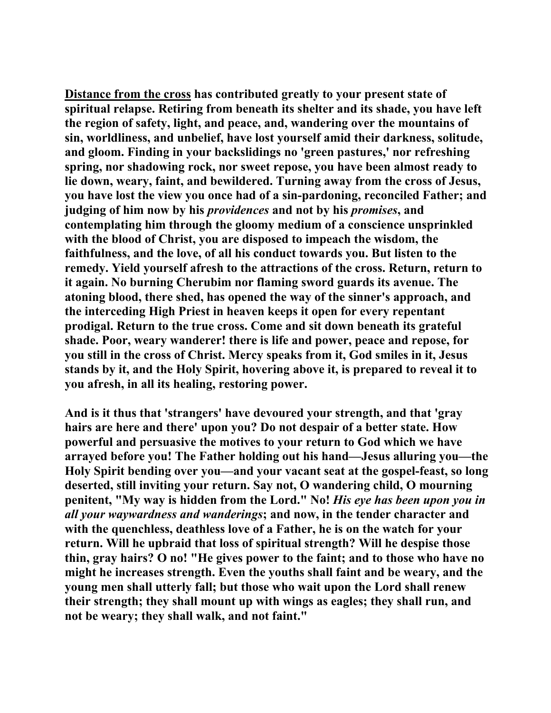**Distance from the cross has contributed greatly to your present state of spiritual relapse. Retiring from beneath its shelter and its shade, you have left the region of safety, light, and peace, and, wandering over the mountains of sin, worldliness, and unbelief, have lost yourself amid their darkness, solitude, and gloom. Finding in your backslidings no 'green pastures,' nor refreshing spring, nor shadowing rock, nor sweet repose, you have been almost ready to lie down, weary, faint, and bewildered. Turning away from the cross of Jesus, you have lost the view you once had of a sin-pardoning, reconciled Father; and judging of him now by his** *providences* **and not by his** *promises***, and contemplating him through the gloomy medium of a conscience unsprinkled with the blood of Christ, you are disposed to impeach the wisdom, the faithfulness, and the love, of all his conduct towards you. But listen to the remedy. Yield yourself afresh to the attractions of the cross. Return, return to it again. No burning Cherubim nor flaming sword guards its avenue. The atoning blood, there shed, has opened the way of the sinner's approach, and the interceding High Priest in heaven keeps it open for every repentant prodigal. Return to the true cross. Come and sit down beneath its grateful shade. Poor, weary wanderer! there is life and power, peace and repose, for you still in the cross of Christ. Mercy speaks from it, God smiles in it, Jesus stands by it, and the Holy Spirit, hovering above it, is prepared to reveal it to you afresh, in all its healing, restoring power.** 

**And is it thus that 'strangers' have devoured your strength, and that 'gray hairs are here and there' upon you? Do not despair of a better state. How powerful and persuasive the motives to your return to God which we have arrayed before you! The Father holding out his hand—Jesus alluring you—the Holy Spirit bending over you—and your vacant seat at the gospel-feast, so long deserted, still inviting your return. Say not, O wandering child, O mourning penitent, "My way is hidden from the Lord." No!** *His eye has been upon you in all your waywardness and wanderings***; and now, in the tender character and with the quenchless, deathless love of a Father, he is on the watch for your return. Will he upbraid that loss of spiritual strength? Will he despise those thin, gray hairs? O no! "He gives power to the faint; and to those who have no might he increases strength. Even the youths shall faint and be weary, and the young men shall utterly fall; but those who wait upon the Lord shall renew their strength; they shall mount up with wings as eagles; they shall run, and not be weary; they shall walk, and not faint."**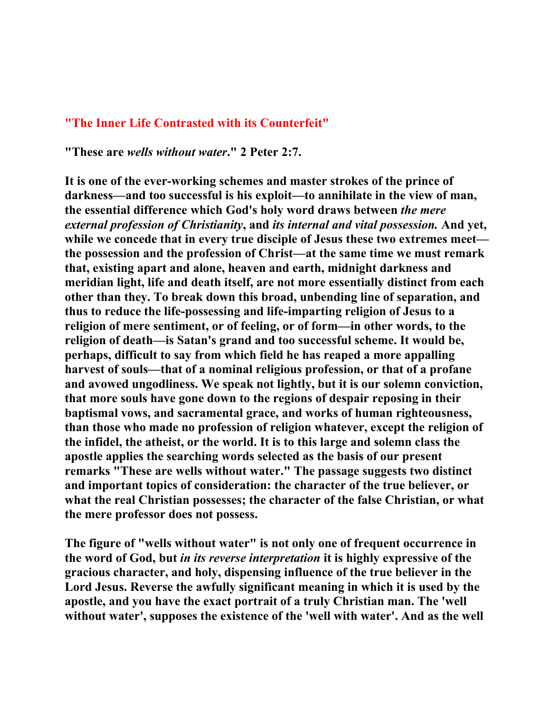### **"The Inner Life Contrasted with its Counterfeit"**

**"These are** *wells without water***." 2 Peter 2:7.** 

**It is one of the ever-working schemes and master strokes of the prince of darkness—and too successful is his exploit—to annihilate in the view of man, the essential difference which God's holy word draws between** *the mere external profession of Christianity***, and** *its internal and vital possession.* **And yet, while we concede that in every true disciple of Jesus these two extremes meet the possession and the profession of Christ—at the same time we must remark that, existing apart and alone, heaven and earth, midnight darkness and meridian light, life and death itself, are not more essentially distinct from each other than they. To break down this broad, unbending line of separation, and thus to reduce the life-possessing and life-imparting religion of Jesus to a religion of mere sentiment, or of feeling, or of form—in other words, to the religion of death—is Satan's grand and too successful scheme. It would be, perhaps, difficult to say from which field he has reaped a more appalling harvest of souls—that of a nominal religious profession, or that of a profane and avowed ungodliness. We speak not lightly, but it is our solemn conviction, that more souls have gone down to the regions of despair reposing in their baptismal vows, and sacramental grace, and works of human righteousness, than those who made no profession of religion whatever, except the religion of the infidel, the atheist, or the world. It is to this large and solemn class the apostle applies the searching words selected as the basis of our present remarks "These are wells without water." The passage suggests two distinct and important topics of consideration: the character of the true believer, or what the real Christian possesses; the character of the false Christian, or what the mere professor does not possess.** 

**The figure of "wells without water" is not only one of frequent occurrence in the word of God, but** *in its reverse interpretation* **it is highly expressive of the gracious character, and holy, dispensing influence of the true believer in the Lord Jesus. Reverse the awfully significant meaning in which it is used by the apostle, and you have the exact portrait of a truly Christian man. The 'well without water', supposes the existence of the 'well with water'. And as the well**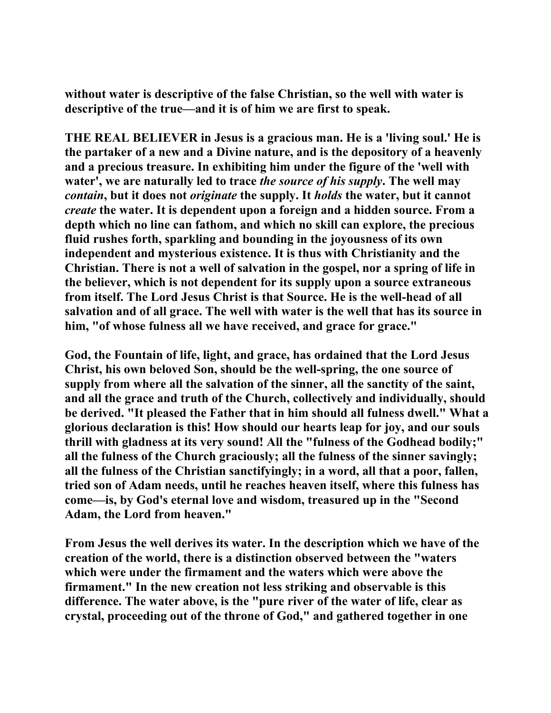**without water is descriptive of the false Christian, so the well with water is descriptive of the true—and it is of him we are first to speak.** 

**THE REAL BELIEVER in Jesus is a gracious man. He is a 'living soul.' He is the partaker of a new and a Divine nature, and is the depository of a heavenly and a precious treasure. In exhibiting him under the figure of the 'well with water', we are naturally led to trace** *the source of his supply***. The well may**  *contain***, but it does not** *originate* **the supply. It** *holds* **the water, but it cannot**  *create* **the water. It is dependent upon a foreign and a hidden source. From a depth which no line can fathom, and which no skill can explore, the precious fluid rushes forth, sparkling and bounding in the joyousness of its own independent and mysterious existence. It is thus with Christianity and the Christian. There is not a well of salvation in the gospel, nor a spring of life in the believer, which is not dependent for its supply upon a source extraneous from itself. The Lord Jesus Christ is that Source. He is the well-head of all salvation and of all grace. The well with water is the well that has its source in him, "of whose fulness all we have received, and grace for grace."** 

**God, the Fountain of life, light, and grace, has ordained that the Lord Jesus Christ, his own beloved Son, should be the well-spring, the one source of supply from where all the salvation of the sinner, all the sanctity of the saint, and all the grace and truth of the Church, collectively and individually, should be derived. "It pleased the Father that in him should all fulness dwell." What a glorious declaration is this! How should our hearts leap for joy, and our souls thrill with gladness at its very sound! All the "fulness of the Godhead bodily;" all the fulness of the Church graciously; all the fulness of the sinner savingly; all the fulness of the Christian sanctifyingly; in a word, all that a poor, fallen, tried son of Adam needs, until he reaches heaven itself, where this fulness has come—is, by God's eternal love and wisdom, treasured up in the "Second Adam, the Lord from heaven."** 

**From Jesus the well derives its water. In the description which we have of the creation of the world, there is a distinction observed between the "waters which were under the firmament and the waters which were above the firmament." In the new creation not less striking and observable is this difference. The water above, is the "pure river of the water of life, clear as crystal, proceeding out of the throne of God," and gathered together in one**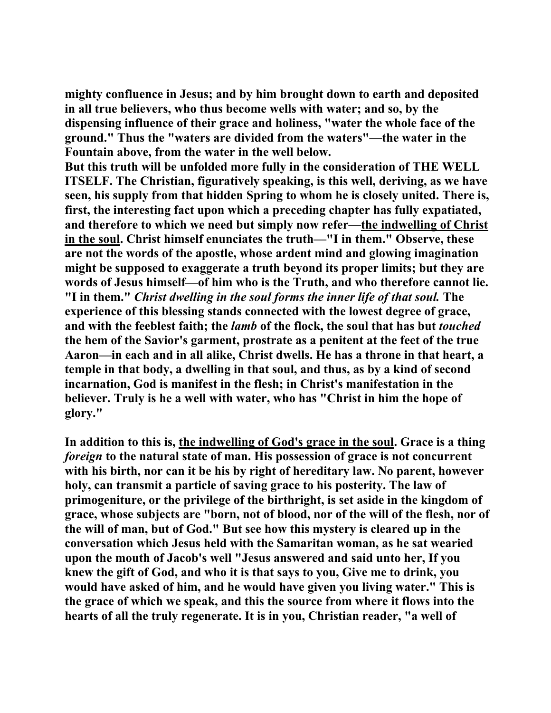**mighty confluence in Jesus; and by him brought down to earth and deposited in all true believers, who thus become wells with water; and so, by the dispensing influence of their grace and holiness, "water the whole face of the ground." Thus the "waters are divided from the waters"—the water in the Fountain above, from the water in the well below.** 

**But this truth will be unfolded more fully in the consideration of THE WELL ITSELF. The Christian, figuratively speaking, is this well, deriving, as we have seen, his supply from that hidden Spring to whom he is closely united. There is, first, the interesting fact upon which a preceding chapter has fully expatiated, and therefore to which we need but simply now refer—the indwelling of Christ in the soul. Christ himself enunciates the truth—"I in them." Observe, these are not the words of the apostle, whose ardent mind and glowing imagination might be supposed to exaggerate a truth beyond its proper limits; but they are words of Jesus himself—of him who is the Truth, and who therefore cannot lie. "I in them."** *Christ dwelling in the soul forms the inner life of that soul.* **The experience of this blessing stands connected with the lowest degree of grace, and with the feeblest faith; the** *lamb* **of the flock, the soul that has but** *touched* **the hem of the Savior's garment, prostrate as a penitent at the feet of the true Aaron—in each and in all alike, Christ dwells. He has a throne in that heart, a temple in that body, a dwelling in that soul, and thus, as by a kind of second incarnation, God is manifest in the flesh; in Christ's manifestation in the believer. Truly is he a well with water, who has "Christ in him the hope of glory."** 

**In addition to this is, the indwelling of God's grace in the soul. Grace is a thing**  *foreign* **to the natural state of man. His possession of grace is not concurrent with his birth, nor can it be his by right of hereditary law. No parent, however holy, can transmit a particle of saving grace to his posterity. The law of primogeniture, or the privilege of the birthright, is set aside in the kingdom of grace, whose subjects are "born, not of blood, nor of the will of the flesh, nor of the will of man, but of God." But see how this mystery is cleared up in the conversation which Jesus held with the Samaritan woman, as he sat wearied upon the mouth of Jacob's well "Jesus answered and said unto her, If you knew the gift of God, and who it is that says to you, Give me to drink, you would have asked of him, and he would have given you living water." This is the grace of which we speak, and this the source from where it flows into the hearts of all the truly regenerate. It is in you, Christian reader, "a well of**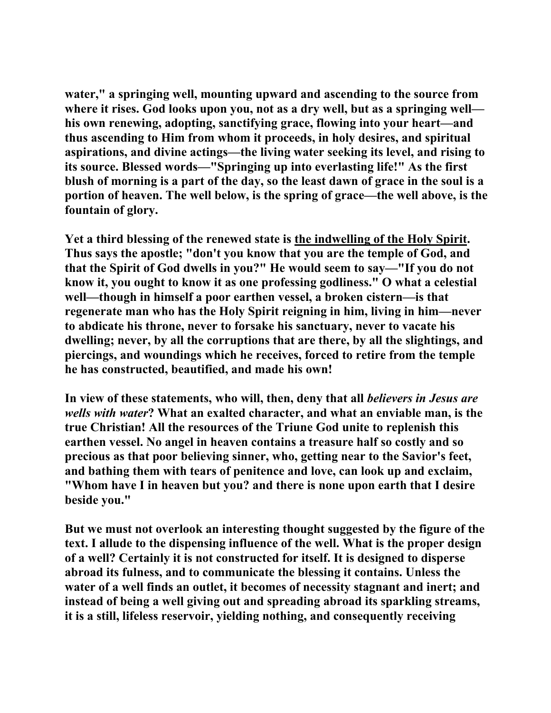**water," a springing well, mounting upward and ascending to the source from where it rises. God looks upon you, not as a dry well, but as a springing well his own renewing, adopting, sanctifying grace, flowing into your heart—and thus ascending to Him from whom it proceeds, in holy desires, and spiritual aspirations, and divine actings—the living water seeking its level, and rising to its source. Blessed words—"Springing up into everlasting life!" As the first blush of morning is a part of the day, so the least dawn of grace in the soul is a portion of heaven. The well below, is the spring of grace—the well above, is the fountain of glory.** 

**Yet a third blessing of the renewed state is the indwelling of the Holy Spirit. Thus says the apostle; "don't you know that you are the temple of God, and that the Spirit of God dwells in you?" He would seem to say—"If you do not know it, you ought to know it as one professing godliness." O what a celestial well—though in himself a poor earthen vessel, a broken cistern—is that regenerate man who has the Holy Spirit reigning in him, living in him—never to abdicate his throne, never to forsake his sanctuary, never to vacate his dwelling; never, by all the corruptions that are there, by all the slightings, and piercings, and woundings which he receives, forced to retire from the temple he has constructed, beautified, and made his own!** 

**In view of these statements, who will, then, deny that all** *believers in Jesus are wells with water***? What an exalted character, and what an enviable man, is the true Christian! All the resources of the Triune God unite to replenish this earthen vessel. No angel in heaven contains a treasure half so costly and so precious as that poor believing sinner, who, getting near to the Savior's feet, and bathing them with tears of penitence and love, can look up and exclaim, "Whom have I in heaven but you? and there is none upon earth that I desire beside you."** 

**But we must not overlook an interesting thought suggested by the figure of the text. I allude to the dispensing influence of the well. What is the proper design of a well? Certainly it is not constructed for itself. It is designed to disperse abroad its fulness, and to communicate the blessing it contains. Unless the water of a well finds an outlet, it becomes of necessity stagnant and inert; and instead of being a well giving out and spreading abroad its sparkling streams, it is a still, lifeless reservoir, yielding nothing, and consequently receiving**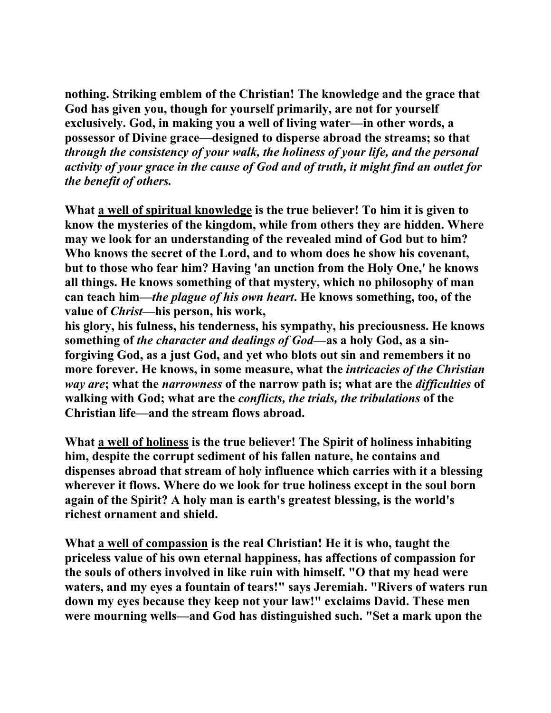**nothing. Striking emblem of the Christian! The knowledge and the grace that God has given you, though for yourself primarily, are not for yourself exclusively. God, in making you a well of living water—in other words, a possessor of Divine grace—designed to disperse abroad the streams; so that**  *through the consistency of your walk, the holiness of your life, and the personal activity of your grace in the cause of God and of truth, it might find an outlet for the benefit of others.*

**What a well of spiritual knowledge is the true believer! To him it is given to know the mysteries of the kingdom, while from others they are hidden. Where may we look for an understanding of the revealed mind of God but to him? Who knows the secret of the Lord, and to whom does he show his covenant, but to those who fear him? Having 'an unction from the Holy One,' he knows all things. He knows something of that mystery, which no philosophy of man can teach him—***the plague of his own heart***. He knows something, too, of the value of** *Christ***—his person, his work,** 

**his glory, his fulness, his tenderness, his sympathy, his preciousness. He knows something of** *the character and dealings of God***—as a holy God, as a sinforgiving God, as a just God, and yet who blots out sin and remembers it no more forever. He knows, in some measure, what the** *intricacies of the Christian way are***; what the** *narrowness* **of the narrow path is; what are the** *difficulties* **of walking with God; what are the** *conflicts, the trials, the tribulations* **of the Christian life—and the stream flows abroad.** 

**What a well of holiness is the true believer! The Spirit of holiness inhabiting him, despite the corrupt sediment of his fallen nature, he contains and dispenses abroad that stream of holy influence which carries with it a blessing wherever it flows. Where do we look for true holiness except in the soul born again of the Spirit? A holy man is earth's greatest blessing, is the world's richest ornament and shield.** 

**What a well of compassion is the real Christian! He it is who, taught the priceless value of his own eternal happiness, has affections of compassion for the souls of others involved in like ruin with himself. "O that my head were waters, and my eyes a fountain of tears!" says Jeremiah. "Rivers of waters run down my eyes because they keep not your law!" exclaims David. These men were mourning wells—and God has distinguished such. "Set a mark upon the**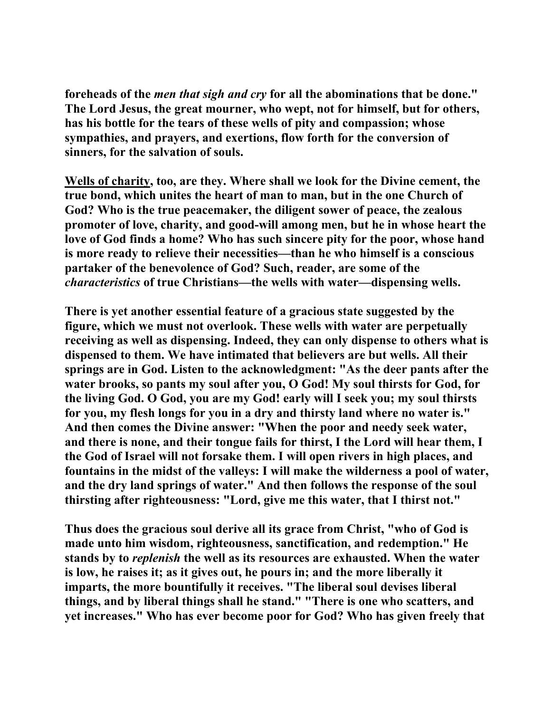**foreheads of the** *men that sigh and cry* **for all the abominations that be done." The Lord Jesus, the great mourner, who wept, not for himself, but for others, has his bottle for the tears of these wells of pity and compassion; whose sympathies, and prayers, and exertions, flow forth for the conversion of sinners, for the salvation of souls.** 

**Wells of charity, too, are they. Where shall we look for the Divine cement, the true bond, which unites the heart of man to man, but in the one Church of God? Who is the true peacemaker, the diligent sower of peace, the zealous promoter of love, charity, and good-will among men, but he in whose heart the love of God finds a home? Who has such sincere pity for the poor, whose hand is more ready to relieve their necessities—than he who himself is a conscious partaker of the benevolence of God? Such, reader, are some of the**  *characteristics* **of true Christians—the wells with water—dispensing wells.** 

**There is yet another essential feature of a gracious state suggested by the figure, which we must not overlook. These wells with water are perpetually receiving as well as dispensing. Indeed, they can only dispense to others what is dispensed to them. We have intimated that believers are but wells. All their springs are in God. Listen to the acknowledgment: "As the deer pants after the water brooks, so pants my soul after you, O God! My soul thirsts for God, for the living God. O God, you are my God! early will I seek you; my soul thirsts for you, my flesh longs for you in a dry and thirsty land where no water is." And then comes the Divine answer: "When the poor and needy seek water, and there is none, and their tongue fails for thirst, I the Lord will hear them, I the God of Israel will not forsake them. I will open rivers in high places, and fountains in the midst of the valleys: I will make the wilderness a pool of water, and the dry land springs of water." And then follows the response of the soul thirsting after righteousness: "Lord, give me this water, that I thirst not."** 

**Thus does the gracious soul derive all its grace from Christ, "who of God is made unto him wisdom, righteousness, sanctification, and redemption." He stands by to** *replenish* **the well as its resources are exhausted. When the water is low, he raises it; as it gives out, he pours in; and the more liberally it imparts, the more bountifully it receives. "The liberal soul devises liberal things, and by liberal things shall he stand." "There is one who scatters, and yet increases." Who has ever become poor for God? Who has given freely that**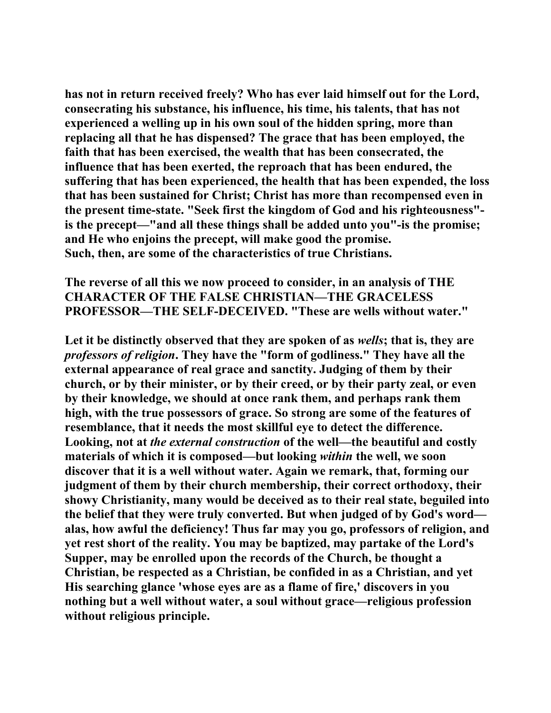**has not in return received freely? Who has ever laid himself out for the Lord, consecrating his substance, his influence, his time, his talents, that has not experienced a welling up in his own soul of the hidden spring, more than replacing all that he has dispensed? The grace that has been employed, the faith that has been exercised, the wealth that has been consecrated, the influence that has been exerted, the reproach that has been endured, the suffering that has been experienced, the health that has been expended, the loss that has been sustained for Christ; Christ has more than recompensed even in the present time-state. "Seek first the kingdom of God and his righteousness" is the precept—"and all these things shall be added unto you"-is the promise; and He who enjoins the precept, will make good the promise. Such, then, are some of the characteristics of true Christians.** 

**The reverse of all this we now proceed to consider, in an analysis of THE CHARACTER OF THE FALSE CHRISTIAN—THE GRACELESS PROFESSOR—THE SELF-DECEIVED. "These are wells without water."** 

**Let it be distinctly observed that they are spoken of as** *wells***; that is, they are**  *professors of religion***. They have the "form of godliness." They have all the external appearance of real grace and sanctity. Judging of them by their church, or by their minister, or by their creed, or by their party zeal, or even by their knowledge, we should at once rank them, and perhaps rank them high, with the true possessors of grace. So strong are some of the features of resemblance, that it needs the most skillful eye to detect the difference. Looking, not at** *the external construction* **of the well—the beautiful and costly materials of which it is composed—but looking** *within* **the well, we soon discover that it is a well without water. Again we remark, that, forming our judgment of them by their church membership, their correct orthodoxy, their showy Christianity, many would be deceived as to their real state, beguiled into the belief that they were truly converted. But when judged of by God's word alas, how awful the deficiency! Thus far may you go, professors of religion, and yet rest short of the reality. You may be baptized, may partake of the Lord's Supper, may be enrolled upon the records of the Church, be thought a Christian, be respected as a Christian, be confided in as a Christian, and yet His searching glance 'whose eyes are as a flame of fire,' discovers in you nothing but a well without water, a soul without grace—religious profession without religious principle.**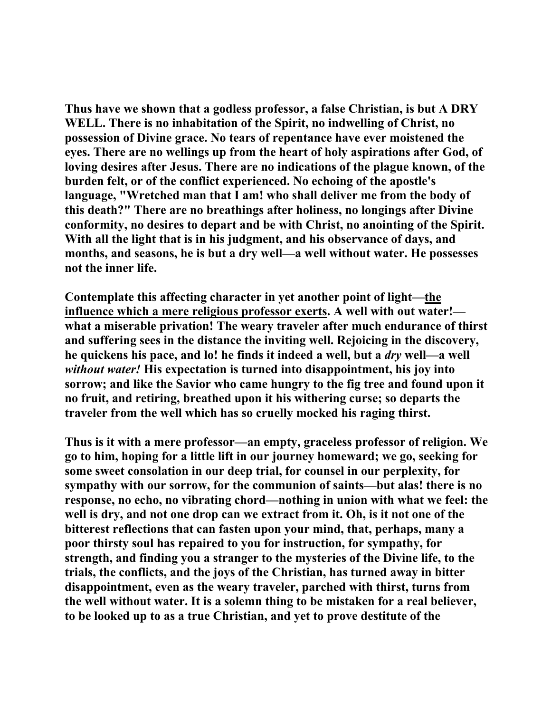**Thus have we shown that a godless professor, a false Christian, is but A DRY WELL. There is no inhabitation of the Spirit, no indwelling of Christ, no possession of Divine grace. No tears of repentance have ever moistened the eyes. There are no wellings up from the heart of holy aspirations after God, of loving desires after Jesus. There are no indications of the plague known, of the burden felt, or of the conflict experienced. No echoing of the apostle's language, "Wretched man that I am! who shall deliver me from the body of this death?" There are no breathings after holiness, no longings after Divine conformity, no desires to depart and be with Christ, no anointing of the Spirit. With all the light that is in his judgment, and his observance of days, and months, and seasons, he is but a dry well—a well without water. He possesses not the inner life.** 

**Contemplate this affecting character in yet another point of light—the influence which a mere religious professor exerts. A well with out water! what a miserable privation! The weary traveler after much endurance of thirst and suffering sees in the distance the inviting well. Rejoicing in the discovery, he quickens his pace, and lo! he finds it indeed a well, but a** *dry* **well—a well**  *without water!* **His expectation is turned into disappointment, his joy into sorrow; and like the Savior who came hungry to the fig tree and found upon it no fruit, and retiring, breathed upon it his withering curse; so departs the traveler from the well which has so cruelly mocked his raging thirst.** 

**Thus is it with a mere professor—an empty, graceless professor of religion. We go to him, hoping for a little lift in our journey homeward; we go, seeking for some sweet consolation in our deep trial, for counsel in our perplexity, for sympathy with our sorrow, for the communion of saints—but alas! there is no response, no echo, no vibrating chord—nothing in union with what we feel: the well is dry, and not one drop can we extract from it. Oh, is it not one of the bitterest reflections that can fasten upon your mind, that, perhaps, many a poor thirsty soul has repaired to you for instruction, for sympathy, for strength, and finding you a stranger to the mysteries of the Divine life, to the trials, the conflicts, and the joys of the Christian, has turned away in bitter disappointment, even as the weary traveler, parched with thirst, turns from the well without water. It is a solemn thing to be mistaken for a real believer, to be looked up to as a true Christian, and yet to prove destitute of the**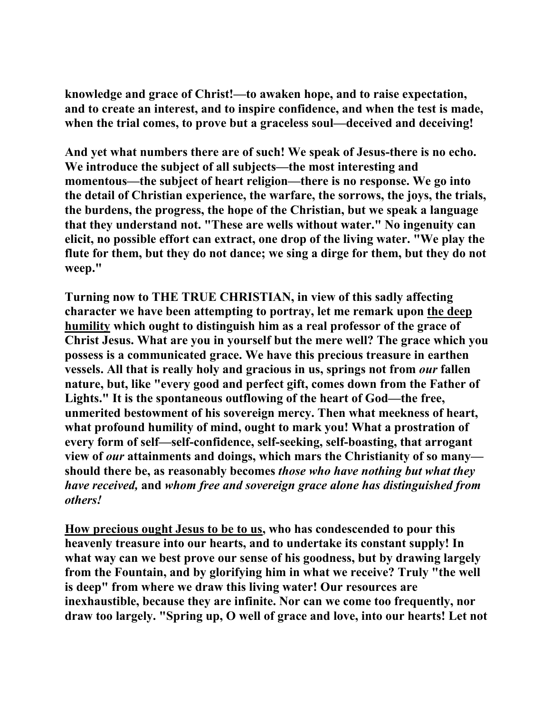**knowledge and grace of Christ!—to awaken hope, and to raise expectation, and to create an interest, and to inspire confidence, and when the test is made, when the trial comes, to prove but a graceless soul—deceived and deceiving!** 

**And yet what numbers there are of such! We speak of Jesus-there is no echo. We introduce the subject of all subjects—the most interesting and momentous—the subject of heart religion—there is no response. We go into the detail of Christian experience, the warfare, the sorrows, the joys, the trials, the burdens, the progress, the hope of the Christian, but we speak a language that they understand not. "These are wells without water." No ingenuity can elicit, no possible effort can extract, one drop of the living water. "We play the flute for them, but they do not dance; we sing a dirge for them, but they do not weep."** 

**Turning now to THE TRUE CHRISTIAN, in view of this sadly affecting character we have been attempting to portray, let me remark upon the deep humility which ought to distinguish him as a real professor of the grace of Christ Jesus. What are you in yourself but the mere well? The grace which you possess is a communicated grace. We have this precious treasure in earthen vessels. All that is really holy and gracious in us, springs not from** *our* **fallen nature, but, like "every good and perfect gift, comes down from the Father of Lights." It is the spontaneous outflowing of the heart of God—the free, unmerited bestowment of his sovereign mercy. Then what meekness of heart, what profound humility of mind, ought to mark you! What a prostration of every form of self—self-confidence, self-seeking, self-boasting, that arrogant view of** *our* **attainments and doings, which mars the Christianity of so many should there be, as reasonably becomes** *those who have nothing but what they have received,* **and** *whom free and sovereign grace alone has distinguished from others!*

**How precious ought Jesus to be to us, who has condescended to pour this heavenly treasure into our hearts, and to undertake its constant supply! In what way can we best prove our sense of his goodness, but by drawing largely from the Fountain, and by glorifying him in what we receive? Truly "the well is deep" from where we draw this living water! Our resources are inexhaustible, because they are infinite. Nor can we come too frequently, nor draw too largely. "Spring up, O well of grace and love, into our hearts! Let not**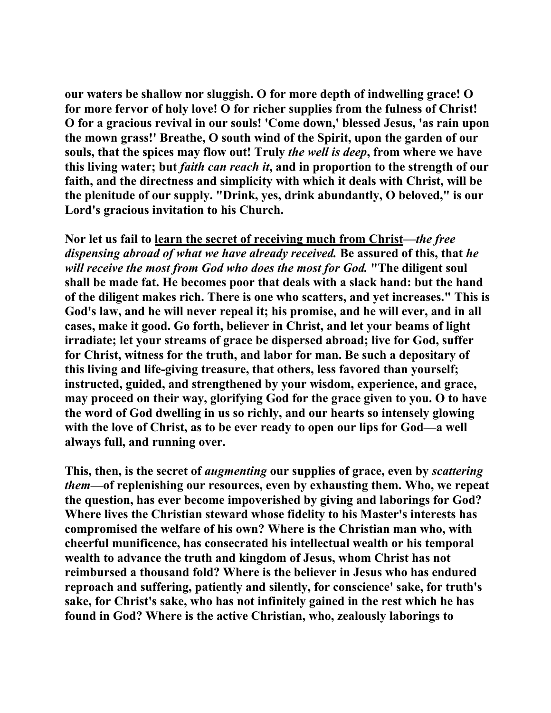**our waters be shallow nor sluggish. O for more depth of indwelling grace! O for more fervor of holy love! O for richer supplies from the fulness of Christ! O for a gracious revival in our souls! 'Come down,' blessed Jesus, 'as rain upon the mown grass!' Breathe, O south wind of the Spirit, upon the garden of our souls, that the spices may flow out! Truly** *the well is deep***, from where we have this living water; but** *faith can reach it***, and in proportion to the strength of our faith, and the directness and simplicity with which it deals with Christ, will be the plenitude of our supply. "Drink, yes, drink abundantly, O beloved," is our Lord's gracious invitation to his Church.** 

**Nor let us fail to learn the secret of receiving much from Christ—***the free dispensing abroad of what we have already received.* **Be assured of this, that** *he will receive the most from God who does the most for God.* **"The diligent soul shall be made fat. He becomes poor that deals with a slack hand: but the hand of the diligent makes rich. There is one who scatters, and yet increases." This is God's law, and he will never repeal it; his promise, and he will ever, and in all cases, make it good. Go forth, believer in Christ, and let your beams of light irradiate; let your streams of grace be dispersed abroad; live for God, suffer for Christ, witness for the truth, and labor for man. Be such a depositary of this living and life-giving treasure, that others, less favored than yourself; instructed, guided, and strengthened by your wisdom, experience, and grace, may proceed on their way, glorifying God for the grace given to you. O to have the word of God dwelling in us so richly, and our hearts so intensely glowing with the love of Christ, as to be ever ready to open our lips for God—a well always full, and running over.** 

**This, then, is the secret of** *augmenting* **our supplies of grace, even by** *scattering them***—of replenishing our resources, even by exhausting them. Who, we repeat the question, has ever become impoverished by giving and laborings for God? Where lives the Christian steward whose fidelity to his Master's interests has compromised the welfare of his own? Where is the Christian man who, with cheerful munificence, has consecrated his intellectual wealth or his temporal wealth to advance the truth and kingdom of Jesus, whom Christ has not reimbursed a thousand fold? Where is the believer in Jesus who has endured reproach and suffering, patiently and silently, for conscience' sake, for truth's sake, for Christ's sake, who has not infinitely gained in the rest which he has found in God? Where is the active Christian, who, zealously laborings to**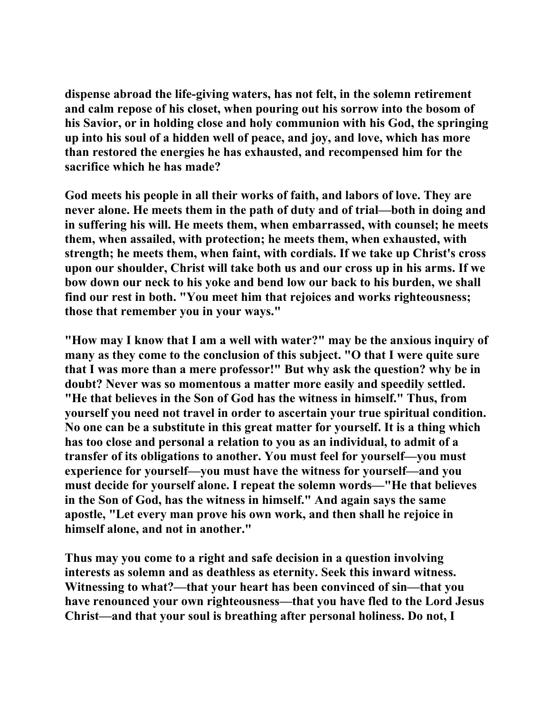**dispense abroad the life-giving waters, has not felt, in the solemn retirement and calm repose of his closet, when pouring out his sorrow into the bosom of his Savior, or in holding close and holy communion with his God, the springing up into his soul of a hidden well of peace, and joy, and love, which has more than restored the energies he has exhausted, and recompensed him for the sacrifice which he has made?** 

**God meets his people in all their works of faith, and labors of love. They are never alone. He meets them in the path of duty and of trial—both in doing and in suffering his will. He meets them, when embarrassed, with counsel; he meets them, when assailed, with protection; he meets them, when exhausted, with strength; he meets them, when faint, with cordials. If we take up Christ's cross upon our shoulder, Christ will take both us and our cross up in his arms. If we bow down our neck to his yoke and bend low our back to his burden, we shall find our rest in both. "You meet him that rejoices and works righteousness; those that remember you in your ways."** 

**"How may I know that I am a well with water?" may be the anxious inquiry of many as they come to the conclusion of this subject. "O that I were quite sure that I was more than a mere professor!" But why ask the question? why be in doubt? Never was so momentous a matter more easily and speedily settled. "He that believes in the Son of God has the witness in himself." Thus, from yourself you need not travel in order to ascertain your true spiritual condition. No one can be a substitute in this great matter for yourself. It is a thing which has too close and personal a relation to you as an individual, to admit of a transfer of its obligations to another. You must feel for yourself—you must experience for yourself—you must have the witness for yourself—and you must decide for yourself alone. I repeat the solemn words—"He that believes in the Son of God, has the witness in himself." And again says the same apostle, "Let every man prove his own work, and then shall he rejoice in himself alone, and not in another."** 

**Thus may you come to a right and safe decision in a question involving interests as solemn and as deathless as eternity. Seek this inward witness. Witnessing to what?—that your heart has been convinced of sin—that you have renounced your own righteousness—that you have fled to the Lord Jesus Christ—and that your soul is breathing after personal holiness. Do not, I**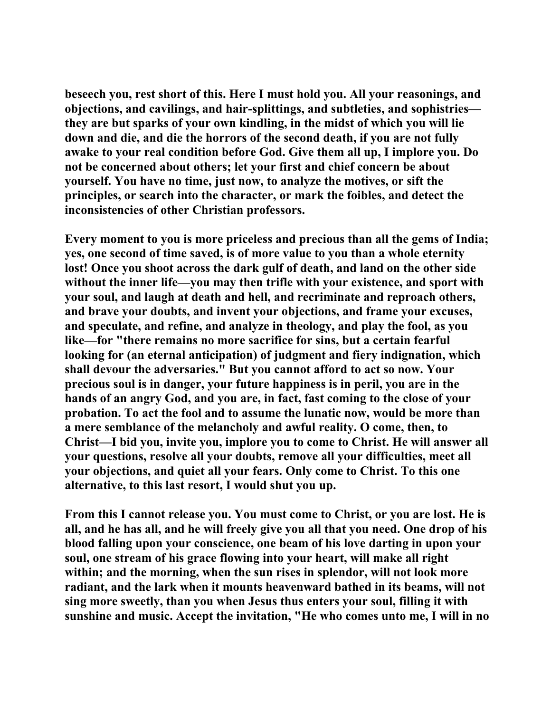**beseech you, rest short of this. Here I must hold you. All your reasonings, and objections, and cavilings, and hair-splittings, and subtleties, and sophistries they are but sparks of your own kindling, in the midst of which you will lie down and die, and die the horrors of the second death, if you are not fully awake to your real condition before God. Give them all up, I implore you. Do not be concerned about others; let your first and chief concern be about yourself. You have no time, just now, to analyze the motives, or sift the principles, or search into the character, or mark the foibles, and detect the inconsistencies of other Christian professors.** 

**Every moment to you is more priceless and precious than all the gems of India; yes, one second of time saved, is of more value to you than a whole eternity lost! Once you shoot across the dark gulf of death, and land on the other side without the inner life—you may then trifle with your existence, and sport with your soul, and laugh at death and hell, and recriminate and reproach others, and brave your doubts, and invent your objections, and frame your excuses, and speculate, and refine, and analyze in theology, and play the fool, as you like—for "there remains no more sacrifice for sins, but a certain fearful looking for (an eternal anticipation) of judgment and fiery indignation, which shall devour the adversaries." But you cannot afford to act so now. Your precious soul is in danger, your future happiness is in peril, you are in the hands of an angry God, and you are, in fact, fast coming to the close of your probation. To act the fool and to assume the lunatic now, would be more than a mere semblance of the melancholy and awful reality. O come, then, to Christ—I bid you, invite you, implore you to come to Christ. He will answer all your questions, resolve all your doubts, remove all your difficulties, meet all your objections, and quiet all your fears. Only come to Christ. To this one alternative, to this last resort, I would shut you up.** 

**From this I cannot release you. You must come to Christ, or you are lost. He is all, and he has all, and he will freely give you all that you need. One drop of his blood falling upon your conscience, one beam of his love darting in upon your soul, one stream of his grace flowing into your heart, will make all right within; and the morning, when the sun rises in splendor, will not look more radiant, and the lark when it mounts heavenward bathed in its beams, will not sing more sweetly, than you when Jesus thus enters your soul, filling it with sunshine and music. Accept the invitation, "He who comes unto me, I will in no**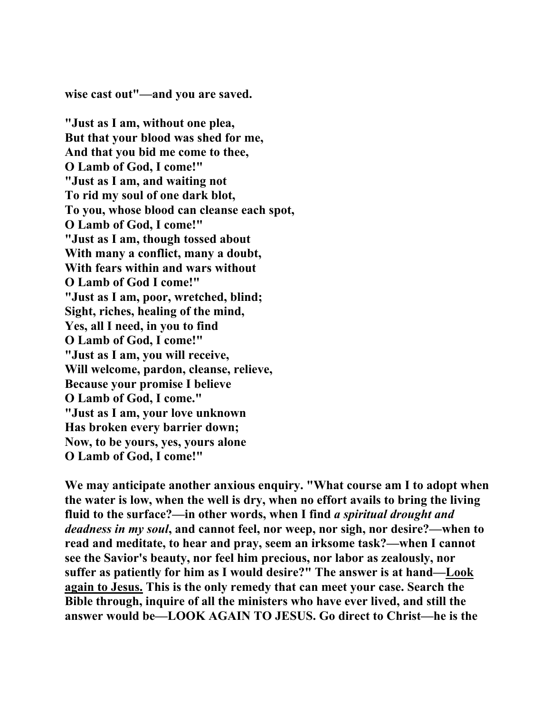**wise cast out"—and you are saved.** 

**"Just as I am, without one plea, But that your blood was shed for me, And that you bid me come to thee, O Lamb of God, I come!" "Just as I am, and waiting not To rid my soul of one dark blot, To you, whose blood can cleanse each spot, O Lamb of God, I come!" "Just as I am, though tossed about With many a conflict, many a doubt, With fears within and wars without O Lamb of God I come!" "Just as I am, poor, wretched, blind; Sight, riches, healing of the mind, Yes, all I need, in you to find O Lamb of God, I come!" "Just as I am, you will receive, Will welcome, pardon, cleanse, relieve, Because your promise I believe O Lamb of God, I come." "Just as I am, your love unknown Has broken every barrier down; Now, to be yours, yes, yours alone O Lamb of God, I come!"** 

**We may anticipate another anxious enquiry. "What course am I to adopt when the water is low, when the well is dry, when no effort avails to bring the living fluid to the surface?—in other words, when I find** *a spiritual drought and deadness in my soul***, and cannot feel, nor weep, nor sigh, nor desire?—when to read and meditate, to hear and pray, seem an irksome task?—when I cannot see the Savior's beauty, nor feel him precious, nor labor as zealously, nor suffer as patiently for him as I would desire?" The answer is at hand—Look again to Jesus. This is the only remedy that can meet your case. Search the Bible through, inquire of all the ministers who have ever lived, and still the answer would be—LOOK AGAIN TO JESUS. Go direct to Christ—he is the**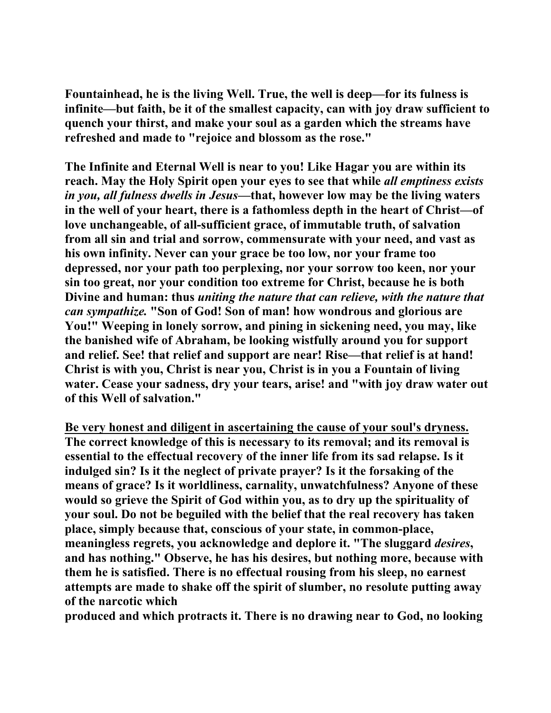**Fountainhead, he is the living Well. True, the well is deep—for its fulness is infinite—but faith, be it of the smallest capacity, can with joy draw sufficient to quench your thirst, and make your soul as a garden which the streams have refreshed and made to "rejoice and blossom as the rose."** 

**The Infinite and Eternal Well is near to you! Like Hagar you are within its reach. May the Holy Spirit open your eyes to see that while** *all emptiness exists in you, all fulness dwells in Jesus***—that, however low may be the living waters in the well of your heart, there is a fathomless depth in the heart of Christ—of love unchangeable, of all-sufficient grace, of immutable truth, of salvation from all sin and trial and sorrow, commensurate with your need, and vast as his own infinity. Never can your grace be too low, nor your frame too depressed, nor your path too perplexing, nor your sorrow too keen, nor your sin too great, nor your condition too extreme for Christ, because he is both Divine and human: thus** *uniting the nature that can relieve, with the nature that can sympathize.* **"Son of God! Son of man! how wondrous and glorious are You!" Weeping in lonely sorrow, and pining in sickening need, you may, like the banished wife of Abraham, be looking wistfully around you for support and relief. See! that relief and support are near! Rise—that relief is at hand! Christ is with you, Christ is near you, Christ is in you a Fountain of living water. Cease your sadness, dry your tears, arise! and "with joy draw water out of this Well of salvation."** 

**Be very honest and diligent in ascertaining the cause of your soul's dryness. The correct knowledge of this is necessary to its removal; and its removal is essential to the effectual recovery of the inner life from its sad relapse. Is it indulged sin? Is it the neglect of private prayer? Is it the forsaking of the means of grace? Is it worldliness, carnality, unwatchfulness? Anyone of these would so grieve the Spirit of God within you, as to dry up the spirituality of your soul. Do not be beguiled with the belief that the real recovery has taken place, simply because that, conscious of your state, in common-place, meaningless regrets, you acknowledge and deplore it. "The sluggard** *desires***, and has nothing." Observe, he has his desires, but nothing more, because with them he is satisfied. There is no effectual rousing from his sleep, no earnest attempts are made to shake off the spirit of slumber, no resolute putting away of the narcotic which** 

**produced and which protracts it. There is no drawing near to God, no looking**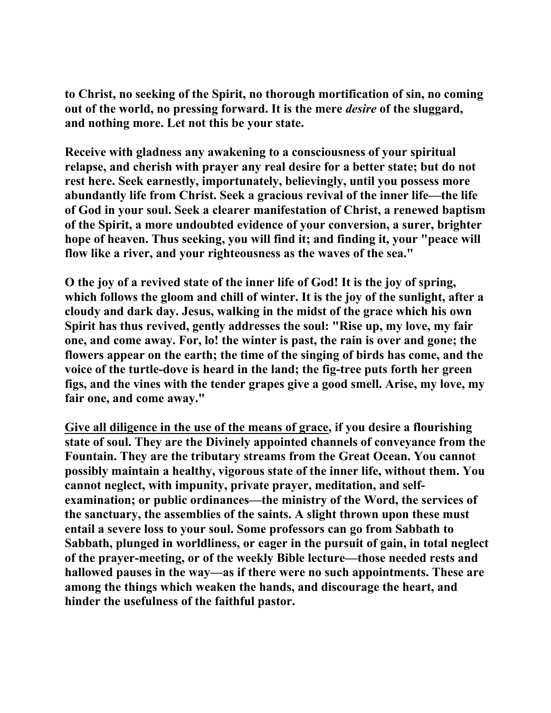**to Christ, no seeking of the Spirit, no thorough mortification of sin, no coming out of the world, no pressing forward. It is the mere** *desire* **of the sluggard, and nothing more. Let not this be your state.** 

**Receive with gladness any awakening to a consciousness of your spiritual relapse, and cherish with prayer any real desire for a better state; but do not rest here. Seek earnestly, importunately, believingly, until you possess more abundantly life from Christ. Seek a gracious revival of the inner life—the life of God in your soul. Seek a clearer manifestation of Christ, a renewed baptism of the Spirit, a more undoubted evidence of your conversion, a surer, brighter hope of heaven. Thus seeking, you will find it; and finding it, your "peace will flow like a river, and your righteousness as the waves of the sea."** 

**O the joy of a revived state of the inner life of God! It is the joy of spring, which follows the gloom and chill of winter. It is the joy of the sunlight, after a cloudy and dark day. Jesus, walking in the midst of the grace which his own Spirit has thus revived, gently addresses the soul: "Rise up, my love, my fair one, and come away. For, lo! the winter is past, the rain is over and gone; the flowers appear on the earth; the time of the singing of birds has come, and the voice of the turtle-dove is heard in the land; the fig-tree puts forth her green figs, and the vines with the tender grapes give a good smell. Arise, my love, my fair one, and come away."** 

**Give all diligence in the use of the means of grace, if you desire a flourishing state of soul. They are the Divinely appointed channels of conveyance from the Fountain. They are the tributary streams from the Great Ocean. You cannot possibly maintain a healthy, vigorous state of the inner life, without them. You cannot neglect, with impunity, private prayer, meditation, and selfexamination; or public ordinances—the ministry of the Word, the services of the sanctuary, the assemblies of the saints. A slight thrown upon these must entail a severe loss to your soul. Some professors can go from Sabbath to Sabbath, plunged in worldliness, or eager in the pursuit of gain, in total neglect of the prayer-meeting, or of the weekly Bible lecture—those needed rests and hallowed pauses in the way—as if there were no such appointments. These are among the things which weaken the hands, and discourage the heart, and hinder the usefulness of the faithful pastor.**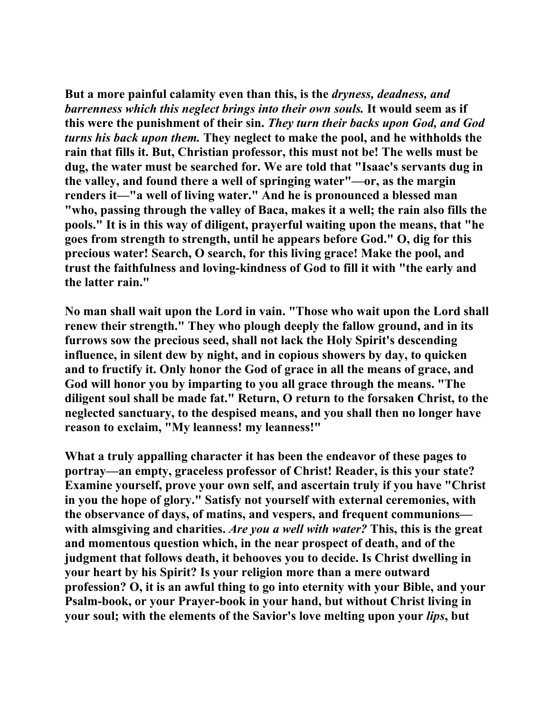**But a more painful calamity even than this, is the** *dryness, deadness, and barrenness which this neglect brings into their own souls.* **It would seem as if this were the punishment of their sin.** *They turn their backs upon God, and God turns his back upon them.* **They neglect to make the pool, and he withholds the rain that fills it. But, Christian professor, this must not be! The wells must be dug, the water must be searched for. We are told that "Isaac's servants dug in the valley, and found there a well of springing water"—or, as the margin renders it—"a well of living water." And he is pronounced a blessed man "who, passing through the valley of Baca, makes it a well; the rain also fills the pools." It is in this way of diligent, prayerful waiting upon the means, that "he goes from strength to strength, until he appears before God." O, dig for this precious water! Search, O search, for this living grace! Make the pool, and trust the faithfulness and loving-kindness of God to fill it with "the early and the latter rain."** 

**No man shall wait upon the Lord in vain. "Those who wait upon the Lord shall renew their strength." They who plough deeply the fallow ground, and in its furrows sow the precious seed, shall not lack the Holy Spirit's descending influence, in silent dew by night, and in copious showers by day, to quicken and to fructify it. Only honor the God of grace in all the means of grace, and God will honor you by imparting to you all grace through the means. "The diligent soul shall be made fat." Return, O return to the forsaken Christ, to the neglected sanctuary, to the despised means, and you shall then no longer have reason to exclaim, "My leanness! my leanness!"** 

**What a truly appalling character it has been the endeavor of these pages to portray—an empty, graceless professor of Christ! Reader, is this your state? Examine yourself, prove your own self, and ascertain truly if you have "Christ in you the hope of glory." Satisfy not yourself with external ceremonies, with the observance of days, of matins, and vespers, and frequent communions with almsgiving and charities.** *Are you a well with water?* **This, this is the great and momentous question which, in the near prospect of death, and of the judgment that follows death, it behooves you to decide. Is Christ dwelling in your heart by his Spirit? Is your religion more than a mere outward profession? O, it is an awful thing to go into eternity with your Bible, and your Psalm-book, or your Prayer-book in your hand, but without Christ living in your soul; with the elements of the Savior's love melting upon your** *lips***, but**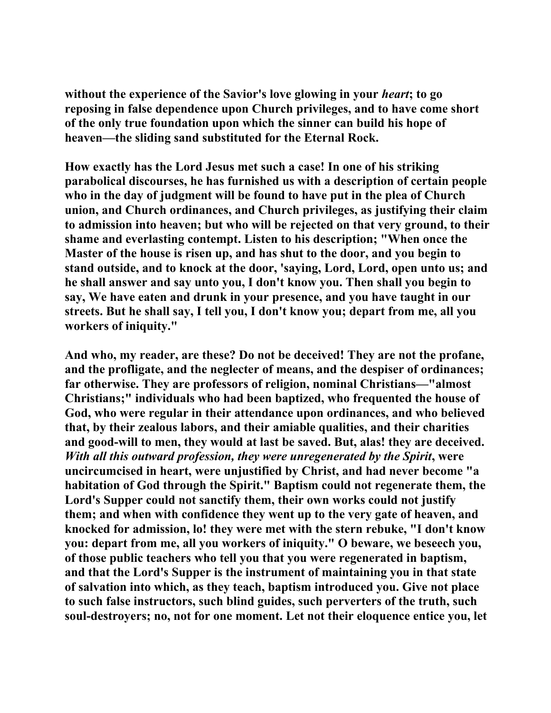**without the experience of the Savior's love glowing in your** *heart***; to go reposing in false dependence upon Church privileges, and to have come short of the only true foundation upon which the sinner can build his hope of heaven—the sliding sand substituted for the Eternal Rock.** 

**How exactly has the Lord Jesus met such a case! In one of his striking parabolical discourses, he has furnished us with a description of certain people who in the day of judgment will be found to have put in the plea of Church union, and Church ordinances, and Church privileges, as justifying their claim to admission into heaven; but who will be rejected on that very ground, to their shame and everlasting contempt. Listen to his description; "When once the Master of the house is risen up, and has shut to the door, and you begin to stand outside, and to knock at the door, 'saying, Lord, Lord, open unto us; and he shall answer and say unto you, I don't know you. Then shall you begin to say, We have eaten and drunk in your presence, and you have taught in our streets. But he shall say, I tell you, I don't know you; depart from me, all you workers of iniquity."** 

**And who, my reader, are these? Do not be deceived! They are not the profane, and the profligate, and the neglecter of means, and the despiser of ordinances; far otherwise. They are professors of religion, nominal Christians—"almost Christians;" individuals who had been baptized, who frequented the house of God, who were regular in their attendance upon ordinances, and who believed that, by their zealous labors, and their amiable qualities, and their charities and good-will to men, they would at last be saved. But, alas! they are deceived.**  *With all this outward profession, they were unregenerated by the Spirit***, were uncircumcised in heart, were unjustified by Christ, and had never become "a habitation of God through the Spirit." Baptism could not regenerate them, the Lord's Supper could not sanctify them, their own works could not justify them; and when with confidence they went up to the very gate of heaven, and knocked for admission, lo! they were met with the stern rebuke, "I don't know you: depart from me, all you workers of iniquity." O beware, we beseech you, of those public teachers who tell you that you were regenerated in baptism, and that the Lord's Supper is the instrument of maintaining you in that state of salvation into which, as they teach, baptism introduced you. Give not place to such false instructors, such blind guides, such perverters of the truth, such soul-destroyers; no, not for one moment. Let not their eloquence entice you, let**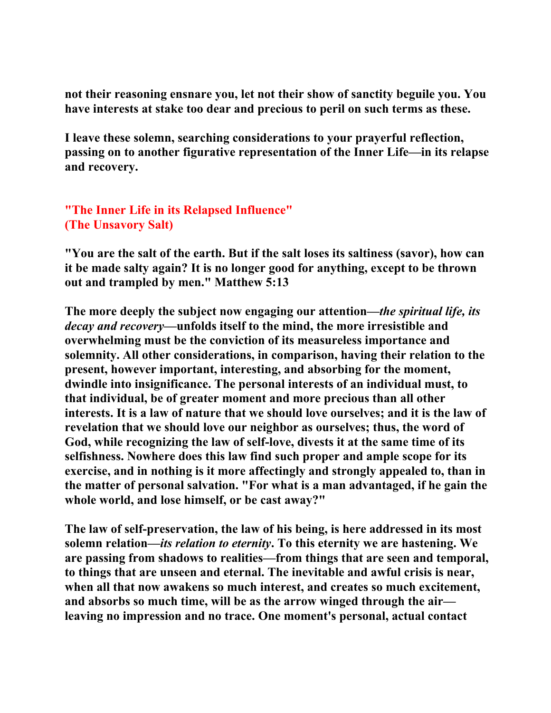**not their reasoning ensnare you, let not their show of sanctity beguile you. You have interests at stake too dear and precious to peril on such terms as these.** 

**I leave these solemn, searching considerations to your prayerful reflection, passing on to another figurative representation of the Inner Life—in its relapse and recovery.** 

**"The Inner Life in its Relapsed Influence" (The Unsavory Salt)**

**"You are the salt of the earth. But if the salt loses its saltiness (savor), how can it be made salty again? It is no longer good for anything, except to be thrown out and trampled by men." Matthew 5:13** 

**The more deeply the subject now engaging our attention—***the spiritual life, its decay and recovery***—unfolds itself to the mind, the more irresistible and overwhelming must be the conviction of its measureless importance and solemnity. All other considerations, in comparison, having their relation to the present, however important, interesting, and absorbing for the moment, dwindle into insignificance. The personal interests of an individual must, to that individual, be of greater moment and more precious than all other interests. It is a law of nature that we should love ourselves; and it is the law of revelation that we should love our neighbor as ourselves; thus, the word of God, while recognizing the law of self-love, divests it at the same time of its selfishness. Nowhere does this law find such proper and ample scope for its exercise, and in nothing is it more affectingly and strongly appealed to, than in the matter of personal salvation. "For what is a man advantaged, if he gain the whole world, and lose himself, or be cast away?"** 

**The law of self-preservation, the law of his being, is here addressed in its most solemn relation—***its relation to eternity***. To this eternity we are hastening. We are passing from shadows to realities—from things that are seen and temporal, to things that are unseen and eternal. The inevitable and awful crisis is near, when all that now awakens so much interest, and creates so much excitement, and absorbs so much time, will be as the arrow winged through the air leaving no impression and no trace. One moment's personal, actual contact**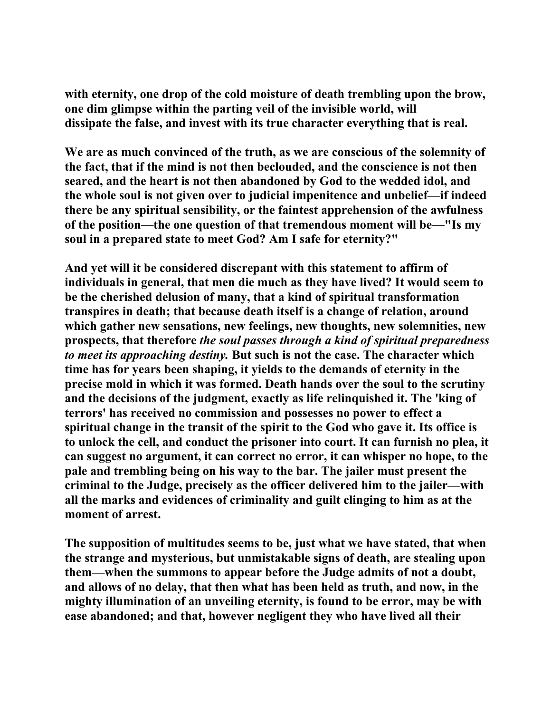**with eternity, one drop of the cold moisture of death trembling upon the brow, one dim glimpse within the parting veil of the invisible world, will dissipate the false, and invest with its true character everything that is real.** 

**We are as much convinced of the truth, as we are conscious of the solemnity of the fact, that if the mind is not then beclouded, and the conscience is not then seared, and the heart is not then abandoned by God to the wedded idol, and the whole soul is not given over to judicial impenitence and unbelief—if indeed there be any spiritual sensibility, or the faintest apprehension of the awfulness of the position—the one question of that tremendous moment will be—"Is my soul in a prepared state to meet God? Am I safe for eternity?"** 

**And yet will it be considered discrepant with this statement to affirm of individuals in general, that men die much as they have lived? It would seem to be the cherished delusion of many, that a kind of spiritual transformation transpires in death; that because death itself is a change of relation, around which gather new sensations, new feelings, new thoughts, new solemnities, new prospects, that therefore** *the soul passes through a kind of spiritual preparedness to meet its approaching destiny.* **But such is not the case. The character which time has for years been shaping, it yields to the demands of eternity in the precise mold in which it was formed. Death hands over the soul to the scrutiny and the decisions of the judgment, exactly as life relinquished it. The 'king of terrors' has received no commission and possesses no power to effect a spiritual change in the transit of the spirit to the God who gave it. Its office is to unlock the cell, and conduct the prisoner into court. It can furnish no plea, it can suggest no argument, it can correct no error, it can whisper no hope, to the pale and trembling being on his way to the bar. The jailer must present the criminal to the Judge, precisely as the officer delivered him to the jailer—with all the marks and evidences of criminality and guilt clinging to him as at the moment of arrest.** 

**The supposition of multitudes seems to be, just what we have stated, that when the strange and mysterious, but unmistakable signs of death, are stealing upon them—when the summons to appear before the Judge admits of not a doubt, and allows of no delay, that then what has been held as truth, and now, in the mighty illumination of an unveiling eternity, is found to be error, may be with ease abandoned; and that, however negligent they who have lived all their**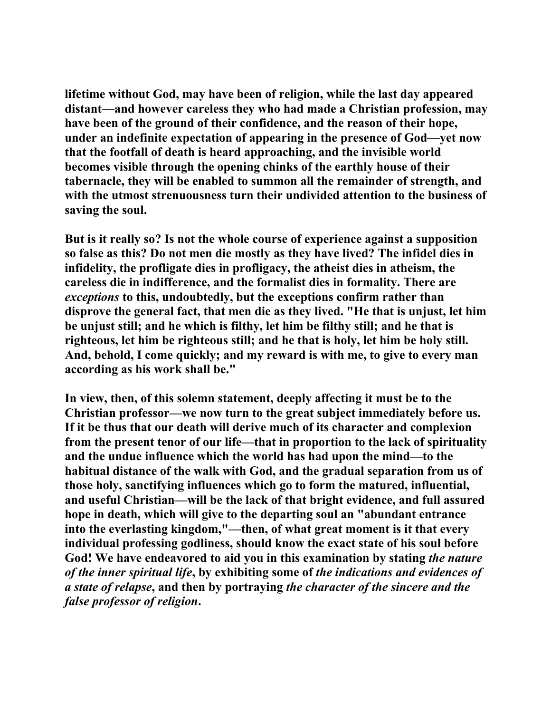**lifetime without God, may have been of religion, while the last day appeared distant—and however careless they who had made a Christian profession, may have been of the ground of their confidence, and the reason of their hope, under an indefinite expectation of appearing in the presence of God—yet now that the footfall of death is heard approaching, and the invisible world becomes visible through the opening chinks of the earthly house of their tabernacle, they will be enabled to summon all the remainder of strength, and with the utmost strenuousness turn their undivided attention to the business of saving the soul.** 

**But is it really so? Is not the whole course of experience against a supposition so false as this? Do not men die mostly as they have lived? The infidel dies in infidelity, the profligate dies in profligacy, the atheist dies in atheism, the careless die in indifference, and the formalist dies in formality. There are**  *exceptions* **to this, undoubtedly, but the exceptions confirm rather than disprove the general fact, that men die as they lived. "He that is unjust, let him be unjust still; and he which is filthy, let him be filthy still; and he that is righteous, let him be righteous still; and he that is holy, let him be holy still. And, behold, I come quickly; and my reward is with me, to give to every man according as his work shall be."** 

**In view, then, of this solemn statement, deeply affecting it must be to the Christian professor—we now turn to the great subject immediately before us. If it be thus that our death will derive much of its character and complexion from the present tenor of our life—that in proportion to the lack of spirituality and the undue influence which the world has had upon the mind—to the habitual distance of the walk with God, and the gradual separation from us of those holy, sanctifying influences which go to form the matured, influential, and useful Christian—will be the lack of that bright evidence, and full assured hope in death, which will give to the departing soul an "abundant entrance into the everlasting kingdom,"—then, of what great moment is it that every individual professing godliness, should know the exact state of his soul before God! We have endeavored to aid you in this examination by stating** *the nature of the inner spiritual life***, by exhibiting some of** *the indications and evidences of a state of relapse***, and then by portraying** *the character of the sincere and the false professor of religion***.**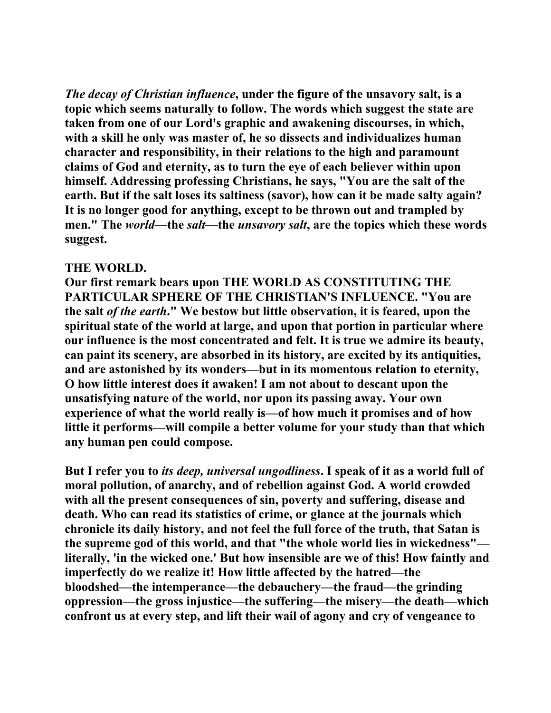*The decay of Christian influence***, under the figure of the unsavory salt, is a topic which seems naturally to follow. The words which suggest the state are taken from one of our Lord's graphic and awakening discourses, in which, with a skill he only was master of, he so dissects and individualizes human character and responsibility, in their relations to the high and paramount claims of God and eternity, as to turn the eye of each believer within upon himself. Addressing professing Christians, he says, "You are the salt of the earth. But if the salt loses its saltiness (savor), how can it be made salty again? It is no longer good for anything, except to be thrown out and trampled by men." The** *world***—the** *salt***—the** *unsavory salt***, are the topics which these words suggest.** 

#### **THE WORLD.**

**Our first remark bears upon THE WORLD AS CONSTITUTING THE PARTICULAR SPHERE OF THE CHRISTIAN'S INFLUENCE. "You are the salt** *of the earth***." We bestow but little observation, it is feared, upon the spiritual state of the world at large, and upon that portion in particular where our influence is the most concentrated and felt. It is true we admire its beauty, can paint its scenery, are absorbed in its history, are excited by its antiquities, and are astonished by its wonders—but in its momentous relation to eternity, O how little interest does it awaken! I am not about to descant upon the unsatisfying nature of the world, nor upon its passing away. Your own experience of what the world really is—of how much it promises and of how little it performs—will compile a better volume for your study than that which any human pen could compose.** 

**But I refer you to** *its deep, universal ungodliness***. I speak of it as a world full of moral pollution, of anarchy, and of rebellion against God. A world crowded with all the present consequences of sin, poverty and suffering, disease and death. Who can read its statistics of crime, or glance at the journals which chronicle its daily history, and not feel the full force of the truth, that Satan is the supreme god of this world, and that "the whole world lies in wickedness" literally, 'in the wicked one.' But how insensible are we of this! How faintly and imperfectly do we realize it! How little affected by the hatred—the bloodshed—the intemperance—the debauchery—the fraud—the grinding oppression—the gross injustice—the suffering—the misery—the death—which confront us at every step, and lift their wail of agony and cry of vengeance to**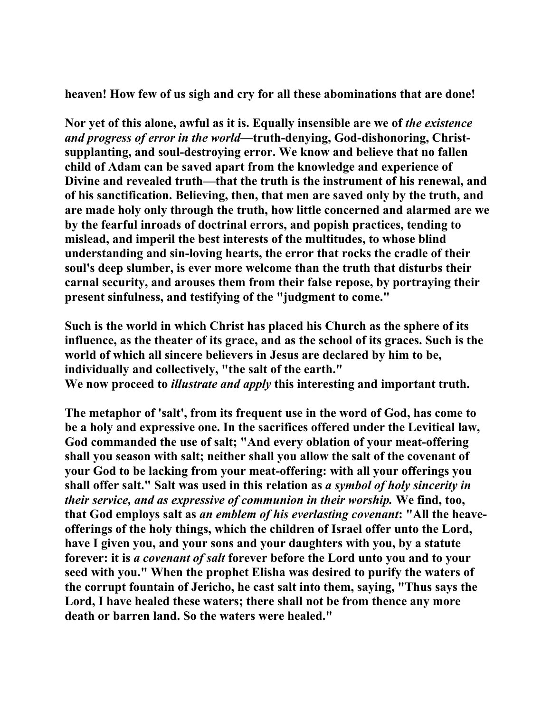**heaven! How few of us sigh and cry for all these abominations that are done!** 

**Nor yet of this alone, awful as it is. Equally insensible are we of** *the existence and progress of error in the world***—truth-denying, God-dishonoring, Christsupplanting, and soul-destroying error. We know and believe that no fallen child of Adam can be saved apart from the knowledge and experience of Divine and revealed truth—that the truth is the instrument of his renewal, and of his sanctification. Believing, then, that men are saved only by the truth, and are made holy only through the truth, how little concerned and alarmed are we by the fearful inroads of doctrinal errors, and popish practices, tending to mislead, and imperil the best interests of the multitudes, to whose blind understanding and sin-loving hearts, the error that rocks the cradle of their soul's deep slumber, is ever more welcome than the truth that disturbs their carnal security, and arouses them from their false repose, by portraying their present sinfulness, and testifying of the "judgment to come."** 

**Such is the world in which Christ has placed his Church as the sphere of its influence, as the theater of its grace, and as the school of its graces. Such is the world of which all sincere believers in Jesus are declared by him to be, individually and collectively, "the salt of the earth." We now proceed to** *illustrate and apply* **this interesting and important truth.** 

**The metaphor of 'salt', from its frequent use in the word of God, has come to be a holy and expressive one. In the sacrifices offered under the Levitical law, God commanded the use of salt; "And every oblation of your meat-offering shall you season with salt; neither shall you allow the salt of the covenant of your God to be lacking from your meat-offering: with all your offerings you shall offer salt." Salt was used in this relation as** *a symbol of holy sincerity in their service, and as expressive of communion in their worship.* **We find, too, that God employs salt as** *an emblem of his everlasting covenant***: "All the heaveofferings of the holy things, which the children of Israel offer unto the Lord, have I given you, and your sons and your daughters with you, by a statute forever: it is** *a covenant of salt* **forever before the Lord unto you and to your seed with you." When the prophet Elisha was desired to purify the waters of the corrupt fountain of Jericho, he cast salt into them, saying, "Thus says the Lord, I have healed these waters; there shall not be from thence any more death or barren land. So the waters were healed."**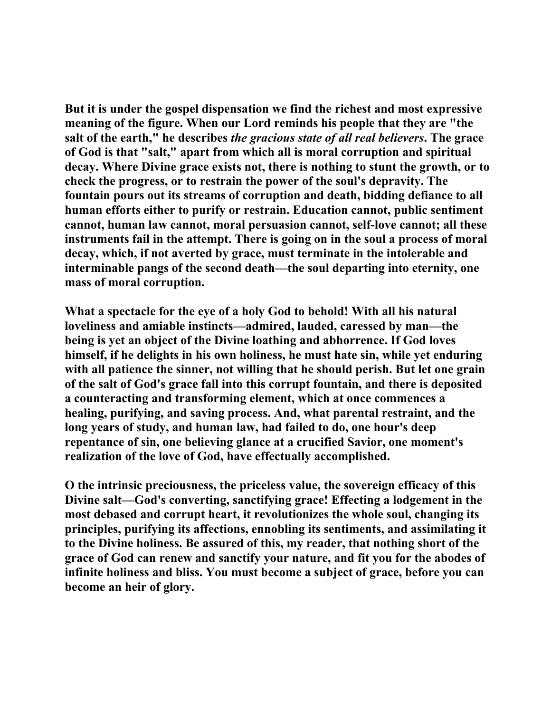**But it is under the gospel dispensation we find the richest and most expressive meaning of the figure. When our Lord reminds his people that they are "the salt of the earth," he describes** *the gracious state of all real believers***. The grace of God is that "salt," apart from which all is moral corruption and spiritual decay. Where Divine grace exists not, there is nothing to stunt the growth, or to check the progress, or to restrain the power of the soul's depravity. The fountain pours out its streams of corruption and death, bidding defiance to all human efforts either to purify or restrain. Education cannot, public sentiment cannot, human law cannot, moral persuasion cannot, self-love cannot; all these instruments fail in the attempt. There is going on in the soul a process of moral decay, which, if not averted by grace, must terminate in the intolerable and interminable pangs of the second death—the soul departing into eternity, one mass of moral corruption.** 

**What a spectacle for the eye of a holy God to behold! With all his natural loveliness and amiable instincts—admired, lauded, caressed by man—the being is yet an object of the Divine loathing and abhorrence. If God loves himself, if he delights in his own holiness, he must hate sin, while yet enduring with all patience the sinner, not willing that he should perish. But let one grain of the salt of God's grace fall into this corrupt fountain, and there is deposited a counteracting and transforming element, which at once commences a healing, purifying, and saving process. And, what parental restraint, and the long years of study, and human law, had failed to do, one hour's deep repentance of sin, one believing glance at a crucified Savior, one moment's realization of the love of God, have effectually accomplished.** 

**O the intrinsic preciousness, the priceless value, the sovereign efficacy of this Divine salt—God's converting, sanctifying grace! Effecting a lodgement in the most debased and corrupt heart, it revolutionizes the whole soul, changing its principles, purifying its affections, ennobling its sentiments, and assimilating it to the Divine holiness. Be assured of this, my reader, that nothing short of the grace of God can renew and sanctify your nature, and fit you for the abodes of infinite holiness and bliss. You must become a subject of grace, before you can become an heir of glory.**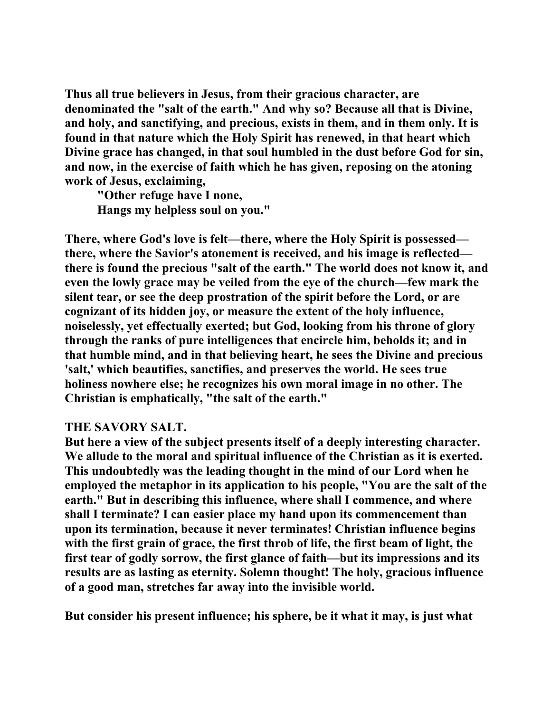**Thus all true believers in Jesus, from their gracious character, are denominated the "salt of the earth." And why so? Because all that is Divine, and holy, and sanctifying, and precious, exists in them, and in them only. It is found in that nature which the Holy Spirit has renewed, in that heart which Divine grace has changed, in that soul humbled in the dust before God for sin, and now, in the exercise of faith which he has given, reposing on the atoning work of Jesus, exclaiming,** 

 **"Other refuge have I none, Hangs my helpless soul on you."** 

**There, where God's love is felt—there, where the Holy Spirit is possessed there, where the Savior's atonement is received, and his image is reflected there is found the precious "salt of the earth." The world does not know it, and even the lowly grace may be veiled from the eye of the church—few mark the silent tear, or see the deep prostration of the spirit before the Lord, or are cognizant of its hidden joy, or measure the extent of the holy influence, noiselessly, yet effectually exerted; but God, looking from his throne of glory through the ranks of pure intelligences that encircle him, beholds it; and in that humble mind, and in that believing heart, he sees the Divine and precious 'salt,' which beautifies, sanctifies, and preserves the world. He sees true holiness nowhere else; he recognizes his own moral image in no other. The Christian is emphatically, "the salt of the earth."** 

### **THE SAVORY SALT.**

**But here a view of the subject presents itself of a deeply interesting character. We allude to the moral and spiritual influence of the Christian as it is exerted. This undoubtedly was the leading thought in the mind of our Lord when he employed the metaphor in its application to his people, "You are the salt of the earth." But in describing this influence, where shall I commence, and where shall I terminate? I can easier place my hand upon its commencement than upon its termination, because it never terminates! Christian influence begins with the first grain of grace, the first throb of life, the first beam of light, the first tear of godly sorrow, the first glance of faith—but its impressions and its results are as lasting as eternity. Solemn thought! The holy, gracious influence of a good man, stretches far away into the invisible world.** 

**But consider his present influence; his sphere, be it what it may, is just what**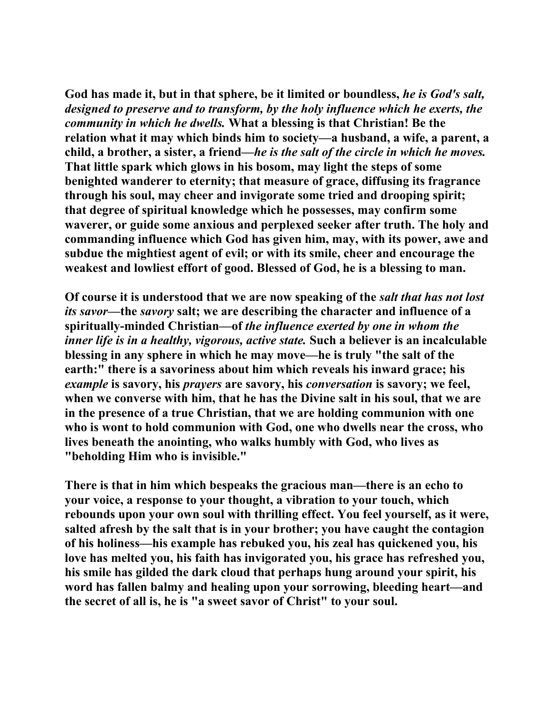**God has made it, but in that sphere, be it limited or boundless,** *he is God's salt, designed to preserve and to transform, by the holy influence which he exerts, the community in which he dwells.* **What a blessing is that Christian! Be the relation what it may which binds him to society—a husband, a wife, a parent, a child, a brother, a sister, a friend—***he is the salt of the circle in which he moves.* **That little spark which glows in his bosom, may light the steps of some benighted wanderer to eternity; that measure of grace, diffusing its fragrance through his soul, may cheer and invigorate some tried and drooping spirit; that degree of spiritual knowledge which he possesses, may confirm some waverer, or guide some anxious and perplexed seeker after truth. The holy and commanding influence which God has given him, may, with its power, awe and subdue the mightiest agent of evil; or with its smile, cheer and encourage the weakest and lowliest effort of good. Blessed of God, he is a blessing to man.** 

**Of course it is understood that we are now speaking of the** *salt that has not lost its savor***—the** *savory* **salt; we are describing the character and influence of a spiritually-minded Christian—of** *the influence exerted by one in whom the inner life is in a healthy, vigorous, active state.* **Such a believer is an incalculable blessing in any sphere in which he may move—he is truly "the salt of the earth:" there is a savoriness about him which reveals his inward grace; his**  *example* **is savory, his** *prayers* **are savory, his** *conversation* **is savory; we feel, when we converse with him, that he has the Divine salt in his soul, that we are in the presence of a true Christian, that we are holding communion with one who is wont to hold communion with God, one who dwells near the cross, who lives beneath the anointing, who walks humbly with God, who lives as "beholding Him who is invisible."** 

**There is that in him which bespeaks the gracious man—there is an echo to your voice, a response to your thought, a vibration to your touch, which rebounds upon your own soul with thrilling effect. You feel yourself, as it were, salted afresh by the salt that is in your brother; you have caught the contagion of his holiness—his example has rebuked you, his zeal has quickened you, his love has melted you, his faith has invigorated you, his grace has refreshed you, his smile has gilded the dark cloud that perhaps hung around your spirit, his word has fallen balmy and healing upon your sorrowing, bleeding heart—and the secret of all is, he is "a sweet savor of Christ" to your soul.**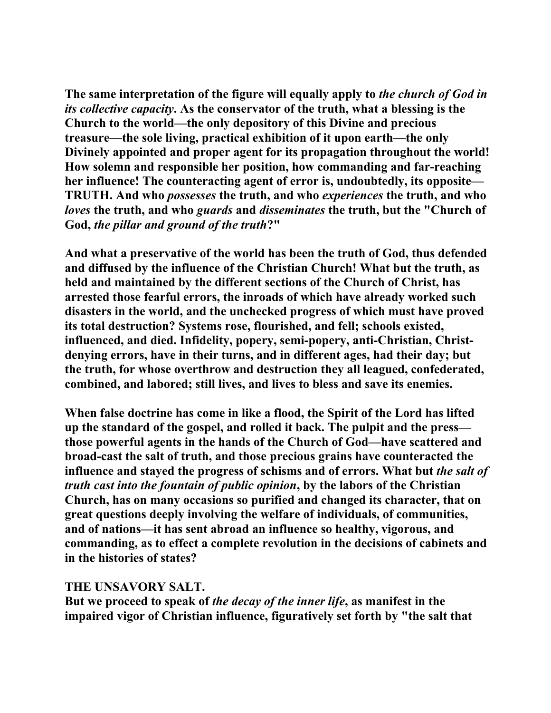**The same interpretation of the figure will equally apply to** *the church of God in its collective capacity***. As the conservator of the truth, what a blessing is the Church to the world—the only depository of this Divine and precious treasure—the sole living, practical exhibition of it upon earth—the only Divinely appointed and proper agent for its propagation throughout the world! How solemn and responsible her position, how commanding and far-reaching her influence! The counteracting agent of error is, undoubtedly, its opposite— TRUTH. And who** *possesses* **the truth, and who** *experiences* **the truth, and who**  *loves* **the truth, and who** *guards* **and** *disseminates* **the truth, but the "Church of God,** *the pillar and ground of the truth***?"** 

**And what a preservative of the world has been the truth of God, thus defended and diffused by the influence of the Christian Church! What but the truth, as held and maintained by the different sections of the Church of Christ, has arrested those fearful errors, the inroads of which have already worked such disasters in the world, and the unchecked progress of which must have proved its total destruction? Systems rose, flourished, and fell; schools existed, influenced, and died. Infidelity, popery, semi-popery, anti-Christian, Christdenying errors, have in their turns, and in different ages, had their day; but the truth, for whose overthrow and destruction they all leagued, confederated, combined, and labored; still lives, and lives to bless and save its enemies.** 

**When false doctrine has come in like a flood, the Spirit of the Lord has lifted up the standard of the gospel, and rolled it back. The pulpit and the press those powerful agents in the hands of the Church of God—have scattered and broad-cast the salt of truth, and those precious grains have counteracted the influence and stayed the progress of schisms and of errors. What but** *the salt of truth cast into the fountain of public opinion***, by the labors of the Christian Church, has on many occasions so purified and changed its character, that on great questions deeply involving the welfare of individuals, of communities, and of nations—it has sent abroad an influence so healthy, vigorous, and commanding, as to effect a complete revolution in the decisions of cabinets and in the histories of states?** 

### **THE UNSAVORY SALT.**

**But we proceed to speak of** *the decay of the inner life***, as manifest in the impaired vigor of Christian influence, figuratively set forth by "the salt that**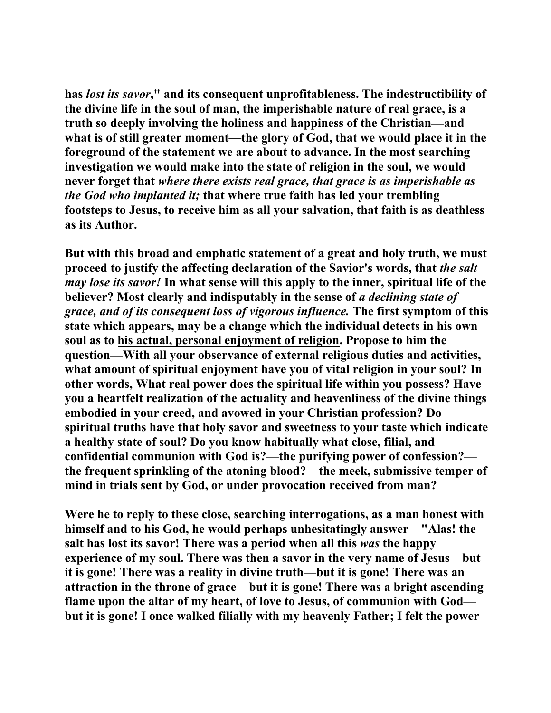**has** *lost its savor***," and its consequent unprofitableness. The indestructibility of the divine life in the soul of man, the imperishable nature of real grace, is a truth so deeply involving the holiness and happiness of the Christian—and what is of still greater moment—the glory of God, that we would place it in the foreground of the statement we are about to advance. In the most searching investigation we would make into the state of religion in the soul, we would never forget that** *where there exists real grace, that grace is as imperishable as the God who implanted it;* **that where true faith has led your trembling footsteps to Jesus, to receive him as all your salvation, that faith is as deathless as its Author.** 

**But with this broad and emphatic statement of a great and holy truth, we must proceed to justify the affecting declaration of the Savior's words, that** *the salt may lose its savor!* **In what sense will this apply to the inner, spiritual life of the believer? Most clearly and indisputably in the sense of** *a declining state of grace, and of its consequent loss of vigorous influence.* **The first symptom of this state which appears, may be a change which the individual detects in his own soul as to his actual, personal enjoyment of religion. Propose to him the question—With all your observance of external religious duties and activities, what amount of spiritual enjoyment have you of vital religion in your soul? In other words, What real power does the spiritual life within you possess? Have you a heartfelt realization of the actuality and heavenliness of the divine things embodied in your creed, and avowed in your Christian profession? Do spiritual truths have that holy savor and sweetness to your taste which indicate a healthy state of soul? Do you know habitually what close, filial, and confidential communion with God is?—the purifying power of confession? the frequent sprinkling of the atoning blood?—the meek, submissive temper of mind in trials sent by God, or under provocation received from man?** 

**Were he to reply to these close, searching interrogations, as a man honest with himself and to his God, he would perhaps unhesitatingly answer—"Alas! the salt has lost its savor! There was a period when all this** *was* **the happy experience of my soul. There was then a savor in the very name of Jesus—but it is gone! There was a reality in divine truth—but it is gone! There was an attraction in the throne of grace—but it is gone! There was a bright ascending flame upon the altar of my heart, of love to Jesus, of communion with God but it is gone! I once walked filially with my heavenly Father; I felt the power**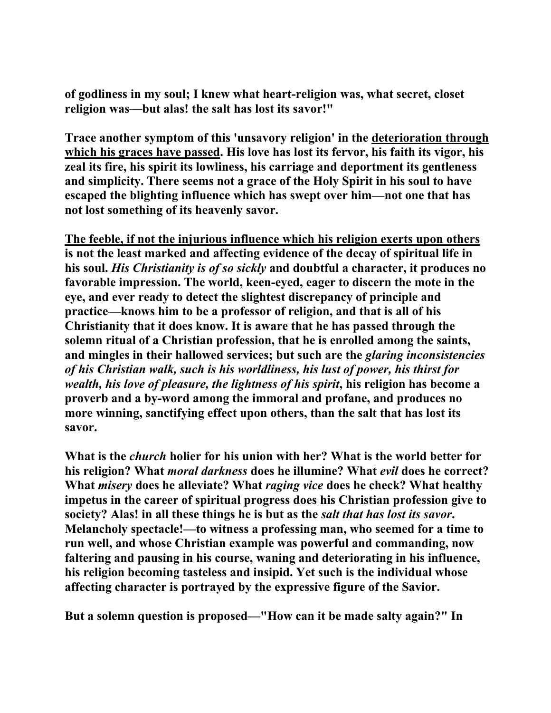**of godliness in my soul; I knew what heart-religion was, what secret, closet religion was—but alas! the salt has lost its savor!"** 

**Trace another symptom of this 'unsavory religion' in the deterioration through which his graces have passed. His love has lost its fervor, his faith its vigor, his zeal its fire, his spirit its lowliness, his carriage and deportment its gentleness and simplicity. There seems not a grace of the Holy Spirit in his soul to have escaped the blighting influence which has swept over him—not one that has not lost something of its heavenly savor.** 

**The feeble, if not the injurious influence which his religion exerts upon others is not the least marked and affecting evidence of the decay of spiritual life in his soul.** *His Christianity is of so sickly* **and doubtful a character, it produces no favorable impression. The world, keen-eyed, eager to discern the mote in the eye, and ever ready to detect the slightest discrepancy of principle and practice—knows him to be a professor of religion, and that is all of his Christianity that it does know. It is aware that he has passed through the solemn ritual of a Christian profession, that he is enrolled among the saints, and mingles in their hallowed services; but such are the** *glaring inconsistencies of his Christian walk, such is his worldliness, his lust of power, his thirst for wealth, his love of pleasure, the lightness of his spirit***, his religion has become a proverb and a by-word among the immoral and profane, and produces no more winning, sanctifying effect upon others, than the salt that has lost its savor.** 

**What is the** *church* **holier for his union with her? What is the world better for his religion? What** *moral darkness* **does he illumine? What** *evil* **does he correct? What** *misery* **does he alleviate? What** *raging vice* **does he check? What healthy impetus in the career of spiritual progress does his Christian profession give to society? Alas! in all these things he is but as the** *salt that has lost its savor***. Melancholy spectacle!—to witness a professing man, who seemed for a time to run well, and whose Christian example was powerful and commanding, now faltering and pausing in his course, waning and deteriorating in his influence, his religion becoming tasteless and insipid. Yet such is the individual whose affecting character is portrayed by the expressive figure of the Savior.** 

**But a solemn question is proposed—"How can it be made salty again?" In**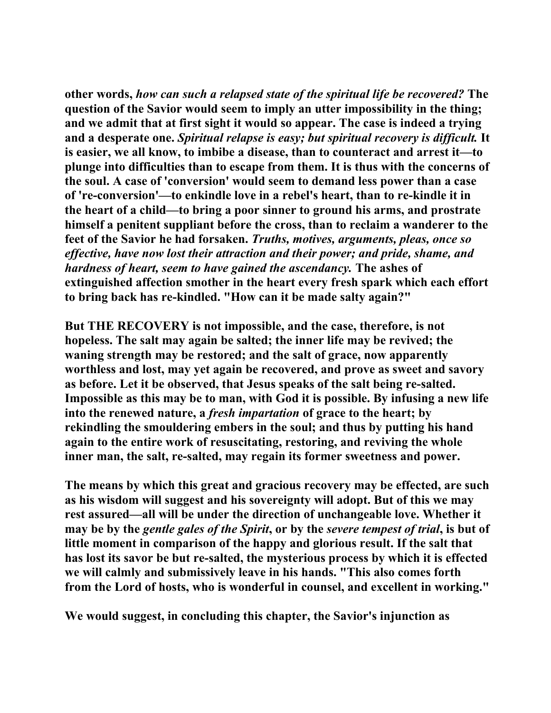**other words,** *how can such a relapsed state of the spiritual life be recovered?* **The question of the Savior would seem to imply an utter impossibility in the thing; and we admit that at first sight it would so appear. The case is indeed a trying and a desperate one.** *Spiritual relapse is easy; but spiritual recovery is difficult.* **It is easier, we all know, to imbibe a disease, than to counteract and arrest it—to plunge into difficulties than to escape from them. It is thus with the concerns of the soul. A case of 'conversion' would seem to demand less power than a case of 're-conversion'—to enkindle love in a rebel's heart, than to re-kindle it in the heart of a child—to bring a poor sinner to ground his arms, and prostrate himself a penitent suppliant before the cross, than to reclaim a wanderer to the feet of the Savior he had forsaken.** *Truths, motives, arguments, pleas, once so effective, have now lost their attraction and their power; and pride, shame, and hardness of heart, seem to have gained the ascendancy.* **The ashes of extinguished affection smother in the heart every fresh spark which each effort to bring back has re-kindled. "How can it be made salty again?"** 

**But THE RECOVERY is not impossible, and the case, therefore, is not hopeless. The salt may again be salted; the inner life may be revived; the waning strength may be restored; and the salt of grace, now apparently worthless and lost, may yet again be recovered, and prove as sweet and savory as before. Let it be observed, that Jesus speaks of the salt being re-salted. Impossible as this may be to man, with God it is possible. By infusing a new life into the renewed nature, a** *fresh impartation* **of grace to the heart; by rekindling the smouldering embers in the soul; and thus by putting his hand again to the entire work of resuscitating, restoring, and reviving the whole inner man, the salt, re-salted, may regain its former sweetness and power.** 

**The means by which this great and gracious recovery may be effected, are such as his wisdom will suggest and his sovereignty will adopt. But of this we may rest assured—all will be under the direction of unchangeable love. Whether it may be by the** *gentle gales of the Spirit***, or by the** *severe tempest of trial***, is but of little moment in comparison of the happy and glorious result. If the salt that has lost its savor be but re-salted, the mysterious process by which it is effected we will calmly and submissively leave in his hands. "This also comes forth from the Lord of hosts, who is wonderful in counsel, and excellent in working."** 

**We would suggest, in concluding this chapter, the Savior's injunction as**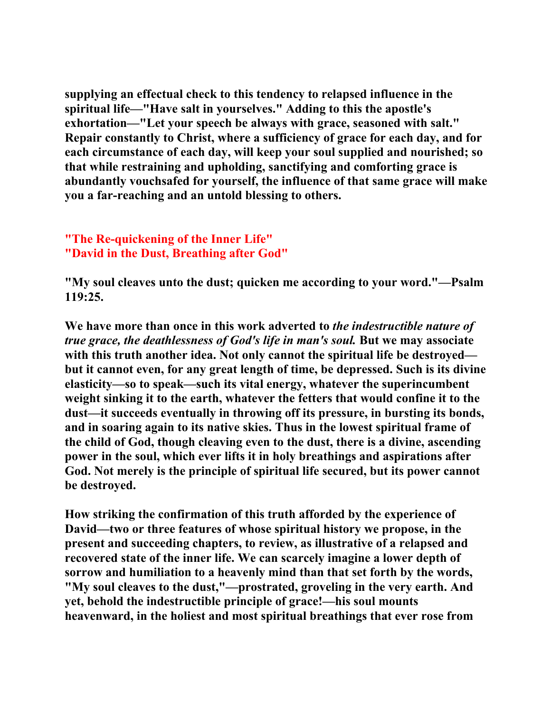**supplying an effectual check to this tendency to relapsed influence in the spiritual life—"Have salt in yourselves." Adding to this the apostle's exhortation—"Let your speech be always with grace, seasoned with salt." Repair constantly to Christ, where a sufficiency of grace for each day, and for each circumstance of each day, will keep your soul supplied and nourished; so that while restraining and upholding, sanctifying and comforting grace is abundantly vouchsafed for yourself, the influence of that same grace will make you a far-reaching and an untold blessing to others.** 

# **"The Re-quickening of the Inner Life" "David in the Dust, Breathing after God"**

**"My soul cleaves unto the dust; quicken me according to your word."—Psalm 119:25.** 

**We have more than once in this work adverted to** *the indestructible nature of true grace, the deathlessness of God's life in man's soul.* **But we may associate with this truth another idea. Not only cannot the spiritual life be destroyed but it cannot even, for any great length of time, be depressed. Such is its divine elasticity—so to speak—such its vital energy, whatever the superincumbent weight sinking it to the earth, whatever the fetters that would confine it to the dust—it succeeds eventually in throwing off its pressure, in bursting its bonds, and in soaring again to its native skies. Thus in the lowest spiritual frame of the child of God, though cleaving even to the dust, there is a divine, ascending power in the soul, which ever lifts it in holy breathings and aspirations after God. Not merely is the principle of spiritual life secured, but its power cannot be destroyed.** 

**How striking the confirmation of this truth afforded by the experience of David—two or three features of whose spiritual history we propose, in the present and succeeding chapters, to review, as illustrative of a relapsed and recovered state of the inner life. We can scarcely imagine a lower depth of sorrow and humiliation to a heavenly mind than that set forth by the words, "My soul cleaves to the dust,"—prostrated, groveling in the very earth. And yet, behold the indestructible principle of grace!—his soul mounts heavenward, in the holiest and most spiritual breathings that ever rose from**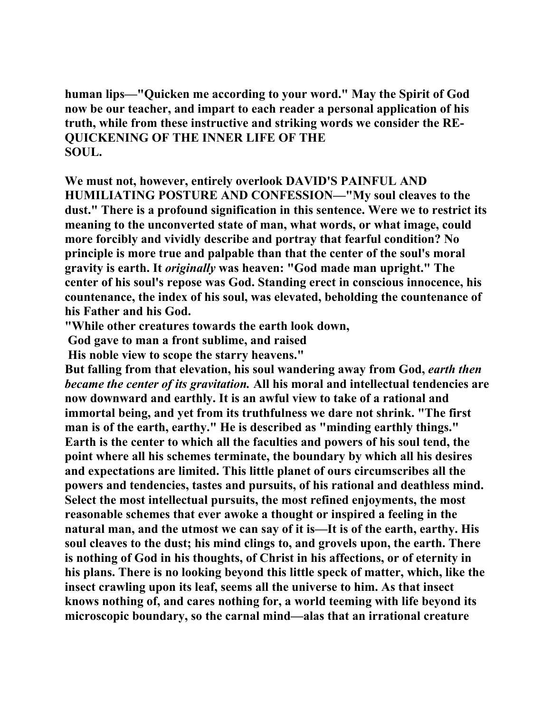**human lips—"Quicken me according to your word." May the Spirit of God now be our teacher, and impart to each reader a personal application of his truth, while from these instructive and striking words we consider the RE-QUICKENING OF THE INNER LIFE OF THE SOUL.** 

**We must not, however, entirely overlook DAVID'S PAINFUL AND HUMILIATING POSTURE AND CONFESSION—"My soul cleaves to the dust." There is a profound signification in this sentence. Were we to restrict its meaning to the unconverted state of man, what words, or what image, could more forcibly and vividly describe and portray that fearful condition? No principle is more true and palpable than that the center of the soul's moral gravity is earth. It** *originally* **was heaven: "God made man upright." The center of his soul's repose was God. Standing erect in conscious innocence, his countenance, the index of his soul, was elevated, beholding the countenance of his Father and his God.** 

**"While other creatures towards the earth look down,** 

 **God gave to man a front sublime, and raised** 

 **His noble view to scope the starry heavens."** 

But falling from that elevation, his soul wandering away from God, *earth then became the center of its gravitation.* **All his moral and intellectual tendencies are now downward and earthly. It is an awful view to take of a rational and immortal being, and yet from its truthfulness we dare not shrink. "The first man is of the earth, earthy." He is described as "minding earthly things." Earth is the center to which all the faculties and powers of his soul tend, the point where all his schemes terminate, the boundary by which all his desires and expectations are limited. This little planet of ours circumscribes all the powers and tendencies, tastes and pursuits, of his rational and deathless mind. Select the most intellectual pursuits, the most refined enjoyments, the most reasonable schemes that ever awoke a thought or inspired a feeling in the natural man, and the utmost we can say of it is—It is of the earth, earthy. His soul cleaves to the dust; his mind clings to, and grovels upon, the earth. There is nothing of God in his thoughts, of Christ in his affections, or of eternity in his plans. There is no looking beyond this little speck of matter, which, like the insect crawling upon its leaf, seems all the universe to him. As that insect knows nothing of, and cares nothing for, a world teeming with life beyond its microscopic boundary, so the carnal mind—alas that an irrational creature**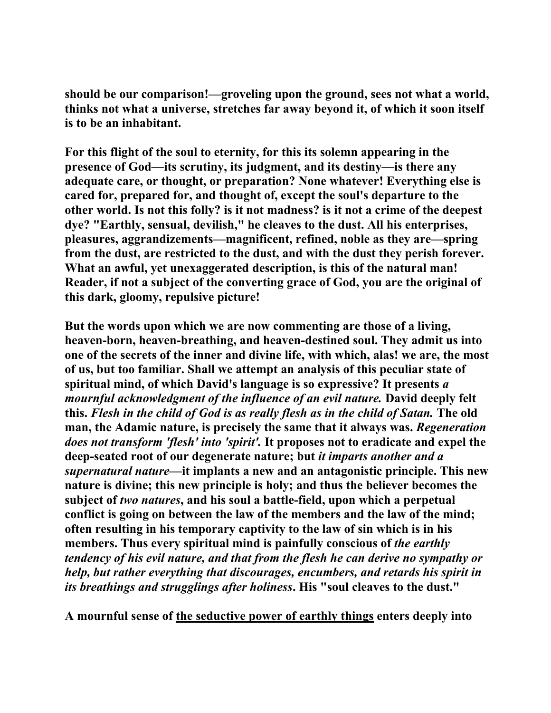**should be our comparison!—groveling upon the ground, sees not what a world, thinks not what a universe, stretches far away beyond it, of which it soon itself is to be an inhabitant.** 

**For this flight of the soul to eternity, for this its solemn appearing in the presence of God—its scrutiny, its judgment, and its destiny—is there any adequate care, or thought, or preparation? None whatever! Everything else is cared for, prepared for, and thought of, except the soul's departure to the other world. Is not this folly? is it not madness? is it not a crime of the deepest dye? "Earthly, sensual, devilish," he cleaves to the dust. All his enterprises, pleasures, aggrandizements—magnificent, refined, noble as they are—spring from the dust, are restricted to the dust, and with the dust they perish forever. What an awful, yet unexaggerated description, is this of the natural man! Reader, if not a subject of the converting grace of God, you are the original of this dark, gloomy, repulsive picture!** 

**But the words upon which we are now commenting are those of a living, heaven-born, heaven-breathing, and heaven-destined soul. They admit us into one of the secrets of the inner and divine life, with which, alas! we are, the most of us, but too familiar. Shall we attempt an analysis of this peculiar state of spiritual mind, of which David's language is so expressive? It presents** *a mournful acknowledgment of the influence of an evil nature.* David deeply felt **this.** *Flesh in the child of God is as really flesh as in the child of Satan.* **The old man, the Adamic nature, is precisely the same that it always was.** *Regeneration does not transform 'flesh' into 'spirit'.* **It proposes not to eradicate and expel the deep-seated root of our degenerate nature; but** *it imparts another and a supernatural nature***—it implants a new and an antagonistic principle. This new nature is divine; this new principle is holy; and thus the believer becomes the subject of** *two natures***, and his soul a battle-field, upon which a perpetual conflict is going on between the law of the members and the law of the mind; often resulting in his temporary captivity to the law of sin which is in his**  members. Thus every spiritual mind is painfully conscious of *the earthly tendency of his evil nature, and that from the flesh he can derive no sympathy or help, but rather everything that discourages, encumbers, and retards his spirit in its breathings and strugglings after holiness***. His "soul cleaves to the dust."** 

**A mournful sense of the seductive power of earthly things enters deeply into**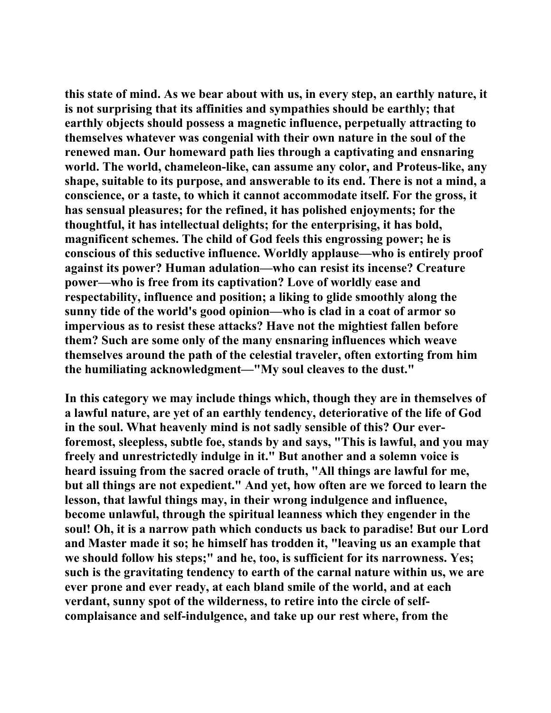**this state of mind. As we bear about with us, in every step, an earthly nature, it is not surprising that its affinities and sympathies should be earthly; that earthly objects should possess a magnetic influence, perpetually attracting to themselves whatever was congenial with their own nature in the soul of the renewed man. Our homeward path lies through a captivating and ensnaring world. The world, chameleon-like, can assume any color, and Proteus-like, any shape, suitable to its purpose, and answerable to its end. There is not a mind, a conscience, or a taste, to which it cannot accommodate itself. For the gross, it has sensual pleasures; for the refined, it has polished enjoyments; for the thoughtful, it has intellectual delights; for the enterprising, it has bold, magnificent schemes. The child of God feels this engrossing power; he is conscious of this seductive influence. Worldly applause—who is entirely proof against its power? Human adulation—who can resist its incense? Creature power—who is free from its captivation? Love of worldly ease and respectability, influence and position; a liking to glide smoothly along the sunny tide of the world's good opinion—who is clad in a coat of armor so impervious as to resist these attacks? Have not the mightiest fallen before them? Such are some only of the many ensnaring influences which weave themselves around the path of the celestial traveler, often extorting from him the humiliating acknowledgment—"My soul cleaves to the dust."** 

**In this category we may include things which, though they are in themselves of a lawful nature, are yet of an earthly tendency, deteriorative of the life of God in the soul. What heavenly mind is not sadly sensible of this? Our everforemost, sleepless, subtle foe, stands by and says, "This is lawful, and you may freely and unrestrictedly indulge in it." But another and a solemn voice is heard issuing from the sacred oracle of truth, "All things are lawful for me, but all things are not expedient." And yet, how often are we forced to learn the lesson, that lawful things may, in their wrong indulgence and influence, become unlawful, through the spiritual leanness which they engender in the soul! Oh, it is a narrow path which conducts us back to paradise! But our Lord and Master made it so; he himself has trodden it, "leaving us an example that we should follow his steps;" and he, too, is sufficient for its narrowness. Yes; such is the gravitating tendency to earth of the carnal nature within us, we are ever prone and ever ready, at each bland smile of the world, and at each verdant, sunny spot of the wilderness, to retire into the circle of selfcomplaisance and self-indulgence, and take up our rest where, from the**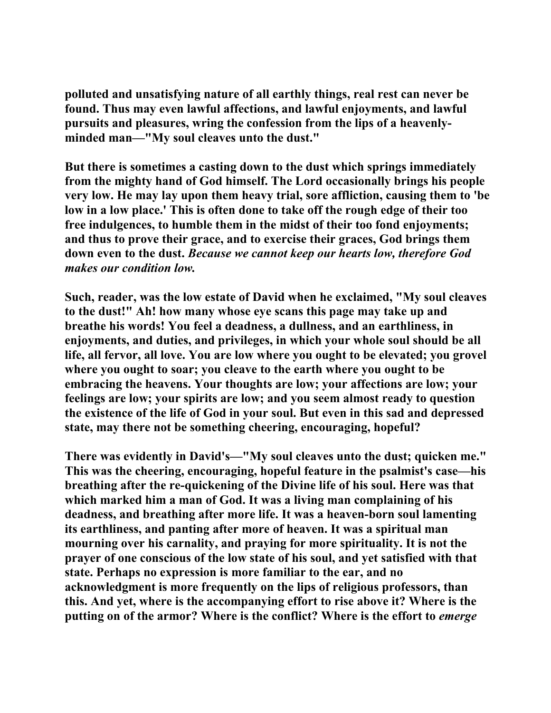**polluted and unsatisfying nature of all earthly things, real rest can never be found. Thus may even lawful affections, and lawful enjoyments, and lawful pursuits and pleasures, wring the confession from the lips of a heavenlyminded man—"My soul cleaves unto the dust."** 

**But there is sometimes a casting down to the dust which springs immediately from the mighty hand of God himself. The Lord occasionally brings his people very low. He may lay upon them heavy trial, sore affliction, causing them to 'be low in a low place.' This is often done to take off the rough edge of their too free indulgences, to humble them in the midst of their too fond enjoyments; and thus to prove their grace, and to exercise their graces, God brings them down even to the dust.** *Because we cannot keep our hearts low, therefore God makes our condition low.*

**Such, reader, was the low estate of David when he exclaimed, "My soul cleaves to the dust!" Ah! how many whose eye scans this page may take up and breathe his words! You feel a deadness, a dullness, and an earthliness, in enjoyments, and duties, and privileges, in which your whole soul should be all life, all fervor, all love. You are low where you ought to be elevated; you grovel where you ought to soar; you cleave to the earth where you ought to be embracing the heavens. Your thoughts are low; your affections are low; your feelings are low; your spirits are low; and you seem almost ready to question the existence of the life of God in your soul. But even in this sad and depressed state, may there not be something cheering, encouraging, hopeful?** 

**There was evidently in David's—"My soul cleaves unto the dust; quicken me." This was the cheering, encouraging, hopeful feature in the psalmist's case—his breathing after the re-quickening of the Divine life of his soul. Here was that which marked him a man of God. It was a living man complaining of his deadness, and breathing after more life. It was a heaven-born soul lamenting its earthliness, and panting after more of heaven. It was a spiritual man mourning over his carnality, and praying for more spirituality. It is not the prayer of one conscious of the low state of his soul, and yet satisfied with that state. Perhaps no expression is more familiar to the ear, and no acknowledgment is more frequently on the lips of religious professors, than this. And yet, where is the accompanying effort to rise above it? Where is the putting on of the armor? Where is the conflict? Where is the effort to** *emerge*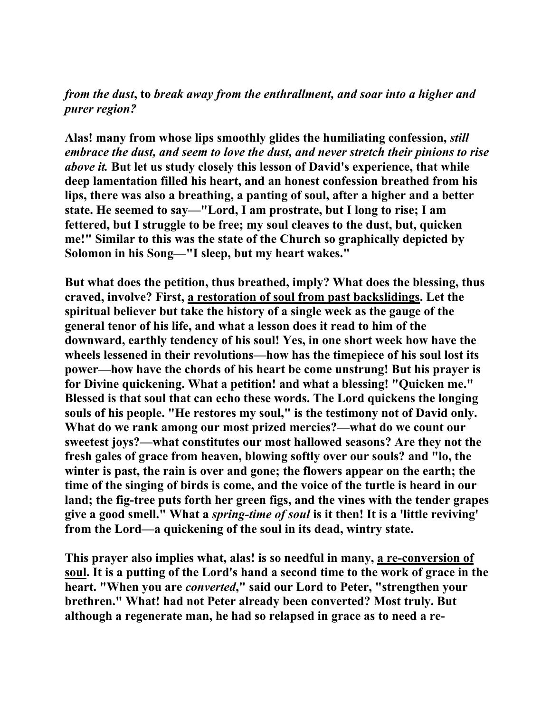## *from the dust***, to** *break away from the enthrallment, and soar into a higher and purer region?*

**Alas! many from whose lips smoothly glides the humiliating confession,** *still embrace the dust, and seem to love the dust, and never stretch their pinions to rise above it.* **But let us study closely this lesson of David's experience, that while deep lamentation filled his heart, and an honest confession breathed from his lips, there was also a breathing, a panting of soul, after a higher and a better state. He seemed to say—"Lord, I am prostrate, but I long to rise; I am fettered, but I struggle to be free; my soul cleaves to the dust, but, quicken me!" Similar to this was the state of the Church so graphically depicted by Solomon in his Song—"I sleep, but my heart wakes."** 

**But what does the petition, thus breathed, imply? What does the blessing, thus craved, involve? First, a restoration of soul from past backslidings. Let the spiritual believer but take the history of a single week as the gauge of the general tenor of his life, and what a lesson does it read to him of the downward, earthly tendency of his soul! Yes, in one short week how have the wheels lessened in their revolutions—how has the timepiece of his soul lost its power—how have the chords of his heart be come unstrung! But his prayer is for Divine quickening. What a petition! and what a blessing! "Quicken me." Blessed is that soul that can echo these words. The Lord quickens the longing souls of his people. "He restores my soul," is the testimony not of David only. What do we rank among our most prized mercies?—what do we count our sweetest joys?—what constitutes our most hallowed seasons? Are they not the fresh gales of grace from heaven, blowing softly over our souls? and "lo, the winter is past, the rain is over and gone; the flowers appear on the earth; the time of the singing of birds is come, and the voice of the turtle is heard in our land; the fig-tree puts forth her green figs, and the vines with the tender grapes give a good smell." What a** *spring-time of soul* **is it then! It is a 'little reviving' from the Lord—a quickening of the soul in its dead, wintry state.** 

**This prayer also implies what, alas! is so needful in many, a re-conversion of soul. It is a putting of the Lord's hand a second time to the work of grace in the heart. "When you are** *converted***," said our Lord to Peter, "strengthen your brethren." What! had not Peter already been converted? Most truly. But although a regenerate man, he had so relapsed in grace as to need a re-**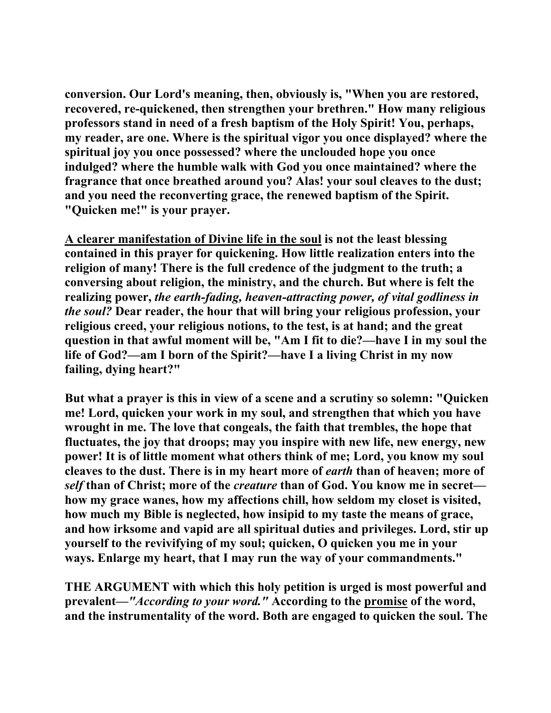**conversion. Our Lord's meaning, then, obviously is, "When you are restored, recovered, re-quickened, then strengthen your brethren." How many religious professors stand in need of a fresh baptism of the Holy Spirit! You, perhaps, my reader, are one. Where is the spiritual vigor you once displayed? where the spiritual joy you once possessed? where the unclouded hope you once indulged? where the humble walk with God you once maintained? where the fragrance that once breathed around you? Alas! your soul cleaves to the dust; and you need the reconverting grace, the renewed baptism of the Spirit. "Quicken me!" is your prayer.** 

**A clearer manifestation of Divine life in the soul is not the least blessing contained in this prayer for quickening. How little realization enters into the religion of many! There is the full credence of the judgment to the truth; a conversing about religion, the ministry, and the church. But where is felt the realizing power,** *the earth-fading, heaven-attracting power, of vital godliness in the soul?* **Dear reader, the hour that will bring your religious profession, your religious creed, your religious notions, to the test, is at hand; and the great question in that awful moment will be, "Am I fit to die?—have I in my soul the life of God?—am I born of the Spirit?—have I a living Christ in my now failing, dying heart?"** 

**But what a prayer is this in view of a scene and a scrutiny so solemn: "Quicken me! Lord, quicken your work in my soul, and strengthen that which you have wrought in me. The love that congeals, the faith that trembles, the hope that fluctuates, the joy that droops; may you inspire with new life, new energy, new power! It is of little moment what others think of me; Lord, you know my soul cleaves to the dust. There is in my heart more of** *earth* **than of heaven; more of**  *self* **than of Christ; more of the** *creature* **than of God. You know me in secret how my grace wanes, how my affections chill, how seldom my closet is visited, how much my Bible is neglected, how insipid to my taste the means of grace, and how irksome and vapid are all spiritual duties and privileges. Lord, stir up yourself to the revivifying of my soul; quicken, O quicken you me in your ways. Enlarge my heart, that I may run the way of your commandments."** 

**THE ARGUMENT with which this holy petition is urged is most powerful and prevalent—***"According to your word."* **According to the promise of the word, and the instrumentality of the word. Both are engaged to quicken the soul. The**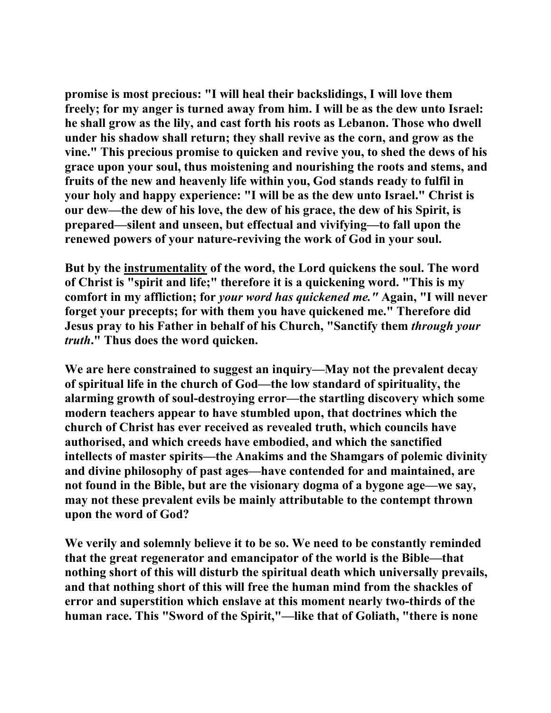**promise is most precious: "I will heal their backslidings, I will love them freely; for my anger is turned away from him. I will be as the dew unto Israel: he shall grow as the lily, and cast forth his roots as Lebanon. Those who dwell under his shadow shall return; they shall revive as the corn, and grow as the vine." This precious promise to quicken and revive you, to shed the dews of his grace upon your soul, thus moistening and nourishing the roots and stems, and fruits of the new and heavenly life within you, God stands ready to fulfil in your holy and happy experience: "I will be as the dew unto Israel." Christ is our dew—the dew of his love, the dew of his grace, the dew of his Spirit, is prepared—silent and unseen, but effectual and vivifying—to fall upon the renewed powers of your nature-reviving the work of God in your soul.** 

**But by the instrumentality of the word, the Lord quickens the soul. The word of Christ is "spirit and life;" therefore it is a quickening word. "This is my comfort in my affliction; for** *your word has quickened me."* **Again, "I will never forget your precepts; for with them you have quickened me." Therefore did Jesus pray to his Father in behalf of his Church, "Sanctify them** *through your truth***." Thus does the word quicken.** 

**We are here constrained to suggest an inquiry—May not the prevalent decay of spiritual life in the church of God—the low standard of spirituality, the alarming growth of soul-destroying error—the startling discovery which some modern teachers appear to have stumbled upon, that doctrines which the church of Christ has ever received as revealed truth, which councils have authorised, and which creeds have embodied, and which the sanctified intellects of master spirits—the Anakims and the Shamgars of polemic divinity and divine philosophy of past ages—have contended for and maintained, are not found in the Bible, but are the visionary dogma of a bygone age—we say, may not these prevalent evils be mainly attributable to the contempt thrown upon the word of God?** 

**We verily and solemnly believe it to be so. We need to be constantly reminded that the great regenerator and emancipator of the world is the Bible—that nothing short of this will disturb the spiritual death which universally prevails, and that nothing short of this will free the human mind from the shackles of error and superstition which enslave at this moment nearly two-thirds of the human race. This "Sword of the Spirit,"—like that of Goliath, "there is none**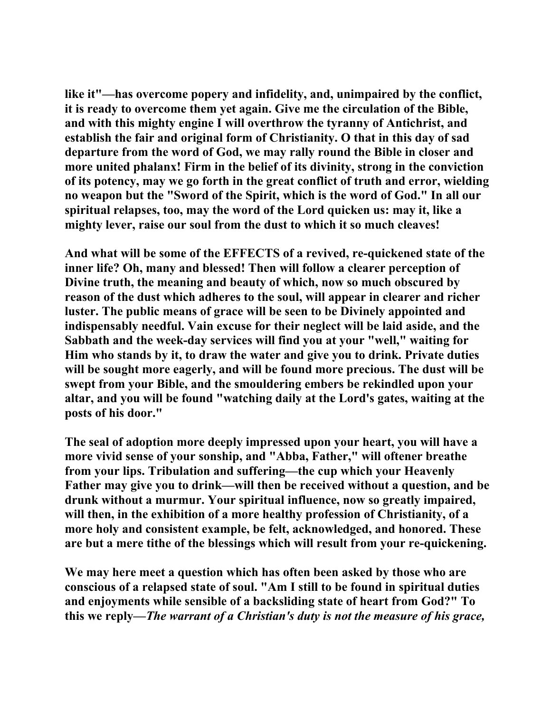**like it"—has overcome popery and infidelity, and, unimpaired by the conflict, it is ready to overcome them yet again. Give me the circulation of the Bible, and with this mighty engine I will overthrow the tyranny of Antichrist, and establish the fair and original form of Christianity. O that in this day of sad departure from the word of God, we may rally round the Bible in closer and more united phalanx! Firm in the belief of its divinity, strong in the conviction of its potency, may we go forth in the great conflict of truth and error, wielding no weapon but the "Sword of the Spirit, which is the word of God." In all our spiritual relapses, too, may the word of the Lord quicken us: may it, like a mighty lever, raise our soul from the dust to which it so much cleaves!** 

**And what will be some of the EFFECTS of a revived, re-quickened state of the inner life? Oh, many and blessed! Then will follow a clearer perception of Divine truth, the meaning and beauty of which, now so much obscured by reason of the dust which adheres to the soul, will appear in clearer and richer luster. The public means of grace will be seen to be Divinely appointed and indispensably needful. Vain excuse for their neglect will be laid aside, and the Sabbath and the week-day services will find you at your "well," waiting for Him who stands by it, to draw the water and give you to drink. Private duties will be sought more eagerly, and will be found more precious. The dust will be swept from your Bible, and the smouldering embers be rekindled upon your altar, and you will be found "watching daily at the Lord's gates, waiting at the posts of his door."** 

**The seal of adoption more deeply impressed upon your heart, you will have a more vivid sense of your sonship, and "Abba, Father," will oftener breathe from your lips. Tribulation and suffering—the cup which your Heavenly Father may give you to drink—will then be received without a question, and be drunk without a murmur. Your spiritual influence, now so greatly impaired, will then, in the exhibition of a more healthy profession of Christianity, of a more holy and consistent example, be felt, acknowledged, and honored. These are but a mere tithe of the blessings which will result from your re-quickening.** 

**We may here meet a question which has often been asked by those who are conscious of a relapsed state of soul. "Am I still to be found in spiritual duties and enjoyments while sensible of a backsliding state of heart from God?" To this we reply—***The warrant of a Christian's duty is not the measure of his grace,*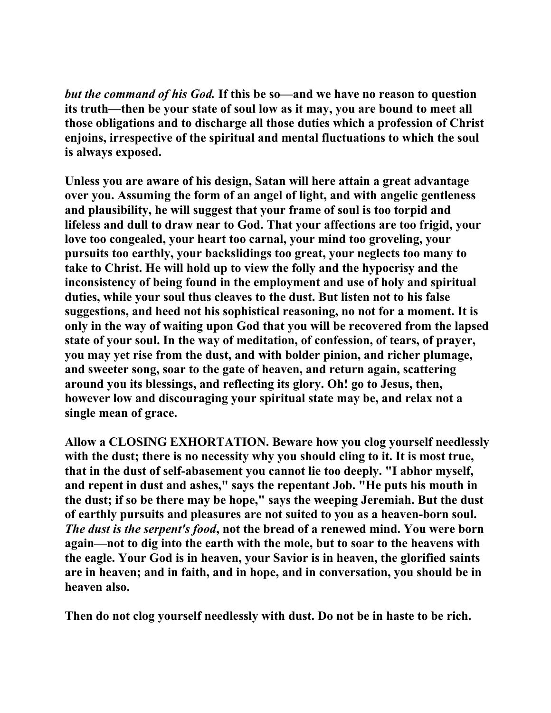*but the command of his God.* **If this be so—and we have no reason to question its truth—then be your state of soul low as it may, you are bound to meet all those obligations and to discharge all those duties which a profession of Christ enjoins, irrespective of the spiritual and mental fluctuations to which the soul is always exposed.** 

**Unless you are aware of his design, Satan will here attain a great advantage over you. Assuming the form of an angel of light, and with angelic gentleness and plausibility, he will suggest that your frame of soul is too torpid and lifeless and dull to draw near to God. That your affections are too frigid, your love too congealed, your heart too carnal, your mind too groveling, your pursuits too earthly, your backslidings too great, your neglects too many to take to Christ. He will hold up to view the folly and the hypocrisy and the inconsistency of being found in the employment and use of holy and spiritual duties, while your soul thus cleaves to the dust. But listen not to his false suggestions, and heed not his sophistical reasoning, no not for a moment. It is only in the way of waiting upon God that you will be recovered from the lapsed state of your soul. In the way of meditation, of confession, of tears, of prayer, you may yet rise from the dust, and with bolder pinion, and richer plumage, and sweeter song, soar to the gate of heaven, and return again, scattering around you its blessings, and reflecting its glory. Oh! go to Jesus, then, however low and discouraging your spiritual state may be, and relax not a single mean of grace.** 

**Allow a CLOSING EXHORTATION. Beware how you clog yourself needlessly with the dust; there is no necessity why you should cling to it. It is most true, that in the dust of self-abasement you cannot lie too deeply. "I abhor myself, and repent in dust and ashes," says the repentant Job. "He puts his mouth in the dust; if so be there may be hope," says the weeping Jeremiah. But the dust of earthly pursuits and pleasures are not suited to you as a heaven-born soul.**  *The dust is the serpent's food***, not the bread of a renewed mind. You were born again—not to dig into the earth with the mole, but to soar to the heavens with the eagle. Your God is in heaven, your Savior is in heaven, the glorified saints are in heaven; and in faith, and in hope, and in conversation, you should be in heaven also.** 

**Then do not clog yourself needlessly with dust. Do not be in haste to be rich.**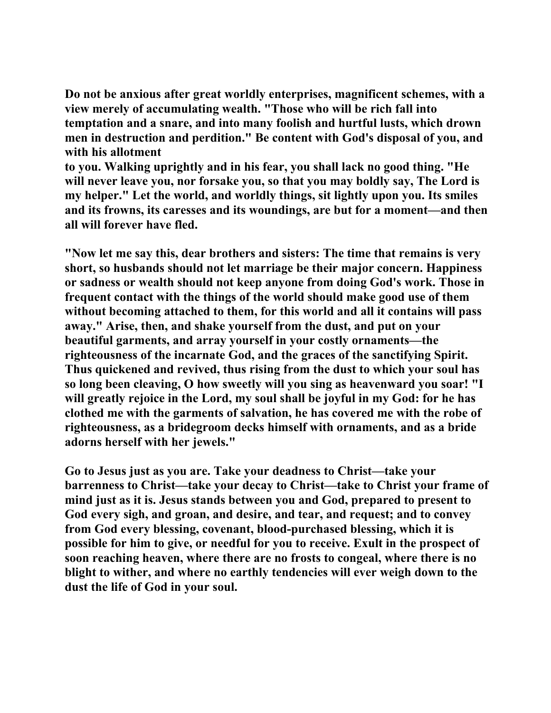**Do not be anxious after great worldly enterprises, magnificent schemes, with a view merely of accumulating wealth. "Those who will be rich fall into temptation and a snare, and into many foolish and hurtful lusts, which drown men in destruction and perdition." Be content with God's disposal of you, and with his allotment** 

**to you. Walking uprightly and in his fear, you shall lack no good thing. "He will never leave you, nor forsake you, so that you may boldly say, The Lord is my helper." Let the world, and worldly things, sit lightly upon you. Its smiles and its frowns, its caresses and its woundings, are but for a moment—and then all will forever have fled.** 

**"Now let me say this, dear brothers and sisters: The time that remains is very short, so husbands should not let marriage be their major concern. Happiness or sadness or wealth should not keep anyone from doing God's work. Those in frequent contact with the things of the world should make good use of them without becoming attached to them, for this world and all it contains will pass away." Arise, then, and shake yourself from the dust, and put on your beautiful garments, and array yourself in your costly ornaments—the righteousness of the incarnate God, and the graces of the sanctifying Spirit. Thus quickened and revived, thus rising from the dust to which your soul has so long been cleaving, O how sweetly will you sing as heavenward you soar! "I will greatly rejoice in the Lord, my soul shall be joyful in my God: for he has clothed me with the garments of salvation, he has covered me with the robe of righteousness, as a bridegroom decks himself with ornaments, and as a bride adorns herself with her jewels."** 

**Go to Jesus just as you are. Take your deadness to Christ—take your barrenness to Christ—take your decay to Christ—take to Christ your frame of mind just as it is. Jesus stands between you and God, prepared to present to God every sigh, and groan, and desire, and tear, and request; and to convey from God every blessing, covenant, blood-purchased blessing, which it is possible for him to give, or needful for you to receive. Exult in the prospect of soon reaching heaven, where there are no frosts to congeal, where there is no blight to wither, and where no earthly tendencies will ever weigh down to the dust the life of God in your soul.**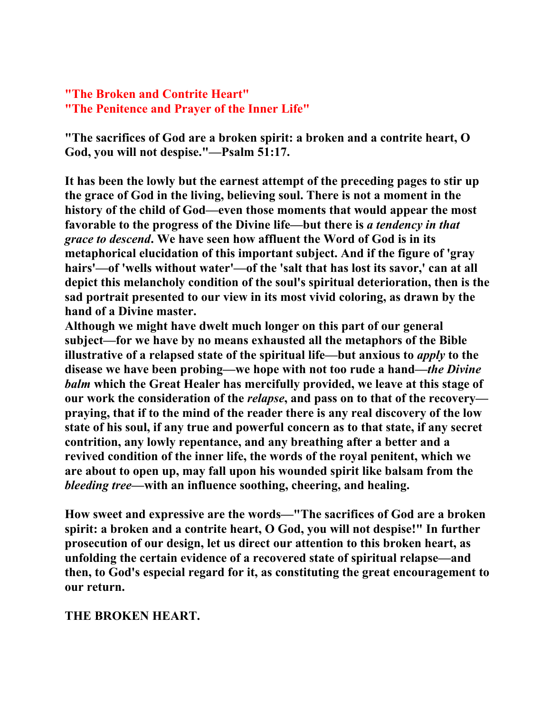### **"The Broken and Contrite Heart" "The Penitence and Prayer of the Inner Life"**

**"The sacrifices of God are a broken spirit: a broken and a contrite heart, O God, you will not despise."—Psalm 51:17.** 

**It has been the lowly but the earnest attempt of the preceding pages to stir up the grace of God in the living, believing soul. There is not a moment in the history of the child of God—even those moments that would appear the most favorable to the progress of the Divine life—but there is** *a tendency in that grace to descend***. We have seen how affluent the Word of God is in its metaphorical elucidation of this important subject. And if the figure of 'gray hairs'—of 'wells without water'—of the 'salt that has lost its savor,' can at all depict this melancholy condition of the soul's spiritual deterioration, then is the sad portrait presented to our view in its most vivid coloring, as drawn by the hand of a Divine master.** 

**Although we might have dwelt much longer on this part of our general subject—for we have by no means exhausted all the metaphors of the Bible illustrative of a relapsed state of the spiritual life—but anxious to** *apply* **to the disease we have been probing—we hope with not too rude a hand—***the Divine balm* **which the Great Healer has mercifully provided, we leave at this stage of our work the consideration of the** *relapse***, and pass on to that of the recovery praying, that if to the mind of the reader there is any real discovery of the low state of his soul, if any true and powerful concern as to that state, if any secret contrition, any lowly repentance, and any breathing after a better and a revived condition of the inner life, the words of the royal penitent, which we are about to open up, may fall upon his wounded spirit like balsam from the**  *bleeding tree***—with an influence soothing, cheering, and healing.** 

**How sweet and expressive are the words—"The sacrifices of God are a broken spirit: a broken and a contrite heart, O God, you will not despise!" In further prosecution of our design, let us direct our attention to this broken heart, as unfolding the certain evidence of a recovered state of spiritual relapse—and then, to God's especial regard for it, as constituting the great encouragement to our return.** 

#### **THE BROKEN HEART.**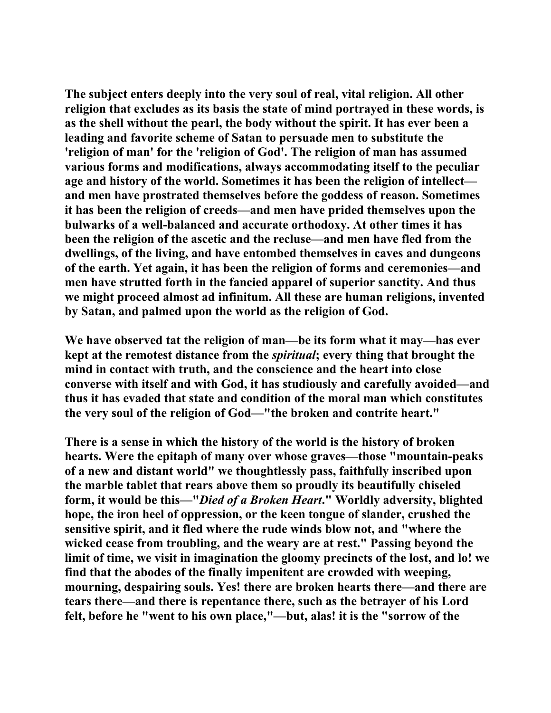**The subject enters deeply into the very soul of real, vital religion. All other religion that excludes as its basis the state of mind portrayed in these words, is as the shell without the pearl, the body without the spirit. It has ever been a leading and favorite scheme of Satan to persuade men to substitute the 'religion of man' for the 'religion of God'. The religion of man has assumed various forms and modifications, always accommodating itself to the peculiar age and history of the world. Sometimes it has been the religion of intellect and men have prostrated themselves before the goddess of reason. Sometimes it has been the religion of creeds—and men have prided themselves upon the bulwarks of a well-balanced and accurate orthodoxy. At other times it has been the religion of the ascetic and the recluse—and men have fled from the dwellings, of the living, and have entombed themselves in caves and dungeons of the earth. Yet again, it has been the religion of forms and ceremonies—and men have strutted forth in the fancied apparel of superior sanctity. And thus we might proceed almost ad infinitum. All these are human religions, invented by Satan, and palmed upon the world as the religion of God.** 

**We have observed tat the religion of man—be its form what it may—has ever kept at the remotest distance from the** *spiritual***; every thing that brought the mind in contact with truth, and the conscience and the heart into close converse with itself and with God, it has studiously and carefully avoided—and thus it has evaded that state and condition of the moral man which constitutes the very soul of the religion of God—"the broken and contrite heart."** 

**There is a sense in which the history of the world is the history of broken hearts. Were the epitaph of many over whose graves—those "mountain-peaks of a new and distant world" we thoughtlessly pass, faithfully inscribed upon the marble tablet that rears above them so proudly its beautifully chiseled form, it would be this—"***Died of a Broken Heart***." Worldly adversity, blighted hope, the iron heel of oppression, or the keen tongue of slander, crushed the sensitive spirit, and it fled where the rude winds blow not, and "where the wicked cease from troubling, and the weary are at rest." Passing beyond the limit of time, we visit in imagination the gloomy precincts of the lost, and lo! we find that the abodes of the finally impenitent are crowded with weeping, mourning, despairing souls. Yes! there are broken hearts there—and there are tears there—and there is repentance there, such as the betrayer of his Lord felt, before he "went to his own place,"—but, alas! it is the "sorrow of the**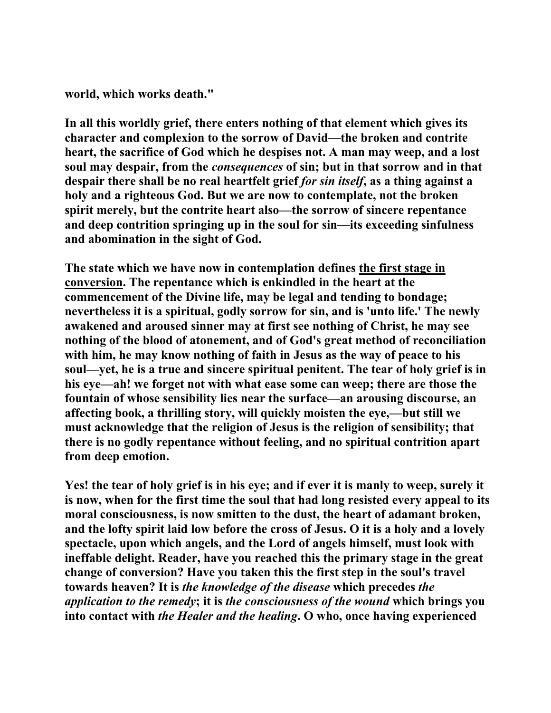**world, which works death."** 

**In all this worldly grief, there enters nothing of that element which gives its character and complexion to the sorrow of David—the broken and contrite heart, the sacrifice of God which he despises not. A man may weep, and a lost soul may despair, from the** *consequences* **of sin; but in that sorrow and in that despair there shall be no real heartfelt grief** *for sin itself***, as a thing against a holy and a righteous God. But we are now to contemplate, not the broken spirit merely, but the contrite heart also—the sorrow of sincere repentance and deep contrition springing up in the soul for sin—its exceeding sinfulness and abomination in the sight of God.** 

**The state which we have now in contemplation defines the first stage in conversion. The repentance which is enkindled in the heart at the commencement of the Divine life, may be legal and tending to bondage; nevertheless it is a spiritual, godly sorrow for sin, and is 'unto life.' The newly awakened and aroused sinner may at first see nothing of Christ, he may see nothing of the blood of atonement, and of God's great method of reconciliation with him, he may know nothing of faith in Jesus as the way of peace to his soul—yet, he is a true and sincere spiritual penitent. The tear of holy grief is in his eye—ah! we forget not with what ease some can weep; there are those the fountain of whose sensibility lies near the surface—an arousing discourse, an affecting book, a thrilling story, will quickly moisten the eye,—but still we must acknowledge that the religion of Jesus is the religion of sensibility; that there is no godly repentance without feeling, and no spiritual contrition apart from deep emotion.** 

**Yes! the tear of holy grief is in his eye; and if ever it is manly to weep, surely it is now, when for the first time the soul that had long resisted every appeal to its moral consciousness, is now smitten to the dust, the heart of adamant broken, and the lofty spirit laid low before the cross of Jesus. O it is a holy and a lovely spectacle, upon which angels, and the Lord of angels himself, must look with ineffable delight. Reader, have you reached this the primary stage in the great change of conversion? Have you taken this the first step in the soul's travel towards heaven? It is** *the knowledge of the disease* **which precedes** *the application to the remedy***; it is** *the consciousness of the wound* **which brings you into contact with** *the Healer and the healing***. O who, once having experienced**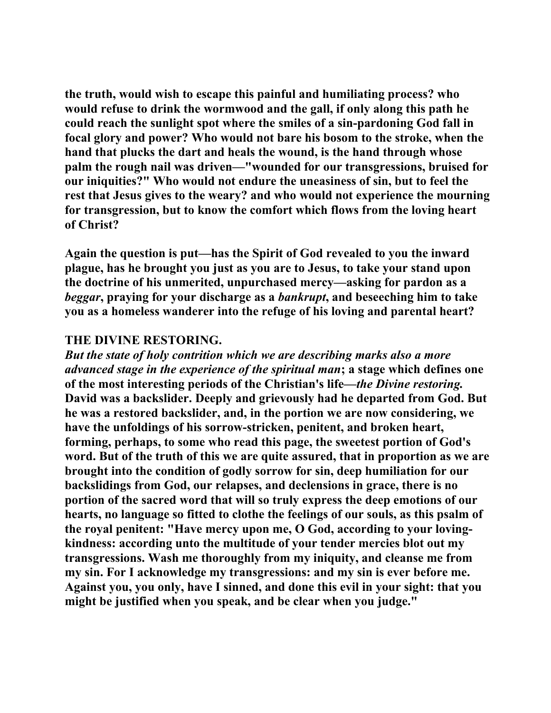**the truth, would wish to escape this painful and humiliating process? who would refuse to drink the wormwood and the gall, if only along this path he could reach the sunlight spot where the smiles of a sin-pardoning God fall in focal glory and power? Who would not bare his bosom to the stroke, when the hand that plucks the dart and heals the wound, is the hand through whose palm the rough nail was driven—"wounded for our transgressions, bruised for our iniquities?" Who would not endure the uneasiness of sin, but to feel the rest that Jesus gives to the weary? and who would not experience the mourning for transgression, but to know the comfort which flows from the loving heart of Christ?** 

**Again the question is put—has the Spirit of God revealed to you the inward plague, has he brought you just as you are to Jesus, to take your stand upon the doctrine of his unmerited, unpurchased mercy—asking for pardon as a**  *beggar***, praying for your discharge as a** *bankrupt***, and beseeching him to take you as a homeless wanderer into the refuge of his loving and parental heart?** 

#### **THE DIVINE RESTORING.**

*But the state of holy contrition which we are describing marks also a more advanced stage in the experience of the spiritual man***; a stage which defines one of the most interesting periods of the Christian's life—***the Divine restoring.* **David was a backslider. Deeply and grievously had he departed from God. But he was a restored backslider, and, in the portion we are now considering, we have the unfoldings of his sorrow-stricken, penitent, and broken heart, forming, perhaps, to some who read this page, the sweetest portion of God's word. But of the truth of this we are quite assured, that in proportion as we are brought into the condition of godly sorrow for sin, deep humiliation for our backslidings from God, our relapses, and declensions in grace, there is no portion of the sacred word that will so truly express the deep emotions of our hearts, no language so fitted to clothe the feelings of our souls, as this psalm of the royal penitent: "Have mercy upon me, O God, according to your lovingkindness: according unto the multitude of your tender mercies blot out my transgressions. Wash me thoroughly from my iniquity, and cleanse me from my sin. For I acknowledge my transgressions: and my sin is ever before me. Against you, you only, have I sinned, and done this evil in your sight: that you might be justified when you speak, and be clear when you judge."**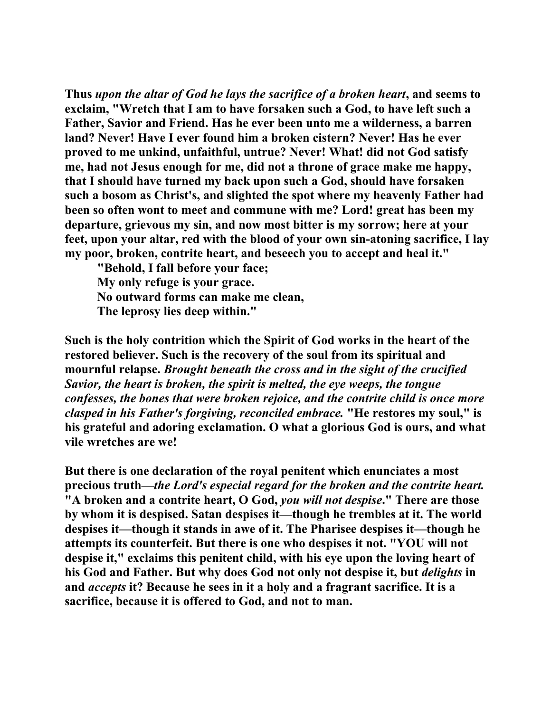**Thus** *upon the altar of God he lays the sacrifice of a broken heart***, and seems to exclaim, "Wretch that I am to have forsaken such a God, to have left such a Father, Savior and Friend. Has he ever been unto me a wilderness, a barren land? Never! Have I ever found him a broken cistern? Never! Has he ever proved to me unkind, unfaithful, untrue? Never! What! did not God satisfy me, had not Jesus enough for me, did not a throne of grace make me happy, that I should have turned my back upon such a God, should have forsaken such a bosom as Christ's, and slighted the spot where my heavenly Father had been so often wont to meet and commune with me? Lord! great has been my departure, grievous my sin, and now most bitter is my sorrow; here at your feet, upon your altar, red with the blood of your own sin-atoning sacrifice, I lay my poor, broken, contrite heart, and beseech you to accept and heal it."** 

 **"Behold, I fall before your face; My only refuge is your grace. No outward forms can make me clean, The leprosy lies deep within."** 

**Such is the holy contrition which the Spirit of God works in the heart of the restored believer. Such is the recovery of the soul from its spiritual and mournful relapse.** *Brought beneath the cross and in the sight of the crucified Savior, the heart is broken, the spirit is melted, the eye weeps, the tongue confesses, the bones that were broken rejoice, and the contrite child is once more clasped in his Father's forgiving, reconciled embrace.* **"He restores my soul," is his grateful and adoring exclamation. O what a glorious God is ours, and what vile wretches are we!** 

**But there is one declaration of the royal penitent which enunciates a most precious truth—***the Lord's especial regard for the broken and the contrite heart.*  **"A broken and a contrite heart, O God,** *you will not despise***." There are those by whom it is despised. Satan despises it—though he trembles at it. The world despises it—though it stands in awe of it. The Pharisee despises it—though he attempts its counterfeit. But there is one who despises it not. "YOU will not despise it," exclaims this penitent child, with his eye upon the loving heart of his God and Father. But why does God not only not despise it, but** *delights* **in and** *accepts* **it? Because he sees in it a holy and a fragrant sacrifice. It is a sacrifice, because it is offered to God, and not to man.**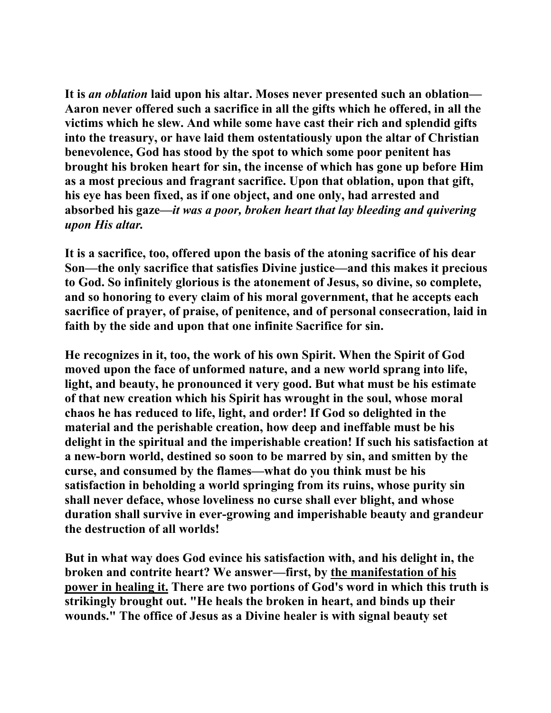**It is** *an oblation* **laid upon his altar. Moses never presented such an oblation— Aaron never offered such a sacrifice in all the gifts which he offered, in all the victims which he slew. And while some have cast their rich and splendid gifts into the treasury, or have laid them ostentatiously upon the altar of Christian benevolence, God has stood by the spot to which some poor penitent has brought his broken heart for sin, the incense of which has gone up before Him as a most precious and fragrant sacrifice. Upon that oblation, upon that gift, his eye has been fixed, as if one object, and one only, had arrested and absorbed his gaze—***it was a poor, broken heart that lay bleeding and quivering upon His altar.*

**It is a sacrifice, too, offered upon the basis of the atoning sacrifice of his dear Son—the only sacrifice that satisfies Divine justice—and this makes it precious to God. So infinitely glorious is the atonement of Jesus, so divine, so complete, and so honoring to every claim of his moral government, that he accepts each sacrifice of prayer, of praise, of penitence, and of personal consecration, laid in faith by the side and upon that one infinite Sacrifice for sin.** 

**He recognizes in it, too, the work of his own Spirit. When the Spirit of God moved upon the face of unformed nature, and a new world sprang into life, light, and beauty, he pronounced it very good. But what must be his estimate of that new creation which his Spirit has wrought in the soul, whose moral chaos he has reduced to life, light, and order! If God so delighted in the material and the perishable creation, how deep and ineffable must be his delight in the spiritual and the imperishable creation! If such his satisfaction at a new-born world, destined so soon to be marred by sin, and smitten by the curse, and consumed by the flames—what do you think must be his satisfaction in beholding a world springing from its ruins, whose purity sin shall never deface, whose loveliness no curse shall ever blight, and whose duration shall survive in ever-growing and imperishable beauty and grandeur the destruction of all worlds!** 

**But in what way does God evince his satisfaction with, and his delight in, the broken and contrite heart? We answer—first, by the manifestation of his power in healing it. There are two portions of God's word in which this truth is strikingly brought out. "He heals the broken in heart, and binds up their wounds." The office of Jesus as a Divine healer is with signal beauty set**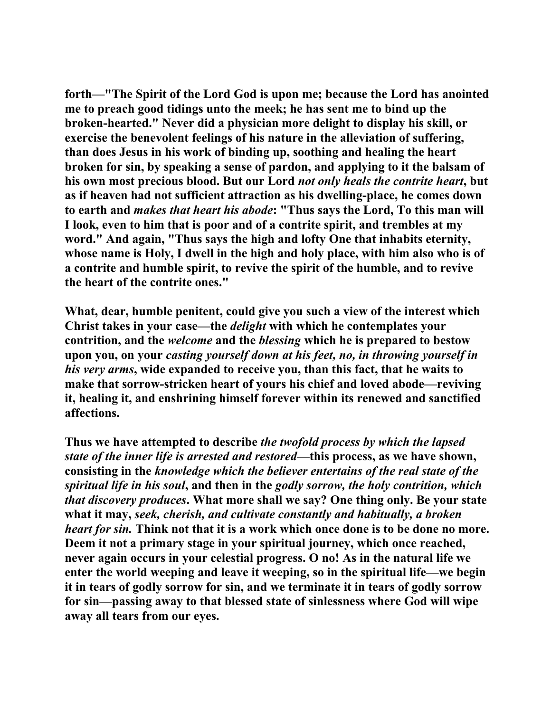**forth—"The Spirit of the Lord God is upon me; because the Lord has anointed me to preach good tidings unto the meek; he has sent me to bind up the broken-hearted." Never did a physician more delight to display his skill, or exercise the benevolent feelings of his nature in the alleviation of suffering, than does Jesus in his work of binding up, soothing and healing the heart broken for sin, by speaking a sense of pardon, and applying to it the balsam of his own most precious blood. But our Lord** *not only heals the contrite heart***, but as if heaven had not sufficient attraction as his dwelling-place, he comes down to earth and** *makes that heart his abode***: "Thus says the Lord, To this man will I look, even to him that is poor and of a contrite spirit, and trembles at my word." And again, "Thus says the high and lofty One that inhabits eternity, whose name is Holy, I dwell in the high and holy place, with him also who is of a contrite and humble spirit, to revive the spirit of the humble, and to revive the heart of the contrite ones."** 

**What, dear, humble penitent, could give you such a view of the interest which Christ takes in your case—the** *delight* **with which he contemplates your contrition, and the** *welcome* **and the** *blessing* **which he is prepared to bestow upon you, on your** *casting yourself down at his feet, no, in throwing yourself in his very arms***, wide expanded to receive you, than this fact, that he waits to make that sorrow-stricken heart of yours his chief and loved abode—reviving it, healing it, and enshrining himself forever within its renewed and sanctified affections.** 

**Thus we have attempted to describe** *the twofold process by which the lapsed state of the inner life is arrested and restored***—this process, as we have shown, consisting in the** *knowledge which the believer entertains of the real state of the spiritual life in his soul***, and then in the** *godly sorrow, the holy contrition, which that discovery produces***. What more shall we say? One thing only. Be your state what it may,** *seek, cherish, and cultivate constantly and habitually, a broken heart for sin.* **Think not that it is a work which once done is to be done no more. Deem it not a primary stage in your spiritual journey, which once reached, never again occurs in your celestial progress. O no! As in the natural life we enter the world weeping and leave it weeping, so in the spiritual life—we begin it in tears of godly sorrow for sin, and we terminate it in tears of godly sorrow for sin—passing away to that blessed state of sinlessness where God will wipe away all tears from our eyes.**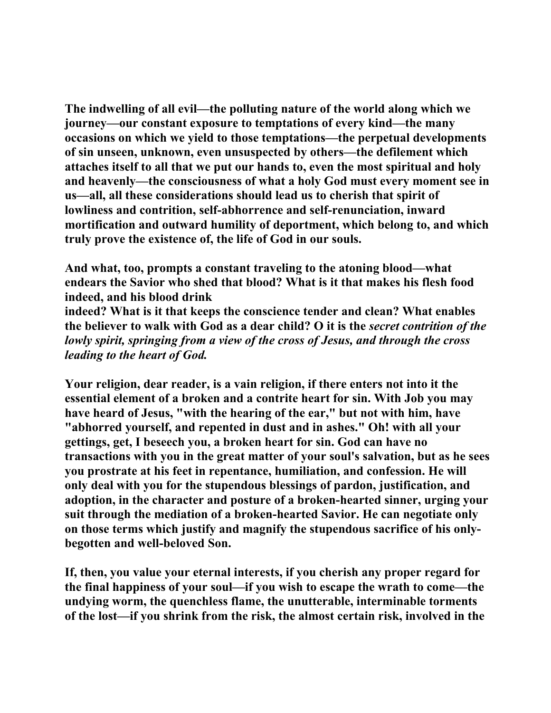**The indwelling of all evil—the polluting nature of the world along which we journey—our constant exposure to temptations of every kind—the many occasions on which we yield to those temptations—the perpetual developments of sin unseen, unknown, even unsuspected by others—the defilement which attaches itself to all that we put our hands to, even the most spiritual and holy and heavenly—the consciousness of what a holy God must every moment see in us—all, all these considerations should lead us to cherish that spirit of lowliness and contrition, self-abhorrence and self-renunciation, inward mortification and outward humility of deportment, which belong to, and which truly prove the existence of, the life of God in our souls.** 

**And what, too, prompts a constant traveling to the atoning blood—what endears the Savior who shed that blood? What is it that makes his flesh food indeed, and his blood drink** 

**indeed? What is it that keeps the conscience tender and clean? What enables the believer to walk with God as a dear child? O it is the** *secret contrition of the lowly spirit, springing from a view of the cross of Jesus, and through the cross leading to the heart of God.*

**Your religion, dear reader, is a vain religion, if there enters not into it the essential element of a broken and a contrite heart for sin. With Job you may have heard of Jesus, "with the hearing of the ear," but not with him, have "abhorred yourself, and repented in dust and in ashes." Oh! with all your gettings, get, I beseech you, a broken heart for sin. God can have no transactions with you in the great matter of your soul's salvation, but as he sees you prostrate at his feet in repentance, humiliation, and confession. He will only deal with you for the stupendous blessings of pardon, justification, and adoption, in the character and posture of a broken-hearted sinner, urging your suit through the mediation of a broken-hearted Savior. He can negotiate only on those terms which justify and magnify the stupendous sacrifice of his onlybegotten and well-beloved Son.** 

**If, then, you value your eternal interests, if you cherish any proper regard for the final happiness of your soul—if you wish to escape the wrath to come—the undying worm, the quenchless flame, the unutterable, interminable torments of the lost—if you shrink from the risk, the almost certain risk, involved in the**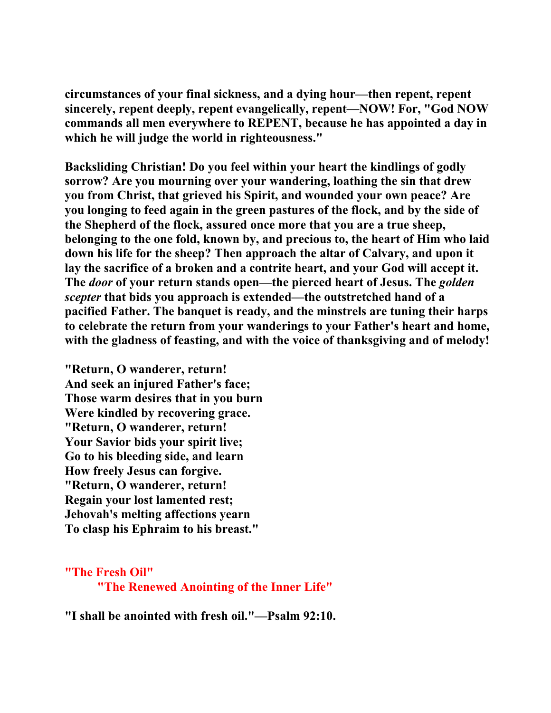**circumstances of your final sickness, and a dying hour—then repent, repent sincerely, repent deeply, repent evangelically, repent—NOW! For, "God NOW commands all men everywhere to REPENT, because he has appointed a day in which he will judge the world in righteousness."** 

**Backsliding Christian! Do you feel within your heart the kindlings of godly sorrow? Are you mourning over your wandering, loathing the sin that drew you from Christ, that grieved his Spirit, and wounded your own peace? Are you longing to feed again in the green pastures of the flock, and by the side of the Shepherd of the flock, assured once more that you are a true sheep, belonging to the one fold, known by, and precious to, the heart of Him who laid down his life for the sheep? Then approach the altar of Calvary, and upon it lay the sacrifice of a broken and a contrite heart, and your God will accept it. The** *door* **of your return stands open—the pierced heart of Jesus. The** *golden scepter* **that bids you approach is extended—the outstretched hand of a pacified Father. The banquet is ready, and the minstrels are tuning their harps to celebrate the return from your wanderings to your Father's heart and home, with the gladness of feasting, and with the voice of thanksgiving and of melody!** 

**"Return, O wanderer, return! And seek an injured Father's face; Those warm desires that in you burn Were kindled by recovering grace. "Return, O wanderer, return! Your Savior bids your spirit live; Go to his bleeding side, and learn How freely Jesus can forgive. "Return, O wanderer, return! Regain your lost lamented rest; Jehovah's melting affections yearn To clasp his Ephraim to his breast."** 

**"The Fresh Oil"** 

 **"The Renewed Anointing of the Inner Life"**

**"I shall be anointed with fresh oil."—Psalm 92:10.**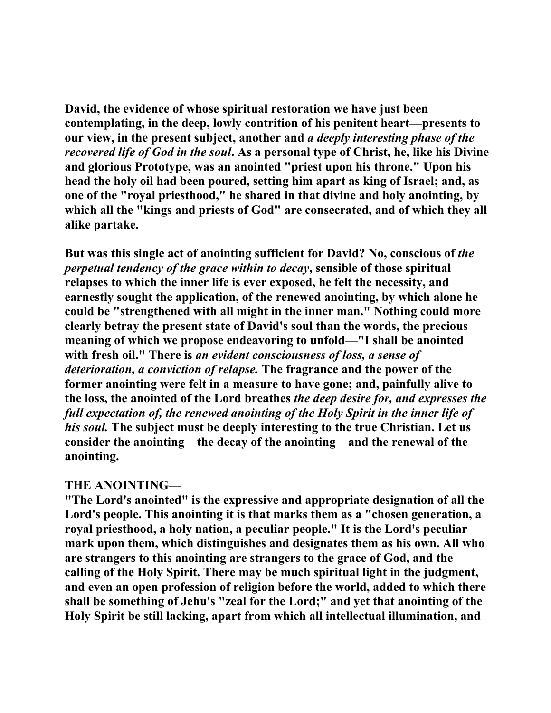**David, the evidence of whose spiritual restoration we have just been contemplating, in the deep, lowly contrition of his penitent heart—presents to our view, in the present subject, another and** *a deeply interesting phase of the recovered life of God in the soul***. As a personal type of Christ, he, like his Divine and glorious Prototype, was an anointed "priest upon his throne." Upon his head the holy oil had been poured, setting him apart as king of Israel; and, as one of the "royal priesthood," he shared in that divine and holy anointing, by which all the "kings and priests of God" are consecrated, and of which they all alike partake.** 

But was this single act of anointing sufficient for David? No, conscious of *the perpetual tendency of the grace within to decay***, sensible of those spiritual relapses to which the inner life is ever exposed, he felt the necessity, and earnestly sought the application, of the renewed anointing, by which alone he could be "strengthened with all might in the inner man." Nothing could more clearly betray the present state of David's soul than the words, the precious meaning of which we propose endeavoring to unfold—"I shall be anointed with fresh oil." There is** *an evident consciousness of loss, a sense of deterioration, a conviction of relapse.* **The fragrance and the power of the former anointing were felt in a measure to have gone; and, painfully alive to the loss, the anointed of the Lord breathes** *the deep desire for, and expresses the full expectation of, the renewed anointing of the Holy Spirit in the inner life of his soul.* **The subject must be deeply interesting to the true Christian. Let us consider the anointing—the decay of the anointing—and the renewal of the anointing.** 

#### **THE ANOINTING—**

**"The Lord's anointed" is the expressive and appropriate designation of all the Lord's people. This anointing it is that marks them as a "chosen generation, a royal priesthood, a holy nation, a peculiar people." It is the Lord's peculiar mark upon them, which distinguishes and designates them as his own. All who are strangers to this anointing are strangers to the grace of God, and the calling of the Holy Spirit. There may be much spiritual light in the judgment, and even an open profession of religion before the world, added to which there shall be something of Jehu's "zeal for the Lord;" and yet that anointing of the Holy Spirit be still lacking, apart from which all intellectual illumination, and**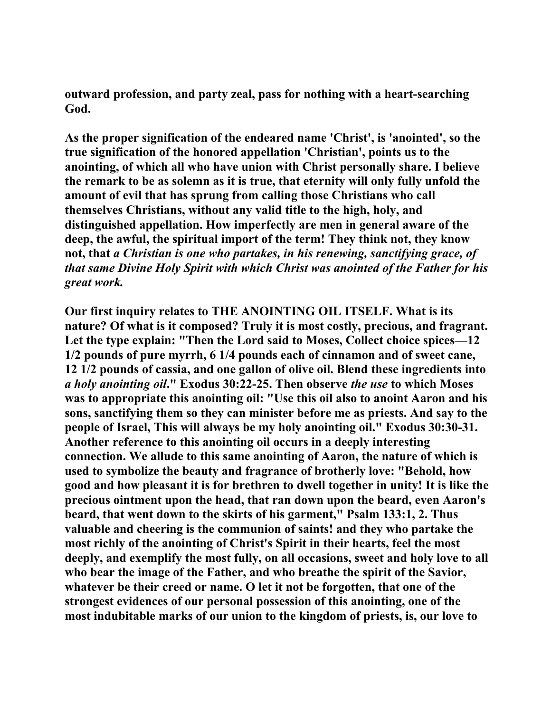**outward profession, and party zeal, pass for nothing with a heart-searching God.** 

**As the proper signification of the endeared name 'Christ', is 'anointed', so the true signification of the honored appellation 'Christian', points us to the anointing, of which all who have union with Christ personally share. I believe the remark to be as solemn as it is true, that eternity will only fully unfold the amount of evil that has sprung from calling those Christians who call themselves Christians, without any valid title to the high, holy, and distinguished appellation. How imperfectly are men in general aware of the deep, the awful, the spiritual import of the term! They think not, they know not, that** *a Christian is one who partakes, in his renewing, sanctifying grace, of that same Divine Holy Spirit with which Christ was anointed of the Father for his great work.*

**Our first inquiry relates to THE ANOINTING OIL ITSELF. What is its nature? Of what is it composed? Truly it is most costly, precious, and fragrant. Let the type explain: "Then the Lord said to Moses, Collect choice spices—12 1/2 pounds of pure myrrh, 6 1/4 pounds each of cinnamon and of sweet cane, 12 1/2 pounds of cassia, and one gallon of olive oil. Blend these ingredients into**  *a holy anointing oil***." Exodus 30:22-25. Then observe** *the use* **to which Moses was to appropriate this anointing oil: "Use this oil also to anoint Aaron and his sons, sanctifying them so they can minister before me as priests. And say to the people of Israel, This will always be my holy anointing oil." Exodus 30:30-31. Another reference to this anointing oil occurs in a deeply interesting connection. We allude to this same anointing of Aaron, the nature of which is used to symbolize the beauty and fragrance of brotherly love: "Behold, how good and how pleasant it is for brethren to dwell together in unity! It is like the precious ointment upon the head, that ran down upon the beard, even Aaron's beard, that went down to the skirts of his garment," Psalm 133:1, 2. Thus valuable and cheering is the communion of saints! and they who partake the most richly of the anointing of Christ's Spirit in their hearts, feel the most deeply, and exemplify the most fully, on all occasions, sweet and holy love to all who bear the image of the Father, and who breathe the spirit of the Savior, whatever be their creed or name. O let it not be forgotten, that one of the strongest evidences of our personal possession of this anointing, one of the most indubitable marks of our union to the kingdom of priests, is, our love to**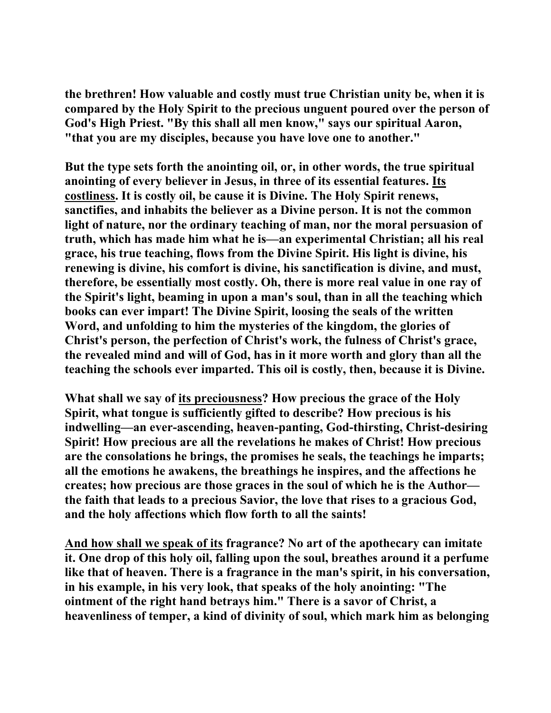**the brethren! How valuable and costly must true Christian unity be, when it is compared by the Holy Spirit to the precious unguent poured over the person of God's High Priest. "By this shall all men know," says our spiritual Aaron, "that you are my disciples, because you have love one to another."** 

**But the type sets forth the anointing oil, or, in other words, the true spiritual anointing of every believer in Jesus, in three of its essential features. Its costliness. It is costly oil, be cause it is Divine. The Holy Spirit renews, sanctifies, and inhabits the believer as a Divine person. It is not the common light of nature, nor the ordinary teaching of man, nor the moral persuasion of truth, which has made him what he is—an experimental Christian; all his real grace, his true teaching, flows from the Divine Spirit. His light is divine, his renewing is divine, his comfort is divine, his sanctification is divine, and must, therefore, be essentially most costly. Oh, there is more real value in one ray of the Spirit's light, beaming in upon a man's soul, than in all the teaching which books can ever impart! The Divine Spirit, loosing the seals of the written Word, and unfolding to him the mysteries of the kingdom, the glories of Christ's person, the perfection of Christ's work, the fulness of Christ's grace, the revealed mind and will of God, has in it more worth and glory than all the teaching the schools ever imparted. This oil is costly, then, because it is Divine.** 

**What shall we say of its preciousness? How precious the grace of the Holy Spirit, what tongue is sufficiently gifted to describe? How precious is his indwelling—an ever-ascending, heaven-panting, God-thirsting, Christ-desiring Spirit! How precious are all the revelations he makes of Christ! How precious are the consolations he brings, the promises he seals, the teachings he imparts; all the emotions he awakens, the breathings he inspires, and the affections he creates; how precious are those graces in the soul of which he is the Author the faith that leads to a precious Savior, the love that rises to a gracious God, and the holy affections which flow forth to all the saints!** 

**And how shall we speak of its fragrance? No art of the apothecary can imitate it. One drop of this holy oil, falling upon the soul, breathes around it a perfume like that of heaven. There is a fragrance in the man's spirit, in his conversation, in his example, in his very look, that speaks of the holy anointing: "The ointment of the right hand betrays him." There is a savor of Christ, a heavenliness of temper, a kind of divinity of soul, which mark him as belonging**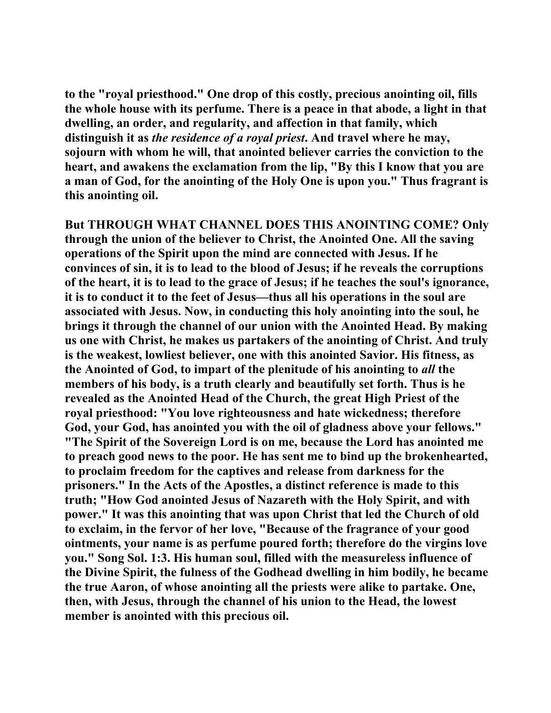**to the "royal priesthood." One drop of this costly, precious anointing oil, fills the whole house with its perfume. There is a peace in that abode, a light in that dwelling, an order, and regularity, and affection in that family, which distinguish it as** *the residence of a royal priest***. And travel where he may, sojourn with whom he will, that anointed believer carries the conviction to the heart, and awakens the exclamation from the lip, "By this I know that you are a man of God, for the anointing of the Holy One is upon you." Thus fragrant is this anointing oil.** 

**But THROUGH WHAT CHANNEL DOES THIS ANOINTING COME? Only through the union of the believer to Christ, the Anointed One. All the saving operations of the Spirit upon the mind are connected with Jesus. If he convinces of sin, it is to lead to the blood of Jesus; if he reveals the corruptions of the heart, it is to lead to the grace of Jesus; if he teaches the soul's ignorance, it is to conduct it to the feet of Jesus—thus all his operations in the soul are associated with Jesus. Now, in conducting this holy anointing into the soul, he brings it through the channel of our union with the Anointed Head. By making us one with Christ, he makes us partakers of the anointing of Christ. And truly is the weakest, lowliest believer, one with this anointed Savior. His fitness, as the Anointed of God, to impart of the plenitude of his anointing to** *all* **the members of his body, is a truth clearly and beautifully set forth. Thus is he revealed as the Anointed Head of the Church, the great High Priest of the royal priesthood: "You love righteousness and hate wickedness; therefore God, your God, has anointed you with the oil of gladness above your fellows." "The Spirit of the Sovereign Lord is on me, because the Lord has anointed me to preach good news to the poor. He has sent me to bind up the brokenhearted, to proclaim freedom for the captives and release from darkness for the prisoners." In the Acts of the Apostles, a distinct reference is made to this truth; "How God anointed Jesus of Nazareth with the Holy Spirit, and with power." It was this anointing that was upon Christ that led the Church of old to exclaim, in the fervor of her love, "Because of the fragrance of your good ointments, your name is as perfume poured forth; therefore do the virgins love you." Song Sol. 1:3. His human soul, filled with the measureless influence of the Divine Spirit, the fulness of the Godhead dwelling in him bodily, he became the true Aaron, of whose anointing all the priests were alike to partake. One, then, with Jesus, through the channel of his union to the Head, the lowest member is anointed with this precious oil.**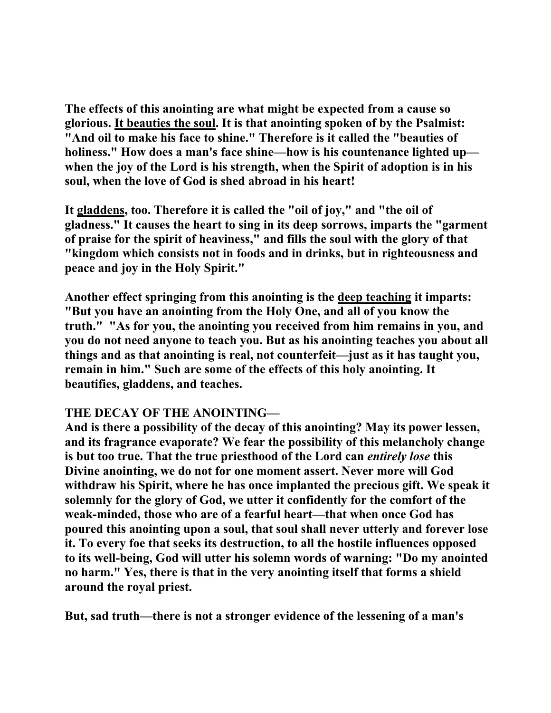**The effects of this anointing are what might be expected from a cause so glorious. It beauties the soul. It is that anointing spoken of by the Psalmist: "And oil to make his face to shine." Therefore is it called the "beauties of holiness." How does a man's face shine—how is his countenance lighted up when the joy of the Lord is his strength, when the Spirit of adoption is in his soul, when the love of God is shed abroad in his heart!** 

**It gladdens, too. Therefore it is called the "oil of joy," and "the oil of gladness." It causes the heart to sing in its deep sorrows, imparts the "garment of praise for the spirit of heaviness," and fills the soul with the glory of that "kingdom which consists not in foods and in drinks, but in righteousness and peace and joy in the Holy Spirit."** 

**Another effect springing from this anointing is the deep teaching it imparts: "But you have an anointing from the Holy One, and all of you know the truth." "As for you, the anointing you received from him remains in you, and you do not need anyone to teach you. But as his anointing teaches you about all things and as that anointing is real, not counterfeit—just as it has taught you, remain in him." Such are some of the effects of this holy anointing. It beautifies, gladdens, and teaches.** 

# **THE DECAY OF THE ANOINTING—**

**And is there a possibility of the decay of this anointing? May its power lessen, and its fragrance evaporate? We fear the possibility of this melancholy change is but too true. That the true priesthood of the Lord can** *entirely lose* **this Divine anointing, we do not for one moment assert. Never more will God withdraw his Spirit, where he has once implanted the precious gift. We speak it solemnly for the glory of God, we utter it confidently for the comfort of the weak-minded, those who are of a fearful heart—that when once God has poured this anointing upon a soul, that soul shall never utterly and forever lose it. To every foe that seeks its destruction, to all the hostile influences opposed to its well-being, God will utter his solemn words of warning: "Do my anointed no harm." Yes, there is that in the very anointing itself that forms a shield around the royal priest.** 

**But, sad truth—there is not a stronger evidence of the lessening of a man's**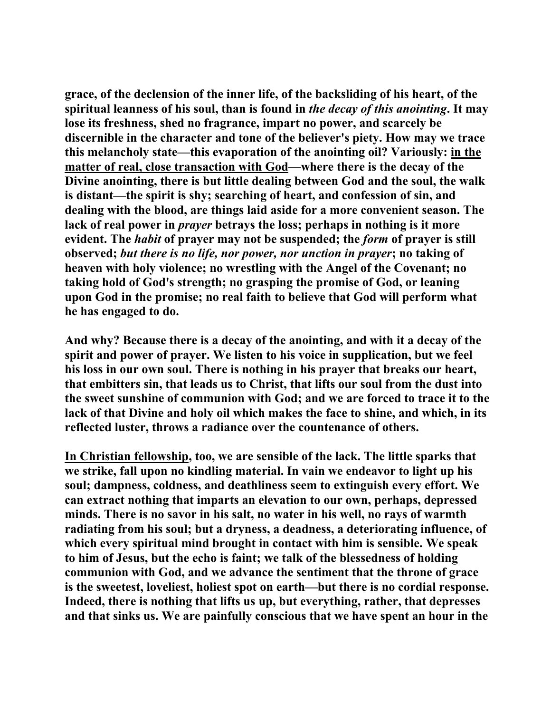**grace, of the declension of the inner life, of the backsliding of his heart, of the spiritual leanness of his soul, than is found in** *the decay of this anointing***. It may lose its freshness, shed no fragrance, impart no power, and scarcely be discernible in the character and tone of the believer's piety. How may we trace this melancholy state—this evaporation of the anointing oil? Variously: in the matter of real, close transaction with God—where there is the decay of the Divine anointing, there is but little dealing between God and the soul, the walk is distant—the spirit is shy; searching of heart, and confession of sin, and dealing with the blood, are things laid aside for a more convenient season. The lack of real power in** *prayer* **betrays the loss; perhaps in nothing is it more evident. The** *habit* **of prayer may not be suspended; the** *form* **of prayer is still observed;** *but there is no life, nor power, nor unction in prayer***; no taking of heaven with holy violence; no wrestling with the Angel of the Covenant; no taking hold of God's strength; no grasping the promise of God, or leaning upon God in the promise; no real faith to believe that God will perform what he has engaged to do.** 

**And why? Because there is a decay of the anointing, and with it a decay of the spirit and power of prayer. We listen to his voice in supplication, but we feel his loss in our own soul. There is nothing in his prayer that breaks our heart, that embitters sin, that leads us to Christ, that lifts our soul from the dust into the sweet sunshine of communion with God; and we are forced to trace it to the lack of that Divine and holy oil which makes the face to shine, and which, in its reflected luster, throws a radiance over the countenance of others.** 

**In Christian fellowship, too, we are sensible of the lack. The little sparks that we strike, fall upon no kindling material. In vain we endeavor to light up his soul; dampness, coldness, and deathliness seem to extinguish every effort. We can extract nothing that imparts an elevation to our own, perhaps, depressed minds. There is no savor in his salt, no water in his well, no rays of warmth radiating from his soul; but a dryness, a deadness, a deteriorating influence, of which every spiritual mind brought in contact with him is sensible. We speak to him of Jesus, but the echo is faint; we talk of the blessedness of holding communion with God, and we advance the sentiment that the throne of grace is the sweetest, loveliest, holiest spot on earth—but there is no cordial response. Indeed, there is nothing that lifts us up, but everything, rather, that depresses and that sinks us. We are painfully conscious that we have spent an hour in the**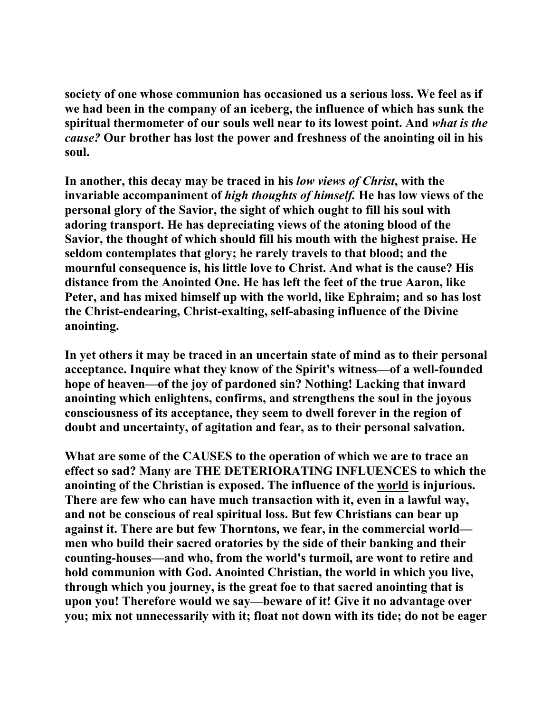**society of one whose communion has occasioned us a serious loss. We feel as if we had been in the company of an iceberg, the influence of which has sunk the spiritual thermometer of our souls well near to its lowest point. And** *what is the cause?* **Our brother has lost the power and freshness of the anointing oil in his soul.** 

**In another, this decay may be traced in his** *low views of Christ***, with the invariable accompaniment of** *high thoughts of himself.* **He has low views of the personal glory of the Savior, the sight of which ought to fill his soul with adoring transport. He has depreciating views of the atoning blood of the Savior, the thought of which should fill his mouth with the highest praise. He seldom contemplates that glory; he rarely travels to that blood; and the mournful consequence is, his little love to Christ. And what is the cause? His distance from the Anointed One. He has left the feet of the true Aaron, like Peter, and has mixed himself up with the world, like Ephraim; and so has lost the Christ-endearing, Christ-exalting, self-abasing influence of the Divine anointing.** 

**In yet others it may be traced in an uncertain state of mind as to their personal acceptance. Inquire what they know of the Spirit's witness—of a well-founded hope of heaven—of the joy of pardoned sin? Nothing! Lacking that inward anointing which enlightens, confirms, and strengthens the soul in the joyous consciousness of its acceptance, they seem to dwell forever in the region of doubt and uncertainty, of agitation and fear, as to their personal salvation.** 

**What are some of the CAUSES to the operation of which we are to trace an effect so sad? Many are THE DETERIORATING INFLUENCES to which the anointing of the Christian is exposed. The influence of the world is injurious. There are few who can have much transaction with it, even in a lawful way, and not be conscious of real spiritual loss. But few Christians can bear up against it. There are but few Thorntons, we fear, in the commercial world men who build their sacred oratories by the side of their banking and their counting-houses—and who, from the world's turmoil, are wont to retire and hold communion with God. Anointed Christian, the world in which you live, through which you journey, is the great foe to that sacred anointing that is upon you! Therefore would we say—beware of it! Give it no advantage over you; mix not unnecessarily with it; float not down with its tide; do not be eager**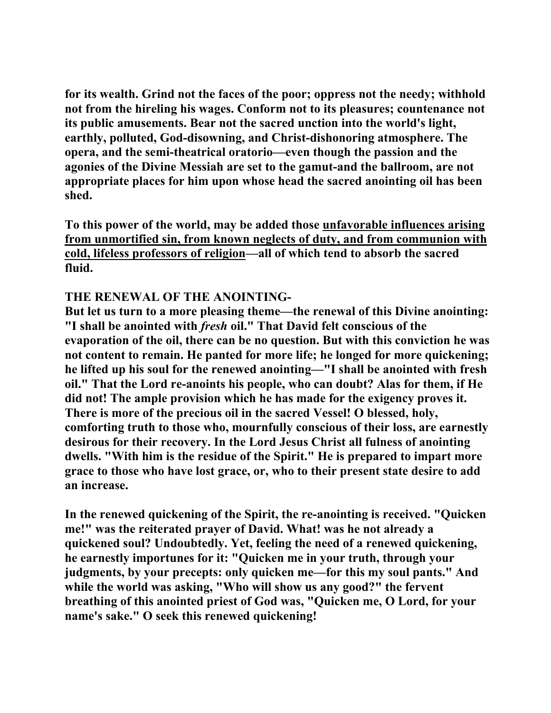**for its wealth. Grind not the faces of the poor; oppress not the needy; withhold not from the hireling his wages. Conform not to its pleasures; countenance not its public amusements. Bear not the sacred unction into the world's light, earthly, polluted, God-disowning, and Christ-dishonoring atmosphere. The opera, and the semi-theatrical oratorio—even though the passion and the agonies of the Divine Messiah are set to the gamut-and the ballroom, are not appropriate places for him upon whose head the sacred anointing oil has been shed.** 

**To this power of the world, may be added those unfavorable influences arising**  from unmortified sin, from known neglects of duty, and from communion with **cold, lifeless professors of religion—all of which tend to absorb the sacred fluid.** 

### **THE RENEWAL OF THE ANOINTING-**

**But let us turn to a more pleasing theme—the renewal of this Divine anointing: "I shall be anointed with** *fresh* **oil." That David felt conscious of the evaporation of the oil, there can be no question. But with this conviction he was not content to remain. He panted for more life; he longed for more quickening; he lifted up his soul for the renewed anointing—"I shall be anointed with fresh oil." That the Lord re-anoints his people, who can doubt? Alas for them, if He did not! The ample provision which he has made for the exigency proves it. There is more of the precious oil in the sacred Vessel! O blessed, holy, comforting truth to those who, mournfully conscious of their loss, are earnestly desirous for their recovery. In the Lord Jesus Christ all fulness of anointing dwells. "With him is the residue of the Spirit." He is prepared to impart more grace to those who have lost grace, or, who to their present state desire to add an increase.** 

**In the renewed quickening of the Spirit, the re-anointing is received. "Quicken me!" was the reiterated prayer of David. What! was he not already a quickened soul? Undoubtedly. Yet, feeling the need of a renewed quickening, he earnestly importunes for it: "Quicken me in your truth, through your judgments, by your precepts: only quicken me—for this my soul pants." And while the world was asking, "Who will show us any good?" the fervent breathing of this anointed priest of God was, "Quicken me, O Lord, for your name's sake." O seek this renewed quickening!**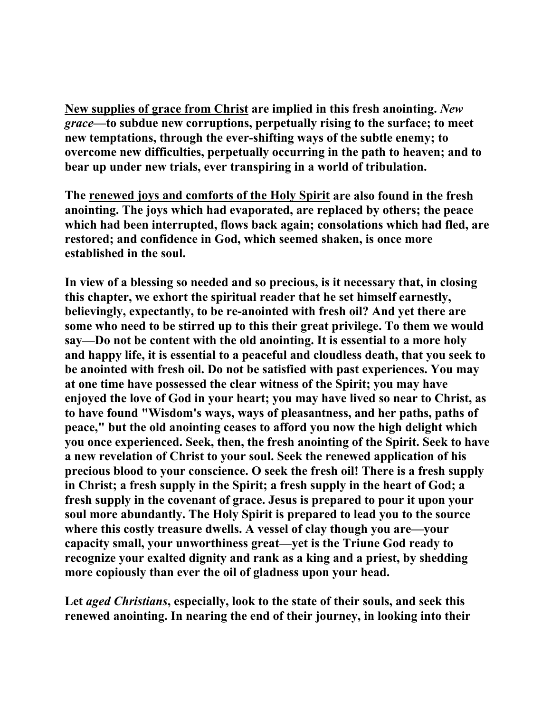**New supplies of grace from Christ are implied in this fresh anointing.** *New grace***—to subdue new corruptions, perpetually rising to the surface; to meet new temptations, through the ever-shifting ways of the subtle enemy; to overcome new difficulties, perpetually occurring in the path to heaven; and to bear up under new trials, ever transpiring in a world of tribulation.** 

**The renewed joys and comforts of the Holy Spirit are also found in the fresh anointing. The joys which had evaporated, are replaced by others; the peace which had been interrupted, flows back again; consolations which had fled, are restored; and confidence in God, which seemed shaken, is once more established in the soul.** 

**In view of a blessing so needed and so precious, is it necessary that, in closing this chapter, we exhort the spiritual reader that he set himself earnestly, believingly, expectantly, to be re-anointed with fresh oil? And yet there are some who need to be stirred up to this their great privilege. To them we would say—Do not be content with the old anointing. It is essential to a more holy and happy life, it is essential to a peaceful and cloudless death, that you seek to be anointed with fresh oil. Do not be satisfied with past experiences. You may at one time have possessed the clear witness of the Spirit; you may have enjoyed the love of God in your heart; you may have lived so near to Christ, as to have found "Wisdom's ways, ways of pleasantness, and her paths, paths of peace," but the old anointing ceases to afford you now the high delight which you once experienced. Seek, then, the fresh anointing of the Spirit. Seek to have a new revelation of Christ to your soul. Seek the renewed application of his precious blood to your conscience. O seek the fresh oil! There is a fresh supply in Christ; a fresh supply in the Spirit; a fresh supply in the heart of God; a fresh supply in the covenant of grace. Jesus is prepared to pour it upon your soul more abundantly. The Holy Spirit is prepared to lead you to the source where this costly treasure dwells. A vessel of clay though you are—your capacity small, your unworthiness great—yet is the Triune God ready to recognize your exalted dignity and rank as a king and a priest, by shedding more copiously than ever the oil of gladness upon your head.** 

**Let** *aged Christians***, especially, look to the state of their souls, and seek this renewed anointing. In nearing the end of their journey, in looking into their**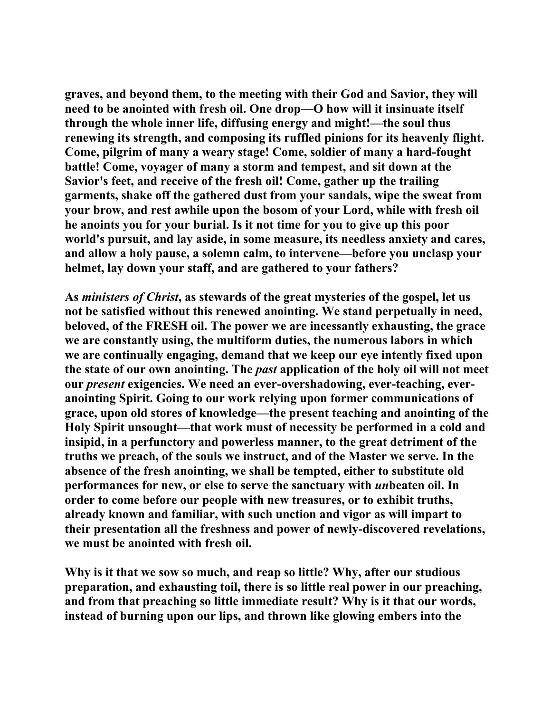**graves, and beyond them, to the meeting with their God and Savior, they will need to be anointed with fresh oil. One drop—O how will it insinuate itself through the whole inner life, diffusing energy and might!—the soul thus renewing its strength, and composing its ruffled pinions for its heavenly flight. Come, pilgrim of many a weary stage! Come, soldier of many a hard-fought battle! Come, voyager of many a storm and tempest, and sit down at the Savior's feet, and receive of the fresh oil! Come, gather up the trailing garments, shake off the gathered dust from your sandals, wipe the sweat from your brow, and rest awhile upon the bosom of your Lord, while with fresh oil he anoints you for your burial. Is it not time for you to give up this poor world's pursuit, and lay aside, in some measure, its needless anxiety and cares, and allow a holy pause, a solemn calm, to intervene—before you unclasp your helmet, lay down your staff, and are gathered to your fathers?** 

**As** *ministers of Christ***, as stewards of the great mysteries of the gospel, let us not be satisfied without this renewed anointing. We stand perpetually in need, beloved, of the FRESH oil. The power we are incessantly exhausting, the grace we are constantly using, the multiform duties, the numerous labors in which we are continually engaging, demand that we keep our eye intently fixed upon the state of our own anointing. The** *past* **application of the holy oil will not meet our** *present* **exigencies. We need an ever-overshadowing, ever-teaching, everanointing Spirit. Going to our work relying upon former communications of grace, upon old stores of knowledge—the present teaching and anointing of the Holy Spirit unsought—that work must of necessity be performed in a cold and insipid, in a perfunctory and powerless manner, to the great detriment of the truths we preach, of the souls we instruct, and of the Master we serve. In the absence of the fresh anointing, we shall be tempted, either to substitute old performances for new, or else to serve the sanctuary with** *un***beaten oil. In order to come before our people with new treasures, or to exhibit truths, already known and familiar, with such unction and vigor as will impart to their presentation all the freshness and power of newly-discovered revelations, we must be anointed with fresh oil.** 

**Why is it that we sow so much, and reap so little? Why, after our studious preparation, and exhausting toil, there is so little real power in our preaching, and from that preaching so little immediate result? Why is it that our words, instead of burning upon our lips, and thrown like glowing embers into the**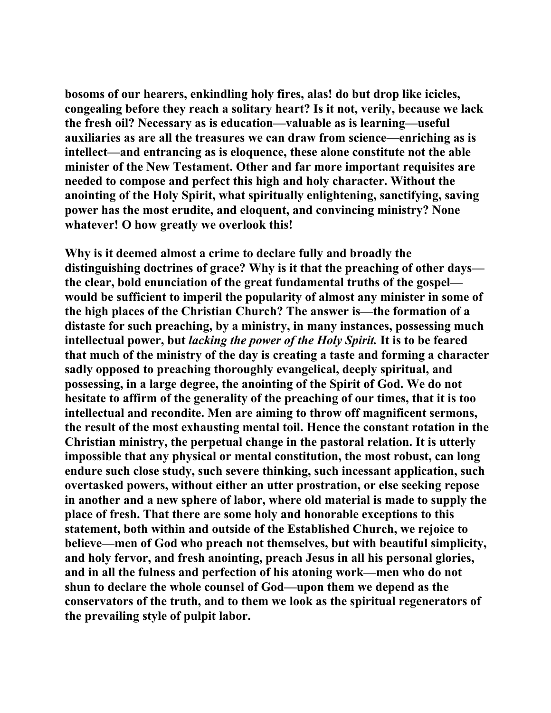**bosoms of our hearers, enkindling holy fires, alas! do but drop like icicles, congealing before they reach a solitary heart? Is it not, verily, because we lack the fresh oil? Necessary as is education—valuable as is learning—useful auxiliaries as are all the treasures we can draw from science—enriching as is intellect—and entrancing as is eloquence, these alone constitute not the able minister of the New Testament. Other and far more important requisites are needed to compose and perfect this high and holy character. Without the anointing of the Holy Spirit, what spiritually enlightening, sanctifying, saving power has the most erudite, and eloquent, and convincing ministry? None whatever! O how greatly we overlook this!** 

**Why is it deemed almost a crime to declare fully and broadly the distinguishing doctrines of grace? Why is it that the preaching of other days the clear, bold enunciation of the great fundamental truths of the gospel would be sufficient to imperil the popularity of almost any minister in some of the high places of the Christian Church? The answer is—the formation of a distaste for such preaching, by a ministry, in many instances, possessing much intellectual power, but** *lacking the power of the Holy Spirit.* **It is to be feared that much of the ministry of the day is creating a taste and forming a character sadly opposed to preaching thoroughly evangelical, deeply spiritual, and possessing, in a large degree, the anointing of the Spirit of God. We do not hesitate to affirm of the generality of the preaching of our times, that it is too intellectual and recondite. Men are aiming to throw off magnificent sermons, the result of the most exhausting mental toil. Hence the constant rotation in the Christian ministry, the perpetual change in the pastoral relation. It is utterly impossible that any physical or mental constitution, the most robust, can long endure such close study, such severe thinking, such incessant application, such overtasked powers, without either an utter prostration, or else seeking repose in another and a new sphere of labor, where old material is made to supply the place of fresh. That there are some holy and honorable exceptions to this statement, both within and outside of the Established Church, we rejoice to believe—men of God who preach not themselves, but with beautiful simplicity, and holy fervor, and fresh anointing, preach Jesus in all his personal glories, and in all the fulness and perfection of his atoning work—men who do not shun to declare the whole counsel of God—upon them we depend as the conservators of the truth, and to them we look as the spiritual regenerators of the prevailing style of pulpit labor.**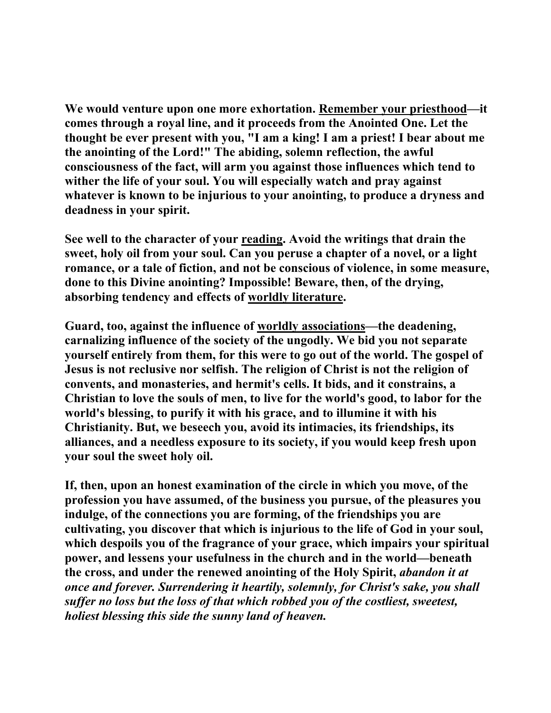**We would venture upon one more exhortation. Remember your priesthood—it comes through a royal line, and it proceeds from the Anointed One. Let the thought be ever present with you, "I am a king! I am a priest! I bear about me the anointing of the Lord!" The abiding, solemn reflection, the awful consciousness of the fact, will arm you against those influences which tend to wither the life of your soul. You will especially watch and pray against whatever is known to be injurious to your anointing, to produce a dryness and deadness in your spirit.** 

See well to the character of your reading. Avoid the writings that drain the **sweet, holy oil from your soul. Can you peruse a chapter of a novel, or a light romance, or a tale of fiction, and not be conscious of violence, in some measure, done to this Divine anointing? Impossible! Beware, then, of the drying, absorbing tendency and effects of worldly literature.** 

**Guard, too, against the influence of worldly associations—the deadening, carnalizing influence of the society of the ungodly. We bid you not separate yourself entirely from them, for this were to go out of the world. The gospel of Jesus is not reclusive nor selfish. The religion of Christ is not the religion of convents, and monasteries, and hermit's cells. It bids, and it constrains, a Christian to love the souls of men, to live for the world's good, to labor for the world's blessing, to purify it with his grace, and to illumine it with his Christianity. But, we beseech you, avoid its intimacies, its friendships, its alliances, and a needless exposure to its society, if you would keep fresh upon your soul the sweet holy oil.** 

**If, then, upon an honest examination of the circle in which you move, of the profession you have assumed, of the business you pursue, of the pleasures you indulge, of the connections you are forming, of the friendships you are cultivating, you discover that which is injurious to the life of God in your soul, which despoils you of the fragrance of your grace, which impairs your spiritual power, and lessens your usefulness in the church and in the world—beneath the cross, and under the renewed anointing of the Holy Spirit,** *abandon it at once and forever. Surrendering it heartily, solemnly, for Christ's sake, you shall suffer no loss but the loss of that which robbed you of the costliest, sweetest, holiest blessing this side the sunny land of heaven.*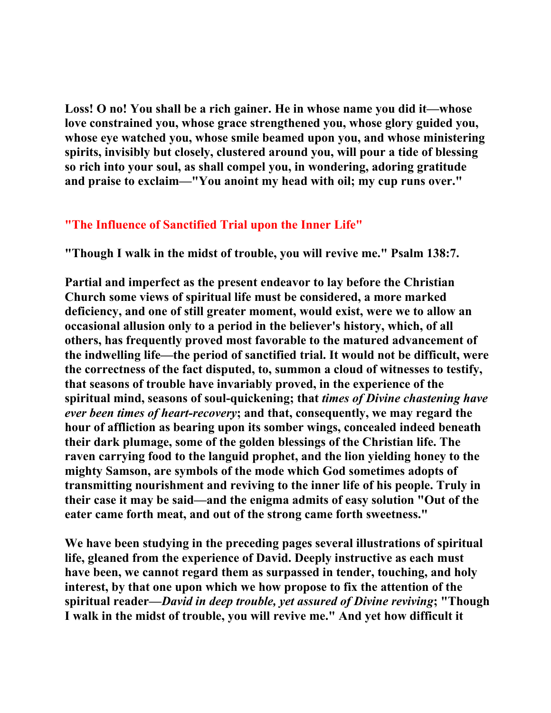**Loss! O no! You shall be a rich gainer. He in whose name you did it—whose love constrained you, whose grace strengthened you, whose glory guided you, whose eye watched you, whose smile beamed upon you, and whose ministering spirits, invisibly but closely, clustered around you, will pour a tide of blessing so rich into your soul, as shall compel you, in wondering, adoring gratitude and praise to exclaim—"You anoint my head with oil; my cup runs over."** 

# **"The Influence of Sanctified Trial upon the Inner Life"**

**"Though I walk in the midst of trouble, you will revive me." Psalm 138:7.** 

**Partial and imperfect as the present endeavor to lay before the Christian Church some views of spiritual life must be considered, a more marked deficiency, and one of still greater moment, would exist, were we to allow an occasional allusion only to a period in the believer's history, which, of all others, has frequently proved most favorable to the matured advancement of the indwelling life—the period of sanctified trial. It would not be difficult, were the correctness of the fact disputed, to, summon a cloud of witnesses to testify, that seasons of trouble have invariably proved, in the experience of the spiritual mind, seasons of soul-quickening; that** *times of Divine chastening have ever been times of heart-recovery***; and that, consequently, we may regard the hour of affliction as bearing upon its somber wings, concealed indeed beneath their dark plumage, some of the golden blessings of the Christian life. The raven carrying food to the languid prophet, and the lion yielding honey to the mighty Samson, are symbols of the mode which God sometimes adopts of transmitting nourishment and reviving to the inner life of his people. Truly in their case it may be said—and the enigma admits of easy solution "Out of the eater came forth meat, and out of the strong came forth sweetness."** 

**We have been studying in the preceding pages several illustrations of spiritual life, gleaned from the experience of David. Deeply instructive as each must have been, we cannot regard them as surpassed in tender, touching, and holy interest, by that one upon which we how propose to fix the attention of the spiritual reader—***David in deep trouble, yet assured of Divine reviving***; "Though I walk in the midst of trouble, you will revive me." And yet how difficult it**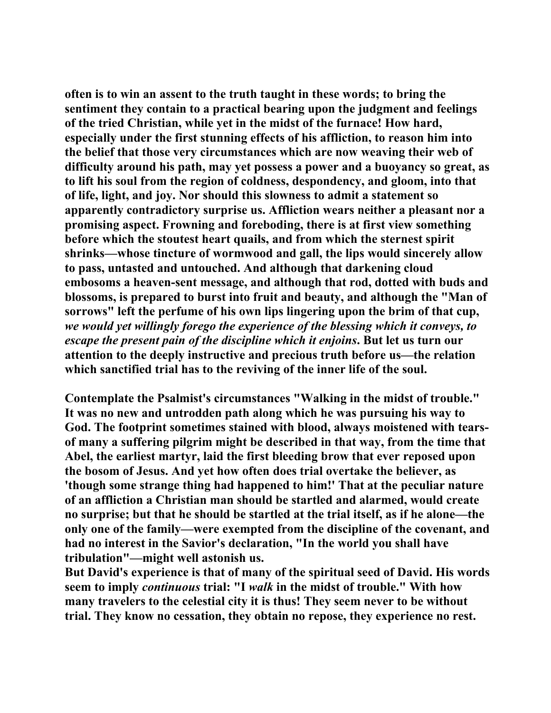**often is to win an assent to the truth taught in these words; to bring the sentiment they contain to a practical bearing upon the judgment and feelings of the tried Christian, while yet in the midst of the furnace! How hard, especially under the first stunning effects of his affliction, to reason him into the belief that those very circumstances which are now weaving their web of difficulty around his path, may yet possess a power and a buoyancy so great, as to lift his soul from the region of coldness, despondency, and gloom, into that of life, light, and joy. Nor should this slowness to admit a statement so apparently contradictory surprise us. Affliction wears neither a pleasant nor a promising aspect. Frowning and foreboding, there is at first view something before which the stoutest heart quails, and from which the sternest spirit shrinks—whose tincture of wormwood and gall, the lips would sincerely allow to pass, untasted and untouched. And although that darkening cloud embosoms a heaven-sent message, and although that rod, dotted with buds and blossoms, is prepared to burst into fruit and beauty, and although the "Man of sorrows" left the perfume of his own lips lingering upon the brim of that cup,**  *we would yet willingly forego the experience of the blessing which it conveys, to escape the present pain of the discipline which it enjoins***. But let us turn our attention to the deeply instructive and precious truth before us—the relation which sanctified trial has to the reviving of the inner life of the soul.** 

**Contemplate the Psalmist's circumstances "Walking in the midst of trouble." It was no new and untrodden path along which he was pursuing his way to God. The footprint sometimes stained with blood, always moistened with tearsof many a suffering pilgrim might be described in that way, from the time that Abel, the earliest martyr, laid the first bleeding brow that ever reposed upon the bosom of Jesus. And yet how often does trial overtake the believer, as 'though some strange thing had happened to him!' That at the peculiar nature of an affliction a Christian man should be startled and alarmed, would create no surprise; but that he should be startled at the trial itself, as if he alone—the only one of the family—were exempted from the discipline of the covenant, and had no interest in the Savior's declaration, "In the world you shall have tribulation"—might well astonish us.** 

**But David's experience is that of many of the spiritual seed of David. His words seem to imply** *continuous* **trial: "I** *walk* **in the midst of trouble." With how many travelers to the celestial city it is thus! They seem never to be without trial. They know no cessation, they obtain no repose, they experience no rest.**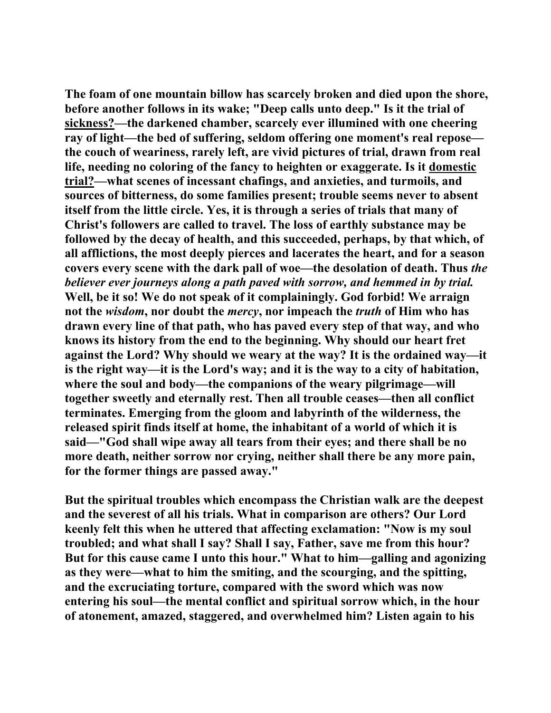**The foam of one mountain billow has scarcely broken and died upon the shore, before another follows in its wake; "Deep calls unto deep." Is it the trial of sickness?—the darkened chamber, scarcely ever illumined with one cheering ray of light—the bed of suffering, seldom offering one moment's real repose the couch of weariness, rarely left, are vivid pictures of trial, drawn from real life, needing no coloring of the fancy to heighten or exaggerate. Is it domestic trial?—what scenes of incessant chafings, and anxieties, and turmoils, and sources of bitterness, do some families present; trouble seems never to absent itself from the little circle. Yes, it is through a series of trials that many of Christ's followers are called to travel. The loss of earthly substance may be followed by the decay of health, and this succeeded, perhaps, by that which, of all afflictions, the most deeply pierces and lacerates the heart, and for a season covers every scene with the dark pall of woe—the desolation of death. Thus** *the believer ever journeys along a path paved with sorrow, and hemmed in by trial.* **Well, be it so! We do not speak of it complainingly. God forbid! We arraign not the** *wisdom***, nor doubt the** *mercy***, nor impeach the** *truth* **of Him who has drawn every line of that path, who has paved every step of that way, and who knows its history from the end to the beginning. Why should our heart fret against the Lord? Why should we weary at the way? It is the ordained way—it is the right way—it is the Lord's way; and it is the way to a city of habitation, where the soul and body—the companions of the weary pilgrimage—will together sweetly and eternally rest. Then all trouble ceases—then all conflict terminates. Emerging from the gloom and labyrinth of the wilderness, the released spirit finds itself at home, the inhabitant of a world of which it is said—"God shall wipe away all tears from their eyes; and there shall be no more death, neither sorrow nor crying, neither shall there be any more pain, for the former things are passed away."** 

**But the spiritual troubles which encompass the Christian walk are the deepest and the severest of all his trials. What in comparison are others? Our Lord keenly felt this when he uttered that affecting exclamation: "Now is my soul troubled; and what shall I say? Shall I say, Father, save me from this hour? But for this cause came I unto this hour." What to him—galling and agonizing as they were—what to him the smiting, and the scourging, and the spitting, and the excruciating torture, compared with the sword which was now entering his soul—the mental conflict and spiritual sorrow which, in the hour of atonement, amazed, staggered, and overwhelmed him? Listen again to his**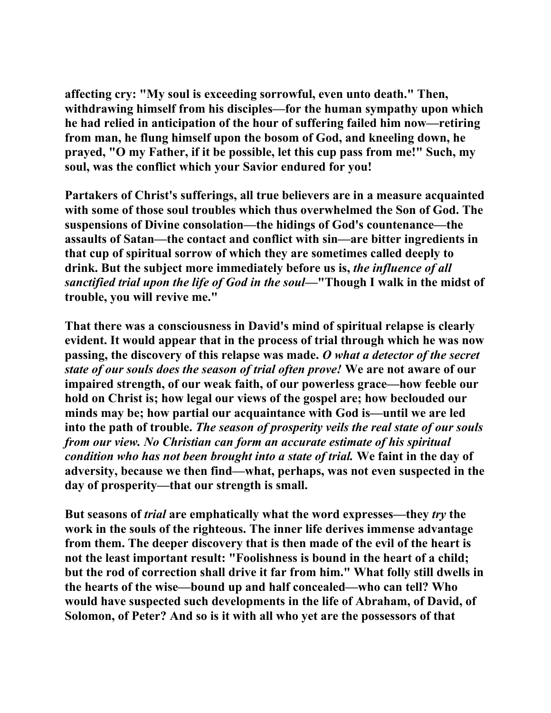**affecting cry: "My soul is exceeding sorrowful, even unto death." Then, withdrawing himself from his disciples—for the human sympathy upon which he had relied in anticipation of the hour of suffering failed him now—retiring from man, he flung himself upon the bosom of God, and kneeling down, he prayed, "O my Father, if it be possible, let this cup pass from me!" Such, my soul, was the conflict which your Savior endured for you!** 

**Partakers of Christ's sufferings, all true believers are in a measure acquainted with some of those soul troubles which thus overwhelmed the Son of God. The suspensions of Divine consolation—the hidings of God's countenance—the assaults of Satan—the contact and conflict with sin—are bitter ingredients in that cup of spiritual sorrow of which they are sometimes called deeply to drink. But the subject more immediately before us is,** *the influence of all sanctified trial upon the life of God in the soul***—"Though I walk in the midst of trouble, you will revive me."** 

**That there was a consciousness in David's mind of spiritual relapse is clearly evident. It would appear that in the process of trial through which he was now passing, the discovery of this relapse was made.** *O what a detector of the secret state of our souls does the season of trial often prove!* **We are not aware of our impaired strength, of our weak faith, of our powerless grace—how feeble our hold on Christ is; how legal our views of the gospel are; how beclouded our minds may be; how partial our acquaintance with God is—until we are led into the path of trouble.** *The season of prosperity veils the real state of our souls from our view. No Christian can form an accurate estimate of his spiritual condition who has not been brought into a state of trial.* **We faint in the day of adversity, because we then find—what, perhaps, was not even suspected in the day of prosperity—that our strength is small.** 

**But seasons of** *trial* **are emphatically what the word expresses—they** *try* **the work in the souls of the righteous. The inner life derives immense advantage from them. The deeper discovery that is then made of the evil of the heart is not the least important result: "Foolishness is bound in the heart of a child; but the rod of correction shall drive it far from him." What folly still dwells in the hearts of the wise—bound up and half concealed—who can tell? Who would have suspected such developments in the life of Abraham, of David, of Solomon, of Peter? And so is it with all who yet are the possessors of that**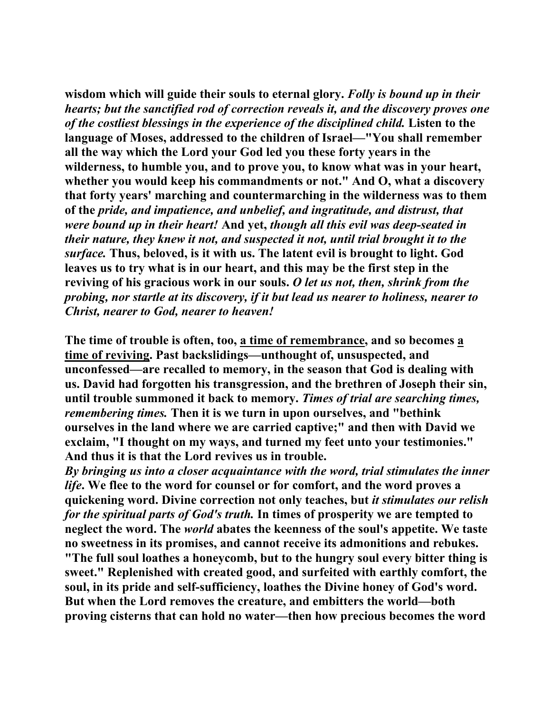**wisdom which will guide their souls to eternal glory.** *Folly is bound up in their hearts; but the sanctified rod of correction reveals it, and the discovery proves one of the costliest blessings in the experience of the disciplined child.* **Listen to the language of Moses, addressed to the children of Israel—"You shall remember all the way which the Lord your God led you these forty years in the wilderness, to humble you, and to prove you, to know what was in your heart, whether you would keep his commandments or not." And O, what a discovery that forty years' marching and countermarching in the wilderness was to them of the** *pride, and impatience, and unbelief, and ingratitude, and distrust, that were bound up in their heart!* **And yet,** *though all this evil was deep-seated in their nature, they knew it not, and suspected it not, until trial brought it to the surface.* **Thus, beloved, is it with us. The latent evil is brought to light. God leaves us to try what is in our heart, and this may be the first step in the reviving of his gracious work in our souls.** *O let us not, then, shrink from the probing, nor startle at its discovery, if it but lead us nearer to holiness, nearer to Christ, nearer to God, nearer to heaven!*

**The time of trouble is often, too, a time of remembrance, and so becomes a time of reviving. Past backslidings—unthought of, unsuspected, and unconfessed—are recalled to memory, in the season that God is dealing with us. David had forgotten his transgression, and the brethren of Joseph their sin, until trouble summoned it back to memory.** *Times of trial are searching times, remembering times.* **Then it is we turn in upon ourselves, and "bethink ourselves in the land where we are carried captive;" and then with David we exclaim, "I thought on my ways, and turned my feet unto your testimonies." And thus it is that the Lord revives us in trouble.** 

*By bringing us into a closer acquaintance with the word, trial stimulates the inner life***. We flee to the word for counsel or for comfort, and the word proves a quickening word. Divine correction not only teaches, but** *it stimulates our relish for the spiritual parts of God's truth.* **In times of prosperity we are tempted to neglect the word. The** *world* **abates the keenness of the soul's appetite. We taste no sweetness in its promises, and cannot receive its admonitions and rebukes. "The full soul loathes a honeycomb, but to the hungry soul every bitter thing is sweet." Replenished with created good, and surfeited with earthly comfort, the soul, in its pride and self-sufficiency, loathes the Divine honey of God's word. But when the Lord removes the creature, and embitters the world—both proving cisterns that can hold no water—then how precious becomes the word**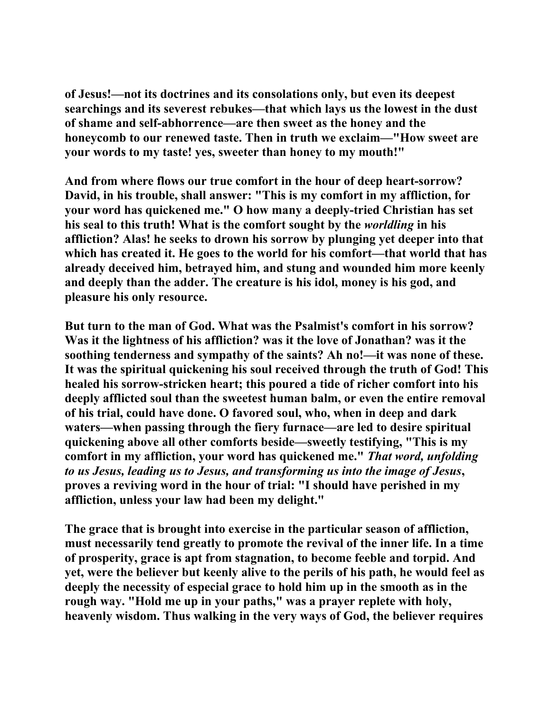**of Jesus!—not its doctrines and its consolations only, but even its deepest searchings and its severest rebukes—that which lays us the lowest in the dust of shame and self-abhorrence—are then sweet as the honey and the honeycomb to our renewed taste. Then in truth we exclaim—"How sweet are your words to my taste! yes, sweeter than honey to my mouth!"** 

**And from where flows our true comfort in the hour of deep heart-sorrow? David, in his trouble, shall answer: "This is my comfort in my affliction, for your word has quickened me." O how many a deeply-tried Christian has set his seal to this truth! What is the comfort sought by the** *worldling* **in his affliction? Alas! he seeks to drown his sorrow by plunging yet deeper into that which has created it. He goes to the world for his comfort—that world that has already deceived him, betrayed him, and stung and wounded him more keenly and deeply than the adder. The creature is his idol, money is his god, and pleasure his only resource.** 

**But turn to the man of God. What was the Psalmist's comfort in his sorrow? Was it the lightness of his affliction? was it the love of Jonathan? was it the soothing tenderness and sympathy of the saints? Ah no!—it was none of these. It was the spiritual quickening his soul received through the truth of God! This healed his sorrow-stricken heart; this poured a tide of richer comfort into his deeply afflicted soul than the sweetest human balm, or even the entire removal of his trial, could have done. O favored soul, who, when in deep and dark waters—when passing through the fiery furnace—are led to desire spiritual quickening above all other comforts beside—sweetly testifying, "This is my comfort in my affliction, your word has quickened me."** *That word, unfolding to us Jesus, leading us to Jesus, and transforming us into the image of Jesus***, proves a reviving word in the hour of trial: "I should have perished in my affliction, unless your law had been my delight."** 

**The grace that is brought into exercise in the particular season of affliction, must necessarily tend greatly to promote the revival of the inner life. In a time of prosperity, grace is apt from stagnation, to become feeble and torpid. And yet, were the believer but keenly alive to the perils of his path, he would feel as deeply the necessity of especial grace to hold him up in the smooth as in the rough way. "Hold me up in your paths," was a prayer replete with holy, heavenly wisdom. Thus walking in the very ways of God, the believer requires**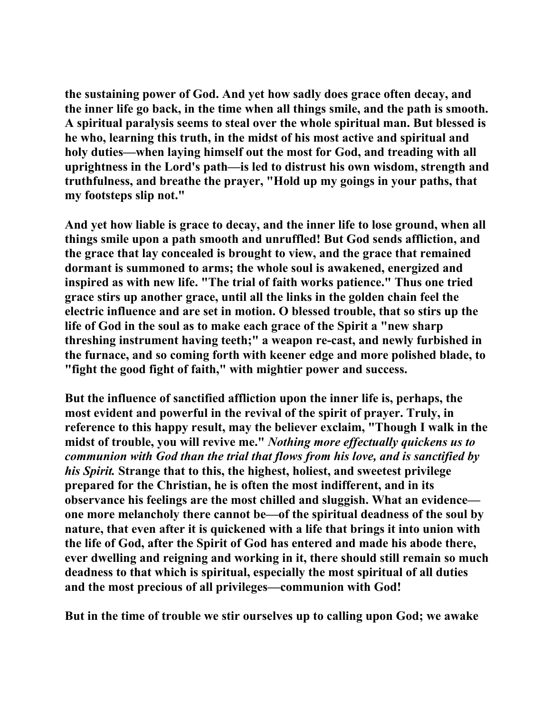**the sustaining power of God. And yet how sadly does grace often decay, and the inner life go back, in the time when all things smile, and the path is smooth. A spiritual paralysis seems to steal over the whole spiritual man. But blessed is he who, learning this truth, in the midst of his most active and spiritual and holy duties—when laying himself out the most for God, and treading with all uprightness in the Lord's path—is led to distrust his own wisdom, strength and truthfulness, and breathe the prayer, "Hold up my goings in your paths, that my footsteps slip not."** 

**And yet how liable is grace to decay, and the inner life to lose ground, when all things smile upon a path smooth and unruffled! But God sends affliction, and the grace that lay concealed is brought to view, and the grace that remained dormant is summoned to arms; the whole soul is awakened, energized and inspired as with new life. "The trial of faith works patience." Thus one tried grace stirs up another grace, until all the links in the golden chain feel the electric influence and are set in motion. O blessed trouble, that so stirs up the life of God in the soul as to make each grace of the Spirit a "new sharp threshing instrument having teeth;" a weapon re-cast, and newly furbished in the furnace, and so coming forth with keener edge and more polished blade, to "fight the good fight of faith," with mightier power and success.** 

**But the influence of sanctified affliction upon the inner life is, perhaps, the most evident and powerful in the revival of the spirit of prayer. Truly, in reference to this happy result, may the believer exclaim, "Though I walk in the midst of trouble, you will revive me."** *Nothing more effectually quickens us to communion with God than the trial that flows from his love, and is sanctified by his Spirit.* **Strange that to this, the highest, holiest, and sweetest privilege prepared for the Christian, he is often the most indifferent, and in its observance his feelings are the most chilled and sluggish. What an evidence one more melancholy there cannot be—of the spiritual deadness of the soul by nature, that even after it is quickened with a life that brings it into union with the life of God, after the Spirit of God has entered and made his abode there, ever dwelling and reigning and working in it, there should still remain so much deadness to that which is spiritual, especially the most spiritual of all duties and the most precious of all privileges—communion with God!** 

**But in the time of trouble we stir ourselves up to calling upon God; we awake**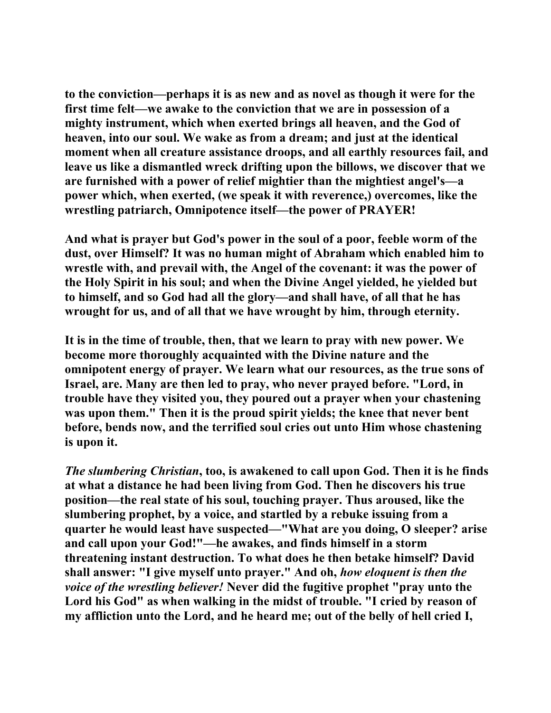**to the conviction—perhaps it is as new and as novel as though it were for the first time felt—we awake to the conviction that we are in possession of a mighty instrument, which when exerted brings all heaven, and the God of heaven, into our soul. We wake as from a dream; and just at the identical moment when all creature assistance droops, and all earthly resources fail, and leave us like a dismantled wreck drifting upon the billows, we discover that we are furnished with a power of relief mightier than the mightiest angel's—a power which, when exerted, (we speak it with reverence,) overcomes, like the wrestling patriarch, Omnipotence itself—the power of PRAYER!** 

**And what is prayer but God's power in the soul of a poor, feeble worm of the dust, over Himself? It was no human might of Abraham which enabled him to wrestle with, and prevail with, the Angel of the covenant: it was the power of the Holy Spirit in his soul; and when the Divine Angel yielded, he yielded but to himself, and so God had all the glory—and shall have, of all that he has wrought for us, and of all that we have wrought by him, through eternity.** 

**It is in the time of trouble, then, that we learn to pray with new power. We become more thoroughly acquainted with the Divine nature and the omnipotent energy of prayer. We learn what our resources, as the true sons of Israel, are. Many are then led to pray, who never prayed before. "Lord, in trouble have they visited you, they poured out a prayer when your chastening was upon them." Then it is the proud spirit yields; the knee that never bent before, bends now, and the terrified soul cries out unto Him whose chastening is upon it.** 

*The slumbering Christian***, too, is awakened to call upon God. Then it is he finds at what a distance he had been living from God. Then he discovers his true position—the real state of his soul, touching prayer. Thus aroused, like the slumbering prophet, by a voice, and startled by a rebuke issuing from a quarter he would least have suspected—"What are you doing, O sleeper? arise and call upon your God!"—he awakes, and finds himself in a storm threatening instant destruction. To what does he then betake himself? David shall answer: "I give myself unto prayer." And oh,** *how eloquent is then the voice of the wrestling believer!* **Never did the fugitive prophet "pray unto the Lord his God" as when walking in the midst of trouble. "I cried by reason of my affliction unto the Lord, and he heard me; out of the belly of hell cried I,**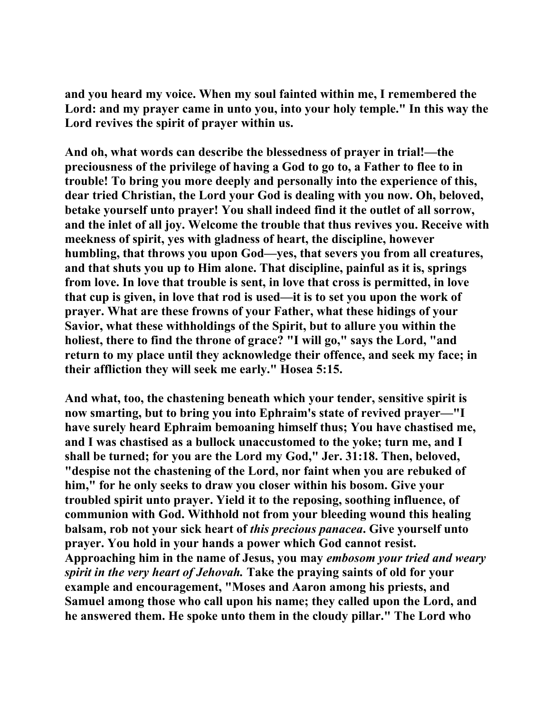**and you heard my voice. When my soul fainted within me, I remembered the Lord: and my prayer came in unto you, into your holy temple." In this way the Lord revives the spirit of prayer within us.** 

**And oh, what words can describe the blessedness of prayer in trial!—the preciousness of the privilege of having a God to go to, a Father to flee to in trouble! To bring you more deeply and personally into the experience of this, dear tried Christian, the Lord your God is dealing with you now. Oh, beloved, betake yourself unto prayer! You shall indeed find it the outlet of all sorrow, and the inlet of all joy. Welcome the trouble that thus revives you. Receive with meekness of spirit, yes with gladness of heart, the discipline, however humbling, that throws you upon God—yes, that severs you from all creatures, and that shuts you up to Him alone. That discipline, painful as it is, springs from love. In love that trouble is sent, in love that cross is permitted, in love that cup is given, in love that rod is used—it is to set you upon the work of prayer. What are these frowns of your Father, what these hidings of your Savior, what these withholdings of the Spirit, but to allure you within the holiest, there to find the throne of grace? "I will go," says the Lord, "and return to my place until they acknowledge their offence, and seek my face; in their affliction they will seek me early." Hosea 5:15.** 

**And what, too, the chastening beneath which your tender, sensitive spirit is now smarting, but to bring you into Ephraim's state of revived prayer—"I have surely heard Ephraim bemoaning himself thus; You have chastised me, and I was chastised as a bullock unaccustomed to the yoke; turn me, and I shall be turned; for you are the Lord my God," Jer. 31:18. Then, beloved, "despise not the chastening of the Lord, nor faint when you are rebuked of him," for he only seeks to draw you closer within his bosom. Give your troubled spirit unto prayer. Yield it to the reposing, soothing influence, of communion with God. Withhold not from your bleeding wound this healing balsam, rob not your sick heart of** *this precious panacea***. Give yourself unto prayer. You hold in your hands a power which God cannot resist. Approaching him in the name of Jesus, you may** *embosom your tried and weary spirit in the very heart of Jehovah.* **Take the praying saints of old for your example and encouragement, "Moses and Aaron among his priests, and Samuel among those who call upon his name; they called upon the Lord, and he answered them. He spoke unto them in the cloudy pillar." The Lord who**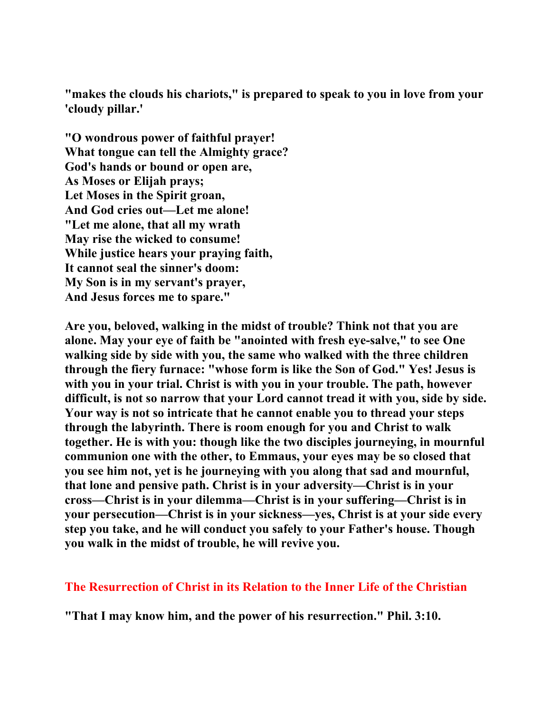**"makes the clouds his chariots," is prepared to speak to you in love from your 'cloudy pillar.'** 

**"O wondrous power of faithful prayer! What tongue can tell the Almighty grace? God's hands or bound or open are, As Moses or Elijah prays; Let Moses in the Spirit groan, And God cries out—Let me alone! "Let me alone, that all my wrath May rise the wicked to consume! While justice hears your praying faith, It cannot seal the sinner's doom: My Son is in my servant's prayer, And Jesus forces me to spare."** 

**Are you, beloved, walking in the midst of trouble? Think not that you are alone. May your eye of faith be "anointed with fresh eye-salve," to see One walking side by side with you, the same who walked with the three children through the fiery furnace: "whose form is like the Son of God." Yes! Jesus is with you in your trial. Christ is with you in your trouble. The path, however difficult, is not so narrow that your Lord cannot tread it with you, side by side. Your way is not so intricate that he cannot enable you to thread your steps through the labyrinth. There is room enough for you and Christ to walk together. He is with you: though like the two disciples journeying, in mournful communion one with the other, to Emmaus, your eyes may be so closed that you see him not, yet is he journeying with you along that sad and mournful, that lone and pensive path. Christ is in your adversity—Christ is in your cross—Christ is in your dilemma—Christ is in your suffering—Christ is in your persecution—Christ is in your sickness—yes, Christ is at your side every step you take, and he will conduct you safely to your Father's house. Though you walk in the midst of trouble, he will revive you.** 

**The Resurrection of Christ in its Relation to the Inner Life of the Christian**

**"That I may know him, and the power of his resurrection." Phil. 3:10.**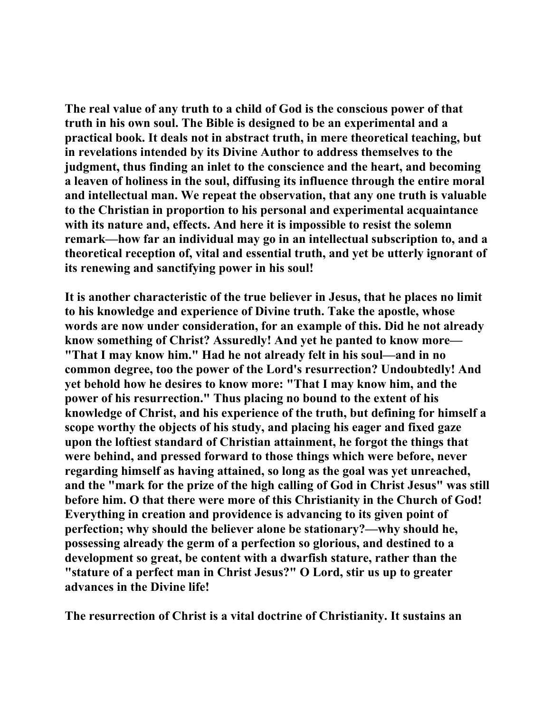**The real value of any truth to a child of God is the conscious power of that truth in his own soul. The Bible is designed to be an experimental and a practical book. It deals not in abstract truth, in mere theoretical teaching, but in revelations intended by its Divine Author to address themselves to the judgment, thus finding an inlet to the conscience and the heart, and becoming a leaven of holiness in the soul, diffusing its influence through the entire moral and intellectual man. We repeat the observation, that any one truth is valuable to the Christian in proportion to his personal and experimental acquaintance with its nature and, effects. And here it is impossible to resist the solemn remark—how far an individual may go in an intellectual subscription to, and a theoretical reception of, vital and essential truth, and yet be utterly ignorant of its renewing and sanctifying power in his soul!** 

**It is another characteristic of the true believer in Jesus, that he places no limit to his knowledge and experience of Divine truth. Take the apostle, whose words are now under consideration, for an example of this. Did he not already know something of Christ? Assuredly! And yet he panted to know more— "That I may know him." Had he not already felt in his soul—and in no common degree, too the power of the Lord's resurrection? Undoubtedly! And yet behold how he desires to know more: "That I may know him, and the power of his resurrection." Thus placing no bound to the extent of his knowledge of Christ, and his experience of the truth, but defining for himself a scope worthy the objects of his study, and placing his eager and fixed gaze upon the loftiest standard of Christian attainment, he forgot the things that were behind, and pressed forward to those things which were before, never regarding himself as having attained, so long as the goal was yet unreached, and the "mark for the prize of the high calling of God in Christ Jesus" was still before him. O that there were more of this Christianity in the Church of God! Everything in creation and providence is advancing to its given point of perfection; why should the believer alone be stationary?—why should he, possessing already the germ of a perfection so glorious, and destined to a development so great, be content with a dwarfish stature, rather than the "stature of a perfect man in Christ Jesus?" O Lord, stir us up to greater advances in the Divine life!** 

**The resurrection of Christ is a vital doctrine of Christianity. It sustains an**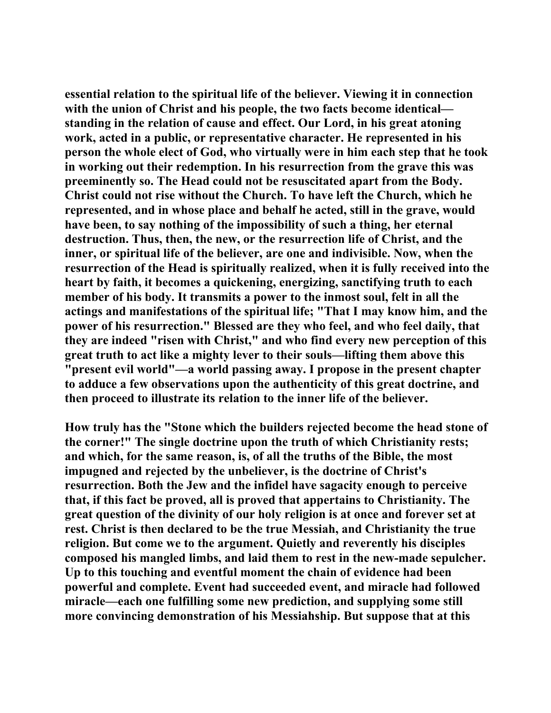**essential relation to the spiritual life of the believer. Viewing it in connection with the union of Christ and his people, the two facts become identical standing in the relation of cause and effect. Our Lord, in his great atoning work, acted in a public, or representative character. He represented in his person the whole elect of God, who virtually were in him each step that he took in working out their redemption. In his resurrection from the grave this was preeminently so. The Head could not be resuscitated apart from the Body. Christ could not rise without the Church. To have left the Church, which he represented, and in whose place and behalf he acted, still in the grave, would have been, to say nothing of the impossibility of such a thing, her eternal destruction. Thus, then, the new, or the resurrection life of Christ, and the inner, or spiritual life of the believer, are one and indivisible. Now, when the resurrection of the Head is spiritually realized, when it is fully received into the heart by faith, it becomes a quickening, energizing, sanctifying truth to each member of his body. It transmits a power to the inmost soul, felt in all the actings and manifestations of the spiritual life; "That I may know him, and the power of his resurrection." Blessed are they who feel, and who feel daily, that they are indeed "risen with Christ," and who find every new perception of this great truth to act like a mighty lever to their souls—lifting them above this "present evil world"—a world passing away. I propose in the present chapter to adduce a few observations upon the authenticity of this great doctrine, and then proceed to illustrate its relation to the inner life of the believer.** 

**How truly has the "Stone which the builders rejected become the head stone of the corner!" The single doctrine upon the truth of which Christianity rests; and which, for the same reason, is, of all the truths of the Bible, the most impugned and rejected by the unbeliever, is the doctrine of Christ's resurrection. Both the Jew and the infidel have sagacity enough to perceive that, if this fact be proved, all is proved that appertains to Christianity. The great question of the divinity of our holy religion is at once and forever set at rest. Christ is then declared to be the true Messiah, and Christianity the true religion. But come we to the argument. Quietly and reverently his disciples composed his mangled limbs, and laid them to rest in the new-made sepulcher. Up to this touching and eventful moment the chain of evidence had been powerful and complete. Event had succeeded event, and miracle had followed miracle—each one fulfilling some new prediction, and supplying some still more convincing demonstration of his Messiahship. But suppose that at this**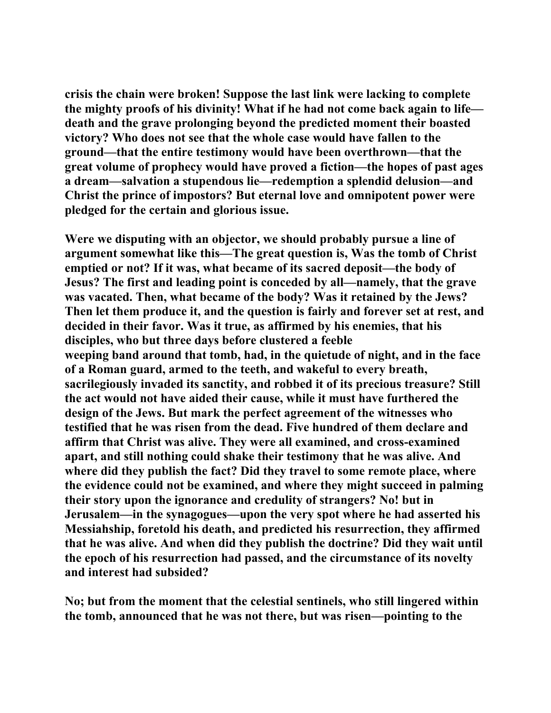**crisis the chain were broken! Suppose the last link were lacking to complete the mighty proofs of his divinity! What if he had not come back again to life death and the grave prolonging beyond the predicted moment their boasted victory? Who does not see that the whole case would have fallen to the ground—that the entire testimony would have been overthrown—that the great volume of prophecy would have proved a fiction—the hopes of past ages a dream—salvation a stupendous lie—redemption a splendid delusion—and Christ the prince of impostors? But eternal love and omnipotent power were pledged for the certain and glorious issue.** 

**Were we disputing with an objector, we should probably pursue a line of argument somewhat like this—The great question is, Was the tomb of Christ emptied or not? If it was, what became of its sacred deposit—the body of Jesus? The first and leading point is conceded by all—namely, that the grave was vacated. Then, what became of the body? Was it retained by the Jews? Then let them produce it, and the question is fairly and forever set at rest, and decided in their favor. Was it true, as affirmed by his enemies, that his disciples, who but three days before clustered a feeble weeping band around that tomb, had, in the quietude of night, and in the face of a Roman guard, armed to the teeth, and wakeful to every breath, sacrilegiously invaded its sanctity, and robbed it of its precious treasure? Still the act would not have aided their cause, while it must have furthered the design of the Jews. But mark the perfect agreement of the witnesses who testified that he was risen from the dead. Five hundred of them declare and affirm that Christ was alive. They were all examined, and cross-examined apart, and still nothing could shake their testimony that he was alive. And where did they publish the fact? Did they travel to some remote place, where the evidence could not be examined, and where they might succeed in palming their story upon the ignorance and credulity of strangers? No! but in Jerusalem—in the synagogues—upon the very spot where he had asserted his Messiahship, foretold his death, and predicted his resurrection, they affirmed that he was alive. And when did they publish the doctrine? Did they wait until the epoch of his resurrection had passed, and the circumstance of its novelty and interest had subsided?** 

**No; but from the moment that the celestial sentinels, who still lingered within the tomb, announced that he was not there, but was risen—pointing to the**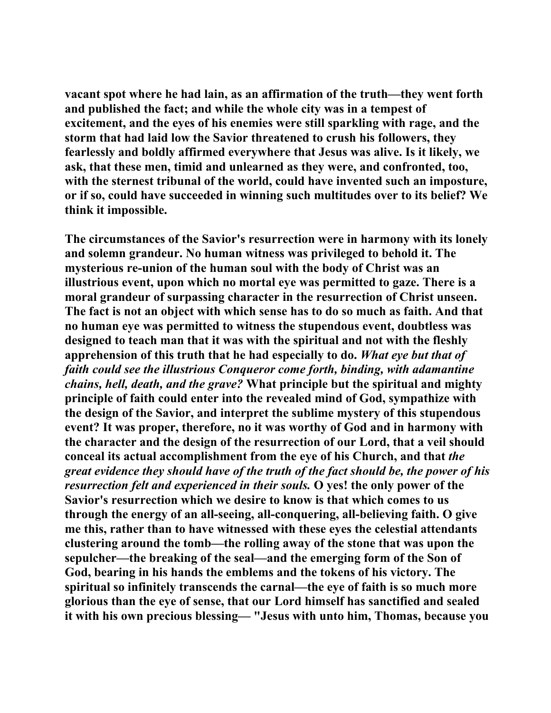**vacant spot where he had lain, as an affirmation of the truth—they went forth and published the fact; and while the whole city was in a tempest of excitement, and the eyes of his enemies were still sparkling with rage, and the storm that had laid low the Savior threatened to crush his followers, they fearlessly and boldly affirmed everywhere that Jesus was alive. Is it likely, we ask, that these men, timid and unlearned as they were, and confronted, too, with the sternest tribunal of the world, could have invented such an imposture, or if so, could have succeeded in winning such multitudes over to its belief? We think it impossible.** 

**The circumstances of the Savior's resurrection were in harmony with its lonely and solemn grandeur. No human witness was privileged to behold it. The mysterious re-union of the human soul with the body of Christ was an illustrious event, upon which no mortal eye was permitted to gaze. There is a moral grandeur of surpassing character in the resurrection of Christ unseen. The fact is not an object with which sense has to do so much as faith. And that no human eye was permitted to witness the stupendous event, doubtless was designed to teach man that it was with the spiritual and not with the fleshly apprehension of this truth that he had especially to do.** *What eye but that of faith could see the illustrious Conqueror come forth, binding, with adamantine chains, hell, death, and the grave?* **What principle but the spiritual and mighty principle of faith could enter into the revealed mind of God, sympathize with the design of the Savior, and interpret the sublime mystery of this stupendous event? It was proper, therefore, no it was worthy of God and in harmony with the character and the design of the resurrection of our Lord, that a veil should conceal its actual accomplishment from the eye of his Church, and that** *the great evidence they should have of the truth of the fact should be, the power of his resurrection felt and experienced in their souls.* **O yes! the only power of the Savior's resurrection which we desire to know is that which comes to us through the energy of an all-seeing, all-conquering, all-believing faith. O give me this, rather than to have witnessed with these eyes the celestial attendants clustering around the tomb—the rolling away of the stone that was upon the sepulcher—the breaking of the seal—and the emerging form of the Son of God, bearing in his hands the emblems and the tokens of his victory. The spiritual so infinitely transcends the carnal—the eye of faith is so much more glorious than the eye of sense, that our Lord himself has sanctified and sealed it with his own precious blessing— "Jesus with unto him, Thomas, because you**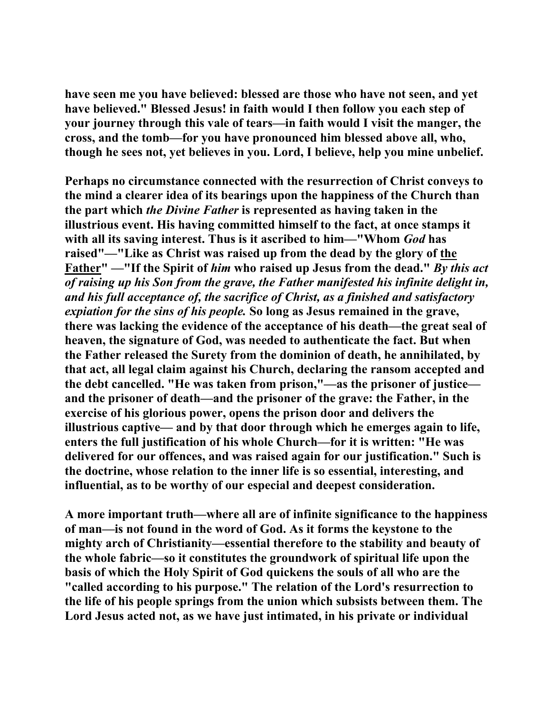**have seen me you have believed: blessed are those who have not seen, and yet have believed." Blessed Jesus! in faith would I then follow you each step of your journey through this vale of tears—in faith would I visit the manger, the cross, and the tomb—for you have pronounced him blessed above all, who, though he sees not, yet believes in you. Lord, I believe, help you mine unbelief.** 

**Perhaps no circumstance connected with the resurrection of Christ conveys to the mind a clearer idea of its bearings upon the happiness of the Church than the part which** *the Divine Father* **is represented as having taken in the illustrious event. His having committed himself to the fact, at once stamps it with all its saving interest. Thus is it ascribed to him—"Whom** *God* **has raised"—"Like as Christ was raised up from the dead by the glory of the Father" —"If the Spirit of** *him* **who raised up Jesus from the dead."** *By this act of raising up his Son from the grave, the Father manifested his infinite delight in, and his full acceptance of, the sacrifice of Christ, as a finished and satisfactory expiation for the sins of his people.* **So long as Jesus remained in the grave, there was lacking the evidence of the acceptance of his death—the great seal of heaven, the signature of God, was needed to authenticate the fact. But when the Father released the Surety from the dominion of death, he annihilated, by that act, all legal claim against his Church, declaring the ransom accepted and the debt cancelled. "He was taken from prison,"—as the prisoner of justice and the prisoner of death—and the prisoner of the grave: the Father, in the exercise of his glorious power, opens the prison door and delivers the illustrious captive— and by that door through which he emerges again to life, enters the full justification of his whole Church—for it is written: "He was delivered for our offences, and was raised again for our justification." Such is the doctrine, whose relation to the inner life is so essential, interesting, and influential, as to be worthy of our especial and deepest consideration.** 

**A more important truth—where all are of infinite significance to the happiness of man—is not found in the word of God. As it forms the keystone to the mighty arch of Christianity—essential therefore to the stability and beauty of the whole fabric—so it constitutes the groundwork of spiritual life upon the basis of which the Holy Spirit of God quickens the souls of all who are the "called according to his purpose." The relation of the Lord's resurrection to the life of his people springs from the union which subsists between them. The Lord Jesus acted not, as we have just intimated, in his private or individual**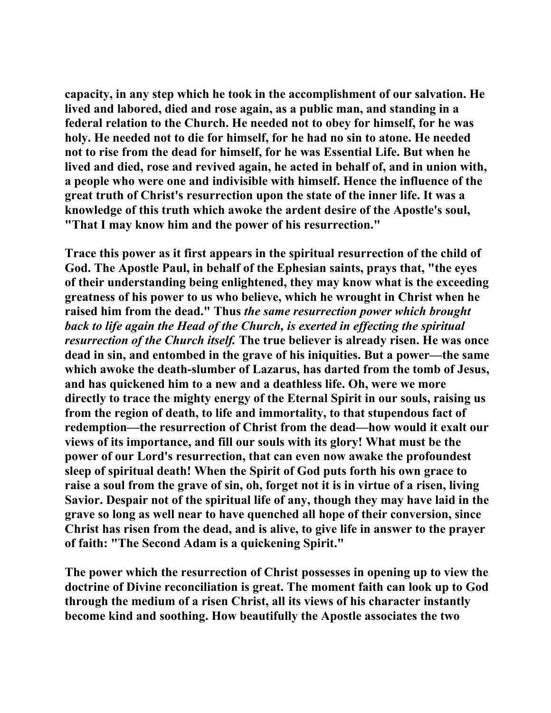**capacity, in any step which he took in the accomplishment of our salvation. He lived and labored, died and rose again, as a public man, and standing in a federal relation to the Church. He needed not to obey for himself, for he was holy. He needed not to die for himself, for he had no sin to atone. He needed not to rise from the dead for himself, for he was Essential Life. But when he lived and died, rose and revived again, he acted in behalf of, and in union with, a people who were one and indivisible with himself. Hence the influence of the great truth of Christ's resurrection upon the state of the inner life. It was a knowledge of this truth which awoke the ardent desire of the Apostle's soul, "That I may know him and the power of his resurrection."** 

**Trace this power as it first appears in the spiritual resurrection of the child of God. The Apostle Paul, in behalf of the Ephesian saints, prays that, "the eyes of their understanding being enlightened, they may know what is the exceeding greatness of his power to us who believe, which he wrought in Christ when he raised him from the dead." Thus** *the same resurrection power which brought back to life again the Head of the Church, is exerted in effecting the spiritual resurrection of the Church itself.* **The true believer is already risen. He was once dead in sin, and entombed in the grave of his iniquities. But a power—the same which awoke the death-slumber of Lazarus, has darted from the tomb of Jesus, and has quickened him to a new and a deathless life. Oh, were we more directly to trace the mighty energy of the Eternal Spirit in our souls, raising us from the region of death, to life and immortality, to that stupendous fact of redemption—the resurrection of Christ from the dead—how would it exalt our views of its importance, and fill our souls with its glory! What must be the power of our Lord's resurrection, that can even now awake the profoundest sleep of spiritual death! When the Spirit of God puts forth his own grace to raise a soul from the grave of sin, oh, forget not it is in virtue of a risen, living Savior. Despair not of the spiritual life of any, though they may have laid in the grave so long as well near to have quenched all hope of their conversion, since Christ has risen from the dead, and is alive, to give life in answer to the prayer of faith: "The Second Adam is a quickening Spirit."** 

**The power which the resurrection of Christ possesses in opening up to view the doctrine of Divine reconciliation is great. The moment faith can look up to God through the medium of a risen Christ, all its views of his character instantly become kind and soothing. How beautifully the Apostle associates the two**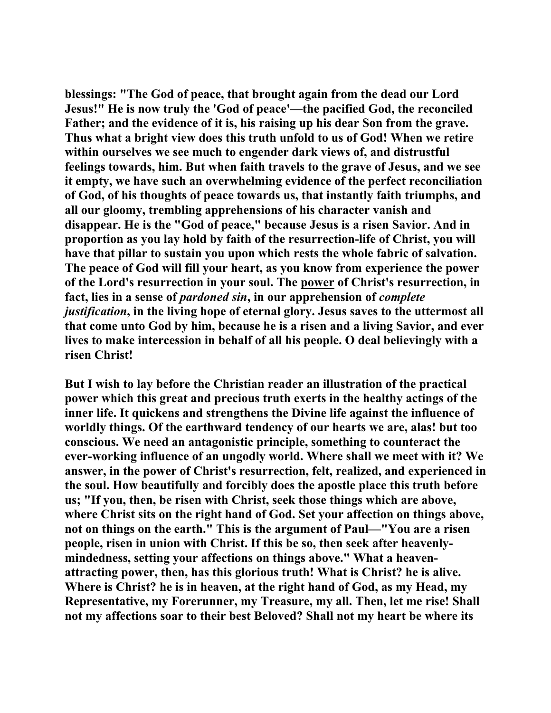**blessings: "The God of peace, that brought again from the dead our Lord Jesus!" He is now truly the 'God of peace'—the pacified God, the reconciled Father; and the evidence of it is, his raising up his dear Son from the grave. Thus what a bright view does this truth unfold to us of God! When we retire within ourselves we see much to engender dark views of, and distrustful feelings towards, him. But when faith travels to the grave of Jesus, and we see it empty, we have such an overwhelming evidence of the perfect reconciliation of God, of his thoughts of peace towards us, that instantly faith triumphs, and all our gloomy, trembling apprehensions of his character vanish and disappear. He is the "God of peace," because Jesus is a risen Savior. And in proportion as you lay hold by faith of the resurrection-life of Christ, you will have that pillar to sustain you upon which rests the whole fabric of salvation. The peace of God will fill your heart, as you know from experience the power of the Lord's resurrection in your soul. The power of Christ's resurrection, in fact, lies in a sense of** *pardoned sin***, in our apprehension of** *complete justification***, in the living hope of eternal glory. Jesus saves to the uttermost all that come unto God by him, because he is a risen and a living Savior, and ever lives to make intercession in behalf of all his people. O deal believingly with a risen Christ!** 

**But I wish to lay before the Christian reader an illustration of the practical power which this great and precious truth exerts in the healthy actings of the inner life. It quickens and strengthens the Divine life against the influence of worldly things. Of the earthward tendency of our hearts we are, alas! but too conscious. We need an antagonistic principle, something to counteract the ever-working influence of an ungodly world. Where shall we meet with it? We answer, in the power of Christ's resurrection, felt, realized, and experienced in the soul. How beautifully and forcibly does the apostle place this truth before us; "If you, then, be risen with Christ, seek those things which are above, where Christ sits on the right hand of God. Set your affection on things above, not on things on the earth." This is the argument of Paul—"You are a risen people, risen in union with Christ. If this be so, then seek after heavenlymindedness, setting your affections on things above." What a heavenattracting power, then, has this glorious truth! What is Christ? he is alive. Where is Christ? he is in heaven, at the right hand of God, as my Head, my Representative, my Forerunner, my Treasure, my all. Then, let me rise! Shall not my affections soar to their best Beloved? Shall not my heart be where its**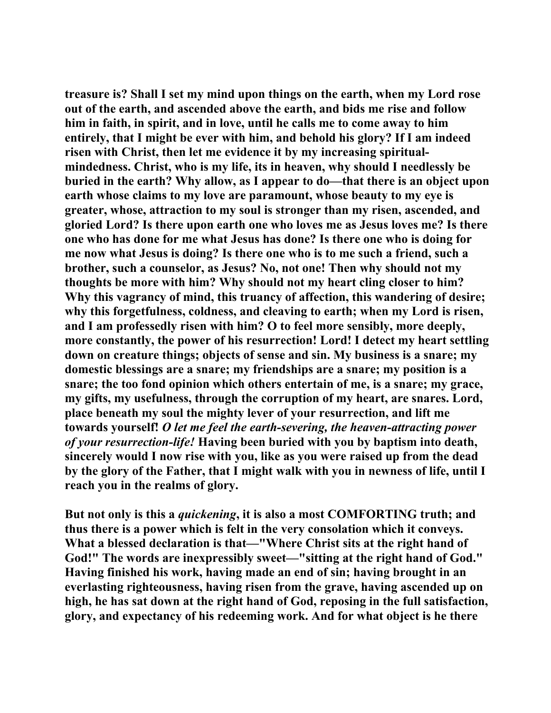**treasure is? Shall I set my mind upon things on the earth, when my Lord rose out of the earth, and ascended above the earth, and bids me rise and follow him in faith, in spirit, and in love, until he calls me to come away to him entirely, that I might be ever with him, and behold his glory? If I am indeed risen with Christ, then let me evidence it by my increasing spiritualmindedness. Christ, who is my life, its in heaven, why should I needlessly be buried in the earth? Why allow, as I appear to do—that there is an object upon earth whose claims to my love are paramount, whose beauty to my eye is greater, whose, attraction to my soul is stronger than my risen, ascended, and gloried Lord? Is there upon earth one who loves me as Jesus loves me? Is there one who has done for me what Jesus has done? Is there one who is doing for me now what Jesus is doing? Is there one who is to me such a friend, such a brother, such a counselor, as Jesus? No, not one! Then why should not my thoughts be more with him? Why should not my heart cling closer to him? Why this vagrancy of mind, this truancy of affection, this wandering of desire; why this forgetfulness, coldness, and cleaving to earth; when my Lord is risen, and I am professedly risen with him? O to feel more sensibly, more deeply, more constantly, the power of his resurrection! Lord! I detect my heart settling down on creature things; objects of sense and sin. My business is a snare; my domestic blessings are a snare; my friendships are a snare; my position is a snare; the too fond opinion which others entertain of me, is a snare; my grace, my gifts, my usefulness, through the corruption of my heart, are snares. Lord, place beneath my soul the mighty lever of your resurrection, and lift me towards yourself!** *O let me feel the earth-severing, the heaven-attracting power of your resurrection-life!* **Having been buried with you by baptism into death, sincerely would I now rise with you, like as you were raised up from the dead by the glory of the Father, that I might walk with you in newness of life, until I reach you in the realms of glory.** 

**But not only is this a** *quickening***, it is also a most COMFORTING truth; and thus there is a power which is felt in the very consolation which it conveys. What a blessed declaration is that—"Where Christ sits at the right hand of God!" The words are inexpressibly sweet—"sitting at the right hand of God." Having finished his work, having made an end of sin; having brought in an everlasting righteousness, having risen from the grave, having ascended up on high, he has sat down at the right hand of God, reposing in the full satisfaction, glory, and expectancy of his redeeming work. And for what object is he there**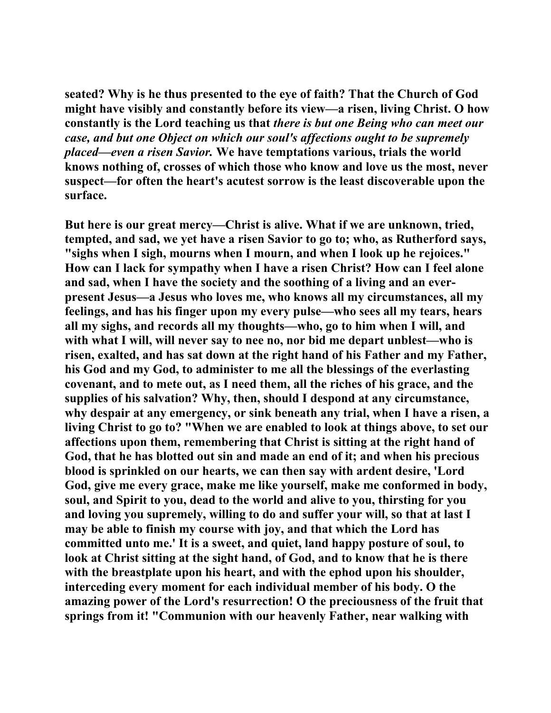**seated? Why is he thus presented to the eye of faith? That the Church of God might have visibly and constantly before its view—a risen, living Christ. O how constantly is the Lord teaching us that** *there is but one Being who can meet our case, and but one Object on which our soul's affections ought to be supremely placed—even a risen Savior.* **We have temptations various, trials the world knows nothing of, crosses of which those who know and love us the most, never suspect—for often the heart's acutest sorrow is the least discoverable upon the surface.** 

**But here is our great mercy—Christ is alive. What if we are unknown, tried, tempted, and sad, we yet have a risen Savior to go to; who, as Rutherford says, "sighs when I sigh, mourns when I mourn, and when I look up he rejoices." How can I lack for sympathy when I have a risen Christ? How can I feel alone and sad, when I have the society and the soothing of a living and an everpresent Jesus—a Jesus who loves me, who knows all my circumstances, all my feelings, and has his finger upon my every pulse—who sees all my tears, hears all my sighs, and records all my thoughts—who, go to him when I will, and with what I will, will never say to nee no, nor bid me depart unblest—who is**  risen, exalted, and has sat down at the right hand of his Father and my Father, **his God and my God, to administer to me all the blessings of the everlasting covenant, and to mete out, as I need them, all the riches of his grace, and the supplies of his salvation? Why, then, should I despond at any circumstance, why despair at any emergency, or sink beneath any trial, when I have a risen, a living Christ to go to? "When we are enabled to look at things above, to set our affections upon them, remembering that Christ is sitting at the right hand of God, that he has blotted out sin and made an end of it; and when his precious blood is sprinkled on our hearts, we can then say with ardent desire, 'Lord God, give me every grace, make me like yourself, make me conformed in body, soul, and Spirit to you, dead to the world and alive to you, thirsting for you and loving you supremely, willing to do and suffer your will, so that at last I may be able to finish my course with joy, and that which the Lord has committed unto me.' It is a sweet, and quiet, land happy posture of soul, to look at Christ sitting at the sight hand, of God, and to know that he is there with the breastplate upon his heart, and with the ephod upon his shoulder, interceding every moment for each individual member of his body. O the amazing power of the Lord's resurrection! O the preciousness of the fruit that springs from it! "Communion with our heavenly Father, near walking with**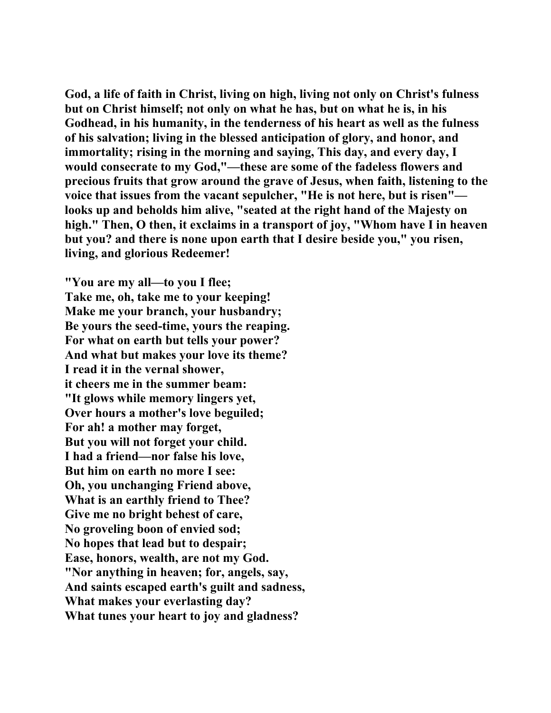**God, a life of faith in Christ, living on high, living not only on Christ's fulness but on Christ himself; not only on what he has, but on what he is, in his Godhead, in his humanity, in the tenderness of his heart as well as the fulness of his salvation; living in the blessed anticipation of glory, and honor, and immortality; rising in the morning and saying, This day, and every day, I would consecrate to my God,"—these are some of the fadeless flowers and precious fruits that grow around the grave of Jesus, when faith, listening to the voice that issues from the vacant sepulcher, "He is not here, but is risen" looks up and beholds him alive, "seated at the right hand of the Majesty on high." Then, O then, it exclaims in a transport of joy, "Whom have I in heaven but you? and there is none upon earth that I desire beside you," you risen, living, and glorious Redeemer!** 

**"You are my all—to you I flee; Take me, oh, take me to your keeping! Make me your branch, your husbandry; Be yours the seed-time, yours the reaping. For what on earth but tells your power? And what but makes your love its theme? I read it in the vernal shower, it cheers me in the summer beam: "It glows while memory lingers yet, Over hours a mother's love beguiled; For ah! a mother may forget, But you will not forget your child. I had a friend—nor false his love, But him on earth no more I see: Oh, you unchanging Friend above, What is an earthly friend to Thee? Give me no bright behest of care, No groveling boon of envied sod; No hopes that lead but to despair; Ease, honors, wealth, are not my God. "Nor anything in heaven; for, angels, say, And saints escaped earth's guilt and sadness, What makes your everlasting day? What tunes your heart to joy and gladness?**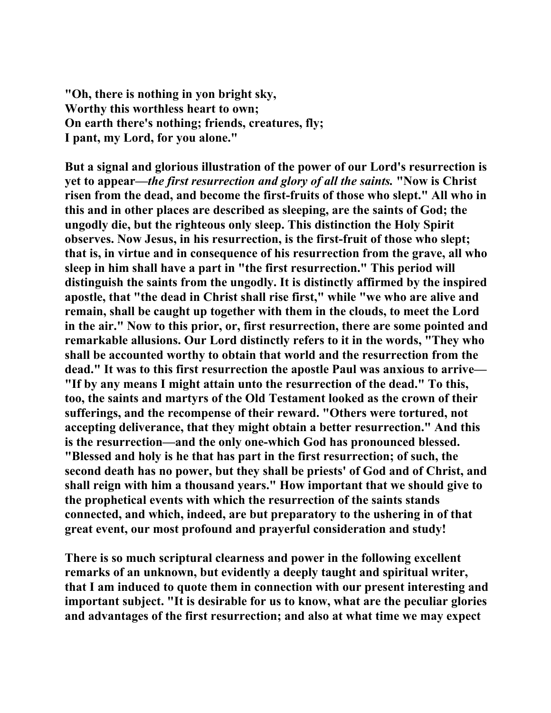**"Oh, there is nothing in yon bright sky, Worthy this worthless heart to own; On earth there's nothing; friends, creatures, fly; I pant, my Lord, for you alone."** 

**But a signal and glorious illustration of the power of our Lord's resurrection is yet to appear—***the first resurrection and glory of all the saints.* **"Now is Christ risen from the dead, and become the first-fruits of those who slept." All who in this and in other places are described as sleeping, are the saints of God; the ungodly die, but the righteous only sleep. This distinction the Holy Spirit observes. Now Jesus, in his resurrection, is the first-fruit of those who slept; that is, in virtue and in consequence of his resurrection from the grave, all who sleep in him shall have a part in "the first resurrection." This period will distinguish the saints from the ungodly. It is distinctly affirmed by the inspired apostle, that "the dead in Christ shall rise first," while "we who are alive and remain, shall be caught up together with them in the clouds, to meet the Lord in the air." Now to this prior, or, first resurrection, there are some pointed and remarkable allusions. Our Lord distinctly refers to it in the words, "They who shall be accounted worthy to obtain that world and the resurrection from the dead." It was to this first resurrection the apostle Paul was anxious to arrive— "If by any means I might attain unto the resurrection of the dead." To this, too, the saints and martyrs of the Old Testament looked as the crown of their sufferings, and the recompense of their reward. "Others were tortured, not accepting deliverance, that they might obtain a better resurrection." And this is the resurrection—and the only one-which God has pronounced blessed. "Blessed and holy is he that has part in the first resurrection; of such, the second death has no power, but they shall be priests' of God and of Christ, and shall reign with him a thousand years." How important that we should give to the prophetical events with which the resurrection of the saints stands connected, and which, indeed, are but preparatory to the ushering in of that great event, our most profound and prayerful consideration and study!** 

**There is so much scriptural clearness and power in the following excellent remarks of an unknown, but evidently a deeply taught and spiritual writer, that I am induced to quote them in connection with our present interesting and important subject. "It is desirable for us to know, what are the peculiar glories and advantages of the first resurrection; and also at what time we may expect**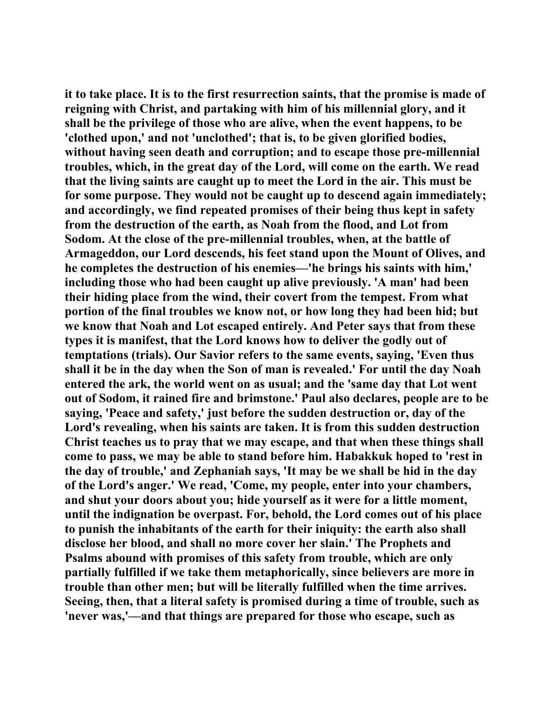**it to take place. It is to the first resurrection saints, that the promise is made of reigning with Christ, and partaking with him of his millennial glory, and it shall be the privilege of those who are alive, when the event happens, to be 'clothed upon,' and not 'unclothed'; that is, to be given glorified bodies, without having seen death and corruption; and to escape those pre-millennial troubles, which, in the great day of the Lord, will come on the earth. We read that the living saints are caught up to meet the Lord in the air. This must be for some purpose. They would not be caught up to descend again immediately; and accordingly, we find repeated promises of their being thus kept in safety from the destruction of the earth, as Noah from the flood, and Lot from Sodom. At the close of the pre-millennial troubles, when, at the battle of Armageddon, our Lord descends, his feet stand upon the Mount of Olives, and he completes the destruction of his enemies—'he brings his saints with him,' including those who had been caught up alive previously. 'A man' had been their hiding place from the wind, their covert from the tempest. From what portion of the final troubles we know not, or how long they had been hid; but we know that Noah and Lot escaped entirely. And Peter says that from these types it is manifest, that the Lord knows how to deliver the godly out of temptations (trials). Our Savior refers to the same events, saying, 'Even thus shall it be in the day when the Son of man is revealed.' For until the day Noah entered the ark, the world went on as usual; and the 'same day that Lot went out of Sodom, it rained fire and brimstone.' Paul also declares, people are to be saying, 'Peace and safety,' just before the sudden destruction or, day of the Lord's revealing, when his saints are taken. It is from this sudden destruction Christ teaches us to pray that we may escape, and that when these things shall come to pass, we may be able to stand before him. Habakkuk hoped to 'rest in the day of trouble,' and Zephaniah says, 'It may be we shall be hid in the day of the Lord's anger.' We read, 'Come, my people, enter into your chambers, and shut your doors about you; hide yourself as it were for a little moment, until the indignation be overpast. For, behold, the Lord comes out of his place to punish the inhabitants of the earth for their iniquity: the earth also shall disclose her blood, and shall no more cover her slain.' The Prophets and Psalms abound with promises of this safety from trouble, which are only partially fulfilled if we take them metaphorically, since believers are more in trouble than other men; but will be literally fulfilled when the time arrives. Seeing, then, that a literal safety is promised during a time of trouble, such as 'never was,'—and that things are prepared for those who escape, such as**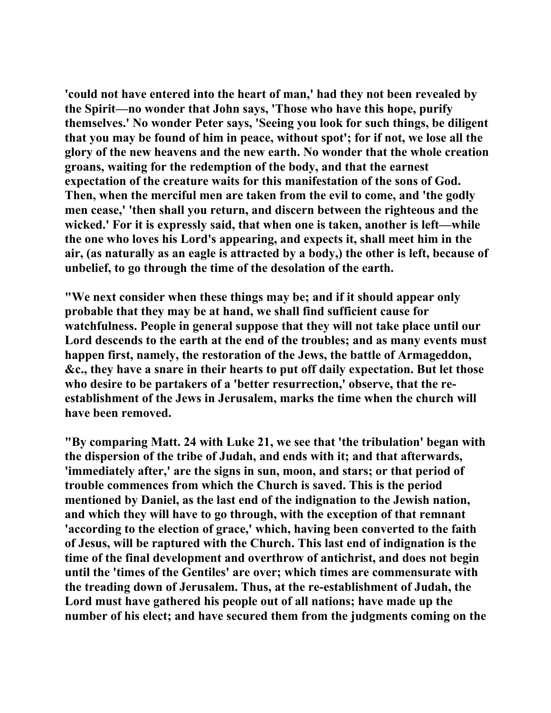**'could not have entered into the heart of man,' had they not been revealed by the Spirit—no wonder that John says, 'Those who have this hope, purify themselves.' No wonder Peter says, 'Seeing you look for such things, be diligent that you may be found of him in peace, without spot'; for if not, we lose all the glory of the new heavens and the new earth. No wonder that the whole creation groans, waiting for the redemption of the body, and that the earnest expectation of the creature waits for this manifestation of the sons of God. Then, when the merciful men are taken from the evil to come, and 'the godly men cease,' 'then shall you return, and discern between the righteous and the wicked.' For it is expressly said, that when one is taken, another is left—while the one who loves his Lord's appearing, and expects it, shall meet him in the air, (as naturally as an eagle is attracted by a body,) the other is left, because of unbelief, to go through the time of the desolation of the earth.** 

**"We next consider when these things may be; and if it should appear only probable that they may be at hand, we shall find sufficient cause for watchfulness. People in general suppose that they will not take place until our Lord descends to the earth at the end of the troubles; and as many events must happen first, namely, the restoration of the Jews, the battle of Armageddon, &c., they have a snare in their hearts to put off daily expectation. But let those who desire to be partakers of a 'better resurrection,' observe, that the reestablishment of the Jews in Jerusalem, marks the time when the church will have been removed.** 

**"By comparing Matt. 24 with Luke 21, we see that 'the tribulation' began with the dispersion of the tribe of Judah, and ends with it; and that afterwards, 'immediately after,' are the signs in sun, moon, and stars; or that period of trouble commences from which the Church is saved. This is the period mentioned by Daniel, as the last end of the indignation to the Jewish nation, and which they will have to go through, with the exception of that remnant 'according to the election of grace,' which, having been converted to the faith of Jesus, will be raptured with the Church. This last end of indignation is the time of the final development and overthrow of antichrist, and does not begin until the 'times of the Gentiles' are over; which times are commensurate with the treading down of Jerusalem. Thus, at the re-establishment of Judah, the Lord must have gathered his people out of all nations; have made up the number of his elect; and have secured them from the judgments coming on the**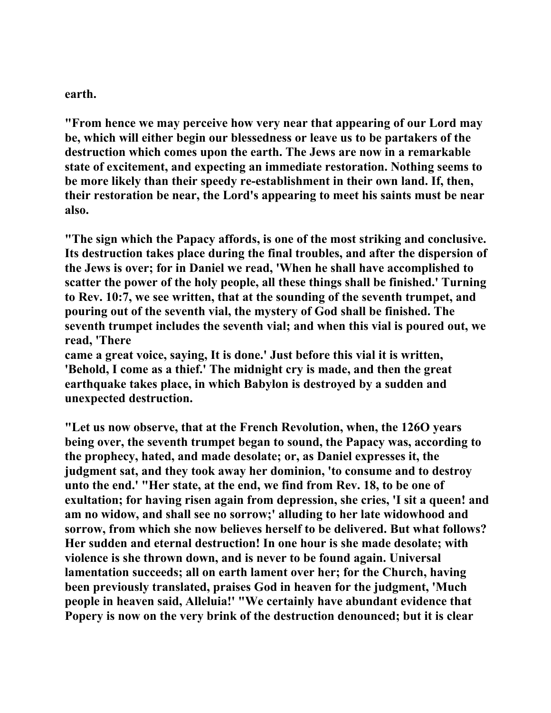**earth.** 

**"From hence we may perceive how very near that appearing of our Lord may be, which will either begin our blessedness or leave us to be partakers of the destruction which comes upon the earth. The Jews are now in a remarkable state of excitement, and expecting an immediate restoration. Nothing seems to be more likely than their speedy re-establishment in their own land. If, then, their restoration be near, the Lord's appearing to meet his saints must be near also.** 

**"The sign which the Papacy affords, is one of the most striking and conclusive. Its destruction takes place during the final troubles, and after the dispersion of the Jews is over; for in Daniel we read, 'When he shall have accomplished to scatter the power of the holy people, all these things shall be finished.' Turning to Rev. 10:7, we see written, that at the sounding of the seventh trumpet, and pouring out of the seventh vial, the mystery of God shall be finished. The seventh trumpet includes the seventh vial; and when this vial is poured out, we read, 'There** 

**came a great voice, saying, It is done.' Just before this vial it is written, 'Behold, I come as a thief.' The midnight cry is made, and then the great earthquake takes place, in which Babylon is destroyed by a sudden and unexpected destruction.** 

**"Let us now observe, that at the French Revolution, when, the 126O years being over, the seventh trumpet began to sound, the Papacy was, according to the prophecy, hated, and made desolate; or, as Daniel expresses it, the judgment sat, and they took away her dominion, 'to consume and to destroy unto the end.' "Her state, at the end, we find from Rev. 18, to be one of exultation; for having risen again from depression, she cries, 'I sit a queen! and am no widow, and shall see no sorrow;' alluding to her late widowhood and sorrow, from which she now believes herself to be delivered. But what follows? Her sudden and eternal destruction! In one hour is she made desolate; with violence is she thrown down, and is never to be found again. Universal lamentation succeeds; all on earth lament over her; for the Church, having been previously translated, praises God in heaven for the judgment, 'Much people in heaven said, Alleluia!' "We certainly have abundant evidence that Popery is now on the very brink of the destruction denounced; but it is clear**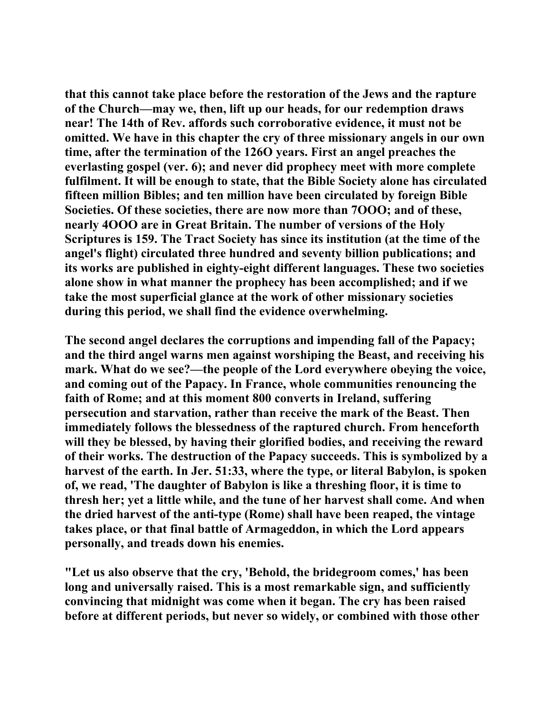**that this cannot take place before the restoration of the Jews and the rapture of the Church—may we, then, lift up our heads, for our redemption draws near! The 14th of Rev. affords such corroborative evidence, it must not be omitted. We have in this chapter the cry of three missionary angels in our own time, after the termination of the 126O years. First an angel preaches the everlasting gospel (ver. 6); and never did prophecy meet with more complete fulfilment. It will be enough to state, that the Bible Society alone has circulated fifteen million Bibles; and ten million have been circulated by foreign Bible Societies. Of these societies, there are now more than 7OOO; and of these, nearly 4OOO are in Great Britain. The number of versions of the Holy Scriptures is 159. The Tract Society has since its institution (at the time of the angel's flight) circulated three hundred and seventy billion publications; and its works are published in eighty-eight different languages. These two societies alone show in what manner the prophecy has been accomplished; and if we take the most superficial glance at the work of other missionary societies during this period, we shall find the evidence overwhelming.** 

**The second angel declares the corruptions and impending fall of the Papacy; and the third angel warns men against worshiping the Beast, and receiving his mark. What do we see?—the people of the Lord everywhere obeying the voice, and coming out of the Papacy. In France, whole communities renouncing the faith of Rome; and at this moment 800 converts in Ireland, suffering persecution and starvation, rather than receive the mark of the Beast. Then immediately follows the blessedness of the raptured church. From henceforth will they be blessed, by having their glorified bodies, and receiving the reward of their works. The destruction of the Papacy succeeds. This is symbolized by a harvest of the earth. In Jer. 51:33, where the type, or literal Babylon, is spoken of, we read, 'The daughter of Babylon is like a threshing floor, it is time to thresh her; yet a little while, and the tune of her harvest shall come. And when the dried harvest of the anti-type (Rome) shall have been reaped, the vintage takes place, or that final battle of Armageddon, in which the Lord appears personally, and treads down his enemies.** 

**"Let us also observe that the cry, 'Behold, the bridegroom comes,' has been long and universally raised. This is a most remarkable sign, and sufficiently convincing that midnight was come when it began. The cry has been raised before at different periods, but never so widely, or combined with those other**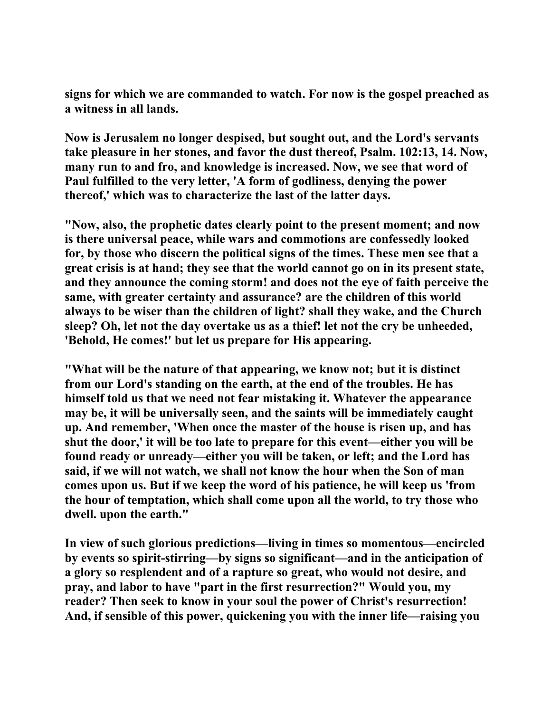**signs for which we are commanded to watch. For now is the gospel preached as a witness in all lands.** 

**Now is Jerusalem no longer despised, but sought out, and the Lord's servants take pleasure in her stones, and favor the dust thereof, Psalm. 102:13, 14. Now, many run to and fro, and knowledge is increased. Now, we see that word of Paul fulfilled to the very letter, 'A form of godliness, denying the power thereof,' which was to characterize the last of the latter days.** 

**"Now, also, the prophetic dates clearly point to the present moment; and now is there universal peace, while wars and commotions are confessedly looked for, by those who discern the political signs of the times. These men see that a great crisis is at hand; they see that the world cannot go on in its present state, and they announce the coming storm! and does not the eye of faith perceive the same, with greater certainty and assurance? are the children of this world always to be wiser than the children of light? shall they wake, and the Church sleep? Oh, let not the day overtake us as a thief! let not the cry be unheeded, 'Behold, He comes!' but let us prepare for His appearing.** 

**"What will be the nature of that appearing, we know not; but it is distinct from our Lord's standing on the earth, at the end of the troubles. He has himself told us that we need not fear mistaking it. Whatever the appearance may be, it will be universally seen, and the saints will be immediately caught up. And remember, 'When once the master of the house is risen up, and has shut the door,' it will be too late to prepare for this event—either you will be found ready or unready—either you will be taken, or left; and the Lord has said, if we will not watch, we shall not know the hour when the Son of man comes upon us. But if we keep the word of his patience, he will keep us 'from the hour of temptation, which shall come upon all the world, to try those who dwell. upon the earth."** 

**In view of such glorious predictions—living in times so momentous—encircled by events so spirit-stirring—by signs so significant—and in the anticipation of a glory so resplendent and of a rapture so great, who would not desire, and pray, and labor to have "part in the first resurrection?" Would you, my reader? Then seek to know in your soul the power of Christ's resurrection! And, if sensible of this power, quickening you with the inner life—raising you**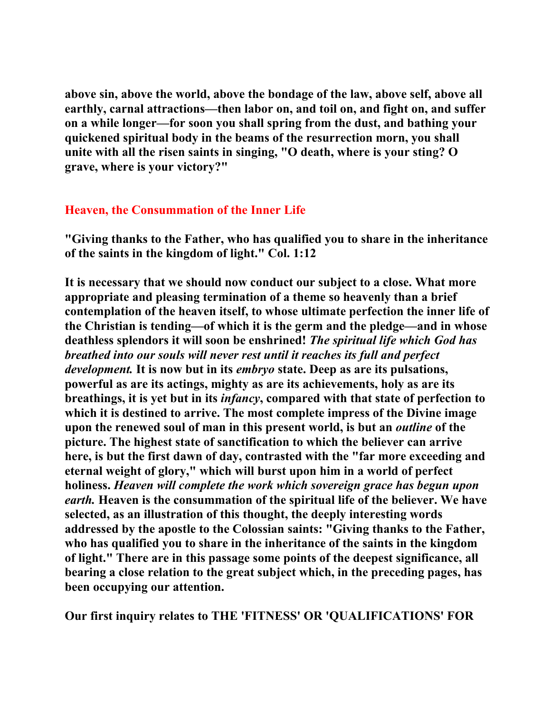**above sin, above the world, above the bondage of the law, above self, above all earthly, carnal attractions—then labor on, and toil on, and fight on, and suffer on a while longer—for soon you shall spring from the dust, and bathing your quickened spiritual body in the beams of the resurrection morn, you shall unite with all the risen saints in singing, "O death, where is your sting? O grave, where is your victory?"** 

## **Heaven, the Consummation of the Inner Life**

**"Giving thanks to the Father, who has qualified you to share in the inheritance of the saints in the kingdom of light." Col. 1:12** 

**It is necessary that we should now conduct our subject to a close. What more appropriate and pleasing termination of a theme so heavenly than a brief contemplation of the heaven itself, to whose ultimate perfection the inner life of the Christian is tending—of which it is the germ and the pledge—and in whose deathless splendors it will soon be enshrined!** *The spiritual life which God has breathed into our souls will never rest until it reaches its full and perfect development.* **It is now but in its** *embryo* **state. Deep as are its pulsations, powerful as are its actings, mighty as are its achievements, holy as are its breathings, it is yet but in its** *infancy***, compared with that state of perfection to which it is destined to arrive. The most complete impress of the Divine image upon the renewed soul of man in this present world, is but an** *outline* **of the picture. The highest state of sanctification to which the believer can arrive here, is but the first dawn of day, contrasted with the "far more exceeding and eternal weight of glory," which will burst upon him in a world of perfect holiness.** *Heaven will complete the work which sovereign grace has begun upon earth.* **Heaven is the consummation of the spiritual life of the believer. We have selected, as an illustration of this thought, the deeply interesting words addressed by the apostle to the Colossian saints: "Giving thanks to the Father, who has qualified you to share in the inheritance of the saints in the kingdom of light." There are in this passage some points of the deepest significance, all bearing a close relation to the great subject which, in the preceding pages, has been occupying our attention.** 

**Our first inquiry relates to THE 'FITNESS' OR 'QUALIFICATIONS' FOR**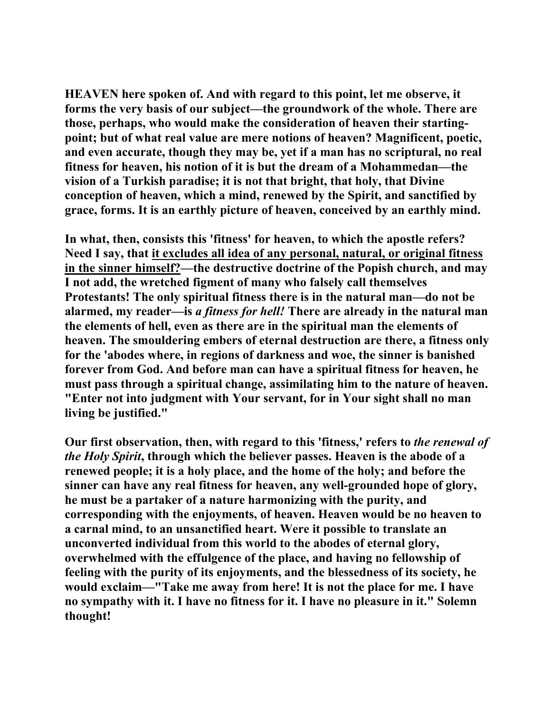**HEAVEN here spoken of. And with regard to this point, let me observe, it forms the very basis of our subject—the groundwork of the whole. There are those, perhaps, who would make the consideration of heaven their startingpoint; but of what real value are mere notions of heaven? Magnificent, poetic, and even accurate, though they may be, yet if a man has no scriptural, no real fitness for heaven, his notion of it is but the dream of a Mohammedan—the vision of a Turkish paradise; it is not that bright, that holy, that Divine conception of heaven, which a mind, renewed by the Spirit, and sanctified by grace, forms. It is an earthly picture of heaven, conceived by an earthly mind.** 

**In what, then, consists this 'fitness' for heaven, to which the apostle refers? Need I say, that it excludes all idea of any personal, natural, or original fitness in the sinner himself?—the destructive doctrine of the Popish church, and may I not add, the wretched figment of many who falsely call themselves Protestants! The only spiritual fitness there is in the natural man—do not be alarmed, my reader—is** *a fitness for hell!* **There are already in the natural man the elements of hell, even as there are in the spiritual man the elements of heaven. The smouldering embers of eternal destruction are there, a fitness only for the 'abodes where, in regions of darkness and woe, the sinner is banished forever from God. And before man can have a spiritual fitness for heaven, he must pass through a spiritual change, assimilating him to the nature of heaven. "Enter not into judgment with Your servant, for in Your sight shall no man living be justified."** 

**Our first observation, then, with regard to this 'fitness,' refers to** *the renewal of the Holy Spirit***, through which the believer passes. Heaven is the abode of a renewed people; it is a holy place, and the home of the holy; and before the sinner can have any real fitness for heaven, any well-grounded hope of glory, he must be a partaker of a nature harmonizing with the purity, and corresponding with the enjoyments, of heaven. Heaven would be no heaven to a carnal mind, to an unsanctified heart. Were it possible to translate an unconverted individual from this world to the abodes of eternal glory, overwhelmed with the effulgence of the place, and having no fellowship of feeling with the purity of its enjoyments, and the blessedness of its society, he would exclaim—"Take me away from here! It is not the place for me. I have no sympathy with it. I have no fitness for it. I have no pleasure in it." Solemn thought!**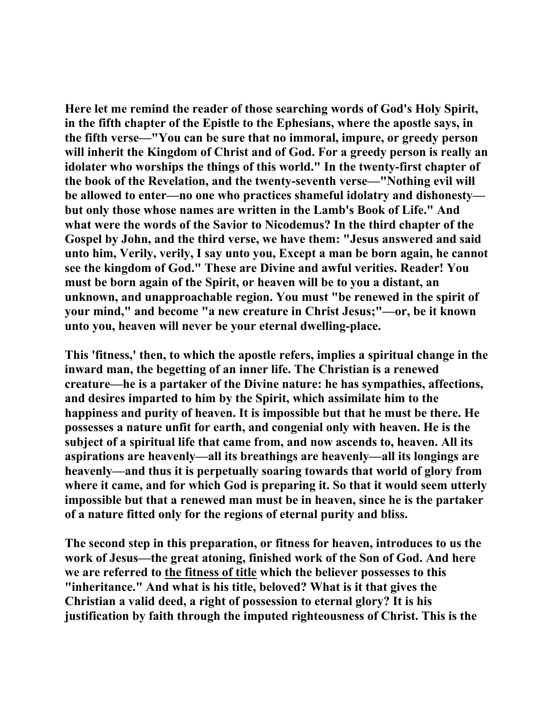**Here let me remind the reader of those searching words of God's Holy Spirit, in the fifth chapter of the Epistle to the Ephesians, where the apostle says, in the fifth verse—"You can be sure that no immoral, impure, or greedy person will inherit the Kingdom of Christ and of God. For a greedy person is really an idolater who worships the things of this world." In the twenty-first chapter of the book of the Revelation, and the twenty-seventh verse—"Nothing evil will be allowed to enter—no one who practices shameful idolatry and dishonesty but only those whose names are written in the Lamb's Book of Life." And what were the words of the Savior to Nicodemus? In the third chapter of the Gospel by John, and the third verse, we have them: "Jesus answered and said unto him, Verily, verily, I say unto you, Except a man be born again, he cannot see the kingdom of God." These are Divine and awful verities. Reader! You must be born again of the Spirit, or heaven will be to you a distant, an unknown, and unapproachable region. You must "be renewed in the spirit of your mind," and become "a new creature in Christ Jesus;"—or, be it known unto you, heaven will never be your eternal dwelling-place.** 

**This 'fitness,' then, to which the apostle refers, implies a spiritual change in the inward man, the begetting of an inner life. The Christian is a renewed creature—he is a partaker of the Divine nature: he has sympathies, affections, and desires imparted to him by the Spirit, which assimilate him to the happiness and purity of heaven. It is impossible but that he must be there. He possesses a nature unfit for earth, and congenial only with heaven. He is the subject of a spiritual life that came from, and now ascends to, heaven. All its aspirations are heavenly—all its breathings are heavenly—all its longings are heavenly—and thus it is perpetually soaring towards that world of glory from where it came, and for which God is preparing it. So that it would seem utterly impossible but that a renewed man must be in heaven, since he is the partaker of a nature fitted only for the regions of eternal purity and bliss.** 

**The second step in this preparation, or fitness for heaven, introduces to us the work of Jesus—the great atoning, finished work of the Son of God. And here we are referred to the fitness of title which the believer possesses to this "inheritance." And what is his title, beloved? What is it that gives the Christian a valid deed, a right of possession to eternal glory? It is his justification by faith through the imputed righteousness of Christ. This is the**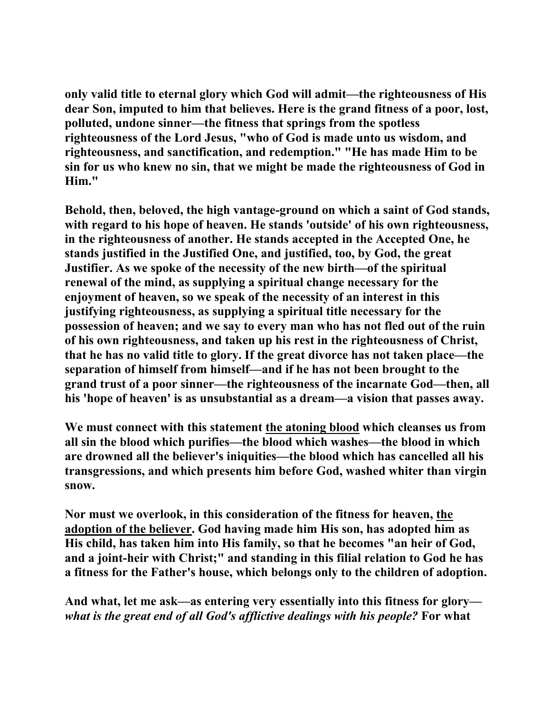**only valid title to eternal glory which God will admit—the righteousness of His dear Son, imputed to him that believes. Here is the grand fitness of a poor, lost, polluted, undone sinner—the fitness that springs from the spotless righteousness of the Lord Jesus, "who of God is made unto us wisdom, and righteousness, and sanctification, and redemption." "He has made Him to be sin for us who knew no sin, that we might be made the righteousness of God in Him."** 

**Behold, then, beloved, the high vantage-ground on which a saint of God stands, with regard to his hope of heaven. He stands 'outside' of his own righteousness, in the righteousness of another. He stands accepted in the Accepted One, he stands justified in the Justified One, and justified, too, by God, the great Justifier. As we spoke of the necessity of the new birth—of the spiritual renewal of the mind, as supplying a spiritual change necessary for the enjoyment of heaven, so we speak of the necessity of an interest in this justifying righteousness, as supplying a spiritual title necessary for the possession of heaven; and we say to every man who has not fled out of the ruin of his own righteousness, and taken up his rest in the righteousness of Christ, that he has no valid title to glory. If the great divorce has not taken place—the separation of himself from himself—and if he has not been brought to the grand trust of a poor sinner—the righteousness of the incarnate God—then, all his 'hope of heaven' is as unsubstantial as a dream—a vision that passes away.** 

**We must connect with this statement the atoning blood which cleanses us from all sin the blood which purifies—the blood which washes—the blood in which are drowned all the believer's iniquities—the blood which has cancelled all his transgressions, and which presents him before God, washed whiter than virgin snow.** 

**Nor must we overlook, in this consideration of the fitness for heaven, the adoption of the believer. God having made him His son, has adopted him as His child, has taken him into His family, so that he becomes "an heir of God, and a joint-heir with Christ;" and standing in this filial relation to God he has a fitness for the Father's house, which belongs only to the children of adoption.** 

**And what, let me ask—as entering very essentially into this fitness for glory** *what is the great end of all God's afflictive dealings with his people?* **For what**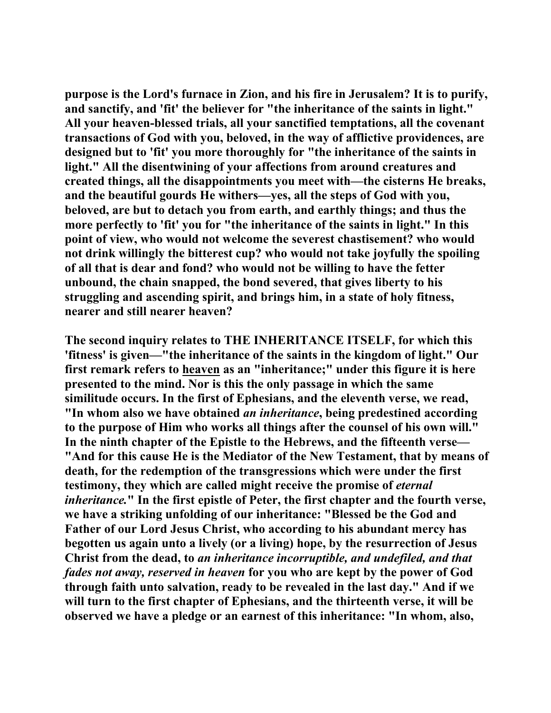**purpose is the Lord's furnace in Zion, and his fire in Jerusalem? It is to purify, and sanctify, and 'fit' the believer for "the inheritance of the saints in light." All your heaven-blessed trials, all your sanctified temptations, all the covenant transactions of God with you, beloved, in the way of afflictive providences, are designed but to 'fit' you more thoroughly for "the inheritance of the saints in light." All the disentwining of your affections from around creatures and created things, all the disappointments you meet with—the cisterns He breaks, and the beautiful gourds He withers—yes, all the steps of God with you, beloved, are but to detach you from earth, and earthly things; and thus the more perfectly to 'fit' you for "the inheritance of the saints in light." In this point of view, who would not welcome the severest chastisement? who would not drink willingly the bitterest cup? who would not take joyfully the spoiling of all that is dear and fond? who would not be willing to have the fetter unbound, the chain snapped, the bond severed, that gives liberty to his struggling and ascending spirit, and brings him, in a state of holy fitness, nearer and still nearer heaven?** 

**The second inquiry relates to THE INHERITANCE ITSELF, for which this 'fitness' is given—"the inheritance of the saints in the kingdom of light." Our first remark refers to heaven as an "inheritance;" under this figure it is here presented to the mind. Nor is this the only passage in which the same similitude occurs. In the first of Ephesians, and the eleventh verse, we read, "In whom also we have obtained** *an inheritance***, being predestined according to the purpose of Him who works all things after the counsel of his own will." In the ninth chapter of the Epistle to the Hebrews, and the fifteenth verse— "And for this cause He is the Mediator of the New Testament, that by means of death, for the redemption of the transgressions which were under the first**  testimony, they which are called might receive the promise of *eternal inheritance.***" In the first epistle of Peter, the first chapter and the fourth verse, we have a striking unfolding of our inheritance: "Blessed be the God and Father of our Lord Jesus Christ, who according to his abundant mercy has begotten us again unto a lively (or a living) hope, by the resurrection of Jesus Christ from the dead, to** *an inheritance incorruptible, and undefiled, and that fades not away, reserved in heaven* **for you who are kept by the power of God through faith unto salvation, ready to be revealed in the last day." And if we will turn to the first chapter of Ephesians, and the thirteenth verse, it will be observed we have a pledge or an earnest of this inheritance: "In whom, also,**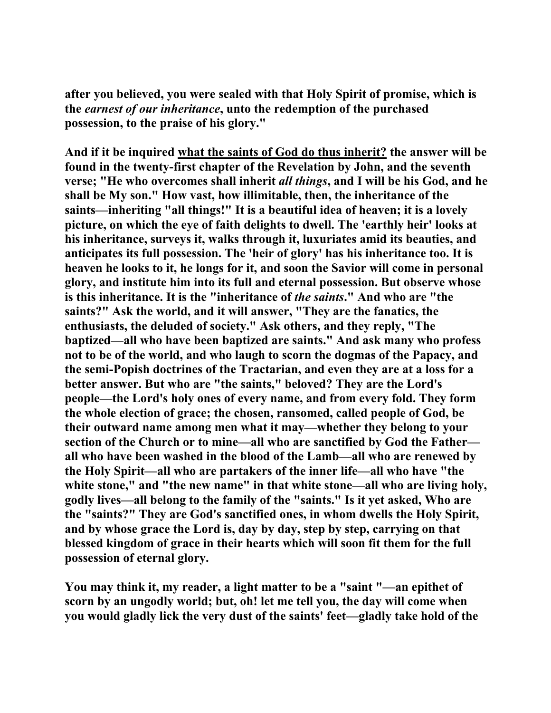**after you believed, you were sealed with that Holy Spirit of promise, which is the** *earnest of our inheritance***, unto the redemption of the purchased possession, to the praise of his glory."** 

**And if it be inquired what the saints of God do thus inherit? the answer will be found in the twenty-first chapter of the Revelation by John, and the seventh verse; "He who overcomes shall inherit** *all things***, and I will be his God, and he shall be My son." How vast, how illimitable, then, the inheritance of the saints—inheriting "all things!" It is a beautiful idea of heaven; it is a lovely picture, on which the eye of faith delights to dwell. The 'earthly heir' looks at his inheritance, surveys it, walks through it, luxuriates amid its beauties, and anticipates its full possession. The 'heir of glory' has his inheritance too. It is heaven he looks to it, he longs for it, and soon the Savior will come in personal glory, and institute him into its full and eternal possession. But observe whose is this inheritance. It is the "inheritance of** *the saints***." And who are "the saints?" Ask the world, and it will answer, "They are the fanatics, the enthusiasts, the deluded of society." Ask others, and they reply, "The baptized—all who have been baptized are saints." And ask many who profess not to be of the world, and who laugh to scorn the dogmas of the Papacy, and the semi-Popish doctrines of the Tractarian, and even they are at a loss for a better answer. But who are "the saints," beloved? They are the Lord's people—the Lord's holy ones of every name, and from every fold. They form the whole election of grace; the chosen, ransomed, called people of God, be their outward name among men what it may—whether they belong to your section of the Church or to mine—all who are sanctified by God the Father all who have been washed in the blood of the Lamb—all who are renewed by the Holy Spirit—all who are partakers of the inner life—all who have "the**  white stone," and "the new name" in that white stone—all who are living holy, **godly lives—all belong to the family of the "saints." Is it yet asked, Who are the "saints?" They are God's sanctified ones, in whom dwells the Holy Spirit, and by whose grace the Lord is, day by day, step by step, carrying on that blessed kingdom of grace in their hearts which will soon fit them for the full possession of eternal glory.** 

**You may think it, my reader, a light matter to be a "saint "—an epithet of scorn by an ungodly world; but, oh! let me tell you, the day will come when you would gladly lick the very dust of the saints' feet—gladly take hold of the**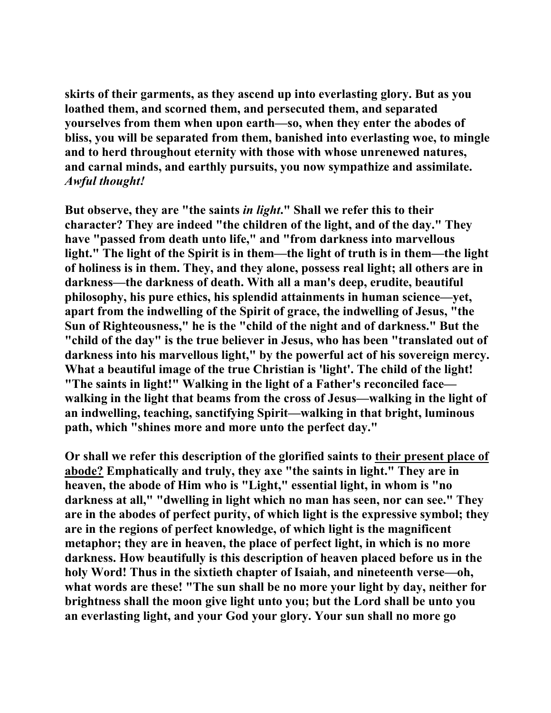**skirts of their garments, as they ascend up into everlasting glory. But as you loathed them, and scorned them, and persecuted them, and separated yourselves from them when upon earth—so, when they enter the abodes of bliss, you will be separated from them, banished into everlasting woe, to mingle and to herd throughout eternity with those with whose unrenewed natures, and carnal minds, and earthly pursuits, you now sympathize and assimilate.**  *Awful thought!*

**But observe, they are "the saints** *in light***." Shall we refer this to their character? They are indeed "the children of the light, and of the day." They have "passed from death unto life," and "from darkness into marvellous light." The light of the Spirit is in them—the light of truth is in them—the light of holiness is in them. They, and they alone, possess real light; all others are in darkness—the darkness of death. With all a man's deep, erudite, beautiful philosophy, his pure ethics, his splendid attainments in human science—yet, apart from the indwelling of the Spirit of grace, the indwelling of Jesus, "the Sun of Righteousness," he is the "child of the night and of darkness." But the "child of the day" is the true believer in Jesus, who has been "translated out of darkness into his marvellous light," by the powerful act of his sovereign mercy. What a beautiful image of the true Christian is 'light'. The child of the light! "The saints in light!" Walking in the light of a Father's reconciled face walking in the light that beams from the cross of Jesus—walking in the light of an indwelling, teaching, sanctifying Spirit—walking in that bright, luminous path, which "shines more and more unto the perfect day."** 

**Or shall we refer this description of the glorified saints to their present place of abode? Emphatically and truly, they axe "the saints in light." They are in heaven, the abode of Him who is "Light," essential light, in whom is "no darkness at all," "dwelling in light which no man has seen, nor can see." They are in the abodes of perfect purity, of which light is the expressive symbol; they are in the regions of perfect knowledge, of which light is the magnificent metaphor; they are in heaven, the place of perfect light, in which is no more darkness. How beautifully is this description of heaven placed before us in the holy Word! Thus in the sixtieth chapter of Isaiah, and nineteenth verse—oh, what words are these! "The sun shall be no more your light by day, neither for brightness shall the moon give light unto you; but the Lord shall be unto you an everlasting light, and your God your glory. Your sun shall no more go**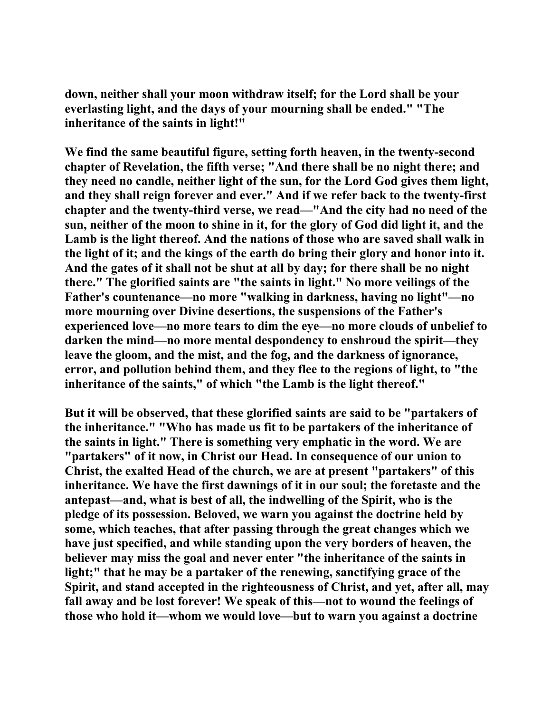**down, neither shall your moon withdraw itself; for the Lord shall be your everlasting light, and the days of your mourning shall be ended." "The inheritance of the saints in light!"** 

**We find the same beautiful figure, setting forth heaven, in the twenty-second chapter of Revelation, the fifth verse; "And there shall be no night there; and they need no candle, neither light of the sun, for the Lord God gives them light, and they shall reign forever and ever." And if we refer back to the twenty-first chapter and the twenty-third verse, we read—"And the city had no need of the sun, neither of the moon to shine in it, for the glory of God did light it, and the Lamb is the light thereof. And the nations of those who are saved shall walk in the light of it; and the kings of the earth do bring their glory and honor into it. And the gates of it shall not be shut at all by day; for there shall be no night there." The glorified saints are "the saints in light." No more veilings of the Father's countenance—no more "walking in darkness, having no light"—no more mourning over Divine desertions, the suspensions of the Father's experienced love—no more tears to dim the eye—no more clouds of unbelief to darken the mind—no more mental despondency to enshroud the spirit—they leave the gloom, and the mist, and the fog, and the darkness of ignorance, error, and pollution behind them, and they flee to the regions of light, to "the inheritance of the saints," of which "the Lamb is the light thereof."** 

**But it will be observed, that these glorified saints are said to be "partakers of the inheritance." "Who has made us fit to be partakers of the inheritance of the saints in light." There is something very emphatic in the word. We are "partakers" of it now, in Christ our Head. In consequence of our union to Christ, the exalted Head of the church, we are at present "partakers" of this inheritance. We have the first dawnings of it in our soul; the foretaste and the antepast—and, what is best of all, the indwelling of the Spirit, who is the pledge of its possession. Beloved, we warn you against the doctrine held by some, which teaches, that after passing through the great changes which we have just specified, and while standing upon the very borders of heaven, the believer may miss the goal and never enter "the inheritance of the saints in light;" that he may be a partaker of the renewing, sanctifying grace of the Spirit, and stand accepted in the righteousness of Christ, and yet, after all, may fall away and be lost forever! We speak of this—not to wound the feelings of those who hold it—whom we would love—but to warn you against a doctrine**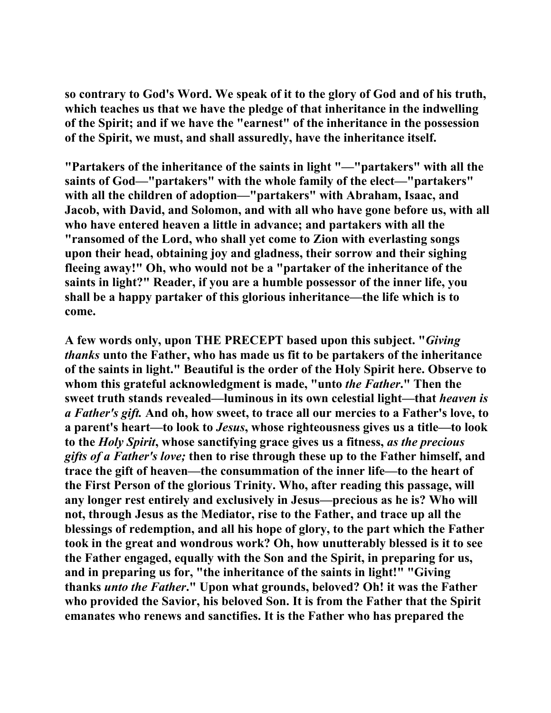**so contrary to God's Word. We speak of it to the glory of God and of his truth, which teaches us that we have the pledge of that inheritance in the indwelling of the Spirit; and if we have the "earnest" of the inheritance in the possession of the Spirit, we must, and shall assuredly, have the inheritance itself.** 

**"Partakers of the inheritance of the saints in light "—"partakers" with all the saints of God—"partakers" with the whole family of the elect—"partakers" with all the children of adoption—"partakers" with Abraham, Isaac, and Jacob, with David, and Solomon, and with all who have gone before us, with all who have entered heaven a little in advance; and partakers with all the "ransomed of the Lord, who shall yet come to Zion with everlasting songs upon their head, obtaining joy and gladness, their sorrow and their sighing fleeing away!" Oh, who would not be a "partaker of the inheritance of the saints in light?" Reader, if you are a humble possessor of the inner life, you shall be a happy partaker of this glorious inheritance—the life which is to come.** 

**A few words only, upon THE PRECEPT based upon this subject. "***Giving thanks* **unto the Father, who has made us fit to be partakers of the inheritance of the saints in light." Beautiful is the order of the Holy Spirit here. Observe to whom this grateful acknowledgment is made, "unto** *the Father***." Then the sweet truth stands revealed—luminous in its own celestial light—that** *heaven is a Father's gift.* **And oh, how sweet, to trace all our mercies to a Father's love, to a parent's heart—to look to** *Jesus***, whose righteousness gives us a title—to look to the** *Holy Spirit***, whose sanctifying grace gives us a fitness,** *as the precious gifts of a Father's love;* **then to rise through these up to the Father himself, and trace the gift of heaven—the consummation of the inner life—to the heart of the First Person of the glorious Trinity. Who, after reading this passage, will any longer rest entirely and exclusively in Jesus—precious as he is? Who will not, through Jesus as the Mediator, rise to the Father, and trace up all the blessings of redemption, and all his hope of glory, to the part which the Father took in the great and wondrous work? Oh, how unutterably blessed is it to see the Father engaged, equally with the Son and the Spirit, in preparing for us, and in preparing us for, "the inheritance of the saints in light!" "Giving thanks** *unto the Father***." Upon what grounds, beloved? Oh! it was the Father who provided the Savior, his beloved Son. It is from the Father that the Spirit emanates who renews and sanctifies. It is the Father who has prepared the**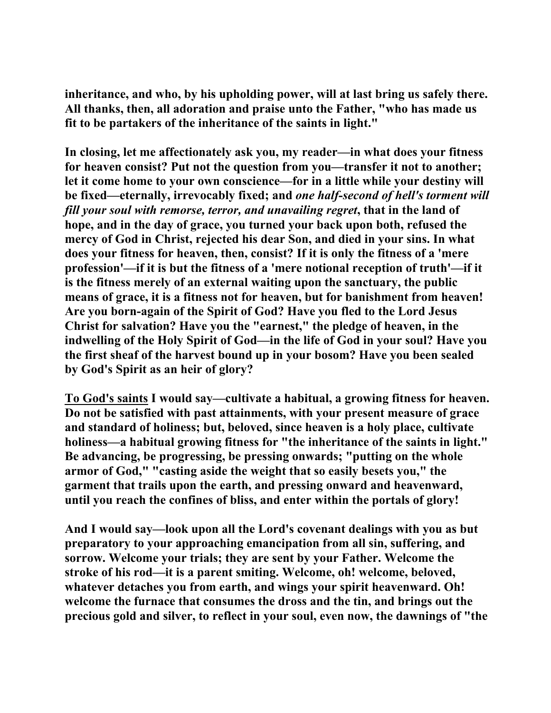**inheritance, and who, by his upholding power, will at last bring us safely there. All thanks, then, all adoration and praise unto the Father, "who has made us fit to be partakers of the inheritance of the saints in light."** 

**In closing, let me affectionately ask you, my reader—in what does your fitness for heaven consist? Put not the question from you—transfer it not to another; let it come home to your own conscience—for in a little while your destiny will be fixed—eternally, irrevocably fixed; and** *one half-second of hell's torment will fill your soul with remorse, terror, and unavailing regret***, that in the land of hope, and in the day of grace, you turned your back upon both, refused the mercy of God in Christ, rejected his dear Son, and died in your sins. In what does your fitness for heaven, then, consist? If it is only the fitness of a 'mere profession'—if it is but the fitness of a 'mere notional reception of truth'—if it is the fitness merely of an external waiting upon the sanctuary, the public means of grace, it is a fitness not for heaven, but for banishment from heaven! Are you born-again of the Spirit of God? Have you fled to the Lord Jesus Christ for salvation? Have you the "earnest," the pledge of heaven, in the indwelling of the Holy Spirit of God—in the life of God in your soul? Have you the first sheaf of the harvest bound up in your bosom? Have you been sealed by God's Spirit as an heir of glory?** 

**To God's saints I would say—cultivate a habitual, a growing fitness for heaven. Do not be satisfied with past attainments, with your present measure of grace and standard of holiness; but, beloved, since heaven is a holy place, cultivate holiness—a habitual growing fitness for "the inheritance of the saints in light." Be advancing, be progressing, be pressing onwards; "putting on the whole armor of God," "casting aside the weight that so easily besets you," the garment that trails upon the earth, and pressing onward and heavenward, until you reach the confines of bliss, and enter within the portals of glory!** 

**And I would say—look upon all the Lord's covenant dealings with you as but preparatory to your approaching emancipation from all sin, suffering, and sorrow. Welcome your trials; they are sent by your Father. Welcome the stroke of his rod—it is a parent smiting. Welcome, oh! welcome, beloved, whatever detaches you from earth, and wings your spirit heavenward. Oh! welcome the furnace that consumes the dross and the tin, and brings out the precious gold and silver, to reflect in your soul, even now, the dawnings of "the**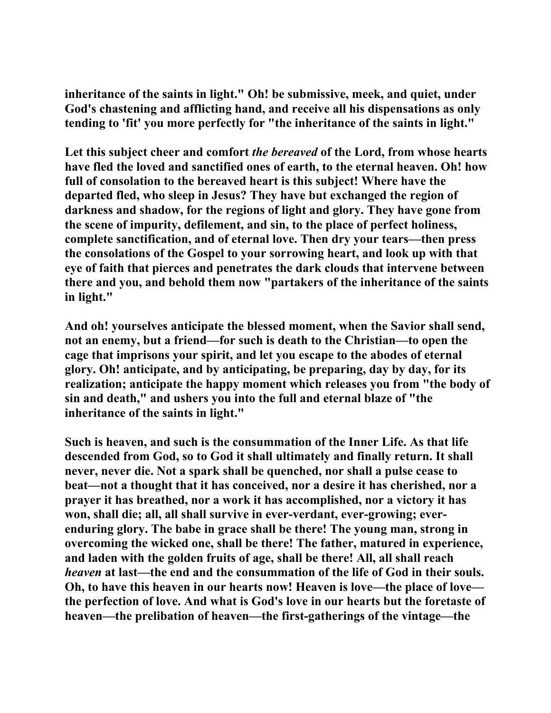**inheritance of the saints in light." Oh! be submissive, meek, and quiet, under God's chastening and afflicting hand, and receive all his dispensations as only tending to 'fit' you more perfectly for "the inheritance of the saints in light."** 

**Let this subject cheer and comfort** *the bereaved* **of the Lord, from whose hearts have fled the loved and sanctified ones of earth, to the eternal heaven. Oh! how full of consolation to the bereaved heart is this subject! Where have the departed fled, who sleep in Jesus? They have but exchanged the region of darkness and shadow, for the regions of light and glory. They have gone from the scene of impurity, defilement, and sin, to the place of perfect holiness, complete sanctification, and of eternal love. Then dry your tears—then press the consolations of the Gospel to your sorrowing heart, and look up with that eye of faith that pierces and penetrates the dark clouds that intervene between there and you, and behold them now "partakers of the inheritance of the saints in light."** 

**And oh! yourselves anticipate the blessed moment, when the Savior shall send, not an enemy, but a friend—for such is death to the Christian—to open the cage that imprisons your spirit, and let you escape to the abodes of eternal glory. Oh! anticipate, and by anticipating, be preparing, day by day, for its realization; anticipate the happy moment which releases you from "the body of sin and death," and ushers you into the full and eternal blaze of "the inheritance of the saints in light."** 

**Such is heaven, and such is the consummation of the Inner Life. As that life descended from God, so to God it shall ultimately and finally return. It shall never, never die. Not a spark shall be quenched, nor shall a pulse cease to beat—not a thought that it has conceived, nor a desire it has cherished, nor a prayer it has breathed, nor a work it has accomplished, nor a victory it has won, shall die; all, all shall survive in ever-verdant, ever-growing; everenduring glory. The babe in grace shall be there! The young man, strong in overcoming the wicked one, shall be there! The father, matured in experience, and laden with the golden fruits of age, shall be there! All, all shall reach**  *heaven* **at last—the end and the consummation of the life of God in their souls. Oh, to have this heaven in our hearts now! Heaven is love—the place of love the perfection of love. And what is God's love in our hearts but the foretaste of heaven—the prelibation of heaven—the first-gatherings of the vintage—the**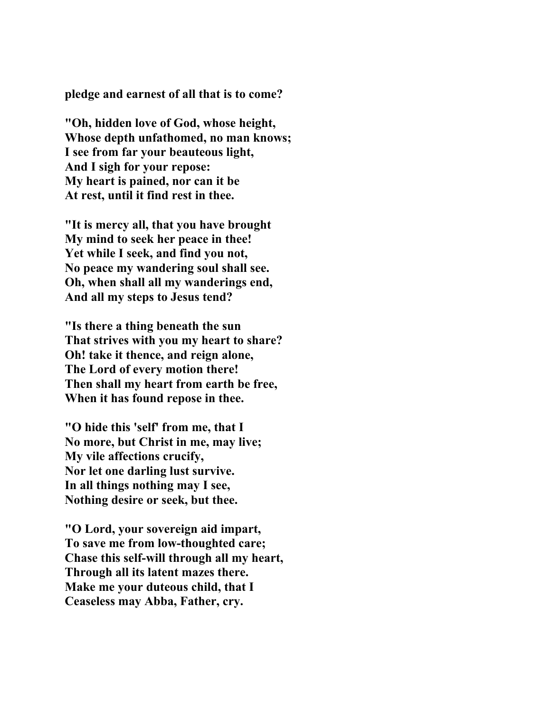**pledge and earnest of all that is to come?** 

**"Oh, hidden love of God, whose height, Whose depth unfathomed, no man knows; I see from far your beauteous light, And I sigh for your repose: My heart is pained, nor can it be At rest, until it find rest in thee.** 

**"It is mercy all, that you have brought My mind to seek her peace in thee! Yet while I seek, and find you not, No peace my wandering soul shall see. Oh, when shall all my wanderings end, And all my steps to Jesus tend?** 

**"Is there a thing beneath the sun That strives with you my heart to share? Oh! take it thence, and reign alone, The Lord of every motion there! Then shall my heart from earth be free, When it has found repose in thee.** 

**"O hide this 'self' from me, that I No more, but Christ in me, may live; My vile affections crucify, Nor let one darling lust survive. In all things nothing may I see, Nothing desire or seek, but thee.** 

**"O Lord, your sovereign aid impart, To save me from low-thoughted care; Chase this self-will through all my heart, Through all its latent mazes there. Make me your duteous child, that I Ceaseless may Abba, Father, cry.**